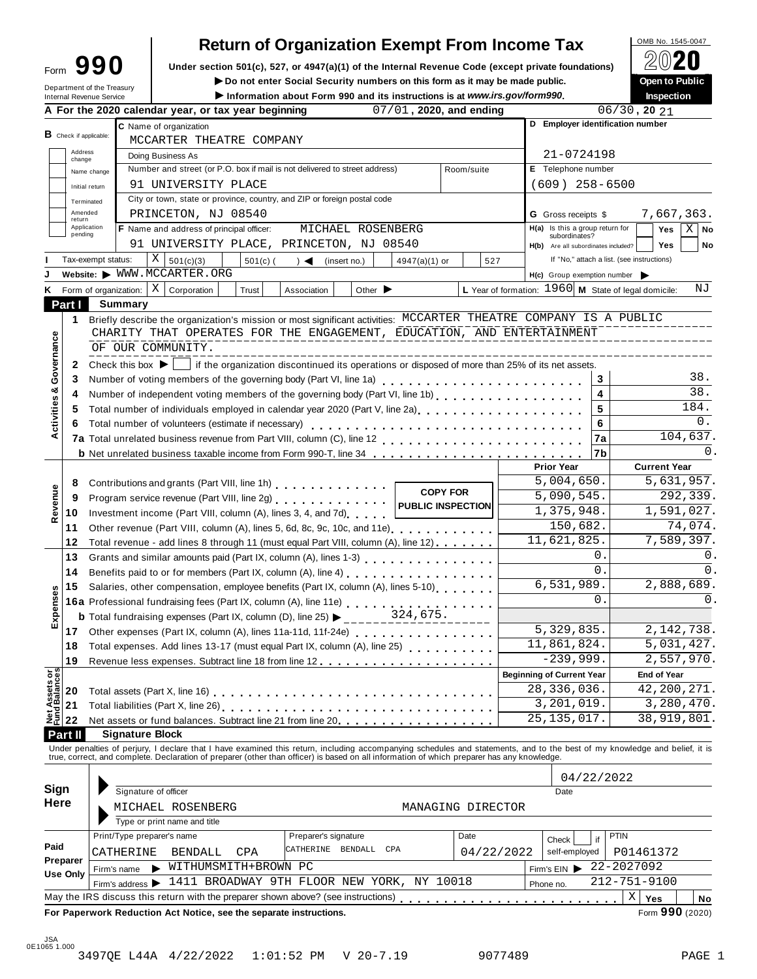| ∙orm | aar |  |
|------|-----|--|
|      |     |  |

### **Return of Organization Exempt From Income Tax**

**Under section 501(c), 527, or 4947(a)(1)** of the Internal Revenue Code (except private foundations) <u>Form **990**</u> → **E** Do not enter Social Security numbers on this form as it may be made public. Open to Public

Department of the Treasury

**i h** Do not enter Social Security numbers on this form as it may be made public. **Open open c open c open c open c open c open c open c open c open c o** 

|                                |                               | Department of the Treasury<br>Internal Revenue Service |                                                                                                  |                                                                                                                                                                                                                                | ► Do not enter Social Security numbers on this form as it may be made public.<br>Information about Form 990 and its instructions is at www.irs.gov/form990. |                                                                 |                             |                         |            |            |  |                                                        |                                            |                   | <b>Open to Public</b><br>Inspection |             |
|--------------------------------|-------------------------------|--------------------------------------------------------|--------------------------------------------------------------------------------------------------|--------------------------------------------------------------------------------------------------------------------------------------------------------------------------------------------------------------------------------|-------------------------------------------------------------------------------------------------------------------------------------------------------------|-----------------------------------------------------------------|-----------------------------|-------------------------|------------|------------|--|--------------------------------------------------------|--------------------------------------------|-------------------|-------------------------------------|-------------|
|                                |                               |                                                        |                                                                                                  | A For the 2020 calendar year, or tax year beginning                                                                                                                                                                            |                                                                                                                                                             |                                                                 |                             | 07/01, 2020, and ending |            |            |  |                                                        |                                            | $06/30$ , 20 $21$ |                                     |             |
|                                |                               |                                                        |                                                                                                  | C Name of organization                                                                                                                                                                                                         |                                                                                                                                                             |                                                                 |                             |                         |            |            |  | D Employer identification number                       |                                            |                   |                                     |             |
|                                | <b>B</b> Check if applicable: |                                                        |                                                                                                  | MCCARTER THEATRE COMPANY                                                                                                                                                                                                       |                                                                                                                                                             |                                                                 |                             |                         |            |            |  |                                                        |                                            |                   |                                     |             |
|                                | Address                       |                                                        |                                                                                                  | Doing Business As                                                                                                                                                                                                              |                                                                                                                                                             |                                                                 |                             |                         |            |            |  | 21-0724198                                             |                                            |                   |                                     |             |
|                                | change                        | Name change                                            |                                                                                                  | Number and street (or P.O. box if mail is not delivered to street address)                                                                                                                                                     |                                                                                                                                                             |                                                                 |                             |                         | Room/suite |            |  | E Telephone number                                     |                                            |                   |                                     |             |
|                                |                               | Initial return                                         |                                                                                                  | 91 UNIVERSITY PLACE                                                                                                                                                                                                            |                                                                                                                                                             |                                                                 |                             |                         |            |            |  | $(609)$ 258-6500                                       |                                            |                   |                                     |             |
|                                | Terminated                    |                                                        |                                                                                                  | City or town, state or province, country, and ZIP or foreign postal code                                                                                                                                                       |                                                                                                                                                             |                                                                 |                             |                         |            |            |  |                                                        |                                            |                   |                                     |             |
|                                | Amended                       |                                                        |                                                                                                  | PRINCETON, NJ 08540                                                                                                                                                                                                            |                                                                                                                                                             |                                                                 |                             |                         |            |            |  | <b>G</b> Gross receipts \$                             |                                            |                   | 7,667,363.                          |             |
|                                | return<br>Application         |                                                        |                                                                                                  | F Name and address of principal officer:                                                                                                                                                                                       |                                                                                                                                                             |                                                                 | MICHAEL ROSENBERG           |                         |            |            |  | H(a) Is this a group return for                        |                                            |                   | Yes                                 | $X \mid$ No |
|                                | pending                       |                                                        |                                                                                                  | 91 UNIVERSITY PLACE, PRINCETON, NJ 08540                                                                                                                                                                                       |                                                                                                                                                             |                                                                 |                             |                         |            |            |  | subordinates?<br>H(b) Are all subordinates included?   |                                            |                   | <b>Yes</b>                          | No          |
|                                |                               | Tax-exempt status:                                     |                                                                                                  | ΧI<br>501(c)(3)                                                                                                                                                                                                                | $501(c)$ (                                                                                                                                                  | $\rightarrow$                                                   | (insert no.)                | $4947(a)(1)$ or         |            | 527        |  |                                                        | If "No," attach a list. (see instructions) |                   |                                     |             |
|                                |                               |                                                        |                                                                                                  | Website: WWW.MCCARTER.ORG                                                                                                                                                                                                      |                                                                                                                                                             |                                                                 |                             |                         |            |            |  | $H(c)$ Group exemption number $\triangleright$         |                                            |                   |                                     |             |
| Κ                              |                               |                                                        | Form of organization: $ X $                                                                      | Corporation                                                                                                                                                                                                                    | Trust                                                                                                                                                       | Association                                                     | Other $\blacktriangleright$ |                         |            |            |  | L Year of formation: $1960$ M State of legal domicile: |                                            |                   |                                     | ΝJ          |
|                                | Part I                        |                                                        | Summary                                                                                          |                                                                                                                                                                                                                                |                                                                                                                                                             |                                                                 |                             |                         |            |            |  |                                                        |                                            |                   |                                     |             |
|                                |                               |                                                        |                                                                                                  | Briefly describe the organization's mission or most significant activities: MCCARTER THEATRE COMPANY IS A PUBLIC                                                                                                               |                                                                                                                                                             |                                                                 |                             |                         |            |            |  |                                                        |                                            |                   |                                     |             |
|                                | 1                             |                                                        |                                                                                                  | CHARITY THAT OPERATES FOR THE ENGAGEMENT, EDUCATION, AND ENTERTAINMENT                                                                                                                                                         |                                                                                                                                                             |                                                                 |                             |                         |            |            |  |                                                        |                                            |                   |                                     |             |
| Activities & Governance        |                               |                                                        |                                                                                                  | OF OUR COMMUNITY.                                                                                                                                                                                                              |                                                                                                                                                             |                                                                 |                             |                         |            |            |  |                                                        |                                            |                   |                                     |             |
|                                |                               |                                                        |                                                                                                  |                                                                                                                                                                                                                                |                                                                                                                                                             |                                                                 |                             |                         |            |            |  |                                                        |                                            |                   |                                     |             |
|                                | 2                             |                                                        |                                                                                                  | Check this box $\blacktriangleright$   if the organization discontinued its operations or disposed of more than 25% of its net assets.                                                                                         |                                                                                                                                                             |                                                                 |                             |                         |            |            |  |                                                        |                                            |                   |                                     |             |
|                                | 3                             |                                                        |                                                                                                  |                                                                                                                                                                                                                                |                                                                                                                                                             |                                                                 |                             |                         |            |            |  |                                                        | 3                                          |                   |                                     | 38.         |
|                                | 4                             |                                                        |                                                                                                  | Number of independent voting members of the governing body (Part VI, line 1b)                                                                                                                                                  |                                                                                                                                                             |                                                                 |                             |                         |            |            |  |                                                        | 4                                          |                   |                                     | 38.         |
|                                | 5                             |                                                        |                                                                                                  | Total number of individuals employed in calendar year 2020 (Part V, line 2a)<br>The 2a)                                                                                                                                        |                                                                                                                                                             |                                                                 |                             |                         |            |            |  |                                                        | 5                                          |                   |                                     | 184.        |
|                                | 6                             |                                                        |                                                                                                  | Total number of volunteers (estimate if necessary)                                                                                                                                                                             |                                                                                                                                                             |                                                                 |                             |                         |            |            |  |                                                        | 6                                          |                   |                                     | 0.          |
|                                |                               |                                                        |                                                                                                  |                                                                                                                                                                                                                                |                                                                                                                                                             |                                                                 |                             |                         |            |            |  |                                                        | <b>7a</b>                                  |                   |                                     | 104,637.    |
|                                |                               |                                                        |                                                                                                  | <b>b</b> Net unrelated business taxable income from Form 990-T, line 34                                                                                                                                                        |                                                                                                                                                             |                                                                 |                             |                         |            |            |  |                                                        | 7b                                         |                   |                                     | $\Omega$ .  |
|                                |                               |                                                        |                                                                                                  |                                                                                                                                                                                                                                |                                                                                                                                                             |                                                                 |                             |                         |            |            |  | <b>Prior Year</b>                                      |                                            |                   | <b>Current Year</b>                 |             |
|                                | 8                             |                                                        |                                                                                                  | Contributions and grants (Part VIII, line 1h)<br>1998 - Part VIII, 2008                                                                                                                                                        |                                                                                                                                                             |                                                                 |                             |                         |            |            |  | 5,004,650.                                             |                                            |                   | 5,631,957.                          |             |
|                                | 9                             |                                                        |                                                                                                  |                                                                                                                                                                                                                                |                                                                                                                                                             | <b>COPY FOR</b><br>Program service revenue (Part VIII, line 2g) |                             |                         |            |            |  | 5,090,545.                                             |                                            | 292,339.          |                                     |             |
| Revenue                        | 10                            |                                                        | PUBLIC INSPECTION<br>1,375,948.<br>Investment income (Part VIII, column (A), lines 3, 4, and 7d) |                                                                                                                                                                                                                                |                                                                                                                                                             |                                                                 |                             |                         |            |            |  |                                                        |                                            |                   | 1,591,027.                          |             |
|                                | 11                            |                                                        |                                                                                                  | Other revenue (Part VIII, column (A), lines 5, 6d, 8c, 9c, 10c, and 11e) [100]                                                                                                                                                 |                                                                                                                                                             |                                                                 |                             |                         |            |            |  | 150,682.                                               |                                            |                   |                                     | 74,074.     |
|                                | 12                            |                                                        |                                                                                                  | Total revenue - add lines 8 through 11 (must equal Part VIII, column (A), line 12)                                                                                                                                             |                                                                                                                                                             |                                                                 |                             |                         |            |            |  | 11,621,825.                                            |                                            |                   | 7,589,397.                          |             |
|                                | 13                            |                                                        |                                                                                                  | Grants and similar amounts paid (Part IX, column (A), lines 1-3)<br><sub>11111</sub> , 11 <sub>11111</sub> , 11 <sub>1111</sub> , 11 <sub>111</sub>                                                                            |                                                                                                                                                             |                                                                 |                             |                         |            |            |  |                                                        | $\mathbf 0$ .                              |                   |                                     | 0.          |
|                                | 14                            |                                                        |                                                                                                  | Benefits paid to or for members (Part IX, column (A), line 4)                                                                                                                                                                  |                                                                                                                                                             |                                                                 |                             |                         |            |            |  |                                                        | $\mathbf 0$ .                              |                   |                                     | 0.          |
|                                | 15                            |                                                        |                                                                                                  | Salaries, other compensation, employee benefits (Part IX, column (A), lines 5-10)                                                                                                                                              |                                                                                                                                                             |                                                                 |                             |                         |            |            |  | 6,531,989.                                             |                                            | 2,888,689.        |                                     |             |
| Expenses                       |                               |                                                        |                                                                                                  | 16a Professional fundraising fees (Part IX, column (A), line 11e)<br>16a Professional fundraising fees (Part IX, column (A), line 11e)                                                                                         |                                                                                                                                                             |                                                                 |                             |                         |            |            |  |                                                        | $\Omega$ .                                 |                   |                                     | 0.          |
|                                |                               |                                                        |                                                                                                  | <b>b</b> Total fundraising expenses (Part IX, column (D), line 25) $\blacktriangleright$ _____                                                                                                                                 |                                                                                                                                                             |                                                                 |                             | 324,675.                |            |            |  |                                                        |                                            |                   |                                     |             |
|                                | 17 <sup>7</sup>               |                                                        |                                                                                                  | Other expenses (Part IX, column (A), lines 11a-11d, 11f-24e)                                                                                                                                                                   |                                                                                                                                                             |                                                                 |                             |                         |            |            |  | 5,329,835.                                             |                                            |                   | 2, 142, 738.                        |             |
|                                | 18                            |                                                        |                                                                                                  | Total expenses. Add lines 13-17 (must equal Part IX, column (A), line 25)                                                                                                                                                      |                                                                                                                                                             |                                                                 |                             |                         |            |            |  | 11,861,824.                                            |                                            |                   | 5,031,427.                          |             |
|                                | 19                            |                                                        |                                                                                                  |                                                                                                                                                                                                                                |                                                                                                                                                             |                                                                 |                             |                         |            |            |  | $-239,999.$                                            |                                            |                   | 2,557,970.                          |             |
|                                |                               |                                                        |                                                                                                  |                                                                                                                                                                                                                                |                                                                                                                                                             |                                                                 |                             |                         |            |            |  | <b>Beginning of Current Year</b>                       |                                            |                   | <b>End of Year</b>                  |             |
| Net Assets or<br>Fund Balances | 20                            |                                                        |                                                                                                  |                                                                                                                                                                                                                                |                                                                                                                                                             |                                                                 |                             |                         |            |            |  | 28, 336, 036.                                          |                                            |                   | 42, 200, 271.                       |             |
|                                | 21                            |                                                        |                                                                                                  |                                                                                                                                                                                                                                |                                                                                                                                                             |                                                                 |                             |                         |            |            |  | 3,201,019.                                             |                                            |                   | 3,280,470.                          |             |
|                                | 22                            |                                                        |                                                                                                  | Net assets or fund balances. Subtract line 21 from line 20.                                                                                                                                                                    |                                                                                                                                                             |                                                                 |                             |                         |            |            |  | 25, 135, 017.                                          |                                            |                   | 38,919,801.                         |             |
|                                | <b>Part II</b>                |                                                        | <b>Signature Block</b>                                                                           |                                                                                                                                                                                                                                |                                                                                                                                                             |                                                                 |                             |                         |            |            |  |                                                        |                                            |                   |                                     |             |
|                                |                               |                                                        |                                                                                                  |                                                                                                                                                                                                                                |                                                                                                                                                             |                                                                 |                             |                         |            |            |  |                                                        |                                            |                   |                                     |             |
|                                |                               |                                                        |                                                                                                  | Under penalties of perjury, I declare that I have examined this return, including accompanying schedules and statements, and to the best of my knowledge and belief, it is true, correct, and complete. Declaration of prepare |                                                                                                                                                             |                                                                 |                             |                         |            |            |  |                                                        |                                            |                   |                                     |             |
|                                |                               |                                                        |                                                                                                  |                                                                                                                                                                                                                                |                                                                                                                                                             |                                                                 |                             |                         |            |            |  |                                                        | 04/22/2022                                 |                   |                                     |             |
| Sign                           |                               |                                                        |                                                                                                  | Signature of officer                                                                                                                                                                                                           |                                                                                                                                                             |                                                                 |                             |                         |            |            |  | Date                                                   |                                            |                   |                                     |             |
| Here                           |                               |                                                        |                                                                                                  | MICHAEL ROSENBERG                                                                                                                                                                                                              |                                                                                                                                                             |                                                                 |                             | MANAGING DIRECTOR       |            |            |  |                                                        |                                            |                   |                                     |             |
|                                |                               |                                                        |                                                                                                  | Type or print name and title                                                                                                                                                                                                   |                                                                                                                                                             |                                                                 |                             |                         |            |            |  |                                                        |                                            |                   |                                     |             |
|                                |                               |                                                        |                                                                                                  |                                                                                                                                                                                                                                |                                                                                                                                                             |                                                                 |                             |                         |            |            |  |                                                        |                                            |                   |                                     |             |
| Paid                           |                               |                                                        |                                                                                                  | Print/Type preparer's name                                                                                                                                                                                                     |                                                                                                                                                             | Preparer's signature<br>CATHERINE BENDALL                       |                             | CPA                     | Date       |            |  | Check                                                  | PTIN<br>if                                 |                   |                                     |             |
|                                | Preparer                      |                                                        | CATHERINE                                                                                        | BENDALL                                                                                                                                                                                                                        | <b>CPA</b>                                                                                                                                                  |                                                                 |                             |                         |            | 04/22/2022 |  | self-employed                                          |                                            | P01461372         |                                     |             |
|                                | Use Only                      | Firm's name                                            |                                                                                                  |                                                                                                                                                                                                                                | WITHUMSMITH+BROWN PC                                                                                                                                        |                                                                 |                             |                         |            |            |  | Firm's $EIN$                                           | 22-2027092                                 |                   |                                     |             |
|                                |                               |                                                        | Firm's address >                                                                                 |                                                                                                                                                                                                                                | 1411 BROADWAY 9TH FLOOR NEW YORK, NY 10018                                                                                                                  |                                                                 |                             |                         |            |            |  | Phone no.                                              | $212 - 751 - 9100$                         |                   |                                     |             |
|                                |                               |                                                        |                                                                                                  |                                                                                                                                                                                                                                |                                                                                                                                                             |                                                                 |                             |                         |            |            |  |                                                        |                                            | X                 | Yes                                 | No          |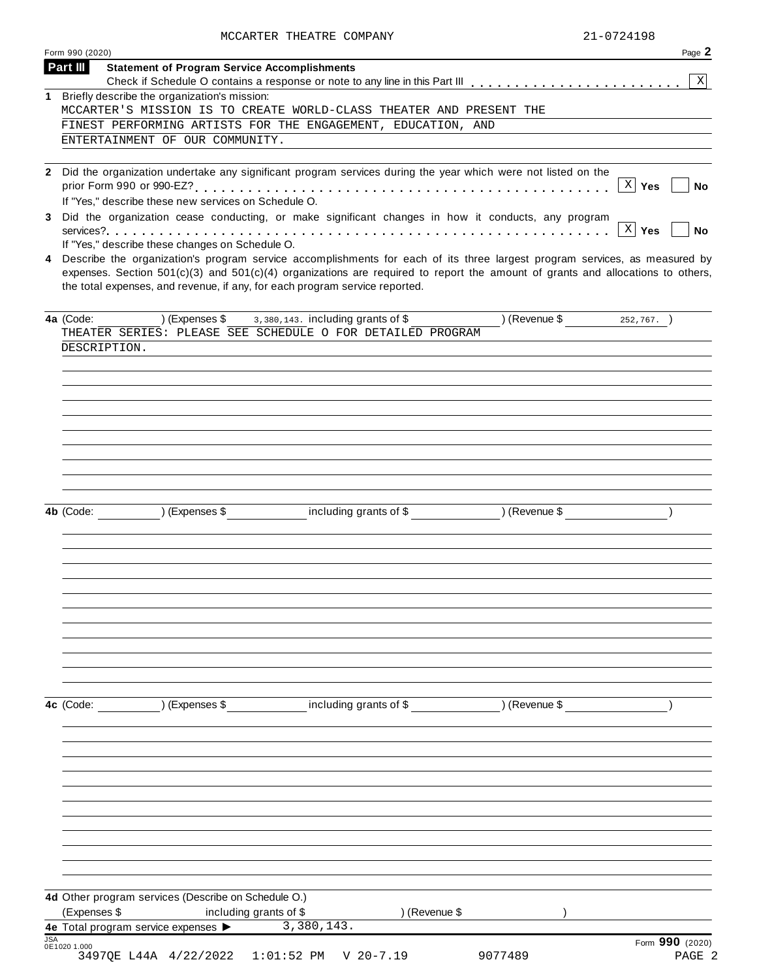|            | Form 990 (2020)                                                                                                                                                                                                                                                                                                                                   | Page 2                    |
|------------|---------------------------------------------------------------------------------------------------------------------------------------------------------------------------------------------------------------------------------------------------------------------------------------------------------------------------------------------------|---------------------------|
|            | Part III<br><b>Statement of Program Service Accomplishments</b>                                                                                                                                                                                                                                                                                   | $\mathbf{x}$              |
|            | 1 Briefly describe the organization's mission:                                                                                                                                                                                                                                                                                                    |                           |
|            | MCCARTER'S MISSION IS TO CREATE WORLD-CLASS THEATER AND PRESENT THE                                                                                                                                                                                                                                                                               |                           |
|            | FINEST PERFORMING ARTISTS FOR THE ENGAGEMENT, EDUCATION, AND                                                                                                                                                                                                                                                                                      |                           |
|            | ENTERTAINMENT OF OUR COMMUNITY.                                                                                                                                                                                                                                                                                                                   |                           |
|            |                                                                                                                                                                                                                                                                                                                                                   |                           |
|            | 2 Did the organization undertake any significant program services during the year which were not listed on the<br>If "Yes," describe these new services on Schedule O.                                                                                                                                                                            | $X \mid Y$ es<br>No       |
|            | Did the organization cease conducting, or make significant changes in how it conducts, any program                                                                                                                                                                                                                                                | $X \mid Y$ es<br>No       |
|            | If "Yes," describe these changes on Schedule O.                                                                                                                                                                                                                                                                                                   |                           |
|            | 4 Describe the organization's program service accomplishments for each of its three largest program services, as measured by<br>expenses. Section $501(c)(3)$ and $501(c)(4)$ organizations are required to report the amount of grants and allocations to others,<br>the total expenses, and revenue, if any, for each program service reported. |                           |
|            | (Revenue \$252,767.)<br>$(1)$ (Expenses \$3,380,143. including grants of \$<br>4a (Code:<br>THEATER SERIES: PLEASE SEE SCHEDULE O FOR DETAILED PROGRAM                                                                                                                                                                                            |                           |
|            | DESCRIPTION.                                                                                                                                                                                                                                                                                                                                      |                           |
|            |                                                                                                                                                                                                                                                                                                                                                   |                           |
|            |                                                                                                                                                                                                                                                                                                                                                   |                           |
|            |                                                                                                                                                                                                                                                                                                                                                   |                           |
|            |                                                                                                                                                                                                                                                                                                                                                   |                           |
|            |                                                                                                                                                                                                                                                                                                                                                   |                           |
|            |                                                                                                                                                                                                                                                                                                                                                   |                           |
|            |                                                                                                                                                                                                                                                                                                                                                   |                           |
|            | including grants of \$ (Revenue \$)<br>4b (Code: ) (Expenses \$                                                                                                                                                                                                                                                                                   |                           |
|            |                                                                                                                                                                                                                                                                                                                                                   |                           |
|            |                                                                                                                                                                                                                                                                                                                                                   |                           |
|            |                                                                                                                                                                                                                                                                                                                                                   |                           |
|            |                                                                                                                                                                                                                                                                                                                                                   |                           |
|            |                                                                                                                                                                                                                                                                                                                                                   |                           |
|            |                                                                                                                                                                                                                                                                                                                                                   |                           |
|            |                                                                                                                                                                                                                                                                                                                                                   |                           |
|            |                                                                                                                                                                                                                                                                                                                                                   |                           |
|            |                                                                                                                                                                                                                                                                                                                                                   |                           |
|            | 4c (Code: ) (Expenses \$ including grants of \$ ) (Revenue \$                                                                                                                                                                                                                                                                                     |                           |
|            |                                                                                                                                                                                                                                                                                                                                                   |                           |
|            |                                                                                                                                                                                                                                                                                                                                                   |                           |
|            |                                                                                                                                                                                                                                                                                                                                                   |                           |
|            |                                                                                                                                                                                                                                                                                                                                                   |                           |
|            |                                                                                                                                                                                                                                                                                                                                                   |                           |
|            |                                                                                                                                                                                                                                                                                                                                                   |                           |
|            |                                                                                                                                                                                                                                                                                                                                                   |                           |
|            |                                                                                                                                                                                                                                                                                                                                                   |                           |
|            | 4d Other program services (Describe on Schedule O.)                                                                                                                                                                                                                                                                                               |                           |
|            | (Expenses \$<br>including grants of \$<br>) (Revenue \$                                                                                                                                                                                                                                                                                           |                           |
|            | 4e Total program service expenses > 3,380,143.                                                                                                                                                                                                                                                                                                    |                           |
| <b>JSA</b> | 0E1020 1.000<br>3497QE L44A 4/22/2022<br>$1:01:52$ PM<br>V 20-7.19<br>9077489                                                                                                                                                                                                                                                                     | Form 990 (2020)<br>PAGE 2 |
|            |                                                                                                                                                                                                                                                                                                                                                   |                           |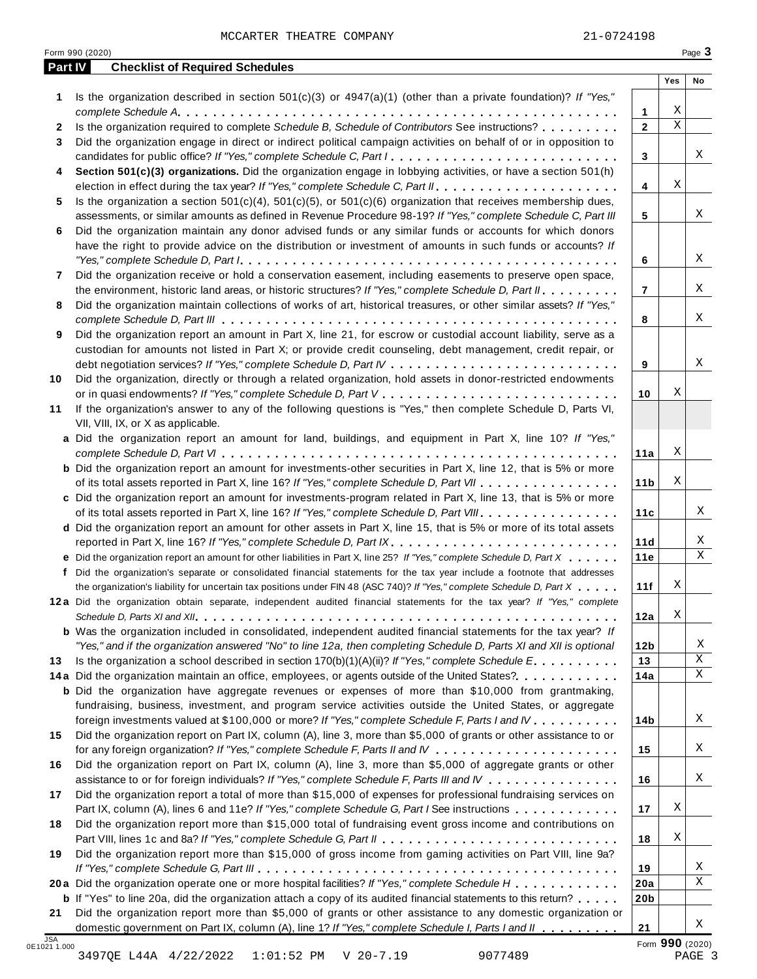| 1  | Is the organization described in section $501(c)(3)$ or $4947(a)(1)$ (other than a private foundation)? If "Yes,"                                                                                                                                 |                 | Yes                     | No |
|----|---------------------------------------------------------------------------------------------------------------------------------------------------------------------------------------------------------------------------------------------------|-----------------|-------------------------|----|
|    |                                                                                                                                                                                                                                                   | 1               | Χ                       |    |
| 2  | Is the organization required to complete Schedule B, Schedule of Contributors See instructions?                                                                                                                                                   | $\overline{2}$  | $\overline{\mathbf{x}}$ |    |
| 3  | Did the organization engage in direct or indirect political campaign activities on behalf of or in opposition to                                                                                                                                  |                 |                         |    |
|    | candidates for public office? If "Yes," complete Schedule C, Part I.                                                                                                                                                                              | 3               |                         |    |
| 4  | Section 501(c)(3) organizations. Did the organization engage in lobbying activities, or have a section 501(h)                                                                                                                                     |                 |                         |    |
|    |                                                                                                                                                                                                                                                   | 4               | Χ                       |    |
| 5  | Is the organization a section $501(c)(4)$ , $501(c)(5)$ , or $501(c)(6)$ organization that receives membership dues,<br>assessments, or similar amounts as defined in Revenue Procedure 98-19? If "Yes," complete Schedule C, Part III            | 5               |                         |    |
| 6  | Did the organization maintain any donor advised funds or any similar funds or accounts for which donors                                                                                                                                           |                 |                         |    |
|    | have the right to provide advice on the distribution or investment of amounts in such funds or accounts? If                                                                                                                                       |                 |                         |    |
|    |                                                                                                                                                                                                                                                   | 6               |                         |    |
| 7  | Did the organization receive or hold a conservation easement, including easements to preserve open space,                                                                                                                                         |                 |                         |    |
|    | the environment, historic land areas, or historic structures? If "Yes," complete Schedule D, Part II.                                                                                                                                             | 7               |                         |    |
| 8  | Did the organization maintain collections of works of art, historical treasures, or other similar assets? If "Yes,"                                                                                                                               |                 |                         |    |
|    |                                                                                                                                                                                                                                                   | 8               |                         |    |
| 9  | Did the organization report an amount in Part X, line 21, for escrow or custodial account liability, serve as a                                                                                                                                   |                 |                         |    |
|    | custodian for amounts not listed in Part X; or provide credit counseling, debt management, credit repair, or                                                                                                                                      |                 |                         |    |
|    |                                                                                                                                                                                                                                                   | 9               |                         |    |
| 10 | Did the organization, directly or through a related organization, hold assets in donor-restricted endowments                                                                                                                                      |                 | Χ                       |    |
| 11 | If the organization's answer to any of the following questions is "Yes," then complete Schedule D, Parts VI,                                                                                                                                      | 10              |                         |    |
|    | VII, VIII, IX, or X as applicable.                                                                                                                                                                                                                |                 |                         |    |
|    | a Did the organization report an amount for land, buildings, and equipment in Part X, line 10? If "Yes,"                                                                                                                                          |                 |                         |    |
|    |                                                                                                                                                                                                                                                   | 11a             | Χ                       |    |
|    | <b>b</b> Did the organization report an amount for investments-other securities in Part X, line 12, that is 5% or more                                                                                                                            |                 |                         |    |
|    | of its total assets reported in Part X, line 16? If "Yes," complete Schedule D, Part VII                                                                                                                                                          | 11 <sub>b</sub> | Χ                       |    |
|    | c Did the organization report an amount for investments-program related in Part X, line 13, that is 5% or more                                                                                                                                    |                 |                         |    |
|    | of its total assets reported in Part X, line 16? If "Yes," complete Schedule D, Part VIII                                                                                                                                                         | 11c             |                         |    |
|    | d Did the organization report an amount for other assets in Part X, line 15, that is 5% or more of its total assets                                                                                                                               |                 |                         |    |
|    |                                                                                                                                                                                                                                                   | 11d             |                         |    |
|    | e Did the organization report an amount for other liabilities in Part X, line 25? If "Yes," complete Schedule D, Part X                                                                                                                           | 11e             |                         |    |
|    | f Did the organization's separate or consolidated financial statements for the tax year include a footnote that addresses                                                                                                                         |                 | Χ                       |    |
|    | the organization's liability for uncertain tax positions under FIN 48 (ASC 740)? If "Yes," complete Schedule D, Part X<br>12a Did the organization obtain separate, independent audited financial statements for the tax year? If "Yes," complete | 11f             |                         |    |
|    |                                                                                                                                                                                                                                                   | 12a             | Χ                       |    |
|    | <b>b</b> Was the organization included in consolidated, independent audited financial statements for the tax year? If                                                                                                                             |                 |                         |    |
|    | "Yes," and if the organization answered "No" to line 12a, then completing Schedule D, Parts XI and XII is optional                                                                                                                                | 12 <sub>b</sub> |                         |    |
| 13 | Is the organization a school described in section $170(b)(1)(A)(ii)$ ? If "Yes," complete Schedule E                                                                                                                                              | 13              |                         |    |
|    | 14a Did the organization maintain an office, employees, or agents outside of the United States?.                                                                                                                                                  | 14a             |                         |    |
|    | <b>b</b> Did the organization have aggregate revenues or expenses of more than \$10,000 from grantmaking,                                                                                                                                         |                 |                         |    |
|    | fundraising, business, investment, and program service activities outside the United States, or aggregate                                                                                                                                         |                 |                         |    |
|    | foreign investments valued at \$100,000 or more? If "Yes," complete Schedule F, Parts I and IV                                                                                                                                                    | 14 <sub>b</sub> |                         |    |
| 15 | Did the organization report on Part IX, column (A), line 3, more than \$5,000 of grants or other assistance to or                                                                                                                                 |                 |                         |    |
|    |                                                                                                                                                                                                                                                   | 15              |                         |    |
| 16 | Did the organization report on Part IX, column (A), line 3, more than \$5,000 of aggregate grants or other                                                                                                                                        |                 |                         |    |
| 17 | assistance to or for foreign individuals? If "Yes," complete Schedule F, Parts III and IV<br>Did the organization report a total of more than \$15,000 of expenses for professional fundraising services on                                       | 16              |                         |    |
|    | Part IX, column (A), lines 6 and 11e? If "Yes," complete Schedule G, Part I See instructions                                                                                                                                                      | 17              | Χ                       |    |
| 18 | Did the organization report more than \$15,000 total of fundraising event gross income and contributions on                                                                                                                                       |                 |                         |    |
|    |                                                                                                                                                                                                                                                   | 18              | Χ                       |    |
| 19 | Did the organization report more than \$15,000 of gross income from gaming activities on Part VIII, line 9a?                                                                                                                                      |                 |                         |    |
|    |                                                                                                                                                                                                                                                   | 19              |                         |    |
|    | 20a Did the organization operate one or more hospital facilities? If "Yes," complete Schedule H                                                                                                                                                   | 20a             |                         |    |
|    | <b>b</b> If "Yes" to line 20a, did the organization attach a copy of its audited financial statements to this return?                                                                                                                             | 20 <sub>b</sub> |                         |    |
| 21 | Did the organization report more than \$5,000 of grants or other assistance to any domestic organization or                                                                                                                                       |                 |                         |    |
|    | domestic government on Part IX, column (A), line 1? If "Yes," complete Schedule I, Parts I and II                                                                                                                                                 | 21              |                         |    |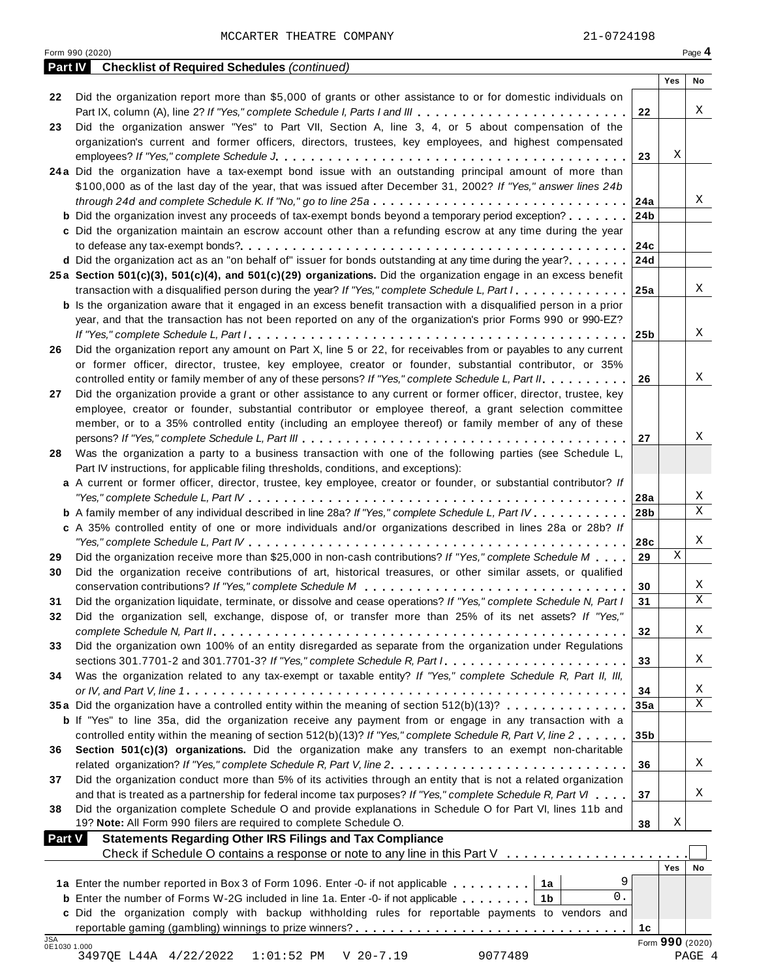Form <sup>990</sup> (2020) Page **4**

| <b>Part IV</b> | <b>Checklist of Required Schedules (continued)</b>                                                                                      |                 |                 |    |
|----------------|-----------------------------------------------------------------------------------------------------------------------------------------|-----------------|-----------------|----|
| 22             | Did the organization report more than \$5,000 of grants or other assistance to or for domestic individuals on                           |                 | Yes             | No |
|                | Part IX, column (A), line 2? If "Yes," complete Schedule I, Parts I and III                                                             | 22              |                 | X  |
| 23             | Did the organization answer "Yes" to Part VII, Section A, line 3, 4, or 5 about compensation of the                                     |                 |                 |    |
|                | organization's current and former officers, directors, trustees, key employees, and highest compensated                                 |                 |                 |    |
|                |                                                                                                                                         | 23              | Χ               |    |
|                | 24a Did the organization have a tax-exempt bond issue with an outstanding principal amount of more than                                 |                 |                 |    |
|                | \$100,000 as of the last day of the year, that was issued after December 31, 2002? If "Yes," answer lines 24b                           |                 |                 |    |
|                | through 24d and complete Schedule K. If "No," go to line 25a                                                                            | 24a             |                 | Χ  |
|                | <b>b</b> Did the organization invest any proceeds of tax-exempt bonds beyond a temporary period exception?                              | 24b             |                 |    |
|                | c Did the organization maintain an escrow account other than a refunding escrow at any time during the year                             |                 |                 |    |
|                |                                                                                                                                         | 24c             |                 |    |
|                | <b>d</b> Did the organization act as an "on behalf of" issuer for bonds outstanding at any time during the year?                        | 24d             |                 |    |
|                | 25a Section 501(c)(3), 501(c)(4), and 501(c)(29) organizations. Did the organization engage in an excess benefit                        |                 |                 |    |
|                | transaction with a disqualified person during the year? If "Yes," complete Schedule L, Part I.                                          | 25a             |                 | X  |
|                | <b>b</b> Is the organization aware that it engaged in an excess benefit transaction with a disqualified person in a prior               |                 |                 |    |
|                | year, and that the transaction has not been reported on any of the organization's prior Forms 990 or 990-EZ?                            |                 |                 |    |
|                |                                                                                                                                         | 25 <sub>b</sub> |                 | X  |
| 26             | Did the organization report any amount on Part X, line 5 or 22, for receivables from or payables to any current                         |                 |                 |    |
|                | or former officer, director, trustee, key employee, creator or founder, substantial contributor, or 35%                                 |                 |                 |    |
|                | controlled entity or family member of any of these persons? If "Yes," complete Schedule L, Part II.                                     | 26              |                 | Χ  |
| 27             | Did the organization provide a grant or other assistance to any current or former officer, director, trustee, key                       |                 |                 |    |
|                | employee, creator or founder, substantial contributor or employee thereof, a grant selection committee                                  |                 |                 |    |
|                | member, or to a 35% controlled entity (including an employee thereof) or family member of any of these                                  |                 |                 | Χ  |
| 28             | Was the organization a party to a business transaction with one of the following parties (see Schedule L,                               | 27              |                 |    |
|                | Part IV instructions, for applicable filing thresholds, conditions, and exceptions):                                                    |                 |                 |    |
|                | a A current or former officer, director, trustee, key employee, creator or founder, or substantial contributor? If                      |                 |                 |    |
|                |                                                                                                                                         | 28a             |                 | Χ  |
|                | <b>b</b> A family member of any individual described in line 28a? If "Yes," complete Schedule L, Part IV.                               | 28b             |                 | X  |
|                | c A 35% controlled entity of one or more individuals and/or organizations described in lines 28a or 28b? If                             |                 |                 |    |
|                |                                                                                                                                         | 28c             |                 | X  |
| 29             | Did the organization receive more than \$25,000 in non-cash contributions? If "Yes," complete Schedule M                                | 29              | X               |    |
| 30             | Did the organization receive contributions of art, historical treasures, or other similar assets, or qualified                          |                 |                 |    |
|                |                                                                                                                                         | 30              |                 | Χ  |
| 31             | Did the organization liquidate, terminate, or dissolve and cease operations? If "Yes," complete Schedule N, Part I                      | 31              |                 | X  |
|                | Did the organization sell, exchange, dispose of, or transfer more than 25% of its net assets? If "Yes,"                                 |                 |                 |    |
|                |                                                                                                                                         | 32              |                 | Χ  |
| 33             | Did the organization own 100% of an entity disregarded as separate from the organization under Regulations                              |                 |                 |    |
|                | sections 301.7701-2 and 301.7701-3? If "Yes," complete Schedule R, Part I.                                                              | 33              |                 | Χ  |
| 34             | Was the organization related to any tax-exempt or taxable entity? If "Yes," complete Schedule R, Part II, III,                          |                 |                 |    |
|                |                                                                                                                                         | 34              |                 | Χ  |
|                | 35a Did the organization have a controlled entity within the meaning of section 512(b)(13)?                                             | 35a             |                 | X  |
|                | <b>b</b> If "Yes" to line 35a, did the organization receive any payment from or engage in any transaction with a                        |                 |                 |    |
|                | controlled entity within the meaning of section 512(b)(13)? If "Yes," complete Schedule R, Part V, line 2                               | 35 <sub>b</sub> |                 |    |
| 36             | Section 501(c)(3) organizations. Did the organization make any transfers to an exempt non-charitable                                    |                 |                 |    |
|                | related organization? If "Yes," complete Schedule R, Part V, line 2.                                                                    | 36              |                 | Χ  |
| 37             | Did the organization conduct more than 5% of its activities through an entity that is not a related organization                        |                 |                 |    |
|                | and that is treated as a partnership for federal income tax purposes? If "Yes," complete Schedule R, Part VI                            | 37              |                 | Χ  |
| 38             | Did the organization complete Schedule O and provide explanations in Schedule O for Part VI, lines 11b and                              |                 |                 |    |
|                | 19? Note: All Form 990 filers are required to complete Schedule O.                                                                      | 38              | Χ               |    |
| <b>Part V</b>  | <b>Statements Regarding Other IRS Filings and Tax Compliance</b>                                                                        |                 |                 |    |
|                |                                                                                                                                         |                 |                 |    |
|                |                                                                                                                                         |                 | Yes             | No |
|                | 9<br>1a Enter the number reported in Box 3 of Form 1096. Enter -0- if not applicable   1a                                               |                 |                 |    |
|                | 0.<br><b>b</b> Enter the number of Forms W-2G included in line 1a. Enter -0- if not applicable $\ldots \ldots \ldots$<br>1 <sub>b</sub> |                 |                 |    |
|                | c Did the organization comply with backup withholding rules for reportable payments to vendors and                                      |                 |                 |    |
| <b>JSA</b>     |                                                                                                                                         | 1c              |                 |    |
|                | 0E1030 1.000                                                                                                                            |                 | Form 990 (2020) |    |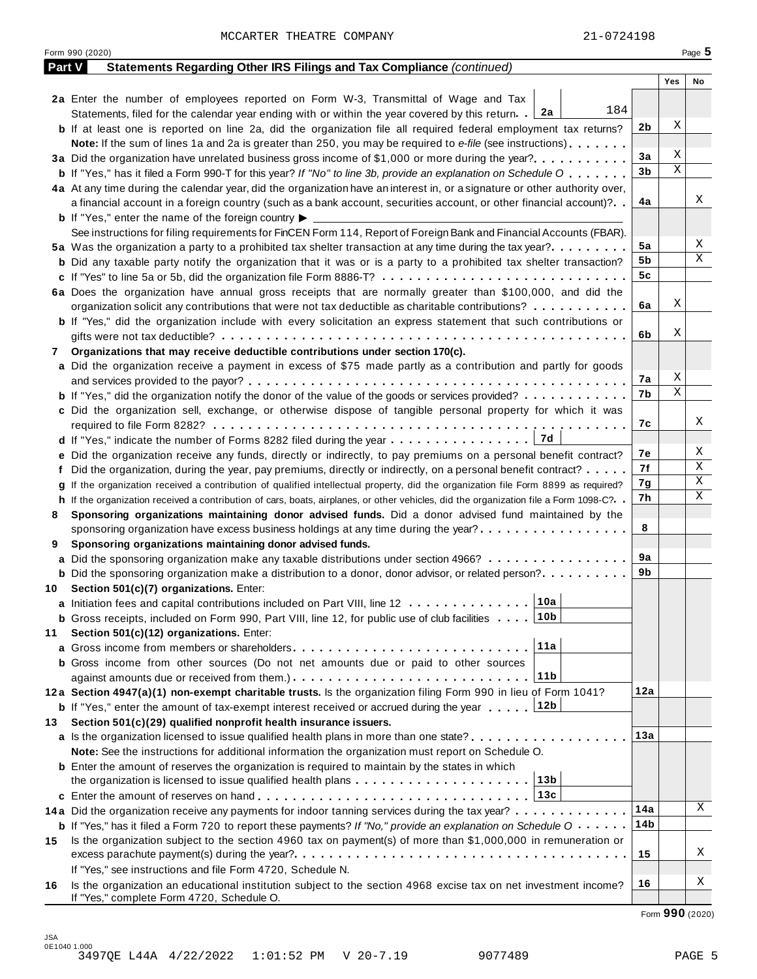Form <sup>990</sup> (2020) Page **5**

| <b>Part V</b> | Statements Regarding Other IRS Filings and Tax Compliance (continued)                                                                                 |                |             |        |
|---------------|-------------------------------------------------------------------------------------------------------------------------------------------------------|----------------|-------------|--------|
|               |                                                                                                                                                       |                | Yes         | No     |
|               | 2a Enter the number of employees reported on Form W-3, Transmittal of Wage and Tax                                                                    |                |             |        |
|               | 184<br>2a<br>Statements, filed for the calendar year ending with or within the year covered by this return.                                           |                |             |        |
|               | <b>b</b> If at least one is reported on line 2a, did the organization file all required federal employment tax returns?                               | 2b             | Χ           |        |
|               | Note: If the sum of lines 1a and 2a is greater than 250, you may be required to e-file (see instructions)                                             |                |             |        |
|               |                                                                                                                                                       | 3a             | Χ           |        |
|               | <b>b</b> If "Yes," has it filed a Form 990-T for this year? If "No" to line 3b, provide an explanation on Schedule O                                  | 3 <sub>b</sub> | $\mathbf X$ |        |
|               | 4a At any time during the calendar year, did the organization have an interest in, or a signature or other authority over,                            |                |             |        |
|               | a financial account in a foreign country (such as a bank account, securities account, or other financial account)?                                    | 4a             |             | Χ      |
|               | <b>b</b> If "Yes," enter the name of the foreign country $\blacktriangleright$ $\equiv$                                                               |                |             |        |
|               | See instructions for filing requirements for FinCEN Form 114, Report of Foreign Bank and Financial Accounts (FBAR).                                   |                |             |        |
|               | 5a Was the organization a party to a prohibited tax shelter transaction at any time during the tax year?                                              | 5a             |             | Χ      |
|               | <b>b</b> Did any taxable party notify the organization that it was or is a party to a prohibited tax shelter transaction?                             | 5b             |             | X      |
|               | c If "Yes" to line 5a or 5b, did the organization file Form 8886-T?                                                                                   | 5c             |             |        |
|               | 6a Does the organization have annual gross receipts that are normally greater than \$100,000, and did the                                             |                |             |        |
|               | organization solicit any contributions that were not tax deductible as charitable contributions?                                                      | 6a             | Χ           |        |
|               | <b>b</b> If "Yes," did the organization include with every solicitation an express statement that such contributions or                               |                |             |        |
|               |                                                                                                                                                       | 6b             | Χ           |        |
| 7             | Organizations that may receive deductible contributions under section 170(c).                                                                         |                |             |        |
|               | a Did the organization receive a payment in excess of \$75 made partly as a contribution and partly for goods                                         |                |             |        |
|               |                                                                                                                                                       | 7a             | Χ           |        |
|               | <b>b</b> If "Yes," did the organization notify the donor of the value of the goods or services provided?                                              | 7b             | $\mathbf X$ |        |
|               | c Did the organization sell, exchange, or otherwise dispose of tangible personal property for which it was                                            |                |             |        |
|               |                                                                                                                                                       | 7c             |             | Χ      |
|               | d If "Yes," indicate the number of Forms 8282 filed during the year 7d                                                                                |                |             |        |
|               | e Did the organization receive any funds, directly or indirectly, to pay premiums on a personal benefit contract?                                     | 7e             |             | Χ<br>X |
|               | f Did the organization, during the year, pay premiums, directly or indirectly, on a personal benefit contract?                                        | 7f             |             | X      |
|               | g If the organization received a contribution of qualified intellectual property, did the organization file Form 8899 as required?                    | 7g             |             | X      |
|               | h If the organization received a contribution of cars, boats, airplanes, or other vehicles, did the organization file a Form 1098-C?. .               | 7h             |             |        |
| 8             | Sponsoring organizations maintaining donor advised funds. Did a donor advised fund maintained by the                                                  | 8              |             |        |
|               | sponsoring organization have excess business holdings at any time during the year?                                                                    |                |             |        |
| 9             | Sponsoring organizations maintaining donor advised funds.                                                                                             | 9a             |             |        |
|               | a Did the sponsoring organization make any taxable distributions under section 4966?                                                                  | 9b             |             |        |
|               | <b>b</b> Did the sponsoring organization make a distribution to a donor, donor advisor, or related person?<br>Section 501(c)(7) organizations. Enter: |                |             |        |
| 10            | 10a<br>a Initiation fees and capital contributions included on Part VIII, line 12                                                                     |                |             |        |
|               | <b>b</b> Gross receipts, included on Form 990, Part VIII, line 12, for public use of club facilities  10b                                             |                |             |        |
| 11            | Section 501(c)(12) organizations. Enter:                                                                                                              |                |             |        |
|               | 11a<br><b>a</b> Gross income from members or shareholders                                                                                             |                |             |        |
|               | <b>b</b> Gross income from other sources (Do not net amounts due or paid to other sources                                                             |                |             |        |
|               | 11 <sub>b</sub>                                                                                                                                       |                |             |        |
|               | 12a Section 4947(a)(1) non-exempt charitable trusts. Is the organization filing Form 990 in lieu of Form 1041?                                        | 12a            |             |        |
|               | 12 <sub>b</sub><br><b>b</b> If "Yes," enter the amount of tax-exempt interest received or accrued during the year                                     |                |             |        |
| 13            | Section 501(c)(29) qualified nonprofit health insurance issuers.                                                                                      |                |             |        |
|               | a Is the organization licensed to issue qualified health plans in more than one state?                                                                | 13a            |             |        |
|               | Note: See the instructions for additional information the organization must report on Schedule O.                                                     |                |             |        |
|               | <b>b</b> Enter the amount of reserves the organization is required to maintain by the states in which                                                 |                |             |        |
|               | 13 <sub>b</sub>                                                                                                                                       |                |             |        |
|               | 13c                                                                                                                                                   |                |             |        |
|               | 14a Did the organization receive any payments for indoor tanning services during the tax year?                                                        | 14a            |             | Χ      |
|               | <b>b</b> If "Yes," has it filed a Form 720 to report these payments? If "No," provide an explanation on Schedule $0 \cdot \cdot \cdot \cdot$          | 14b            |             |        |
| 15            | Is the organization subject to the section 4960 tax on payment(s) of more than \$1,000,000 in remuneration or                                         |                |             |        |
|               |                                                                                                                                                       | 15             |             | Χ      |
|               | If "Yes," see instructions and file Form 4720, Schedule N.                                                                                            |                |             |        |
| 16            | Is the organization an educational institution subject to the section 4968 excise tax on net investment income?                                       | 16             |             | Χ      |
|               | If "Yes," complete Form 4720, Schedule O.                                                                                                             |                |             |        |

Form **990** (2020)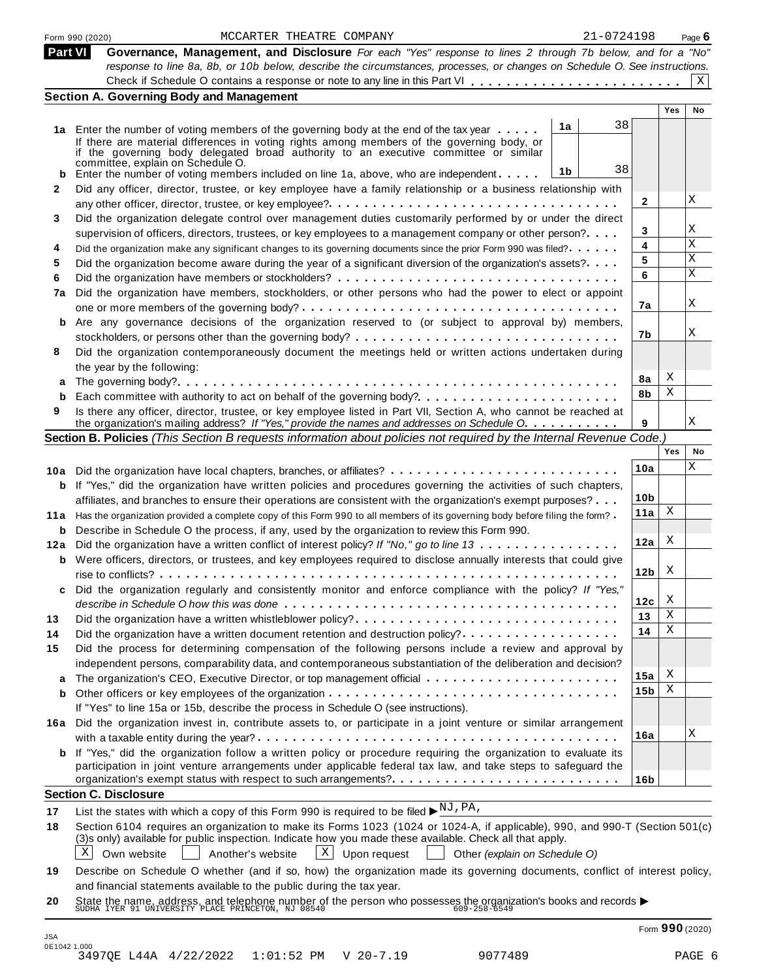|                                                             | MCCARTER THEATRE COMPANY<br>Form 990 (2020)                                                                                                                                                                                                                      |                                               |                 |            |    |
|-------------------------------------------------------------|------------------------------------------------------------------------------------------------------------------------------------------------------------------------------------------------------------------------------------------------------------------|-----------------------------------------------|-----------------|------------|----|
|                                                             | Part VI<br>Governance, Management, and Disclosure For each "Yes" response to lines 2 through 7b below, and for a "No"                                                                                                                                            |                                               |                 |            |    |
|                                                             | response to line 8a, 8b, or 10b below, describe the circumstances, processes, or changes on Schedule O. See instructions.                                                                                                                                        |                                               |                 |            |    |
|                                                             |                                                                                                                                                                                                                                                                  |                                               |                 |            | X  |
|                                                             | <b>Section A. Governing Body and Management</b>                                                                                                                                                                                                                  |                                               |                 | <b>Yes</b> | No |
|                                                             |                                                                                                                                                                                                                                                                  |                                               | 38<br>1a        |            |    |
|                                                             | 1a Enter the number of voting members of the governing body at the end of the tax year<br>If there are material differences in voting rights among members of the governing body, or                                                                             |                                               |                 |            |    |
|                                                             | if the governing body delegated broad authority to an executive committee or similar                                                                                                                                                                             |                                               |                 |            |    |
|                                                             | committee, explain on Schedule O.                                                                                                                                                                                                                                |                                               | 38              |            |    |
|                                                             | Enter the number of voting members included on line 1a, above, who are independent                                                                                                                                                                               |                                               | 1 <sub>b</sub>  |            |    |
| 2                                                           | Did any officer, director, trustee, or key employee have a family relationship or a business relationship with                                                                                                                                                   |                                               |                 |            |    |
|                                                             |                                                                                                                                                                                                                                                                  |                                               | 2               |            | Χ  |
| 3                                                           | Did the organization delegate control over management duties customarily performed by or under the direct                                                                                                                                                        |                                               |                 |            |    |
|                                                             | supervision of officers, directors, trustees, or key employees to a management company or other person?                                                                                                                                                          |                                               | 3               |            | Χ  |
| 4                                                           | Did the organization make any significant changes to its governing documents since the prior Form 990 was filed?                                                                                                                                                 |                                               | 4               |            | Χ  |
| 5                                                           | Did the organization become aware during the year of a significant diversion of the organization's assets?                                                                                                                                                       |                                               | 5               |            | Χ  |
| 6                                                           |                                                                                                                                                                                                                                                                  |                                               | 6               |            | Χ  |
| 7a                                                          | Did the organization have members, stockholders, or other persons who had the power to elect or appoint                                                                                                                                                          |                                               |                 |            |    |
|                                                             |                                                                                                                                                                                                                                                                  |                                               | 7a              |            | Χ  |
|                                                             | Are any governance decisions of the organization reserved to (or subject to approval by) members,                                                                                                                                                                |                                               |                 |            |    |
| b                                                           |                                                                                                                                                                                                                                                                  |                                               | 7b              |            | Χ  |
|                                                             |                                                                                                                                                                                                                                                                  |                                               |                 |            |    |
| 8                                                           | Did the organization contemporaneously document the meetings held or written actions undertaken during                                                                                                                                                           |                                               |                 |            |    |
|                                                             | the year by the following:                                                                                                                                                                                                                                       |                                               |                 |            |    |
| a                                                           |                                                                                                                                                                                                                                                                  |                                               | 8a              | X          |    |
| b                                                           |                                                                                                                                                                                                                                                                  |                                               | 8b              | Χ          |    |
| 9                                                           | Is there any officer, director, trustee, or key employee listed in Part VII, Section A, who cannot be reached at                                                                                                                                                 |                                               |                 |            |    |
|                                                             | the organization's mailing address? If "Yes," provide the names and addresses on Schedule O.                                                                                                                                                                     |                                               | 9               |            | Χ  |
|                                                             | Section B. Policies (This Section B requests information about policies not required by the Internal Revenue Code.)                                                                                                                                              |                                               |                 |            |    |
|                                                             |                                                                                                                                                                                                                                                                  |                                               |                 | Yes        | No |
|                                                             |                                                                                                                                                                                                                                                                  |                                               | 10a             |            | Χ  |
|                                                             | <b>b</b> If "Yes," did the organization have written policies and procedures governing the activities of such chapters,                                                                                                                                          |                                               |                 |            |    |
|                                                             | affiliates, and branches to ensure their operations are consistent with the organization's exempt purposes?                                                                                                                                                      |                                               | 10 <sub>b</sub> |            |    |
|                                                             |                                                                                                                                                                                                                                                                  |                                               |                 |            |    |
|                                                             |                                                                                                                                                                                                                                                                  |                                               | 11a             | Χ          |    |
|                                                             | 11a Has the organization provided a complete copy of this Form 990 to all members of its governing body before filing the form?                                                                                                                                  |                                               |                 |            |    |
|                                                             | Describe in Schedule O the process, if any, used by the organization to review this Form 990.                                                                                                                                                                    |                                               |                 |            |    |
|                                                             | 12a Did the organization have a written conflict of interest policy? If "No," go to line 13                                                                                                                                                                      |                                               | 12a             | Χ          |    |
|                                                             | Were officers, directors, or trustees, and key employees required to disclose annually interests that could give                                                                                                                                                 |                                               |                 |            |    |
|                                                             |                                                                                                                                                                                                                                                                  |                                               | 12 <sub>b</sub> | X          |    |
|                                                             | Did the organization regularly and consistently monitor and enforce compliance with the policy? If "Yes,"                                                                                                                                                        |                                               |                 |            |    |
|                                                             |                                                                                                                                                                                                                                                                  |                                               | 12c             | х          |    |
|                                                             | Did the organization have a written whistleblower policy?                                                                                                                                                                                                        |                                               | 13              | Χ          |    |
|                                                             | Did the organization have a written document retention and destruction policy?                                                                                                                                                                                   |                                               | 14              | Χ          |    |
|                                                             | Did the process for determining compensation of the following persons include a review and approval by                                                                                                                                                           |                                               |                 |            |    |
|                                                             |                                                                                                                                                                                                                                                                  |                                               |                 |            |    |
|                                                             | independent persons, comparability data, and contemporaneous substantiation of the deliberation and decision?                                                                                                                                                    |                                               | 15a             | X          |    |
|                                                             | The organization's CEO, Executive Director, or top management official                                                                                                                                                                                           |                                               | 15 <sub>b</sub> | Χ          |    |
|                                                             |                                                                                                                                                                                                                                                                  |                                               |                 |            |    |
|                                                             | If "Yes" to line 15a or 15b, describe the process in Schedule O (see instructions).                                                                                                                                                                              |                                               |                 |            |    |
|                                                             | Did the organization invest in, contribute assets to, or participate in a joint venture or similar arrangement                                                                                                                                                   |                                               |                 |            | Χ  |
|                                                             |                                                                                                                                                                                                                                                                  |                                               | 16a             |            |    |
|                                                             | <b>b</b> If "Yes," did the organization follow a written policy or procedure requiring the organization to evaluate its                                                                                                                                          |                                               |                 |            |    |
|                                                             | participation in joint venture arrangements under applicable federal tax law, and take steps to safeguard the                                                                                                                                                    |                                               |                 |            |    |
|                                                             |                                                                                                                                                                                                                                                                  |                                               | 16 <sub>b</sub> |            |    |
|                                                             |                                                                                                                                                                                                                                                                  |                                               |                 |            |    |
|                                                             | <b>Section C. Disclosure</b><br>List the states with which a copy of this Form 990 is required to be filed $\blacktriangleright^{\text{MJ}}$ , PA,                                                                                                               |                                               |                 |            |    |
|                                                             | Section 6104 requires an organization to make its Forms 1023 (1024 or 1024-A, if applicable), 990, and 990-T (Section 501(c)                                                                                                                                     |                                               |                 |            |    |
|                                                             | (3)s only) available for public inspection. Indicate how you made these available. Check all that apply.                                                                                                                                                         |                                               |                 |            |    |
|                                                             | $\mathbf{X}$<br>Χ<br>Own website<br>Another's website                                                                                                                                                                                                            | Upon request<br>Other (explain on Schedule O) |                 |            |    |
| b<br>b<br>c<br>13<br>14<br>15<br>b<br>16а<br>17<br>18<br>19 |                                                                                                                                                                                                                                                                  |                                               |                 |            |    |
|                                                             | Describe on Schedule O whether (and if so, how) the organization made its governing documents, conflict of interest policy,                                                                                                                                      |                                               |                 |            |    |
| 20                                                          | and financial statements available to the public during the tax year.<br>State the name, address, and telephone number of the person who possesses the organization's books and records $\blacktriangleright$ supha IYER 91 UNIVERSITY PLACE PRINCETON, NJ 08540 |                                               |                 |            |    |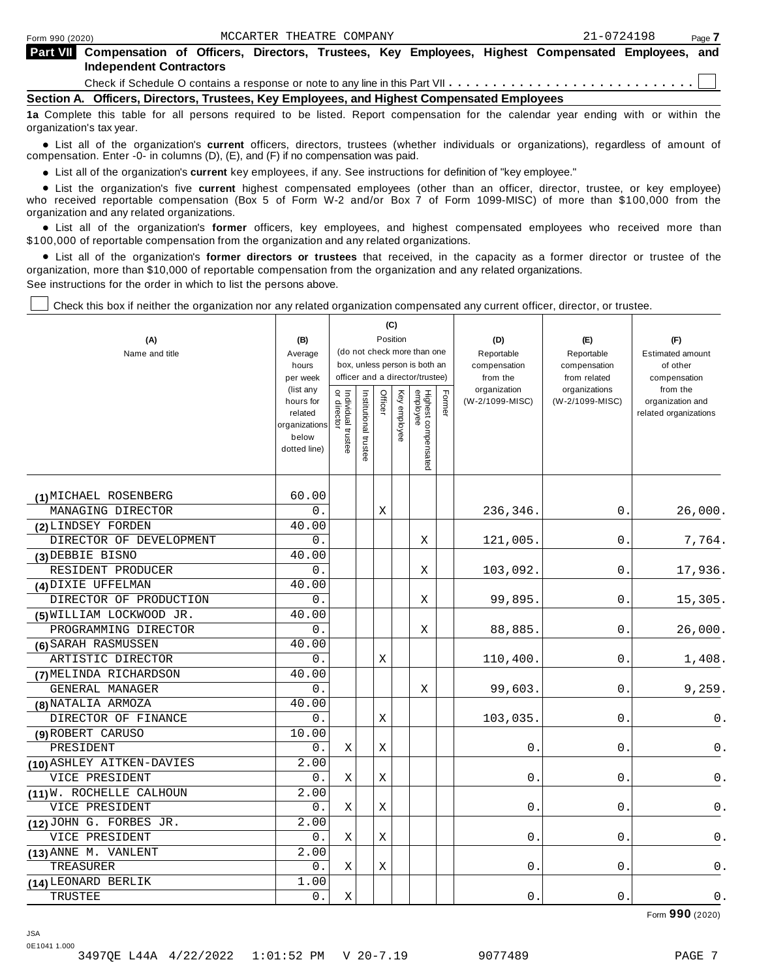| Part VII Compensation of Officers, Directors, Trustees, Key Employees, Highest Compensated Employees, and |  |  |  |  |  |
|-----------------------------------------------------------------------------------------------------------|--|--|--|--|--|
| <b>Independent Contractors</b>                                                                            |  |  |  |  |  |

Check if Schedule <sup>O</sup> contains <sup>a</sup> response or note to any line in this Part VII m m m m m m m m m m m m m m m m m m m m m m m m m m m m

**Section A. Officers, Directors, Trustees, Key Employees, and Highest Compensated Employees**

**1a** Complete this table for all persons required to be listed. Report compensation for the calendar year ending with or within the organization's tax year.

anization's lax year.<br>● List all of the organization's **current** officers, directors, trustees (whether individuals or organizations), regardless of amount of<br>nnensation Enter -0- in columns (D) (E) and (E) if no compensa compensation. Enter -0- in columns (D), (E), and (F) if no compensation was paid.

• List all of the organization's current key employees, if any. See instructions for definition of "key employee."

■ List all of the organization's current key employees, if any. See instructions for definition of "key employee."<br>■ List the organization's five current highest compensated employees (other than an officer, director, tru who received reportable compensation (Box 5 of Form W-2 and/or Box 7 of Form 1099-MISC) of more than \$100,000 from the

organization and any related organizations.<br>• List all of the organization's **former** officers, key employees, and highest compensated employees who received more than<br>\$1.00.000 of reportable componention from the erganiza \$100,000 of reportable compensation from the organization and any related organizations.

% List all of the organization's **former directors or trustees** that received, in the capacity as a former director or trustee of the organization, more than \$10,000 of reportable compensation from the organization and any related organizations. See instructions for the order in which to list the persons above.

Check this box if neither the organization nor any related organization compensated any current officer, director, or trustee.

|                           |                                                                |                                                              |                       |         | (C)          |                                 |        |                          |                               |                                           |
|---------------------------|----------------------------------------------------------------|--------------------------------------------------------------|-----------------------|---------|--------------|---------------------------------|--------|--------------------------|-------------------------------|-------------------------------------------|
| (A)                       | (B)                                                            |                                                              |                       |         | Position     |                                 |        | (D)                      | (E)                           | (F)                                       |
| Name and title            | Average                                                        | (do not check more than one<br>box, unless person is both an |                       |         |              |                                 |        | Reportable               | Reportable                    | <b>Estimated amount</b>                   |
|                           | hours                                                          |                                                              |                       |         |              |                                 |        | compensation             | compensation                  | of other                                  |
|                           | per week<br>(list any                                          |                                                              |                       |         |              | officer and a director/trustee) |        | from the<br>organization | from related<br>organizations | compensation<br>from the                  |
|                           | hours for<br>related<br>organizations<br>below<br>dotted line) | Individual trustee<br>or director                            | Institutional trustee | Officer | Key employee | Highest compensated<br>employee | Former | (W-2/1099-MISC)          | (W-2/1099-MISC)               | organization and<br>related organizations |
|                           |                                                                |                                                              |                       |         |              |                                 |        |                          |                               |                                           |
| (1) MICHAEL ROSENBERG     | 60.00                                                          |                                                              |                       |         |              |                                 |        |                          |                               |                                           |
| MANAGING DIRECTOR         | 0.                                                             |                                                              |                       | Χ       |              |                                 |        | 236,346                  | 0.                            | 26,000.                                   |
| (2) LINDSEY FORDEN        | 40.00                                                          |                                                              |                       |         |              |                                 |        |                          |                               |                                           |
| DIRECTOR OF DEVELOPMENT   | 0.                                                             |                                                              |                       |         |              | Χ                               |        | 121,005.                 | 0.                            | 7,764.                                    |
| (3) DEBBIE BISNO          | 40.00                                                          |                                                              |                       |         |              |                                 |        |                          |                               |                                           |
| RESIDENT PRODUCER         | 0.                                                             |                                                              |                       |         |              | X                               |        | 103,092.                 | $0$ .                         | 17,936.                                   |
| (4) DIXIE UFFELMAN        | 40.00                                                          |                                                              |                       |         |              |                                 |        |                          |                               |                                           |
| DIRECTOR OF PRODUCTION    | 0.                                                             |                                                              |                       |         |              | Χ                               |        | 99,895                   | 0.                            | 15,305.                                   |
| (5) WILLIAM LOCKWOOD JR.  | 40.00                                                          |                                                              |                       |         |              |                                 |        |                          |                               |                                           |
| PROGRAMMING DIRECTOR      | 0.                                                             |                                                              |                       |         |              | X                               |        | 88,885.                  | 0.                            | 26,000.                                   |
| (6) SARAH RASMUSSEN       | 40.00                                                          |                                                              |                       |         |              |                                 |        |                          |                               |                                           |
| ARTISTIC DIRECTOR         | 0.                                                             |                                                              |                       | Χ       |              |                                 |        | 110,400.                 | 0.                            | 1,408.                                    |
| (7) MELINDA RICHARDSON    | 40.00                                                          |                                                              |                       |         |              |                                 |        |                          |                               |                                           |
| GENERAL MANAGER           | 0.                                                             |                                                              |                       |         |              | Χ                               |        | 99,603.                  | 0.                            | 9,259.                                    |
| (8) NATALIA ARMOZA        | 40.00                                                          |                                                              |                       |         |              |                                 |        |                          |                               |                                           |
| DIRECTOR OF FINANCE       | 0.                                                             |                                                              |                       | Χ       |              |                                 |        | 103,035                  | 0                             | 0.                                        |
| (9) ROBERT CARUSO         | 10.00                                                          |                                                              |                       |         |              |                                 |        |                          |                               |                                           |
| PRESIDENT                 | 0.                                                             | X                                                            |                       | X       |              |                                 |        | 0                        | $\mathbf 0$ .                 | 0.                                        |
| (10) ASHLEY AITKEN-DAVIES | 2.00                                                           |                                                              |                       |         |              |                                 |        |                          |                               |                                           |
| VICE PRESIDENT            | 0.                                                             | Χ                                                            |                       | Χ       |              |                                 |        | $\mathsf{O}$ .           | 0.                            | 0.                                        |
| (11) W. ROCHELLE CALHOUN  | 2.00                                                           |                                                              |                       |         |              |                                 |        |                          |                               |                                           |
| VICE PRESIDENT            | 0.                                                             | X                                                            |                       | Χ       |              |                                 |        | 0                        | 0                             | 0.                                        |
| (12) JOHN G. FORBES JR.   | 2.00                                                           |                                                              |                       |         |              |                                 |        |                          |                               |                                           |
| VICE PRESIDENT            | 0.                                                             | X                                                            |                       | Χ       |              |                                 |        | 0                        | $\mathbf 0$ .                 | 0.                                        |
| (13) ANNE M. VANLENT      | 2.00                                                           |                                                              |                       |         |              |                                 |        |                          |                               |                                           |
| TREASURER                 | 0.                                                             | X                                                            |                       | X       |              |                                 |        | 0                        | 0                             | $0$ .                                     |
| (14) LEONARD BERLIK       | 1.00                                                           |                                                              |                       |         |              |                                 |        |                          |                               |                                           |
| TRUSTEE                   | 0.                                                             | $\mathbf X$                                                  |                       |         |              |                                 |        | $0$ .                    | 0                             | $0$ .                                     |

Form **990** (2020)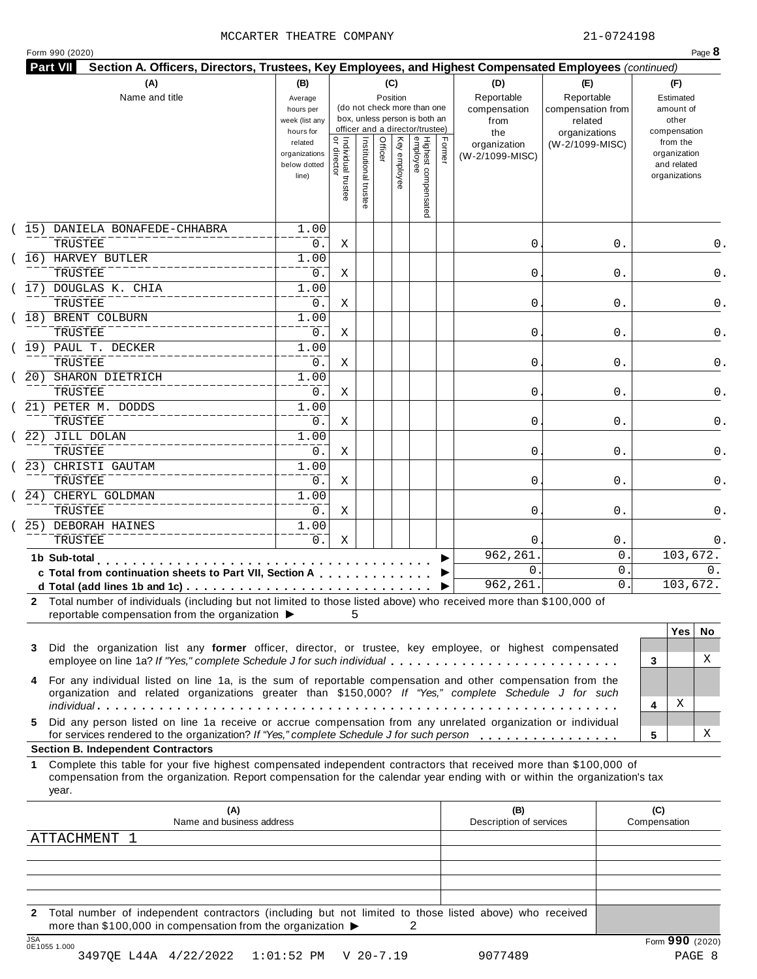|         | (A)<br>Name and title                                                                                                                                                                                                                                                                                                                                        | (B)<br>Average<br>hours per<br>week (list any<br>hours for | (C)<br>(D)<br>(E)<br>Reportable<br>Reportable<br>Position<br>(do not check more than one<br>compensation<br>compensation from<br>box, unless person is both an<br>from<br>related<br>officer and a director/trustee)<br>organizations<br>the |                       |         |              |                                 |        |                                     |                          | (F)<br>Estimated<br>amount of<br>other<br>compensation   |
|---------|--------------------------------------------------------------------------------------------------------------------------------------------------------------------------------------------------------------------------------------------------------------------------------------------------------------------------------------------------------------|------------------------------------------------------------|----------------------------------------------------------------------------------------------------------------------------------------------------------------------------------------------------------------------------------------------|-----------------------|---------|--------------|---------------------------------|--------|-------------------------------------|--------------------------|----------------------------------------------------------|
|         |                                                                                                                                                                                                                                                                                                                                                              | related<br>organizations<br>below dotted<br>line)          | <br>  Individual trustee<br>  or director                                                                                                                                                                                                    | Institutional trustee | Officer | Key employee | Highest compensated<br>employee | Former | organization<br>(W-2/1099-MISC)     | (W-2/1099-MISC)          | from the<br>organization<br>and related<br>organizations |
|         | 15) DANIELA BONAFEDE-CHHABRA<br>TRUSTEE                                                                                                                                                                                                                                                                                                                      | 1.00<br>0.                                                 | Χ                                                                                                                                                                                                                                            |                       |         |              |                                 |        | 0                                   | 0.                       | 0.                                                       |
|         | 16) HARVEY BUTLER<br>TRUSTEE                                                                                                                                                                                                                                                                                                                                 | 1.00<br>0.                                                 | Χ                                                                                                                                                                                                                                            |                       |         |              |                                 |        | 0                                   | 0.                       | 0.                                                       |
|         | 17) DOUGLAS K. CHIA<br>TRUSTEE                                                                                                                                                                                                                                                                                                                               | 1.00<br>0.                                                 | Χ                                                                                                                                                                                                                                            |                       |         |              |                                 |        | 0                                   | 0.                       | 0.                                                       |
|         | 18) BRENT COLBURN<br>TRUSTEE                                                                                                                                                                                                                                                                                                                                 | 1.00<br>0.                                                 | Χ                                                                                                                                                                                                                                            |                       |         |              |                                 |        | 0                                   | 0.                       | 0.                                                       |
|         | 19) PAUL T. DECKER<br>TRUSTEE                                                                                                                                                                                                                                                                                                                                | 1.00<br>0.                                                 | Χ                                                                                                                                                                                                                                            |                       |         |              |                                 |        | 0                                   | 0.                       | 0.                                                       |
|         | 20) SHARON DIETRICH<br>TRUSTEE                                                                                                                                                                                                                                                                                                                               | 1.00<br>0.                                                 | Χ                                                                                                                                                                                                                                            |                       |         |              |                                 |        | 0                                   | 0.                       | 0.                                                       |
|         | 21) PETER M. DODDS<br>TRUSTEE                                                                                                                                                                                                                                                                                                                                | 1.00<br>0.                                                 | Χ                                                                                                                                                                                                                                            |                       |         |              |                                 |        | 0                                   | 0.                       | 0.                                                       |
|         | 22) JILL DOLAN<br>TRUSTEE                                                                                                                                                                                                                                                                                                                                    | 1.00<br>0.                                                 | Χ                                                                                                                                                                                                                                            |                       |         |              |                                 |        | 0                                   | 0.                       | 0.                                                       |
| 23)     | CHRISTI GAUTAM<br>TRUSTEE                                                                                                                                                                                                                                                                                                                                    | 1.00<br>0.                                                 | Χ                                                                                                                                                                                                                                            |                       |         |              |                                 |        | 0                                   | 0.                       | 0.                                                       |
|         | 24) CHERYL GOLDMAN<br>TRUSTEE                                                                                                                                                                                                                                                                                                                                | 1.00<br>$0$ .                                              | Χ                                                                                                                                                                                                                                            |                       |         |              |                                 |        | 0                                   | 0.                       | 0.                                                       |
|         | 25) DEBORAH HAINES<br>TRUSTEE                                                                                                                                                                                                                                                                                                                                | 1.00<br>$0$ .                                              | Χ                                                                                                                                                                                                                                            |                       |         |              |                                 |        | 0                                   | $0$ .                    | 0.                                                       |
|         | 1b Sub-total<br>.<br>c Total from continuation sheets to Part VII, Section A                                                                                                                                                                                                                                                                                 |                                                            |                                                                                                                                                                                                                                              |                       |         |              |                                 |        | 962,261<br>$\mathbf{0}$<br>962,261. | 0<br>0<br>$\mathsf{O}$ . | 103,672.<br>0.<br>103,672.                               |
| 3       | 2 Total number of individuals (including but not limited to those listed above) who received more than \$100,000 of<br>reportable compensation from the organization ▶<br>Did the organization list any former officer, director, or trustee, key employee, or highest compensated<br>employee on line 1a? If "Yes," complete Schedule J for such individual |                                                            | 5                                                                                                                                                                                                                                            |                       |         |              |                                 |        |                                     |                          | <b>Yes</b><br>No.<br>X<br>3                              |
| 4<br>5. | For any individual listed on line 1a, is the sum of reportable compensation and other compensation from the<br>organization and related organizations greater than \$150,000? If "Yes," complete Schedule J for such<br>Did any person listed on line 1a receive or accrue compensation from any unrelated organization or individual                        |                                                            |                                                                                                                                                                                                                                              |                       |         |              |                                 |        |                                     |                          | Χ<br>4                                                   |
|         | for services rendered to the organization? If "Yes," complete Schedule J for such person<br><b>Section B. Independent Contractors</b>                                                                                                                                                                                                                        |                                                            |                                                                                                                                                                                                                                              |                       |         |              |                                 |        |                                     |                          | х<br>5                                                   |
| 1       | Complete this table for your five highest compensated independent contractors that received more than \$100,000 of<br>compensation from the organization. Report compensation for the calendar year ending with or within the organization's tax<br>year.                                                                                                    |                                                            |                                                                                                                                                                                                                                              |                       |         |              |                                 |        |                                     |                          |                                                          |
|         | (A)<br>Name and business address                                                                                                                                                                                                                                                                                                                             |                                                            |                                                                                                                                                                                                                                              |                       |         |              |                                 |        | (B)<br>Description of services      |                          | (C)<br>Compensation                                      |
|         | ATTACHMENT 1                                                                                                                                                                                                                                                                                                                                                 |                                                            |                                                                                                                                                                                                                                              |                       |         |              |                                 |        |                                     |                          |                                                          |
|         |                                                                                                                                                                                                                                                                                                                                                              |                                                            |                                                                                                                                                                                                                                              |                       |         |              |                                 |        |                                     |                          |                                                          |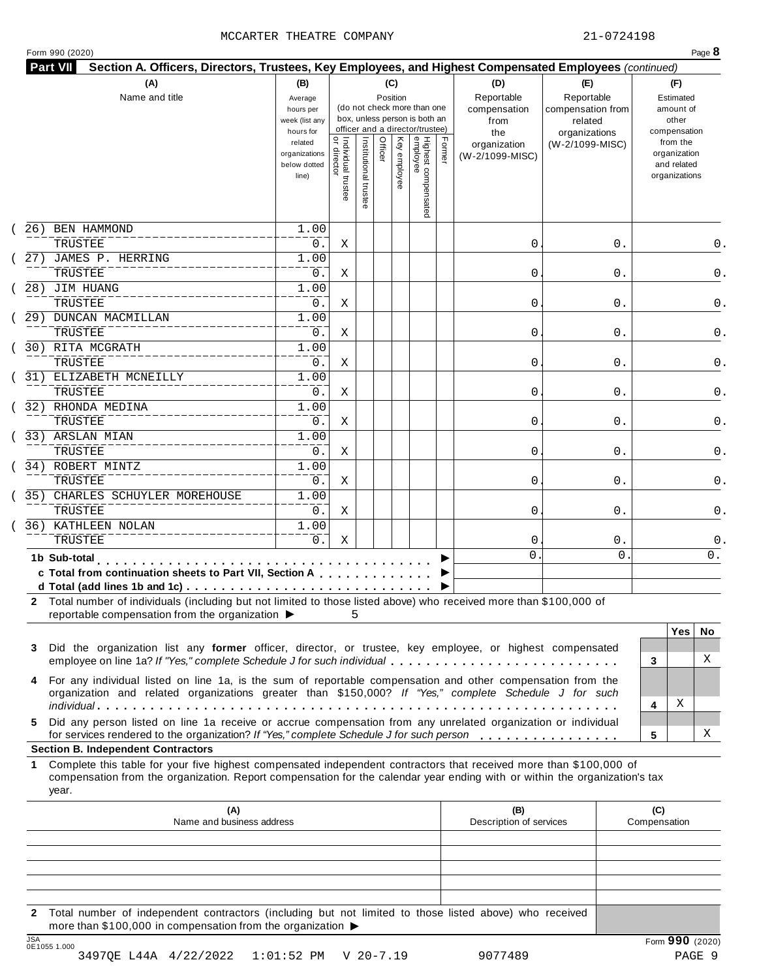| Form 990 (2020)                                                                                                                                                                                                                                                                                                |                                                                                                                 |                                   |                       |                            |                                                                                                                 |                                           |                                                                                     |                                                                                       | Page 8                                                                                                             |
|----------------------------------------------------------------------------------------------------------------------------------------------------------------------------------------------------------------------------------------------------------------------------------------------------------------|-----------------------------------------------------------------------------------------------------------------|-----------------------------------|-----------------------|----------------------------|-----------------------------------------------------------------------------------------------------------------|-------------------------------------------|-------------------------------------------------------------------------------------|---------------------------------------------------------------------------------------|--------------------------------------------------------------------------------------------------------------------|
| Section A. Officers, Directors, Trustees, Key Employees, and Highest Compensated Employees (continued)<br><b>Part VII</b>                                                                                                                                                                                      |                                                                                                                 |                                   |                       |                            |                                                                                                                 |                                           |                                                                                     |                                                                                       |                                                                                                                    |
| (A)<br>Name and title                                                                                                                                                                                                                                                                                          | (B)<br>Average<br>hours per<br>week (list any<br>hours for<br>related<br>organizations<br>below dotted<br>line) | Individual trustee<br>or director | Institutional trustee | (C)<br>Position<br>Officer | (do not check more than one<br>box, unless person is both an<br>officer and a director/trustee)<br>Key employee | Highest compensated<br>employee<br>Former | (D)<br>Reportable<br>compensation<br>from<br>the<br>organization<br>(W-2/1099-MISC) | (E)<br>Reportable<br>compensation from<br>related<br>organizations<br>(W-2/1099-MISC) | (F)<br>Estimated<br>amount of<br>other<br>compensation<br>from the<br>organization<br>and related<br>organizations |
| 26) BEN HAMMOND                                                                                                                                                                                                                                                                                                | 1.00                                                                                                            |                                   |                       |                            |                                                                                                                 |                                           |                                                                                     |                                                                                       |                                                                                                                    |
| TRUSTEE                                                                                                                                                                                                                                                                                                        | 0.                                                                                                              | Χ                                 |                       |                            |                                                                                                                 |                                           | 0                                                                                   | 0.                                                                                    | 0.                                                                                                                 |
| 27)<br>JAMES P. HERRING                                                                                                                                                                                                                                                                                        | 1.00                                                                                                            |                                   |                       |                            |                                                                                                                 |                                           |                                                                                     |                                                                                       |                                                                                                                    |
| TRUSTEE                                                                                                                                                                                                                                                                                                        | $0$ .                                                                                                           | Χ                                 |                       |                            |                                                                                                                 |                                           | 0                                                                                   | 0.                                                                                    | 0.                                                                                                                 |
| 28) JIM HUANG                                                                                                                                                                                                                                                                                                  | 1.00                                                                                                            |                                   |                       |                            |                                                                                                                 |                                           |                                                                                     |                                                                                       |                                                                                                                    |
| TRUSTEE                                                                                                                                                                                                                                                                                                        | $0$ .                                                                                                           | Χ                                 |                       |                            |                                                                                                                 |                                           | 0                                                                                   | 0.                                                                                    | 0.                                                                                                                 |
| 29) DUNCAN MACMILLAN                                                                                                                                                                                                                                                                                           | 1.00                                                                                                            |                                   |                       |                            |                                                                                                                 |                                           |                                                                                     |                                                                                       |                                                                                                                    |
| TRUSTEE                                                                                                                                                                                                                                                                                                        | $0$ .                                                                                                           | Χ                                 |                       |                            |                                                                                                                 |                                           | 0                                                                                   | 0.                                                                                    | 0.                                                                                                                 |
| 30) RITA MCGRATH                                                                                                                                                                                                                                                                                               | 1.00                                                                                                            |                                   |                       |                            |                                                                                                                 |                                           |                                                                                     |                                                                                       |                                                                                                                    |
| TRUSTEE                                                                                                                                                                                                                                                                                                        | $0$ .                                                                                                           | X                                 |                       |                            |                                                                                                                 |                                           | 0                                                                                   | 0.                                                                                    | 0.                                                                                                                 |
| 31)<br>ELIZABETH MCNEILLY                                                                                                                                                                                                                                                                                      | 1.00                                                                                                            |                                   |                       |                            |                                                                                                                 |                                           |                                                                                     |                                                                                       |                                                                                                                    |
| TRUSTEE                                                                                                                                                                                                                                                                                                        | $0$ .                                                                                                           | Χ                                 |                       |                            |                                                                                                                 |                                           | 0                                                                                   | 0.                                                                                    | 0.                                                                                                                 |
| 32) RHONDA MEDINA                                                                                                                                                                                                                                                                                              | 1.00                                                                                                            |                                   |                       |                            |                                                                                                                 |                                           |                                                                                     |                                                                                       |                                                                                                                    |
| TRUSTEE                                                                                                                                                                                                                                                                                                        | $0$ .                                                                                                           | Χ                                 |                       |                            |                                                                                                                 |                                           | 0                                                                                   | 0.                                                                                    | 0.                                                                                                                 |
| 33) ARSLAN MIAN                                                                                                                                                                                                                                                                                                | 1.00                                                                                                            |                                   |                       |                            |                                                                                                                 |                                           |                                                                                     |                                                                                       |                                                                                                                    |
| TRUSTEE                                                                                                                                                                                                                                                                                                        | $0$ .                                                                                                           | Χ                                 |                       |                            |                                                                                                                 |                                           | 0                                                                                   | 0.                                                                                    | 0.                                                                                                                 |
| 34) ROBERT MINTZ                                                                                                                                                                                                                                                                                               | 1.00                                                                                                            |                                   |                       |                            |                                                                                                                 |                                           |                                                                                     |                                                                                       |                                                                                                                    |
| TRUSTEE                                                                                                                                                                                                                                                                                                        | $0$ .                                                                                                           | Χ                                 |                       |                            |                                                                                                                 |                                           | 0                                                                                   | 0.                                                                                    | 0.                                                                                                                 |
| CHARLES SCHUYLER MOREHOUSE<br>35)                                                                                                                                                                                                                                                                              | 1.00                                                                                                            |                                   |                       |                            |                                                                                                                 |                                           |                                                                                     |                                                                                       |                                                                                                                    |
| TRUSTEE                                                                                                                                                                                                                                                                                                        | 0.                                                                                                              | Χ                                 |                       |                            |                                                                                                                 |                                           | 0                                                                                   | 0.                                                                                    | 0.                                                                                                                 |
| 36) KATHLEEN NOLAN                                                                                                                                                                                                                                                                                             | 1.00                                                                                                            |                                   |                       |                            |                                                                                                                 |                                           |                                                                                     |                                                                                       |                                                                                                                    |
| TRUSTEE                                                                                                                                                                                                                                                                                                        | $0$ .                                                                                                           | X                                 |                       |                            |                                                                                                                 |                                           | 0                                                                                   | $0$ .                                                                                 | 0.                                                                                                                 |
| 1b Sub-total<br>c Total from continuation sheets to Part VII, Section A<br>d Total (add lines 1b and 1c) $\cdots$ $\cdots$ $\cdots$ $\cdots$ $\cdots$ $\cdots$                                                                                                                                                 |                                                                                                                 |                                   |                       |                            |                                                                                                                 |                                           | $\mathbf{0}$                                                                        | 0                                                                                     | 0.                                                                                                                 |
| 2<br>Total number of individuals (including but not limited to those listed above) who received more than \$100,000 of<br>reportable compensation from the organization $\blacktriangleright$<br>Did the organization list any former officer, director, or trustee, key employee, or highest compensated<br>3 |                                                                                                                 | 5                                 |                       |                            |                                                                                                                 |                                           |                                                                                     |                                                                                       | <b>Yes</b><br>No                                                                                                   |
| employee on line 1a? If "Yes," complete Schedule J for such individual<br>4 For any individual listed on line 1a, is the sum of reportable compensation and other compensation from the                                                                                                                        |                                                                                                                 |                                   |                       |                            |                                                                                                                 |                                           |                                                                                     |                                                                                       | х<br>3                                                                                                             |
| organization and related organizations greater than \$150,000? If "Yes," complete Schedule J for such                                                                                                                                                                                                          |                                                                                                                 |                                   |                       |                            |                                                                                                                 |                                           |                                                                                     |                                                                                       | Χ<br>4                                                                                                             |
| Did any person listed on line 1a receive or accrue compensation from any unrelated organization or individual<br>5.<br>for services rendered to the organization? If "Yes," complete Schedule J for such person                                                                                                |                                                                                                                 |                                   |                       |                            |                                                                                                                 |                                           |                                                                                     |                                                                                       | Χ<br>5                                                                                                             |
| <b>Section B. Independent Contractors</b>                                                                                                                                                                                                                                                                      |                                                                                                                 |                                   |                       |                            |                                                                                                                 |                                           |                                                                                     |                                                                                       |                                                                                                                    |

**1** Complete this table for your five highest compensated independent contractors that received more than \$100,000 of compensation from the organization. Report compensation for the calendar year ending with or within the organization's tax year.

|             | (A)<br>Name and business address                                                                                                                                                          | (B)<br>Description of services | (C)<br>Compensation |
|-------------|-------------------------------------------------------------------------------------------------------------------------------------------------------------------------------------------|--------------------------------|---------------------|
|             |                                                                                                                                                                                           |                                |                     |
|             |                                                                                                                                                                                           |                                |                     |
|             |                                                                                                                                                                                           |                                |                     |
|             |                                                                                                                                                                                           |                                |                     |
|             |                                                                                                                                                                                           |                                |                     |
| $2^{\circ}$ | Total number of independent contractors (including but not limited to those listed above) who received<br>more than \$100,000 in compensation from the organization $\blacktriangleright$ |                                |                     |
| 10A         |                                                                                                                                                                                           |                                | $\sim$ $\sim$       |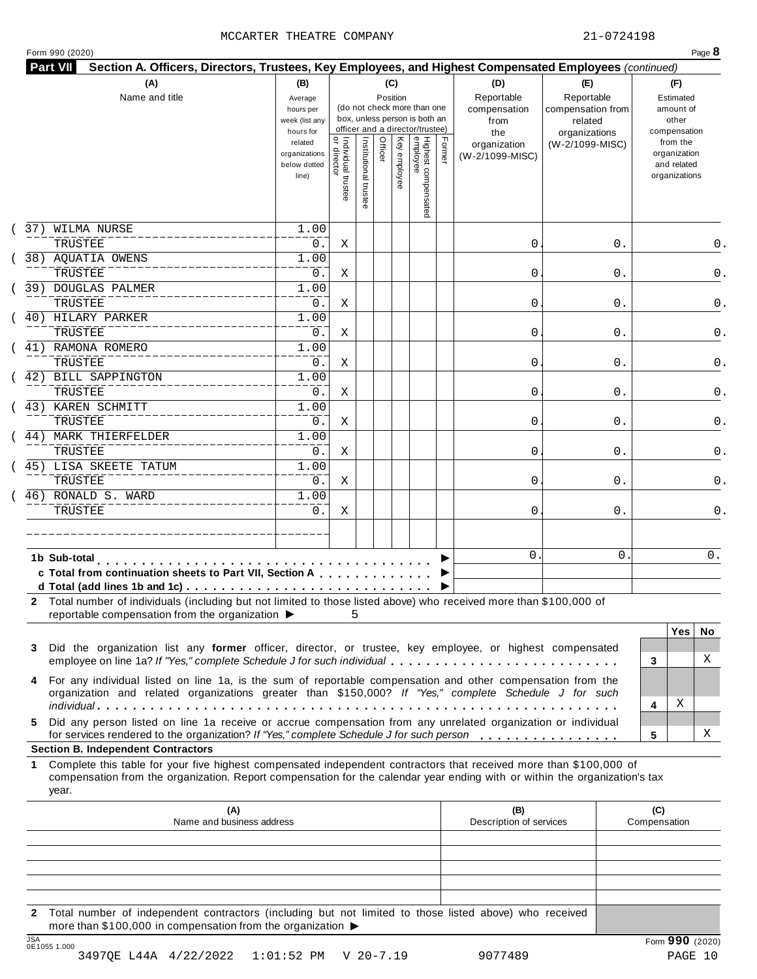| <br>  Individual trustee<br>  or director<br>Highest compensated<br>employee<br>Key employee<br>from the<br>related<br>(W-2/1099-MISC)<br>organization<br>organization<br>organizations<br>(W-2/1099-MISC)<br>and related<br>below dotted<br>organizations<br>line)<br>WILMA NURSE<br>1.00<br>37)<br>TRUSTEE<br>0.<br>0<br>0.<br>Χ<br>38) AQUATIA OWENS<br>1.00<br>TRUSTEE<br>0.<br>0<br>0.<br>Χ<br>39) DOUGLAS PALMER<br>1.00<br>TRUSTEE<br>0.<br>Χ<br>0<br>0.<br>40) HILARY PARKER<br>1.00<br>TRUSTEE<br>0.<br>0<br>Χ<br>0.<br>41) RAMONA ROMERO<br>1.00<br>TRUSTEE<br>0.<br>0<br>Χ<br>0.<br>42) BILL SAPPINGTON<br>1.00<br>TRUSTEE<br>0.<br>0<br>0.<br>Χ<br>43) KAREN SCHMITT<br>1.00<br>TRUSTEE<br>0.<br>Χ<br>0<br>0.<br>44) MARK THIERFELDER<br>1.00<br>TRUSTEE<br>0.<br>0<br>Χ<br>0.<br>45) LISA SKEETE TATUM<br>1.00<br>TRUSTEE<br>0.<br>Χ<br>0<br>0.<br>46) RONALD S. WARD<br>1.00<br>TRUSTEE<br>$0$ .<br>0<br>0.<br>X<br>$\mathbf{0}$<br>0<br>1b Sub-total<br>c Total from continuation sheets to Part VII, Section A<br>2 Total number of individuals (including but not limited to those listed above) who received more than \$100,000 of<br>reportable compensation from the organization ▶<br>5<br><b>Yes</b><br>Did the organization list any former officer, director, or trustee, key employee, or highest compensated<br>3<br>employee on line 1a? If "Yes," complete Schedule J for such individual<br>3<br>For any individual listed on line 1a, is the sum of reportable compensation and other compensation from the<br>4<br>organization and related organizations greater than \$150,000? If "Yes," complete Schedule J for such<br>Χ<br>4<br>Did any person listed on line 1a receive or accrue compensation from any unrelated organization or individual<br>5.<br>for services rendered to the organization? If "Yes," complete Schedule J for such person<br>5<br><b>Section B. Independent Contractors</b><br>Complete this table for your five highest compensated independent contractors that received more than \$100,000 of<br>1.<br>compensation from the organization. Report compensation for the calendar year ending with or within the organization's tax<br>year.<br>(A)<br>(B)<br>(C)<br>Name and business address<br>Description of services<br>Compensation | Name and title | (B)<br>Average<br>hours per<br>week (list any<br>hours for |                       | (C)<br>Position | (do not check more than one<br>box, unless person is both an<br>officer and a director/trustee) |        | (D)<br>Reportable<br>compensation<br>from<br>the | (E)<br>Reportable<br>compensation from<br>related<br>organizations | (F)<br>Estimated<br>amount of<br>other<br>compensation |
|---------------------------------------------------------------------------------------------------------------------------------------------------------------------------------------------------------------------------------------------------------------------------------------------------------------------------------------------------------------------------------------------------------------------------------------------------------------------------------------------------------------------------------------------------------------------------------------------------------------------------------------------------------------------------------------------------------------------------------------------------------------------------------------------------------------------------------------------------------------------------------------------------------------------------------------------------------------------------------------------------------------------------------------------------------------------------------------------------------------------------------------------------------------------------------------------------------------------------------------------------------------------------------------------------------------------------------------------------------------------------------------------------------------------------------------------------------------------------------------------------------------------------------------------------------------------------------------------------------------------------------------------------------------------------------------------------------------------------------------------------------------------------------------------------------------------------------------------------------------------------------------------------------------------------------------------------------------------------------------------------------------------------------------------------------------------------------------------------------------------------------------------------------------------------------------------------------------------------------------------------------------------------------------------------------|----------------|------------------------------------------------------------|-----------------------|-----------------|-------------------------------------------------------------------------------------------------|--------|--------------------------------------------------|--------------------------------------------------------------------|--------------------------------------------------------|
|                                                                                                                                                                                                                                                                                                                                                                                                                                                                                                                                                                                                                                                                                                                                                                                                                                                                                                                                                                                                                                                                                                                                                                                                                                                                                                                                                                                                                                                                                                                                                                                                                                                                                                                                                                                                                                                                                                                                                                                                                                                                                                                                                                                                                                                                                                         |                |                                                            | Institutional trustee | Officer         |                                                                                                 | Former |                                                  |                                                                    |                                                        |
|                                                                                                                                                                                                                                                                                                                                                                                                                                                                                                                                                                                                                                                                                                                                                                                                                                                                                                                                                                                                                                                                                                                                                                                                                                                                                                                                                                                                                                                                                                                                                                                                                                                                                                                                                                                                                                                                                                                                                                                                                                                                                                                                                                                                                                                                                                         |                |                                                            |                       |                 |                                                                                                 |        |                                                  |                                                                    | 0.                                                     |
|                                                                                                                                                                                                                                                                                                                                                                                                                                                                                                                                                                                                                                                                                                                                                                                                                                                                                                                                                                                                                                                                                                                                                                                                                                                                                                                                                                                                                                                                                                                                                                                                                                                                                                                                                                                                                                                                                                                                                                                                                                                                                                                                                                                                                                                                                                         |                |                                                            |                       |                 |                                                                                                 |        |                                                  |                                                                    | 0.                                                     |
|                                                                                                                                                                                                                                                                                                                                                                                                                                                                                                                                                                                                                                                                                                                                                                                                                                                                                                                                                                                                                                                                                                                                                                                                                                                                                                                                                                                                                                                                                                                                                                                                                                                                                                                                                                                                                                                                                                                                                                                                                                                                                                                                                                                                                                                                                                         |                |                                                            |                       |                 |                                                                                                 |        |                                                  |                                                                    |                                                        |
|                                                                                                                                                                                                                                                                                                                                                                                                                                                                                                                                                                                                                                                                                                                                                                                                                                                                                                                                                                                                                                                                                                                                                                                                                                                                                                                                                                                                                                                                                                                                                                                                                                                                                                                                                                                                                                                                                                                                                                                                                                                                                                                                                                                                                                                                                                         |                |                                                            |                       |                 |                                                                                                 |        |                                                  |                                                                    | 0.                                                     |
|                                                                                                                                                                                                                                                                                                                                                                                                                                                                                                                                                                                                                                                                                                                                                                                                                                                                                                                                                                                                                                                                                                                                                                                                                                                                                                                                                                                                                                                                                                                                                                                                                                                                                                                                                                                                                                                                                                                                                                                                                                                                                                                                                                                                                                                                                                         |                |                                                            |                       |                 |                                                                                                 |        |                                                  |                                                                    | 0.                                                     |
|                                                                                                                                                                                                                                                                                                                                                                                                                                                                                                                                                                                                                                                                                                                                                                                                                                                                                                                                                                                                                                                                                                                                                                                                                                                                                                                                                                                                                                                                                                                                                                                                                                                                                                                                                                                                                                                                                                                                                                                                                                                                                                                                                                                                                                                                                                         |                |                                                            |                       |                 |                                                                                                 |        |                                                  |                                                                    | 0.                                                     |
|                                                                                                                                                                                                                                                                                                                                                                                                                                                                                                                                                                                                                                                                                                                                                                                                                                                                                                                                                                                                                                                                                                                                                                                                                                                                                                                                                                                                                                                                                                                                                                                                                                                                                                                                                                                                                                                                                                                                                                                                                                                                                                                                                                                                                                                                                                         |                |                                                            |                       |                 |                                                                                                 |        |                                                  |                                                                    | 0.                                                     |
|                                                                                                                                                                                                                                                                                                                                                                                                                                                                                                                                                                                                                                                                                                                                                                                                                                                                                                                                                                                                                                                                                                                                                                                                                                                                                                                                                                                                                                                                                                                                                                                                                                                                                                                                                                                                                                                                                                                                                                                                                                                                                                                                                                                                                                                                                                         |                |                                                            |                       |                 |                                                                                                 |        |                                                  |                                                                    | 0.                                                     |
|                                                                                                                                                                                                                                                                                                                                                                                                                                                                                                                                                                                                                                                                                                                                                                                                                                                                                                                                                                                                                                                                                                                                                                                                                                                                                                                                                                                                                                                                                                                                                                                                                                                                                                                                                                                                                                                                                                                                                                                                                                                                                                                                                                                                                                                                                                         |                |                                                            |                       |                 |                                                                                                 |        |                                                  |                                                                    | 0.                                                     |
|                                                                                                                                                                                                                                                                                                                                                                                                                                                                                                                                                                                                                                                                                                                                                                                                                                                                                                                                                                                                                                                                                                                                                                                                                                                                                                                                                                                                                                                                                                                                                                                                                                                                                                                                                                                                                                                                                                                                                                                                                                                                                                                                                                                                                                                                                                         |                |                                                            |                       |                 |                                                                                                 |        |                                                  |                                                                    |                                                        |
|                                                                                                                                                                                                                                                                                                                                                                                                                                                                                                                                                                                                                                                                                                                                                                                                                                                                                                                                                                                                                                                                                                                                                                                                                                                                                                                                                                                                                                                                                                                                                                                                                                                                                                                                                                                                                                                                                                                                                                                                                                                                                                                                                                                                                                                                                                         |                |                                                            |                       |                 |                                                                                                 |        |                                                  |                                                                    | 0.<br>0.                                               |
|                                                                                                                                                                                                                                                                                                                                                                                                                                                                                                                                                                                                                                                                                                                                                                                                                                                                                                                                                                                                                                                                                                                                                                                                                                                                                                                                                                                                                                                                                                                                                                                                                                                                                                                                                                                                                                                                                                                                                                                                                                                                                                                                                                                                                                                                                                         |                |                                                            |                       |                 |                                                                                                 |        |                                                  |                                                                    |                                                        |
|                                                                                                                                                                                                                                                                                                                                                                                                                                                                                                                                                                                                                                                                                                                                                                                                                                                                                                                                                                                                                                                                                                                                                                                                                                                                                                                                                                                                                                                                                                                                                                                                                                                                                                                                                                                                                                                                                                                                                                                                                                                                                                                                                                                                                                                                                                         |                |                                                            |                       |                 |                                                                                                 |        |                                                  |                                                                    | 0.                                                     |
|                                                                                                                                                                                                                                                                                                                                                                                                                                                                                                                                                                                                                                                                                                                                                                                                                                                                                                                                                                                                                                                                                                                                                                                                                                                                                                                                                                                                                                                                                                                                                                                                                                                                                                                                                                                                                                                                                                                                                                                                                                                                                                                                                                                                                                                                                                         |                |                                                            |                       |                 |                                                                                                 |        |                                                  |                                                                    |                                                        |
|                                                                                                                                                                                                                                                                                                                                                                                                                                                                                                                                                                                                                                                                                                                                                                                                                                                                                                                                                                                                                                                                                                                                                                                                                                                                                                                                                                                                                                                                                                                                                                                                                                                                                                                                                                                                                                                                                                                                                                                                                                                                                                                                                                                                                                                                                                         |                |                                                            |                       |                 |                                                                                                 |        |                                                  |                                                                    | No.<br>X                                               |
|                                                                                                                                                                                                                                                                                                                                                                                                                                                                                                                                                                                                                                                                                                                                                                                                                                                                                                                                                                                                                                                                                                                                                                                                                                                                                                                                                                                                                                                                                                                                                                                                                                                                                                                                                                                                                                                                                                                                                                                                                                                                                                                                                                                                                                                                                                         |                |                                                            |                       |                 |                                                                                                 |        |                                                  |                                                                    |                                                        |
|                                                                                                                                                                                                                                                                                                                                                                                                                                                                                                                                                                                                                                                                                                                                                                                                                                                                                                                                                                                                                                                                                                                                                                                                                                                                                                                                                                                                                                                                                                                                                                                                                                                                                                                                                                                                                                                                                                                                                                                                                                                                                                                                                                                                                                                                                                         |                |                                                            |                       |                 |                                                                                                 |        |                                                  |                                                                    | Χ                                                      |
|                                                                                                                                                                                                                                                                                                                                                                                                                                                                                                                                                                                                                                                                                                                                                                                                                                                                                                                                                                                                                                                                                                                                                                                                                                                                                                                                                                                                                                                                                                                                                                                                                                                                                                                                                                                                                                                                                                                                                                                                                                                                                                                                                                                                                                                                                                         |                |                                                            |                       |                 |                                                                                                 |        |                                                  |                                                                    |                                                        |
|                                                                                                                                                                                                                                                                                                                                                                                                                                                                                                                                                                                                                                                                                                                                                                                                                                                                                                                                                                                                                                                                                                                                                                                                                                                                                                                                                                                                                                                                                                                                                                                                                                                                                                                                                                                                                                                                                                                                                                                                                                                                                                                                                                                                                                                                                                         |                |                                                            |                       |                 |                                                                                                 |        |                                                  |                                                                    |                                                        |
|                                                                                                                                                                                                                                                                                                                                                                                                                                                                                                                                                                                                                                                                                                                                                                                                                                                                                                                                                                                                                                                                                                                                                                                                                                                                                                                                                                                                                                                                                                                                                                                                                                                                                                                                                                                                                                                                                                                                                                                                                                                                                                                                                                                                                                                                                                         |                |                                                            |                       |                 |                                                                                                 |        |                                                  |                                                                    |                                                        |

more than \$100,000 in compensation from the organization  $\blacktriangleright$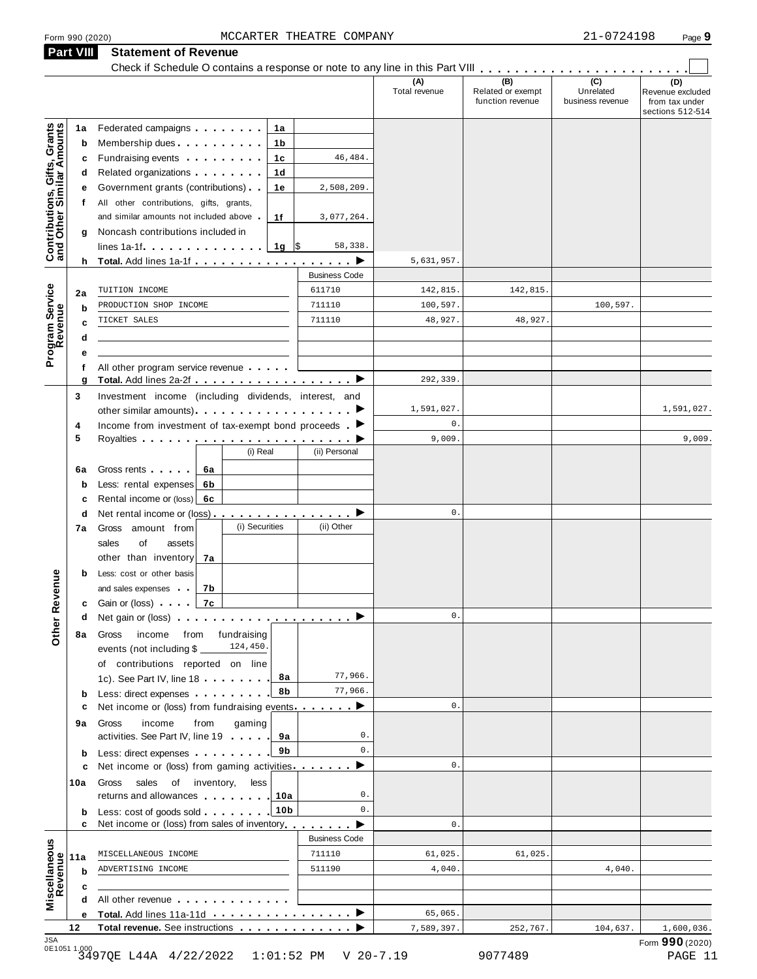#### Form <sup>990</sup> (2020) Page **9** MCCARTER THEATRE COMPANY 21-0724198 **Part VIII Statement of Revenue**

|                                                           | Part VIII | <b>Statement of Revenue</b><br>Check if Schedule O contains a response or note to any line in this Part VIII                                                                                                                               |                      |                      |                                              |                                      |                                                               |
|-----------------------------------------------------------|-----------|--------------------------------------------------------------------------------------------------------------------------------------------------------------------------------------------------------------------------------------------|----------------------|----------------------|----------------------------------------------|--------------------------------------|---------------------------------------------------------------|
|                                                           |           |                                                                                                                                                                                                                                            |                      | (A)<br>Total revenue | (B)<br>Related or exempt<br>function revenue | (C)<br>Unrelated<br>business revenue | (D)<br>Revenue excluded<br>from tax under<br>sections 512-514 |
|                                                           | 1a        | Federated campaigns expansion of the state of the state of the state of the state of the state of the state of the state of the state of the state of the state of the state of the state of the state of the state of the sta<br>1a       |                      |                      |                                              |                                      |                                                               |
|                                                           | b         | Membership dues and a series are the most of the material of the material of the material of the material of the material of the material of the material of the material of the material of the material of the material of t<br>1 b      |                      |                      |                                              |                                      |                                                               |
|                                                           | с         | Fundraising events <b>Exercises Exercises</b><br>1c                                                                                                                                                                                        | 46,484.              |                      |                                              |                                      |                                                               |
| Contributions, Gifts, Grants<br>and Other Similar Amounts | d         | Related organizations <b>and the set of the set of the set of the set of the set of the set of the set of the set of the set of the set of the set of the set of the set of the set of the set of the set of the set of the set </b><br>1d |                      |                      |                                              |                                      |                                                               |
|                                                           | е         | Government grants (contributions)<br>1е                                                                                                                                                                                                    | 2,508,209.           |                      |                                              |                                      |                                                               |
|                                                           | f         | All other contributions, gifts, grants,                                                                                                                                                                                                    |                      |                      |                                              |                                      |                                                               |
|                                                           |           | and similar amounts not included above<br>1f                                                                                                                                                                                               | 3,077,264.           |                      |                                              |                                      |                                                               |
|                                                           | g         | Noncash contributions included in                                                                                                                                                                                                          |                      |                      |                                              |                                      |                                                               |
|                                                           |           | lines 1a-1f. $\ldots$ $\ldots$ $\ldots$ $\ldots$ $\frac{1}{9}$ \$                                                                                                                                                                          | 58,338.              |                      |                                              |                                      |                                                               |
|                                                           |           |                                                                                                                                                                                                                                            | ▸                    | 5,631,957.           |                                              |                                      |                                                               |
|                                                           |           |                                                                                                                                                                                                                                            | <b>Business Code</b> |                      |                                              |                                      |                                                               |
|                                                           | 2a        | TUITION INCOME                                                                                                                                                                                                                             | 611710               | 142,815.             | 142,815.                                     |                                      |                                                               |
|                                                           | b         | PRODUCTION SHOP INCOME                                                                                                                                                                                                                     | 711110               | 100,597.             |                                              | 100,597.                             |                                                               |
|                                                           | c         | TICKET SALES                                                                                                                                                                                                                               | 711110               | 48,927.              | 48,927.                                      |                                      |                                                               |
|                                                           | d         |                                                                                                                                                                                                                                            |                      |                      |                                              |                                      |                                                               |
| Program Service                                           | е         |                                                                                                                                                                                                                                            |                      |                      |                                              |                                      |                                                               |
|                                                           | f         | All other program service revenue                                                                                                                                                                                                          |                      |                      |                                              |                                      |                                                               |
|                                                           | g         | Total. Add lines 2a-2f ▶                                                                                                                                                                                                                   |                      | 292,339.             |                                              |                                      |                                                               |
|                                                           | 3         | Investment income (including dividends, interest, and                                                                                                                                                                                      |                      |                      |                                              |                                      |                                                               |
|                                                           |           | other similar amounts) ▶                                                                                                                                                                                                                   |                      | 1,591,027.           |                                              |                                      | 1,591,027.                                                    |
|                                                           | 4         | Income from investment of tax-exempt bond proceeds $\blacktriangleright$                                                                                                                                                                   |                      | $\mathbf 0$ .        |                                              |                                      |                                                               |
|                                                           | 5         |                                                                                                                                                                                                                                            |                      | 9,009.               |                                              |                                      | 9,009.                                                        |
|                                                           |           | (i) Real                                                                                                                                                                                                                                   | (ii) Personal        |                      |                                              |                                      |                                                               |
|                                                           | 6a        | Gross rents<br>6a                                                                                                                                                                                                                          |                      |                      |                                              |                                      |                                                               |
|                                                           | b         | Less: rental expenses<br>6b                                                                                                                                                                                                                |                      |                      |                                              |                                      |                                                               |
|                                                           | c         | Rental income or (loss)<br>6с                                                                                                                                                                                                              |                      |                      |                                              |                                      |                                                               |
|                                                           | d         |                                                                                                                                                                                                                                            |                      | $\mathbf 0$ .        |                                              |                                      |                                                               |
|                                                           | 7а        | (i) Securities<br>Gross amount from                                                                                                                                                                                                        | (ii) Other           |                      |                                              |                                      |                                                               |
|                                                           |           | of<br>sales<br>assets                                                                                                                                                                                                                      |                      |                      |                                              |                                      |                                                               |
|                                                           |           | other than inventory<br>7а                                                                                                                                                                                                                 |                      |                      |                                              |                                      |                                                               |
|                                                           | b         | Less: cost or other basis                                                                                                                                                                                                                  |                      |                      |                                              |                                      |                                                               |
| evenue                                                    |           | and sales expenses<br>7b                                                                                                                                                                                                                   |                      |                      |                                              |                                      |                                                               |
|                                                           |           | 7c<br><b>c</b> Gain or (loss)                                                                                                                                                                                                              |                      |                      |                                              |                                      |                                                               |
| Other <sub>R</sub>                                        | d         | Net gain or (loss) experience in the set of the set of the set of the set of the set of the set of the set of the set of the set of the set of the set of the set of the set of the set of the set of the set of the set of th             | ▸                    | 0.                   |                                              |                                      |                                                               |
|                                                           | 8а        | fundraising<br>Gross<br>income<br>from                                                                                                                                                                                                     |                      |                      |                                              |                                      |                                                               |
|                                                           |           | 124,450.<br>events (not including \$                                                                                                                                                                                                       |                      |                      |                                              |                                      |                                                               |
|                                                           |           | of contributions reported on line                                                                                                                                                                                                          |                      |                      |                                              |                                      |                                                               |
|                                                           |           | 8а<br>1c). See Part IV, line 18                                                                                                                                                                                                            | 77,966.              |                      |                                              |                                      |                                                               |
|                                                           | b         | 8b<br>Less: direct expenses                                                                                                                                                                                                                | 77,966.              |                      |                                              |                                      |                                                               |
|                                                           | с         | Net income or (loss) from fundraising events ▶                                                                                                                                                                                             |                      | $\mathbf 0$ .        |                                              |                                      |                                                               |
|                                                           | 9а        | income<br>from<br>gaming<br>Gross                                                                                                                                                                                                          |                      |                      |                                              |                                      |                                                               |
|                                                           |           | activities. See Part IV, line 19<br>9а                                                                                                                                                                                                     | 0.                   |                      |                                              |                                      |                                                               |
|                                                           | b         | 9b<br>Less: direct expenses                                                                                                                                                                                                                | $0$ .                |                      |                                              |                                      |                                                               |
|                                                           | c         | Net income or (loss) from gaming activities.                                                                                                                                                                                               | ▶                    | $\mathsf{0}$ .       |                                              |                                      |                                                               |
|                                                           | 10a       | sales of inventory,<br>less<br>Gross                                                                                                                                                                                                       |                      |                      |                                              |                                      |                                                               |
|                                                           |           | returns and allowances   10a                                                                                                                                                                                                               | 0.                   |                      |                                              |                                      |                                                               |
|                                                           | b         | 10 <sub>b</sub><br>Less: cost of goods sold                                                                                                                                                                                                | $0$ .                |                      |                                              |                                      |                                                               |
|                                                           | c         | Net income or (loss) from sales of inventory entitled as a set of inventory                                                                                                                                                                | ▸                    | $\mathbf 0$ .        |                                              |                                      |                                                               |
|                                                           |           |                                                                                                                                                                                                                                            | <b>Business Code</b> |                      |                                              |                                      |                                                               |
|                                                           | 11a       | MISCELLANEOUS INCOME                                                                                                                                                                                                                       | 711110               | 61,025.              | 61,025                                       |                                      |                                                               |
|                                                           | b         | ADVERTISING INCOME                                                                                                                                                                                                                         | 511190               | 4,040.               |                                              | 4,040.                               |                                                               |
|                                                           | c         |                                                                                                                                                                                                                                            |                      |                      |                                              |                                      |                                                               |
| Miscellaneous<br>Revenue                                  | d         | All other revenue experience in the set of the set of the set of the set of the set of the set of the set of the set of the set of the set of the set of the set of the set of the set of the set of the set of the set of the             |                      |                      |                                              |                                      |                                                               |
|                                                           | е         |                                                                                                                                                                                                                                            | ▸                    | 65,065.              |                                              |                                      |                                                               |
| 10A                                                       | 12        | Total revenue. See instructions                                                                                                                                                                                                            |                      | 7,589,397.           | 252,767.                                     | 104,637.                             | 1,600,036.                                                    |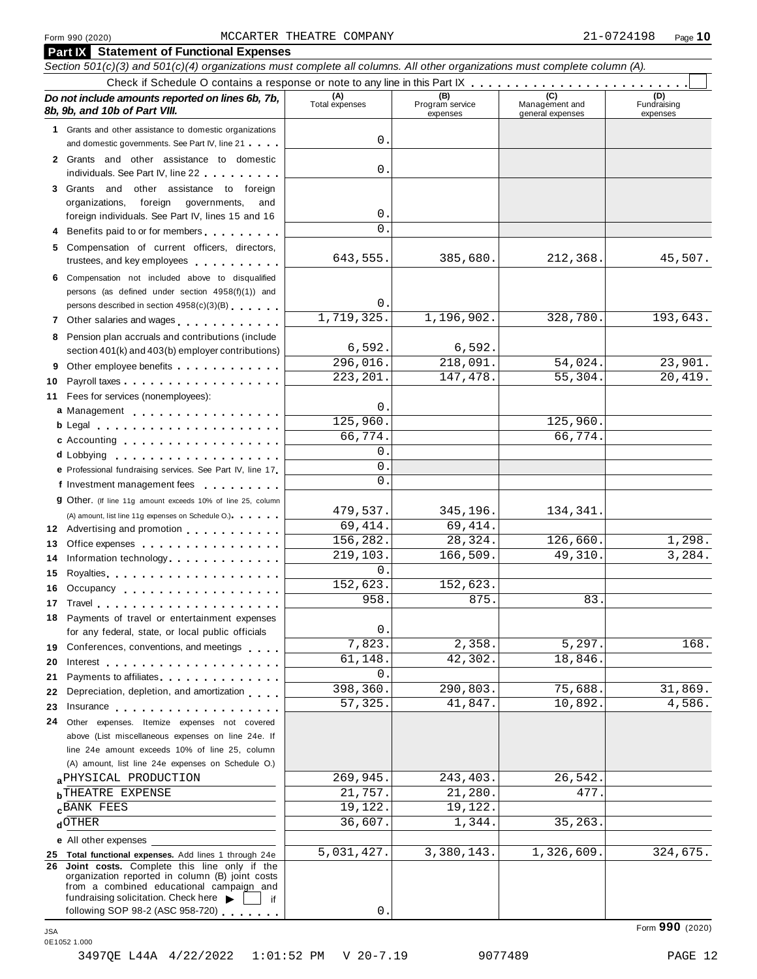|          | <b>Part IX</b> Statement of Functional Expenses                                                                                               |                       |                                    |                                    |                                |
|----------|-----------------------------------------------------------------------------------------------------------------------------------------------|-----------------------|------------------------------------|------------------------------------|--------------------------------|
|          | Section 501(c)(3) and 501(c)(4) organizations must complete all columns. All other organizations must complete column (A).                    |                       |                                    |                                    |                                |
|          | Check if Schedule O contains a response or note to any line in this Part IX                                                                   |                       |                                    |                                    |                                |
|          | Do not include amounts reported on lines 6b, 7b,<br>8b, 9b, and 10b of Part VIII.                                                             | (A)<br>Total expenses | (B)<br>Program service<br>expenses | Management and<br>general expenses | (D)<br>Fundraising<br>expenses |
|          | 1 Grants and other assistance to domestic organizations                                                                                       | 0                     |                                    |                                    |                                |
|          | and domestic governments. See Part IV, line 21                                                                                                |                       |                                    |                                    |                                |
|          | 2 Grants and other assistance to domestic<br>individuals. See Part IV, line 22                                                                | 0                     |                                    |                                    |                                |
|          | 3 Grants and<br>other assistance to foreign                                                                                                   |                       |                                    |                                    |                                |
|          | foreign governments,<br>organizations,<br>and                                                                                                 | 0                     |                                    |                                    |                                |
|          | foreign individuals. See Part IV, lines 15 and 16                                                                                             | $\Omega$              |                                    |                                    |                                |
|          | 4 Benefits paid to or for members                                                                                                             |                       |                                    |                                    |                                |
|          | 5 Compensation of current officers, directors,<br>trustees, and key employees                                                                 | 643,555.              | 385,680.                           | 212,368.                           | 45,507.                        |
|          | 6 Compensation not included above to disqualified                                                                                             |                       |                                    |                                    |                                |
|          | persons (as defined under section 4958(f)(1)) and                                                                                             |                       |                                    |                                    |                                |
|          | persons described in section 4958(c)(3)(B)                                                                                                    | 0<br>1,719,325.       | 1,196,902.                         | 328,780.                           | 193,643.                       |
|          | 7 Other salaries and wages                                                                                                                    |                       |                                    |                                    |                                |
|          | 8 Pension plan accruals and contributions (include                                                                                            | 6,592.                | 6,592.                             |                                    |                                |
|          | section 401(k) and 403(b) employer contributions)                                                                                             | 296,016.              | 218,091.                           | 54,024.                            | 23,901.                        |
|          | 9 Other employee benefits                                                                                                                     | 223, 201.             | 147,478.                           | 55,304.                            | 20,419.                        |
| 10<br>11 | Fees for services (nonemployees):                                                                                                             |                       |                                    |                                    |                                |
|          | a Management                                                                                                                                  | 0                     |                                    |                                    |                                |
|          |                                                                                                                                               | 125,960.              |                                    | 125,960.                           |                                |
|          | c Accounting                                                                                                                                  | 66,774.               |                                    | 66,774.                            |                                |
|          | d Lobbying                                                                                                                                    | 0                     |                                    |                                    |                                |
|          | e Professional fundraising services. See Part IV, line 17                                                                                     | 0                     |                                    |                                    |                                |
|          | f Investment management fees                                                                                                                  | $\mathbf 0$           |                                    |                                    |                                |
|          | <b>g</b> Other. (If line 11g amount exceeds 10% of line 25, column                                                                            |                       |                                    |                                    |                                |
|          | (A) amount, list line 11g expenses on Schedule O.)                                                                                            | 479,537.              | 345,196.                           | 134,341.                           |                                |
|          | 12 Advertising and promotion                                                                                                                  | 69, 414.              | 69, 414.                           |                                    |                                |
| 13       | Office expenses expenses                                                                                                                      | 156, 282.<br>219,103. | 28,324.<br>166,509.                | 126,660.<br>49,310.                | 1,298.<br>3,284.               |
| 14       | Information technology.                                                                                                                       | $\Omega$              |                                    |                                    |                                |
| 15<br>16 | Royalties Royalties                                                                                                                           | 152,623.              | 152,623.                           |                                    |                                |
|          | Occupancy experience and the control of the set of the set of the set of the set of the set of the set of the<br>17 Travel <b>17 Travel</b>   | 958                   | 875                                | 83.                                |                                |
|          | 18 Payments of travel or entertainment expenses                                                                                               |                       |                                    |                                    |                                |
|          | for any federal, state, or local public officials                                                                                             | 0                     |                                    |                                    |                                |
|          | 19 Conferences, conventions, and meetings                                                                                                     | 7,823.                | 2,358.                             | 5,297.                             | 168.                           |
| 20       | Interest                                                                                                                                      | 61,148                | 42,302.                            | 18,846.                            |                                |
| 21       | Payments to affiliates <b>All Accords</b> Payments to affiliates                                                                              | 0                     |                                    |                                    |                                |
| 22       | Depreciation, depletion, and amortization                                                                                                     | 398,360.              | 290,803.                           | 75,688.                            | 31,869.                        |
| 23       | Insurance in the contract of the set of the set of the set of the set of the set of the set of the set of the s                               | 57,325.               | 41,847.                            | 10,892.                            | 4,586.                         |
| 24       | Other expenses. Itemize expenses not covered                                                                                                  |                       |                                    |                                    |                                |
|          | above (List miscellaneous expenses on line 24e. If                                                                                            |                       |                                    |                                    |                                |
|          | line 24e amount exceeds 10% of line 25, column<br>(A) amount, list line 24e expenses on Schedule O.)                                          |                       |                                    |                                    |                                |
|          | aPHYSICAL PRODUCTION                                                                                                                          | 269,945.              | 243,403.                           | 26,542.                            |                                |
|          | <b>b</b> THEATRE EXPENSE                                                                                                                      | 21,757.               | 21,280.                            | 477.                               |                                |
|          | BANK FEES                                                                                                                                     | 19,122.               | 19,122.                            |                                    |                                |
|          | $d$ OTHER                                                                                                                                     | 36,607.               | 1,344.                             | 35,263.                            |                                |
|          | e All other expenses                                                                                                                          |                       |                                    |                                    |                                |
|          | 25 Total functional expenses. Add lines 1 through 24e                                                                                         | 5,031,427.            | 3,380,143.                         | 1,326,609.                         | 324,675.                       |
|          | 26 Joint costs. Complete this line only if the<br>organization reported in column (B) joint costs<br>from a combined educational campaign and |                       |                                    |                                    |                                |
|          | fundraising solicitation. Check here $\blacktriangleright$<br>if<br>following SOP 98-2 (ASC 958-720)                                          | 0                     |                                    |                                    |                                |

Form **990** (2020) JSA 0E1052 1.000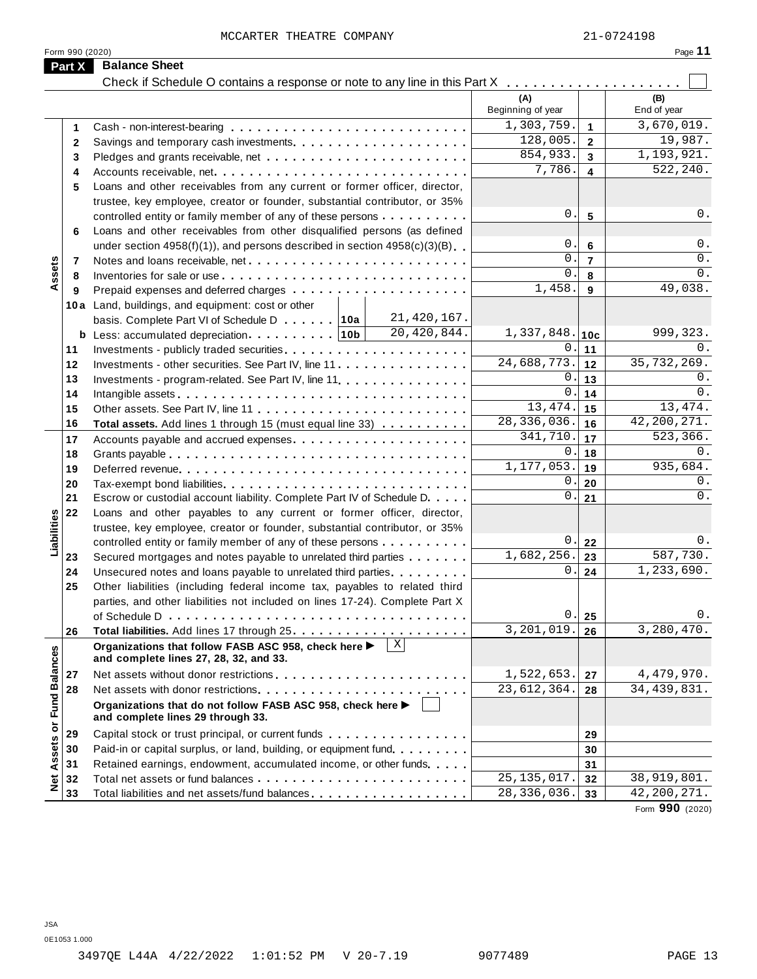| Form 990 (2020)             |                                                                                                                   |                             |                         | Page 11            |
|-----------------------------|-------------------------------------------------------------------------------------------------------------------|-----------------------------|-------------------------|--------------------|
| Part X                      | <b>Balance Sheet</b>                                                                                              |                             |                         |                    |
|                             |                                                                                                                   |                             |                         |                    |
|                             |                                                                                                                   | (A)<br>Beginning of year    |                         | (B)<br>End of year |
| 1.                          |                                                                                                                   | 1,303,759.                  | $\mathbf{1}$            | 3,670,019.         |
| 2                           |                                                                                                                   | 128,005.                    | $\overline{2}$          | 19,987.            |
| 3                           |                                                                                                                   | 854,933.                    | $\mathbf{3}$            | 1,193,921.         |
| 4                           |                                                                                                                   | 7,786.                      | $\overline{\mathbf{4}}$ | 522,240.           |
| 5                           | Loans and other receivables from any current or former officer, director,                                         |                             |                         |                    |
|                             | trustee, key employee, creator or founder, substantial contributor, or 35%                                        |                             |                         |                    |
|                             | controlled entity or family member of any of these persons                                                        | 0.                          | $5\phantom{1}$          | 0.                 |
| 6                           | Loans and other receivables from other disqualified persons (as defined                                           |                             |                         |                    |
|                             | under section $4958(f)(1)$ , and persons described in section $4958(c)(3)(B)$                                     | 0.                          | $\bf 6$                 | 0.                 |
| 7                           |                                                                                                                   | $\Omega$ .                  | $\overline{7}$          | 0.                 |
| Assets<br>8                 |                                                                                                                   | 0                           | 8                       | $0$ .              |
| 9                           |                                                                                                                   | 1,458.                      | 9                       | 49,038.            |
|                             | 10a Land, buildings, and equipment: cost or other                                                                 |                             |                         |                    |
|                             | 21, 420, 167.<br>basis. Complete Part VI of Schedule D 10a                                                        |                             |                         |                    |
|                             | $\overline{20, 420, 844}$ .                                                                                       | 1,337,848.                  | 10 <sub>c</sub>         | 999,323.           |
| 11                          |                                                                                                                   | 0.                          | 11                      | 0.                 |
| 12                          | Investments - other securities. See Part IV, line 11.                                                             | 24,688,773.                 | $12$                    | 35,732,269.        |
| 13                          | Investments - program-related. See Part IV, line 11.                                                              | 0.                          | 13                      | 0.                 |
| 14                          |                                                                                                                   | $\mathbf{0}$ .              | 14                      | $0$ .              |
| 15                          |                                                                                                                   | 13, 474.                    | 15                      | 13,474.            |
| 16                          | Total assets. Add lines 1 through 15 (must equal line 33)                                                         | 28, 336, 036.               | 16                      | 42, 200, 271.      |
| 17                          |                                                                                                                   | 341,710.                    | 17                      | 523, 366.          |
| 18                          |                                                                                                                   | 0.                          | 18                      | $0$ .              |
| 19                          |                                                                                                                   | 1,177,053.                  | 19                      | 935,684.           |
| 20                          |                                                                                                                   | 0.                          | 20                      | 0.                 |
| 21                          | Escrow or custodial account liability. Complete Part IV of Schedule D.                                            | $\mathbf{0}$ .              | 21                      | 0.                 |
| 22                          | Loans and other payables to any current or former officer, director,                                              |                             |                         |                    |
|                             | trustee, key employee, creator or founder, substantial contributor, or 35%                                        |                             |                         |                    |
| Liabilities                 | controlled entity or family member of any of these persons                                                        | 0.                          | 22                      | 0.                 |
| 23                          | Secured mortgages and notes payable to unrelated third parties                                                    | 1,682,256.                  | 23                      | 587,730.           |
| 24                          | Unsecured notes and loans payable to unrelated third parties                                                      | 0.                          | 24                      | 1,233,690.         |
| 25                          | Other liabilities (including federal income tax, payables to related third                                        |                             |                         |                    |
|                             | parties, and other liabilities not included on lines 17-24). Complete Part X                                      |                             |                         |                    |
|                             |                                                                                                                   | 0.                          | 25                      | 0.                 |
| 26                          |                                                                                                                   | 3,201,019.                  | 26                      | 3,280,470.         |
|                             | $\vert x \vert$<br>Organizations that follow FASB ASC 958, check here ><br>and complete lines 27, 28, 32, and 33. |                             |                         |                    |
| 27                          |                                                                                                                   | 1,522,653.                  | 27                      | 4,479,970.         |
| 28                          |                                                                                                                   | 23, 612, 364.               | 28                      | 34, 439, 831.      |
| Net Assets or Fund Balances | Organizations that do not follow FASB ASC 958, check here ▶<br>and complete lines 29 through 33.                  |                             |                         |                    |
| 29                          | Capital stock or trust principal, or current funds                                                                |                             | 29                      |                    |
| 30                          | Paid-in or capital surplus, or land, building, or equipment fund                                                  |                             | 30                      |                    |
| 31                          | Retained earnings, endowment, accumulated income, or other funds                                                  |                             | 31                      |                    |
| 32                          |                                                                                                                   | $\overline{25}$ , 135, 017. | 32                      | 38,919,801.        |
| 33                          | Total liabilities and net assets/fund balances                                                                    | 28, 336, 036.               | 33                      | 42, 200, 271.      |
|                             |                                                                                                                   |                             |                         |                    |

Form **990** (2020)

JSA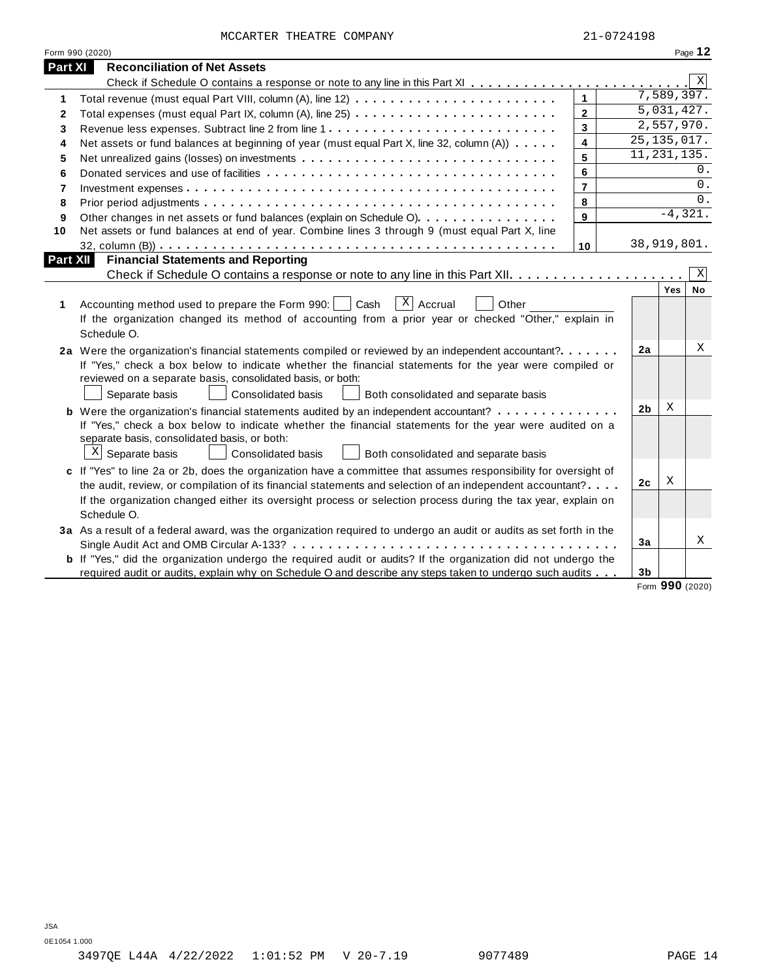| MCCARTER | THEATRE COMPANY |  |
|----------|-----------------|--|
|----------|-----------------|--|

|          | Form 990 (2020)                                                                                                       |                         |                |            | Page 12         |
|----------|-----------------------------------------------------------------------------------------------------------------------|-------------------------|----------------|------------|-----------------|
| Part XI  | <b>Reconciliation of Net Assets</b>                                                                                   |                         |                |            |                 |
|          |                                                                                                                       |                         |                |            | Χ               |
| 1        |                                                                                                                       | $\mathbf{1}$            |                | 7,589,397. |                 |
| 2        |                                                                                                                       | $\overline{2}$          |                | 5,031,427. |                 |
| 3        |                                                                                                                       | 3                       |                | 2,557,970. |                 |
| 4        | Net assets or fund balances at beginning of year (must equal Part X, line 32, column (A))                             | $\overline{\mathbf{4}}$ | 25, 135, 017.  |            |                 |
| 5        |                                                                                                                       | 5                       | 11, 231, 135.  |            |                 |
| 6        |                                                                                                                       | 6                       |                |            | $0$ .           |
| 7        |                                                                                                                       | $\overline{7}$          |                |            | 0.              |
| 8        |                                                                                                                       | 8                       |                |            | 0.              |
| 9        | Other changes in net assets or fund balances (explain on Schedule O)                                                  | 9                       |                | $-4,321.$  |                 |
| 10       | Net assets or fund balances at end of year. Combine lines 3 through 9 (must equal Part X, line                        |                         |                |            |                 |
|          |                                                                                                                       | 10                      | 38,919,801.    |            |                 |
| Part XII | <b>Financial Statements and Reporting</b>                                                                             |                         |                |            |                 |
|          |                                                                                                                       |                         |                |            | $\mathbf X$     |
|          |                                                                                                                       |                         |                | Yes        | No              |
| 1        | $ \overline{X} $ Accrual<br>Accounting method used to prepare the Form 990:     Cash<br>Other                         |                         |                |            |                 |
|          | If the organization changed its method of accounting from a prior year or checked "Other," explain in                 |                         |                |            |                 |
|          | Schedule O.                                                                                                           |                         |                |            |                 |
|          | 2a Were the organization's financial statements compiled or reviewed by an independent accountant?                    |                         | 2a             |            | Χ               |
|          | If "Yes," check a box below to indicate whether the financial statements for the year were compiled or                |                         |                |            |                 |
|          | reviewed on a separate basis, consolidated basis, or both:                                                            |                         |                |            |                 |
|          | Separate basis<br><b>Consolidated basis</b><br>Both consolidated and separate basis                                   |                         |                |            |                 |
|          | <b>b</b> Were the organization's financial statements audited by an independent accountant?                           |                         | 2 <sub>b</sub> | Χ          |                 |
|          | If "Yes," check a box below to indicate whether the financial statements for the year were audited on a               |                         |                |            |                 |
|          | separate basis, consolidated basis, or both:                                                                          |                         |                |            |                 |
|          | X<br>Separate basis<br><b>Consolidated basis</b><br>Both consolidated and separate basis                              |                         |                |            |                 |
|          | c If "Yes" to line 2a or 2b, does the organization have a committee that assumes responsibility for oversight of      |                         |                |            |                 |
|          | the audit, review, or compilation of its financial statements and selection of an independent accountant?             |                         | 2 <sub>c</sub> | Χ          |                 |
|          | If the organization changed either its oversight process or selection process during the tax year, explain on         |                         |                |            |                 |
|          | Schedule O.                                                                                                           |                         |                |            |                 |
|          | 3a As a result of a federal award, was the organization required to undergo an audit or audits as set forth in the    |                         |                |            |                 |
|          |                                                                                                                       |                         | 3a             |            | X               |
|          | <b>b</b> If "Yes," did the organization undergo the required audit or audits? If the organization did not undergo the |                         |                |            |                 |
|          | required audit or audits, explain why on Schedule O and describe any steps taken to undergo such audits               |                         | 3 <sub>b</sub> |            |                 |
|          |                                                                                                                       |                         |                |            | Form 990 (2020) |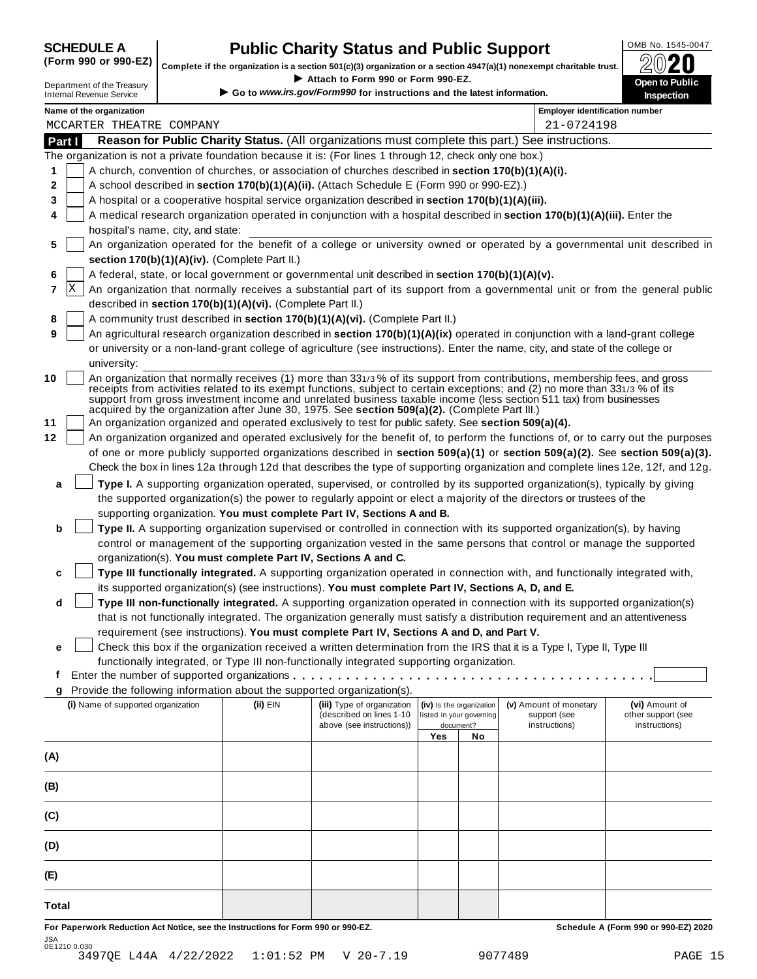# SCHEDULE A **Public Charity Status and Public Support** (Form 990 or 990-EZ) complete if the organization is a section 501(c)(3) organization or a section 4947(a)(1) nonexempt charitable trust.

(Form 990 or 990-EZ) complete if the organization is a section 501(c)(3) organization or a section 4947(a)(1) nonexempt charitable trust.  $2020$ 

|        | Department of the Treasury                                                                                                                                                                                                                                     |  |                                                            | Attach to Form 990 or Form 990-EZ.                                                                        |     |                                       | Complete if the organization is a section 501(c)(3) organization or a section $4947(a)(1)$ nonexempt charitable trust.                                                                                                                                          | BWŁU<br>Open to Public                                                                                                           |  |
|--------|----------------------------------------------------------------------------------------------------------------------------------------------------------------------------------------------------------------------------------------------------------------|--|------------------------------------------------------------|-----------------------------------------------------------------------------------------------------------|-----|---------------------------------------|-----------------------------------------------------------------------------------------------------------------------------------------------------------------------------------------------------------------------------------------------------------------|----------------------------------------------------------------------------------------------------------------------------------|--|
|        | <b>Internal Revenue Service</b>                                                                                                                                                                                                                                |  |                                                            | Go to www.irs.gov/Form990 for instructions and the latest information.                                    |     |                                       |                                                                                                                                                                                                                                                                 | Inspection                                                                                                                       |  |
|        | Name of the organization                                                                                                                                                                                                                                       |  |                                                            |                                                                                                           |     |                                       | <b>Employer identification number</b>                                                                                                                                                                                                                           |                                                                                                                                  |  |
|        | MCCARTER THEATRE COMPANY                                                                                                                                                                                                                                       |  |                                                            |                                                                                                           |     |                                       | 21-0724198                                                                                                                                                                                                                                                      |                                                                                                                                  |  |
| Part I |                                                                                                                                                                                                                                                                |  |                                                            |                                                                                                           |     |                                       | Reason for Public Charity Status. (All organizations must complete this part.) See instructions.                                                                                                                                                                |                                                                                                                                  |  |
|        |                                                                                                                                                                                                                                                                |  |                                                            | The organization is not a private foundation because it is: (For lines 1 through 12, check only one box.) |     |                                       |                                                                                                                                                                                                                                                                 |                                                                                                                                  |  |
| 1      |                                                                                                                                                                                                                                                                |  |                                                            | A church, convention of churches, or association of churches described in section 170(b)(1)(A)(i).        |     |                                       |                                                                                                                                                                                                                                                                 |                                                                                                                                  |  |
| 2      |                                                                                                                                                                                                                                                                |  |                                                            | A school described in section 170(b)(1)(A)(ii). (Attach Schedule E (Form 990 or 990-EZ).)                 |     |                                       |                                                                                                                                                                                                                                                                 |                                                                                                                                  |  |
| 3      |                                                                                                                                                                                                                                                                |  |                                                            | A hospital or a cooperative hospital service organization described in section 170(b)(1)(A)(iii).         |     |                                       |                                                                                                                                                                                                                                                                 |                                                                                                                                  |  |
| 4      |                                                                                                                                                                                                                                                                |  |                                                            |                                                                                                           |     |                                       | A medical research organization operated in conjunction with a hospital described in section 170(b)(1)(A)(iii). Enter the                                                                                                                                       |                                                                                                                                  |  |
|        | hospital's name, city, and state:                                                                                                                                                                                                                              |  |                                                            |                                                                                                           |     |                                       |                                                                                                                                                                                                                                                                 |                                                                                                                                  |  |
| 5      |                                                                                                                                                                                                                                                                |  |                                                            |                                                                                                           |     |                                       |                                                                                                                                                                                                                                                                 | An organization operated for the benefit of a college or university owned or operated by a governmental unit described in        |  |
|        |                                                                                                                                                                                                                                                                |  | section 170(b)(1)(A)(iv). (Complete Part II.)              |                                                                                                           |     |                                       |                                                                                                                                                                                                                                                                 |                                                                                                                                  |  |
| 6      |                                                                                                                                                                                                                                                                |  |                                                            | A federal, state, or local government or governmental unit described in section 170(b)(1)(A)(v).          |     |                                       |                                                                                                                                                                                                                                                                 |                                                                                                                                  |  |
| X<br>7 |                                                                                                                                                                                                                                                                |  |                                                            |                                                                                                           |     |                                       |                                                                                                                                                                                                                                                                 | An organization that normally receives a substantial part of its support from a governmental unit or from the general public     |  |
|        |                                                                                                                                                                                                                                                                |  | described in section 170(b)(1)(A)(vi). (Complete Part II.) |                                                                                                           |     |                                       |                                                                                                                                                                                                                                                                 |                                                                                                                                  |  |
| 8<br>9 |                                                                                                                                                                                                                                                                |  |                                                            | A community trust described in section 170(b)(1)(A)(vi). (Complete Part II.)                              |     |                                       |                                                                                                                                                                                                                                                                 |                                                                                                                                  |  |
|        |                                                                                                                                                                                                                                                                |  |                                                            |                                                                                                           |     |                                       | An agricultural research organization described in section 170(b)(1)(A)(ix) operated in conjunction with a land-grant college<br>or university or a non-land-grant college of agriculture (see instructions). Enter the name, city, and state of the college or |                                                                                                                                  |  |
|        | university:                                                                                                                                                                                                                                                    |  |                                                            |                                                                                                           |     |                                       |                                                                                                                                                                                                                                                                 |                                                                                                                                  |  |
| 10     |                                                                                                                                                                                                                                                                |  |                                                            |                                                                                                           |     |                                       | An organization that normally receives (1) more than 331/3% of its support from contributions, membership fees, and gross                                                                                                                                       |                                                                                                                                  |  |
|        |                                                                                                                                                                                                                                                                |  |                                                            |                                                                                                           |     |                                       | receipts from activities related to its exempt functions, subject to certain exceptions; and (2) no more than 331/3 % of its                                                                                                                                    |                                                                                                                                  |  |
|        |                                                                                                                                                                                                                                                                |  |                                                            | acquired by the organization after June 30, 1975. See section 509(a)(2). (Complete Part III.)             |     |                                       | support from gross investment income and unrelated business taxable income (less section 511 tax) from businesses                                                                                                                                               |                                                                                                                                  |  |
| 11     |                                                                                                                                                                                                                                                                |  |                                                            | An organization organized and operated exclusively to test for public safety. See section 509(a)(4).      |     |                                       |                                                                                                                                                                                                                                                                 |                                                                                                                                  |  |
| 12     |                                                                                                                                                                                                                                                                |  |                                                            |                                                                                                           |     |                                       |                                                                                                                                                                                                                                                                 | An organization organized and operated exclusively for the benefit of, to perform the functions of, or to carry out the purposes |  |
|        |                                                                                                                                                                                                                                                                |  |                                                            |                                                                                                           |     |                                       |                                                                                                                                                                                                                                                                 |                                                                                                                                  |  |
|        | of one or more publicly supported organizations described in section 509(a)(1) or section 509(a)(2). See section 509(a)(3).                                                                                                                                    |  |                                                            |                                                                                                           |     |                                       |                                                                                                                                                                                                                                                                 |                                                                                                                                  |  |
| a      | Check the box in lines 12a through 12d that describes the type of supporting organization and complete lines 12e, 12f, and 12g.<br>Type I. A supporting organization operated, supervised, or controlled by its supported organization(s), typically by giving |  |                                                            |                                                                                                           |     |                                       |                                                                                                                                                                                                                                                                 |                                                                                                                                  |  |
|        |                                                                                                                                                                                                                                                                |  |                                                            |                                                                                                           |     |                                       | the supported organization(s) the power to regularly appoint or elect a majority of the directors or trustees of the                                                                                                                                            |                                                                                                                                  |  |
|        |                                                                                                                                                                                                                                                                |  |                                                            | supporting organization. You must complete Part IV, Sections A and B.                                     |     |                                       |                                                                                                                                                                                                                                                                 |                                                                                                                                  |  |
| b      |                                                                                                                                                                                                                                                                |  |                                                            |                                                                                                           |     |                                       | Type II. A supporting organization supervised or controlled in connection with its supported organization(s), by having                                                                                                                                         |                                                                                                                                  |  |
|        |                                                                                                                                                                                                                                                                |  |                                                            |                                                                                                           |     |                                       | control or management of the supporting organization vested in the same persons that control or manage the supported                                                                                                                                            |                                                                                                                                  |  |
|        |                                                                                                                                                                                                                                                                |  |                                                            | organization(s). You must complete Part IV, Sections A and C.                                             |     |                                       |                                                                                                                                                                                                                                                                 |                                                                                                                                  |  |
| c      |                                                                                                                                                                                                                                                                |  |                                                            |                                                                                                           |     |                                       | Type III functionally integrated. A supporting organization operated in connection with, and functionally integrated with,                                                                                                                                      |                                                                                                                                  |  |
|        |                                                                                                                                                                                                                                                                |  |                                                            | its supported organization(s) (see instructions). You must complete Part IV, Sections A, D, and E.        |     |                                       |                                                                                                                                                                                                                                                                 |                                                                                                                                  |  |
| d      |                                                                                                                                                                                                                                                                |  |                                                            |                                                                                                           |     |                                       | Type III non-functionally integrated. A supporting organization operated in connection with its supported organization(s)                                                                                                                                       |                                                                                                                                  |  |
|        |                                                                                                                                                                                                                                                                |  |                                                            |                                                                                                           |     |                                       | that is not functionally integrated. The organization generally must satisfy a distribution requirement and an attentiveness                                                                                                                                    |                                                                                                                                  |  |
|        |                                                                                                                                                                                                                                                                |  |                                                            | requirement (see instructions). You must complete Part IV, Sections A and D, and Part V.                  |     |                                       |                                                                                                                                                                                                                                                                 |                                                                                                                                  |  |
| е      |                                                                                                                                                                                                                                                                |  |                                                            |                                                                                                           |     |                                       | Check this box if the organization received a written determination from the IRS that it is a Type I, Type II, Type III                                                                                                                                         |                                                                                                                                  |  |
|        |                                                                                                                                                                                                                                                                |  |                                                            | functionally integrated, or Type III non-functionally integrated supporting organization.                 |     |                                       |                                                                                                                                                                                                                                                                 |                                                                                                                                  |  |
| t      |                                                                                                                                                                                                                                                                |  |                                                            | Enter the number of supported organizations                                                               |     |                                       |                                                                                                                                                                                                                                                                 |                                                                                                                                  |  |
| g      |                                                                                                                                                                                                                                                                |  |                                                            | Provide the following information about the supported organization(s).                                    |     |                                       |                                                                                                                                                                                                                                                                 |                                                                                                                                  |  |
|        | (i) Name of supported organization                                                                                                                                                                                                                             |  | (ii) EIN                                                   | (iii) Type of organization                                                                                |     | (iv) Is the organization              | (v) Amount of monetary                                                                                                                                                                                                                                          | (vi) Amount of                                                                                                                   |  |
|        |                                                                                                                                                                                                                                                                |  |                                                            | (described on lines 1-10<br>above (see instructions))                                                     |     | listed in your governing<br>document? | support (see<br>instructions)                                                                                                                                                                                                                                   | other support (see<br>instructions)                                                                                              |  |
|        |                                                                                                                                                                                                                                                                |  |                                                            |                                                                                                           | Yes | No                                    |                                                                                                                                                                                                                                                                 |                                                                                                                                  |  |
| (A)    |                                                                                                                                                                                                                                                                |  |                                                            |                                                                                                           |     |                                       |                                                                                                                                                                                                                                                                 |                                                                                                                                  |  |
|        |                                                                                                                                                                                                                                                                |  |                                                            |                                                                                                           |     |                                       |                                                                                                                                                                                                                                                                 |                                                                                                                                  |  |
| (B)    |                                                                                                                                                                                                                                                                |  |                                                            |                                                                                                           |     |                                       |                                                                                                                                                                                                                                                                 |                                                                                                                                  |  |
|        |                                                                                                                                                                                                                                                                |  |                                                            |                                                                                                           |     |                                       |                                                                                                                                                                                                                                                                 |                                                                                                                                  |  |
| (C)    |                                                                                                                                                                                                                                                                |  |                                                            |                                                                                                           |     |                                       |                                                                                                                                                                                                                                                                 |                                                                                                                                  |  |
|        |                                                                                                                                                                                                                                                                |  |                                                            |                                                                                                           |     |                                       |                                                                                                                                                                                                                                                                 |                                                                                                                                  |  |
| (D)    |                                                                                                                                                                                                                                                                |  |                                                            |                                                                                                           |     |                                       |                                                                                                                                                                                                                                                                 |                                                                                                                                  |  |
|        |                                                                                                                                                                                                                                                                |  |                                                            |                                                                                                           |     |                                       |                                                                                                                                                                                                                                                                 |                                                                                                                                  |  |
| (E)    |                                                                                                                                                                                                                                                                |  |                                                            |                                                                                                           |     |                                       |                                                                                                                                                                                                                                                                 |                                                                                                                                  |  |
|        |                                                                                                                                                                                                                                                                |  |                                                            |                                                                                                           |     |                                       |                                                                                                                                                                                                                                                                 |                                                                                                                                  |  |
| Total  |                                                                                                                                                                                                                                                                |  |                                                            |                                                                                                           |     |                                       |                                                                                                                                                                                                                                                                 |                                                                                                                                  |  |
|        |                                                                                                                                                                                                                                                                |  |                                                            |                                                                                                           |     |                                       |                                                                                                                                                                                                                                                                 |                                                                                                                                  |  |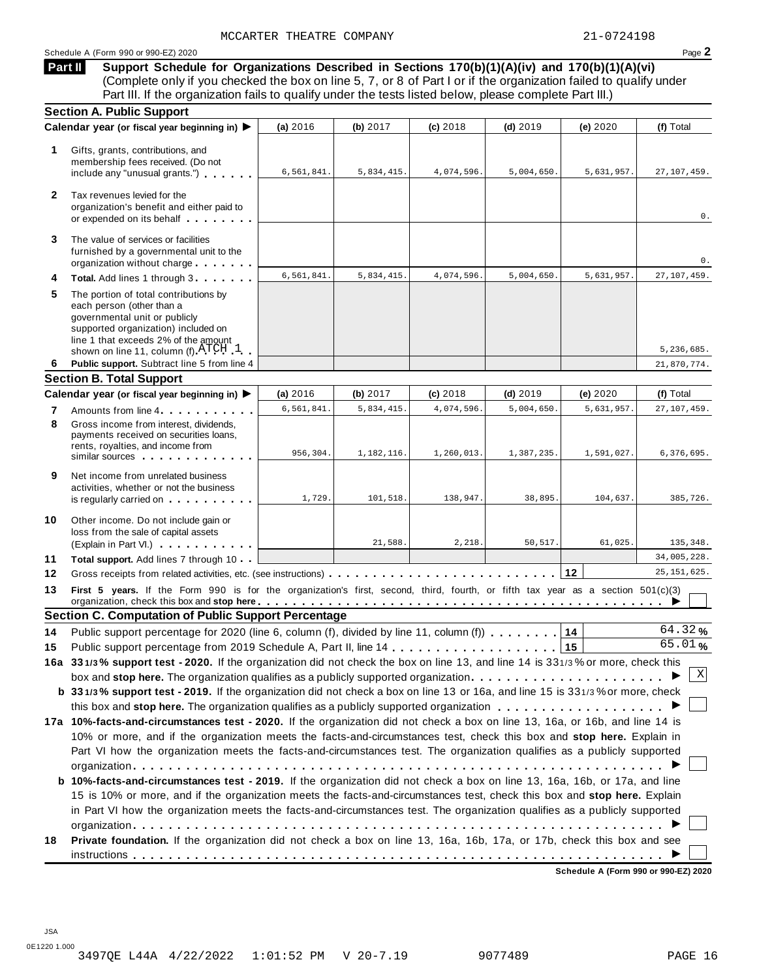**Support Schedule for Organizations Described in Sections 170(b)(1)(A)(iv) and 170(b)(1)(A)(vi)** (Complete only if you checked the box on line 5, 7, or 8 of Part I or if the organization failed to qualify under Part III. If the organization fails to qualify under the tests listed below, please complete Part III.) **Part II**

|              | <b>Section A. Public Support</b>                                                                                                                                                                                                         |            |            |            |            |            |               |
|--------------|------------------------------------------------------------------------------------------------------------------------------------------------------------------------------------------------------------------------------------------|------------|------------|------------|------------|------------|---------------|
|              | Calendar year (or fiscal year beginning in) ▶                                                                                                                                                                                            | (a) 2016   | (b) 2017   | $(c)$ 2018 | $(d)$ 2019 | (e) 2020   | (f) Total     |
| 1.           | Gifts, grants, contributions, and<br>membership fees received. (Do not<br>include any "unusual grants.")                                                                                                                                 | 6,561,841. | 5,834,415. | 4,074,596. | 5,004,650. | 5,631,957. | 27, 107, 459. |
| $\mathbf{2}$ | Tax revenues levied for the<br>organization's benefit and either paid to<br>or expended on its behalf                                                                                                                                    |            |            |            |            |            | 0.            |
| 3            | The value of services or facilities<br>furnished by a governmental unit to the<br>organization without charge                                                                                                                            |            |            |            |            |            | 0.            |
| 4            | Total. Add lines 1 through 3                                                                                                                                                                                                             | 6,561,841. | 5,834,415. | 4,074,596. | 5,004,650. | 5,631,957. | 27, 107, 459. |
| 5            | The portion of total contributions by<br>each person (other than a<br>governmental unit or publicly<br>supported organization) included on<br>line 1 that exceeds 2% of the amount<br>shown on line 11, column (f) $\text{ATCH}$ 1       |            |            |            |            |            | 5,236,685.    |
| 6            | Public support. Subtract line 5 from line 4                                                                                                                                                                                              |            |            |            |            |            | 21,870,774.   |
|              | <b>Section B. Total Support</b>                                                                                                                                                                                                          |            |            |            |            |            |               |
|              | Calendar year (or fiscal year beginning in) ▶                                                                                                                                                                                            | (a) 2016   | (b) 2017   | $(c)$ 2018 | $(d)$ 2019 | (e) 2020   | (f) Total     |
| 7            | Amounts from line 4                                                                                                                                                                                                                      | 6,561,841. | 5,834,415. | 4,074,596. | 5,004,650. | 5,631,957. | 27,107,459.   |
| 8            | Gross income from interest, dividends,<br>payments received on securities loans,<br>rents, royalties, and income from<br>similar sources experiences                                                                                     | 956,304.   | 1,182,116. | 1,260,013. | 1,387,235. | 1,591,027. | 6,376,695.    |
| 9            | Net income from unrelated business<br>activities, whether or not the business<br>is regularly carried on the control of the set of the set of the set of the set of the set of the set of the s                                          | 1,729.     | 101,518.   | 138,947.   | 38,895     | 104,637.   | 385,726.      |
| 10           | Other income. Do not include gain or<br>loss from the sale of capital assets<br>(Explain in Part VI.)                                                                                                                                    |            | 21,588.    | 2,218.     | 50,517.    | 61,025.    | 135,348.      |
| 11           | Total support. Add lines 7 through 10                                                                                                                                                                                                    |            |            |            |            |            | 34,005,228.   |
| 12           | Gross receipts from related activities, etc. (see instructions)                                                                                                                                                                          |            |            |            |            | 12         | 25, 151, 625. |
| 13           | First 5 years. If the Form 990 is for the organization's first, second, third, fourth, or fifth tax year as a section 501(c)(3)<br>organization, check this box and stop here equitarian enterity or an example that is not a stop here. |            |            |            |            |            |               |
|              | <b>Section C. Computation of Public Support Percentage</b>                                                                                                                                                                               |            |            |            |            |            |               |
| 14           | Public support percentage for 2020 (line 6, column (f), divided by line 11, column (f))                                                                                                                                                  |            |            |            |            | 14         | 64.32%        |
| 15           |                                                                                                                                                                                                                                          |            |            |            |            | 15         | 65.01%        |
|              | 16a 331/3% support test - 2020. If the organization did not check the box on line 13, and line 14 is 331/3% or more, check this                                                                                                          |            |            |            |            |            |               |
|              | box and stop here. The organization qualifies as a publicly supported organization $\ldots \ldots \ldots \ldots \ldots \ldots$                                                                                                           |            |            |            |            |            | Χ             |
|              | b 331/3% support test - 2019. If the organization did not check a box on line 13 or 16a, and line 15 is 331/3% or more, check                                                                                                            |            |            |            |            |            |               |
|              |                                                                                                                                                                                                                                          |            |            |            |            |            |               |
|              | 17a 10%-facts-and-circumstances test - 2020. If the organization did not check a box on line 13, 16a, or 16b, and line 14 is                                                                                                             |            |            |            |            |            |               |
|              | 10% or more, and if the organization meets the facts-and-circumstances test, check this box and stop here. Explain in                                                                                                                    |            |            |            |            |            |               |
|              | Part VI how the organization meets the facts-and-circumstances test. The organization qualifies as a publicly supported                                                                                                                  |            |            |            |            |            |               |
|              |                                                                                                                                                                                                                                          |            |            |            |            |            |               |
|              | b 10%-facts-and-circumstances test - 2019. If the organization did not check a box on line 13, 16a, 16b, or 17a, and line                                                                                                                |            |            |            |            |            |               |
|              | 15 is 10% or more, and if the organization meets the facts-and-circumstances test, check this box and stop here. Explain                                                                                                                 |            |            |            |            |            |               |
|              | in Part VI how the organization meets the facts-and-circumstances test. The organization qualifies as a publicly supported                                                                                                               |            |            |            |            |            |               |
| 18           | Private foundation. If the organization did not check a box on line 13, 16a, 16b, 17a, or 17b, check this box and see                                                                                                                    |            |            |            |            |            |               |
|              |                                                                                                                                                                                                                                          |            |            |            |            |            |               |

**Schedule A (Form 990 or 990-EZ) 2020**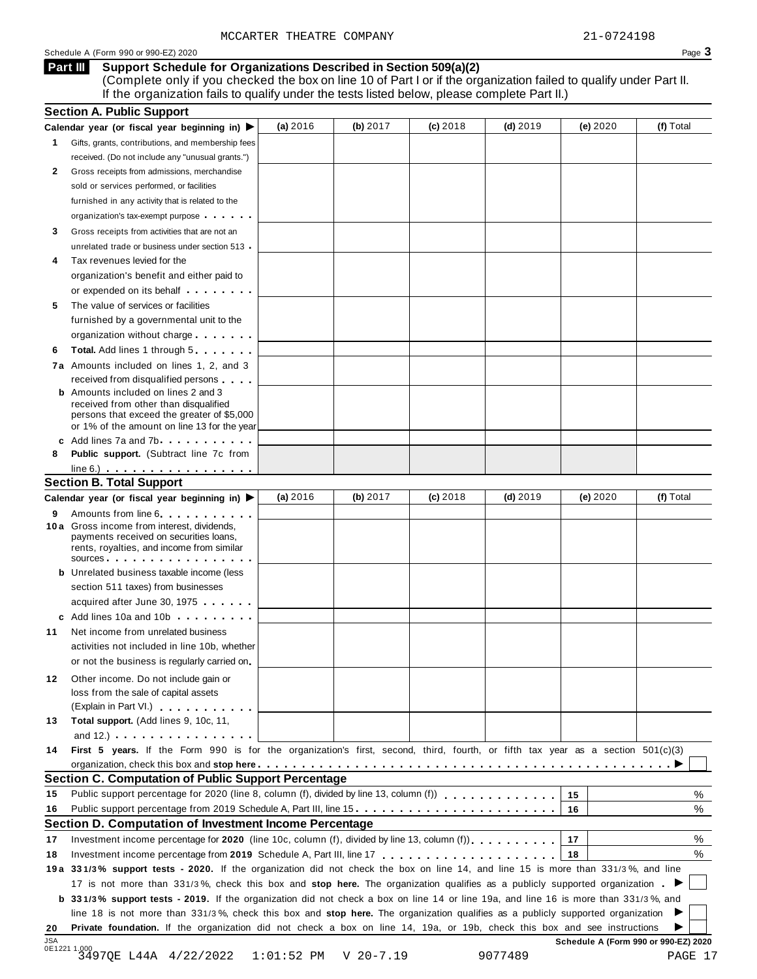#### Schedule A (Form 990 or 990-EZ) 2020 Page 3

#### **Support Schedule for Organizations Described in Section 509(a)(2) Part III**

(Complete only if you checked the box on line 10 of Part I or if the organization failed to qualify under Part II. If the organization fails to qualify under the tests listed below, please complete Part II.)

| Calendar year (or fiscal year beginning in)<br>Gifts, grants, contributions, and membership fees<br>received. (Do not include any "unusual grants.")<br>Gross receipts from admissions, merchandise<br>sold or services performed, or facilities<br>furnished in any activity that is related to the<br>organization's tax-exempt purpose<br>Gross receipts from activities that are not an<br>unrelated trade or business under section 513 .<br>Tax revenues levied for the<br>organization's benefit and either paid to<br>or expended on its behalf <b>contains the set of the set of the set of the set of the set of the set of the set of the set of the set of the set of the set of the set of the set of the set of the set of the set of the set of</b><br>The value of services or facilities<br>furnished by a governmental unit to the<br>organization without charge<br><b>Total.</b> Add lines 1 through 5<br>7a Amounts included on lines 1, 2, and 3<br>received from disqualified persons | (a) $2016$                                                                                                                                                                                                                                                                                                                                                                                                                                                                                                                                                                                                                                                                                         | (b) $2017$ | $(c)$ 2018                                                                                                                       | (d) $2019$ | (e) 2020                                                                                                                                                                                     | (f) Total                                                                                                                                                                                                                                                                                                                                                                                                                                                                                                                                                                                                                                                                                                                                                                                                                                                                                                                                   |
|--------------------------------------------------------------------------------------------------------------------------------------------------------------------------------------------------------------------------------------------------------------------------------------------------------------------------------------------------------------------------------------------------------------------------------------------------------------------------------------------------------------------------------------------------------------------------------------------------------------------------------------------------------------------------------------------------------------------------------------------------------------------------------------------------------------------------------------------------------------------------------------------------------------------------------------------------------------------------------------------------------------|----------------------------------------------------------------------------------------------------------------------------------------------------------------------------------------------------------------------------------------------------------------------------------------------------------------------------------------------------------------------------------------------------------------------------------------------------------------------------------------------------------------------------------------------------------------------------------------------------------------------------------------------------------------------------------------------------|------------|----------------------------------------------------------------------------------------------------------------------------------|------------|----------------------------------------------------------------------------------------------------------------------------------------------------------------------------------------------|---------------------------------------------------------------------------------------------------------------------------------------------------------------------------------------------------------------------------------------------------------------------------------------------------------------------------------------------------------------------------------------------------------------------------------------------------------------------------------------------------------------------------------------------------------------------------------------------------------------------------------------------------------------------------------------------------------------------------------------------------------------------------------------------------------------------------------------------------------------------------------------------------------------------------------------------|
|                                                                                                                                                                                                                                                                                                                                                                                                                                                                                                                                                                                                                                                                                                                                                                                                                                                                                                                                                                                                              |                                                                                                                                                                                                                                                                                                                                                                                                                                                                                                                                                                                                                                                                                                    |            |                                                                                                                                  |            |                                                                                                                                                                                              |                                                                                                                                                                                                                                                                                                                                                                                                                                                                                                                                                                                                                                                                                                                                                                                                                                                                                                                                             |
|                                                                                                                                                                                                                                                                                                                                                                                                                                                                                                                                                                                                                                                                                                                                                                                                                                                                                                                                                                                                              |                                                                                                                                                                                                                                                                                                                                                                                                                                                                                                                                                                                                                                                                                                    |            |                                                                                                                                  |            |                                                                                                                                                                                              |                                                                                                                                                                                                                                                                                                                                                                                                                                                                                                                                                                                                                                                                                                                                                                                                                                                                                                                                             |
|                                                                                                                                                                                                                                                                                                                                                                                                                                                                                                                                                                                                                                                                                                                                                                                                                                                                                                                                                                                                              |                                                                                                                                                                                                                                                                                                                                                                                                                                                                                                                                                                                                                                                                                                    |            |                                                                                                                                  |            |                                                                                                                                                                                              |                                                                                                                                                                                                                                                                                                                                                                                                                                                                                                                                                                                                                                                                                                                                                                                                                                                                                                                                             |
|                                                                                                                                                                                                                                                                                                                                                                                                                                                                                                                                                                                                                                                                                                                                                                                                                                                                                                                                                                                                              |                                                                                                                                                                                                                                                                                                                                                                                                                                                                                                                                                                                                                                                                                                    |            |                                                                                                                                  |            |                                                                                                                                                                                              |                                                                                                                                                                                                                                                                                                                                                                                                                                                                                                                                                                                                                                                                                                                                                                                                                                                                                                                                             |
|                                                                                                                                                                                                                                                                                                                                                                                                                                                                                                                                                                                                                                                                                                                                                                                                                                                                                                                                                                                                              |                                                                                                                                                                                                                                                                                                                                                                                                                                                                                                                                                                                                                                                                                                    |            |                                                                                                                                  |            |                                                                                                                                                                                              |                                                                                                                                                                                                                                                                                                                                                                                                                                                                                                                                                                                                                                                                                                                                                                                                                                                                                                                                             |
|                                                                                                                                                                                                                                                                                                                                                                                                                                                                                                                                                                                                                                                                                                                                                                                                                                                                                                                                                                                                              |                                                                                                                                                                                                                                                                                                                                                                                                                                                                                                                                                                                                                                                                                                    |            |                                                                                                                                  |            |                                                                                                                                                                                              |                                                                                                                                                                                                                                                                                                                                                                                                                                                                                                                                                                                                                                                                                                                                                                                                                                                                                                                                             |
|                                                                                                                                                                                                                                                                                                                                                                                                                                                                                                                                                                                                                                                                                                                                                                                                                                                                                                                                                                                                              |                                                                                                                                                                                                                                                                                                                                                                                                                                                                                                                                                                                                                                                                                                    |            |                                                                                                                                  |            |                                                                                                                                                                                              |                                                                                                                                                                                                                                                                                                                                                                                                                                                                                                                                                                                                                                                                                                                                                                                                                                                                                                                                             |
|                                                                                                                                                                                                                                                                                                                                                                                                                                                                                                                                                                                                                                                                                                                                                                                                                                                                                                                                                                                                              |                                                                                                                                                                                                                                                                                                                                                                                                                                                                                                                                                                                                                                                                                                    |            |                                                                                                                                  |            |                                                                                                                                                                                              |                                                                                                                                                                                                                                                                                                                                                                                                                                                                                                                                                                                                                                                                                                                                                                                                                                                                                                                                             |
|                                                                                                                                                                                                                                                                                                                                                                                                                                                                                                                                                                                                                                                                                                                                                                                                                                                                                                                                                                                                              |                                                                                                                                                                                                                                                                                                                                                                                                                                                                                                                                                                                                                                                                                                    |            |                                                                                                                                  |            |                                                                                                                                                                                              |                                                                                                                                                                                                                                                                                                                                                                                                                                                                                                                                                                                                                                                                                                                                                                                                                                                                                                                                             |
|                                                                                                                                                                                                                                                                                                                                                                                                                                                                                                                                                                                                                                                                                                                                                                                                                                                                                                                                                                                                              |                                                                                                                                                                                                                                                                                                                                                                                                                                                                                                                                                                                                                                                                                                    |            |                                                                                                                                  |            |                                                                                                                                                                                              |                                                                                                                                                                                                                                                                                                                                                                                                                                                                                                                                                                                                                                                                                                                                                                                                                                                                                                                                             |
|                                                                                                                                                                                                                                                                                                                                                                                                                                                                                                                                                                                                                                                                                                                                                                                                                                                                                                                                                                                                              |                                                                                                                                                                                                                                                                                                                                                                                                                                                                                                                                                                                                                                                                                                    |            |                                                                                                                                  |            |                                                                                                                                                                                              |                                                                                                                                                                                                                                                                                                                                                                                                                                                                                                                                                                                                                                                                                                                                                                                                                                                                                                                                             |
|                                                                                                                                                                                                                                                                                                                                                                                                                                                                                                                                                                                                                                                                                                                                                                                                                                                                                                                                                                                                              |                                                                                                                                                                                                                                                                                                                                                                                                                                                                                                                                                                                                                                                                                                    |            |                                                                                                                                  |            |                                                                                                                                                                                              |                                                                                                                                                                                                                                                                                                                                                                                                                                                                                                                                                                                                                                                                                                                                                                                                                                                                                                                                             |
|                                                                                                                                                                                                                                                                                                                                                                                                                                                                                                                                                                                                                                                                                                                                                                                                                                                                                                                                                                                                              |                                                                                                                                                                                                                                                                                                                                                                                                                                                                                                                                                                                                                                                                                                    |            |                                                                                                                                  |            |                                                                                                                                                                                              |                                                                                                                                                                                                                                                                                                                                                                                                                                                                                                                                                                                                                                                                                                                                                                                                                                                                                                                                             |
|                                                                                                                                                                                                                                                                                                                                                                                                                                                                                                                                                                                                                                                                                                                                                                                                                                                                                                                                                                                                              |                                                                                                                                                                                                                                                                                                                                                                                                                                                                                                                                                                                                                                                                                                    |            |                                                                                                                                  |            |                                                                                                                                                                                              |                                                                                                                                                                                                                                                                                                                                                                                                                                                                                                                                                                                                                                                                                                                                                                                                                                                                                                                                             |
|                                                                                                                                                                                                                                                                                                                                                                                                                                                                                                                                                                                                                                                                                                                                                                                                                                                                                                                                                                                                              |                                                                                                                                                                                                                                                                                                                                                                                                                                                                                                                                                                                                                                                                                                    |            |                                                                                                                                  |            |                                                                                                                                                                                              |                                                                                                                                                                                                                                                                                                                                                                                                                                                                                                                                                                                                                                                                                                                                                                                                                                                                                                                                             |
|                                                                                                                                                                                                                                                                                                                                                                                                                                                                                                                                                                                                                                                                                                                                                                                                                                                                                                                                                                                                              |                                                                                                                                                                                                                                                                                                                                                                                                                                                                                                                                                                                                                                                                                                    |            |                                                                                                                                  |            |                                                                                                                                                                                              |                                                                                                                                                                                                                                                                                                                                                                                                                                                                                                                                                                                                                                                                                                                                                                                                                                                                                                                                             |
|                                                                                                                                                                                                                                                                                                                                                                                                                                                                                                                                                                                                                                                                                                                                                                                                                                                                                                                                                                                                              |                                                                                                                                                                                                                                                                                                                                                                                                                                                                                                                                                                                                                                                                                                    |            |                                                                                                                                  |            |                                                                                                                                                                                              |                                                                                                                                                                                                                                                                                                                                                                                                                                                                                                                                                                                                                                                                                                                                                                                                                                                                                                                                             |
|                                                                                                                                                                                                                                                                                                                                                                                                                                                                                                                                                                                                                                                                                                                                                                                                                                                                                                                                                                                                              |                                                                                                                                                                                                                                                                                                                                                                                                                                                                                                                                                                                                                                                                                                    |            |                                                                                                                                  |            |                                                                                                                                                                                              |                                                                                                                                                                                                                                                                                                                                                                                                                                                                                                                                                                                                                                                                                                                                                                                                                                                                                                                                             |
| <b>b</b> Amounts included on lines 2 and 3                                                                                                                                                                                                                                                                                                                                                                                                                                                                                                                                                                                                                                                                                                                                                                                                                                                                                                                                                                   |                                                                                                                                                                                                                                                                                                                                                                                                                                                                                                                                                                                                                                                                                                    |            |                                                                                                                                  |            |                                                                                                                                                                                              |                                                                                                                                                                                                                                                                                                                                                                                                                                                                                                                                                                                                                                                                                                                                                                                                                                                                                                                                             |
| received from other than disqualified                                                                                                                                                                                                                                                                                                                                                                                                                                                                                                                                                                                                                                                                                                                                                                                                                                                                                                                                                                        |                                                                                                                                                                                                                                                                                                                                                                                                                                                                                                                                                                                                                                                                                                    |            |                                                                                                                                  |            |                                                                                                                                                                                              |                                                                                                                                                                                                                                                                                                                                                                                                                                                                                                                                                                                                                                                                                                                                                                                                                                                                                                                                             |
| persons that exceed the greater of \$5,000                                                                                                                                                                                                                                                                                                                                                                                                                                                                                                                                                                                                                                                                                                                                                                                                                                                                                                                                                                   |                                                                                                                                                                                                                                                                                                                                                                                                                                                                                                                                                                                                                                                                                                    |            |                                                                                                                                  |            |                                                                                                                                                                                              |                                                                                                                                                                                                                                                                                                                                                                                                                                                                                                                                                                                                                                                                                                                                                                                                                                                                                                                                             |
|                                                                                                                                                                                                                                                                                                                                                                                                                                                                                                                                                                                                                                                                                                                                                                                                                                                                                                                                                                                                              |                                                                                                                                                                                                                                                                                                                                                                                                                                                                                                                                                                                                                                                                                                    |            |                                                                                                                                  |            |                                                                                                                                                                                              |                                                                                                                                                                                                                                                                                                                                                                                                                                                                                                                                                                                                                                                                                                                                                                                                                                                                                                                                             |
|                                                                                                                                                                                                                                                                                                                                                                                                                                                                                                                                                                                                                                                                                                                                                                                                                                                                                                                                                                                                              |                                                                                                                                                                                                                                                                                                                                                                                                                                                                                                                                                                                                                                                                                                    |            |                                                                                                                                  |            |                                                                                                                                                                                              |                                                                                                                                                                                                                                                                                                                                                                                                                                                                                                                                                                                                                                                                                                                                                                                                                                                                                                                                             |
|                                                                                                                                                                                                                                                                                                                                                                                                                                                                                                                                                                                                                                                                                                                                                                                                                                                                                                                                                                                                              |                                                                                                                                                                                                                                                                                                                                                                                                                                                                                                                                                                                                                                                                                                    |            |                                                                                                                                  |            |                                                                                                                                                                                              |                                                                                                                                                                                                                                                                                                                                                                                                                                                                                                                                                                                                                                                                                                                                                                                                                                                                                                                                             |
|                                                                                                                                                                                                                                                                                                                                                                                                                                                                                                                                                                                                                                                                                                                                                                                                                                                                                                                                                                                                              |                                                                                                                                                                                                                                                                                                                                                                                                                                                                                                                                                                                                                                                                                                    |            |                                                                                                                                  |            |                                                                                                                                                                                              |                                                                                                                                                                                                                                                                                                                                                                                                                                                                                                                                                                                                                                                                                                                                                                                                                                                                                                                                             |
|                                                                                                                                                                                                                                                                                                                                                                                                                                                                                                                                                                                                                                                                                                                                                                                                                                                                                                                                                                                                              |                                                                                                                                                                                                                                                                                                                                                                                                                                                                                                                                                                                                                                                                                                    |            |                                                                                                                                  |            |                                                                                                                                                                                              | (f) Total                                                                                                                                                                                                                                                                                                                                                                                                                                                                                                                                                                                                                                                                                                                                                                                                                                                                                                                                   |
|                                                                                                                                                                                                                                                                                                                                                                                                                                                                                                                                                                                                                                                                                                                                                                                                                                                                                                                                                                                                              |                                                                                                                                                                                                                                                                                                                                                                                                                                                                                                                                                                                                                                                                                                    |            |                                                                                                                                  |            |                                                                                                                                                                                              |                                                                                                                                                                                                                                                                                                                                                                                                                                                                                                                                                                                                                                                                                                                                                                                                                                                                                                                                             |
|                                                                                                                                                                                                                                                                                                                                                                                                                                                                                                                                                                                                                                                                                                                                                                                                                                                                                                                                                                                                              |                                                                                                                                                                                                                                                                                                                                                                                                                                                                                                                                                                                                                                                                                                    |            |                                                                                                                                  |            |                                                                                                                                                                                              |                                                                                                                                                                                                                                                                                                                                                                                                                                                                                                                                                                                                                                                                                                                                                                                                                                                                                                                                             |
| payments received on securities loans,<br>rents, royalties, and income from similar                                                                                                                                                                                                                                                                                                                                                                                                                                                                                                                                                                                                                                                                                                                                                                                                                                                                                                                          |                                                                                                                                                                                                                                                                                                                                                                                                                                                                                                                                                                                                                                                                                                    |            |                                                                                                                                  |            |                                                                                                                                                                                              |                                                                                                                                                                                                                                                                                                                                                                                                                                                                                                                                                                                                                                                                                                                                                                                                                                                                                                                                             |
|                                                                                                                                                                                                                                                                                                                                                                                                                                                                                                                                                                                                                                                                                                                                                                                                                                                                                                                                                                                                              |                                                                                                                                                                                                                                                                                                                                                                                                                                                                                                                                                                                                                                                                                                    |            |                                                                                                                                  |            |                                                                                                                                                                                              |                                                                                                                                                                                                                                                                                                                                                                                                                                                                                                                                                                                                                                                                                                                                                                                                                                                                                                                                             |
|                                                                                                                                                                                                                                                                                                                                                                                                                                                                                                                                                                                                                                                                                                                                                                                                                                                                                                                                                                                                              |                                                                                                                                                                                                                                                                                                                                                                                                                                                                                                                                                                                                                                                                                                    |            |                                                                                                                                  |            |                                                                                                                                                                                              |                                                                                                                                                                                                                                                                                                                                                                                                                                                                                                                                                                                                                                                                                                                                                                                                                                                                                                                                             |
|                                                                                                                                                                                                                                                                                                                                                                                                                                                                                                                                                                                                                                                                                                                                                                                                                                                                                                                                                                                                              |                                                                                                                                                                                                                                                                                                                                                                                                                                                                                                                                                                                                                                                                                                    |            |                                                                                                                                  |            |                                                                                                                                                                                              |                                                                                                                                                                                                                                                                                                                                                                                                                                                                                                                                                                                                                                                                                                                                                                                                                                                                                                                                             |
|                                                                                                                                                                                                                                                                                                                                                                                                                                                                                                                                                                                                                                                                                                                                                                                                                                                                                                                                                                                                              |                                                                                                                                                                                                                                                                                                                                                                                                                                                                                                                                                                                                                                                                                                    |            |                                                                                                                                  |            |                                                                                                                                                                                              |                                                                                                                                                                                                                                                                                                                                                                                                                                                                                                                                                                                                                                                                                                                                                                                                                                                                                                                                             |
|                                                                                                                                                                                                                                                                                                                                                                                                                                                                                                                                                                                                                                                                                                                                                                                                                                                                                                                                                                                                              |                                                                                                                                                                                                                                                                                                                                                                                                                                                                                                                                                                                                                                                                                                    |            |                                                                                                                                  |            |                                                                                                                                                                                              |                                                                                                                                                                                                                                                                                                                                                                                                                                                                                                                                                                                                                                                                                                                                                                                                                                                                                                                                             |
|                                                                                                                                                                                                                                                                                                                                                                                                                                                                                                                                                                                                                                                                                                                                                                                                                                                                                                                                                                                                              |                                                                                                                                                                                                                                                                                                                                                                                                                                                                                                                                                                                                                                                                                                    |            |                                                                                                                                  |            |                                                                                                                                                                                              |                                                                                                                                                                                                                                                                                                                                                                                                                                                                                                                                                                                                                                                                                                                                                                                                                                                                                                                                             |
| activities not included in line 10b, whether                                                                                                                                                                                                                                                                                                                                                                                                                                                                                                                                                                                                                                                                                                                                                                                                                                                                                                                                                                 |                                                                                                                                                                                                                                                                                                                                                                                                                                                                                                                                                                                                                                                                                                    |            |                                                                                                                                  |            |                                                                                                                                                                                              |                                                                                                                                                                                                                                                                                                                                                                                                                                                                                                                                                                                                                                                                                                                                                                                                                                                                                                                                             |
| or not the business is regularly carried on.                                                                                                                                                                                                                                                                                                                                                                                                                                                                                                                                                                                                                                                                                                                                                                                                                                                                                                                                                                 |                                                                                                                                                                                                                                                                                                                                                                                                                                                                                                                                                                                                                                                                                                    |            |                                                                                                                                  |            |                                                                                                                                                                                              |                                                                                                                                                                                                                                                                                                                                                                                                                                                                                                                                                                                                                                                                                                                                                                                                                                                                                                                                             |
| Other income. Do not include gain or                                                                                                                                                                                                                                                                                                                                                                                                                                                                                                                                                                                                                                                                                                                                                                                                                                                                                                                                                                         |                                                                                                                                                                                                                                                                                                                                                                                                                                                                                                                                                                                                                                                                                                    |            |                                                                                                                                  |            |                                                                                                                                                                                              |                                                                                                                                                                                                                                                                                                                                                                                                                                                                                                                                                                                                                                                                                                                                                                                                                                                                                                                                             |
| loss from the sale of capital assets                                                                                                                                                                                                                                                                                                                                                                                                                                                                                                                                                                                                                                                                                                                                                                                                                                                                                                                                                                         |                                                                                                                                                                                                                                                                                                                                                                                                                                                                                                                                                                                                                                                                                                    |            |                                                                                                                                  |            |                                                                                                                                                                                              |                                                                                                                                                                                                                                                                                                                                                                                                                                                                                                                                                                                                                                                                                                                                                                                                                                                                                                                                             |
| (Explain in Part VI.)                                                                                                                                                                                                                                                                                                                                                                                                                                                                                                                                                                                                                                                                                                                                                                                                                                                                                                                                                                                        |                                                                                                                                                                                                                                                                                                                                                                                                                                                                                                                                                                                                                                                                                                    |            |                                                                                                                                  |            |                                                                                                                                                                                              |                                                                                                                                                                                                                                                                                                                                                                                                                                                                                                                                                                                                                                                                                                                                                                                                                                                                                                                                             |
| Total support. (Add lines 9, 10c, 11,                                                                                                                                                                                                                                                                                                                                                                                                                                                                                                                                                                                                                                                                                                                                                                                                                                                                                                                                                                        |                                                                                                                                                                                                                                                                                                                                                                                                                                                                                                                                                                                                                                                                                                    |            |                                                                                                                                  |            |                                                                                                                                                                                              |                                                                                                                                                                                                                                                                                                                                                                                                                                                                                                                                                                                                                                                                                                                                                                                                                                                                                                                                             |
| and 12.) $\cdots$ $\cdots$ $\cdots$ $\cdots$                                                                                                                                                                                                                                                                                                                                                                                                                                                                                                                                                                                                                                                                                                                                                                                                                                                                                                                                                                 |                                                                                                                                                                                                                                                                                                                                                                                                                                                                                                                                                                                                                                                                                                    |            |                                                                                                                                  |            |                                                                                                                                                                                              |                                                                                                                                                                                                                                                                                                                                                                                                                                                                                                                                                                                                                                                                                                                                                                                                                                                                                                                                             |
|                                                                                                                                                                                                                                                                                                                                                                                                                                                                                                                                                                                                                                                                                                                                                                                                                                                                                                                                                                                                              |                                                                                                                                                                                                                                                                                                                                                                                                                                                                                                                                                                                                                                                                                                    |            |                                                                                                                                  |            |                                                                                                                                                                                              |                                                                                                                                                                                                                                                                                                                                                                                                                                                                                                                                                                                                                                                                                                                                                                                                                                                                                                                                             |
|                                                                                                                                                                                                                                                                                                                                                                                                                                                                                                                                                                                                                                                                                                                                                                                                                                                                                                                                                                                                              |                                                                                                                                                                                                                                                                                                                                                                                                                                                                                                                                                                                                                                                                                                    |            |                                                                                                                                  |            |                                                                                                                                                                                              |                                                                                                                                                                                                                                                                                                                                                                                                                                                                                                                                                                                                                                                                                                                                                                                                                                                                                                                                             |
|                                                                                                                                                                                                                                                                                                                                                                                                                                                                                                                                                                                                                                                                                                                                                                                                                                                                                                                                                                                                              |                                                                                                                                                                                                                                                                                                                                                                                                                                                                                                                                                                                                                                                                                                    |            |                                                                                                                                  |            |                                                                                                                                                                                              |                                                                                                                                                                                                                                                                                                                                                                                                                                                                                                                                                                                                                                                                                                                                                                                                                                                                                                                                             |
|                                                                                                                                                                                                                                                                                                                                                                                                                                                                                                                                                                                                                                                                                                                                                                                                                                                                                                                                                                                                              |                                                                                                                                                                                                                                                                                                                                                                                                                                                                                                                                                                                                                                                                                                    |            |                                                                                                                                  |            | 15                                                                                                                                                                                           | %                                                                                                                                                                                                                                                                                                                                                                                                                                                                                                                                                                                                                                                                                                                                                                                                                                                                                                                                           |
|                                                                                                                                                                                                                                                                                                                                                                                                                                                                                                                                                                                                                                                                                                                                                                                                                                                                                                                                                                                                              |                                                                                                                                                                                                                                                                                                                                                                                                                                                                                                                                                                                                                                                                                                    |            |                                                                                                                                  |            | 16                                                                                                                                                                                           | %                                                                                                                                                                                                                                                                                                                                                                                                                                                                                                                                                                                                                                                                                                                                                                                                                                                                                                                                           |
|                                                                                                                                                                                                                                                                                                                                                                                                                                                                                                                                                                                                                                                                                                                                                                                                                                                                                                                                                                                                              |                                                                                                                                                                                                                                                                                                                                                                                                                                                                                                                                                                                                                                                                                                    |            |                                                                                                                                  |            |                                                                                                                                                                                              |                                                                                                                                                                                                                                                                                                                                                                                                                                                                                                                                                                                                                                                                                                                                                                                                                                                                                                                                             |
|                                                                                                                                                                                                                                                                                                                                                                                                                                                                                                                                                                                                                                                                                                                                                                                                                                                                                                                                                                                                              |                                                                                                                                                                                                                                                                                                                                                                                                                                                                                                                                                                                                                                                                                                    |            |                                                                                                                                  |            | 17                                                                                                                                                                                           | %                                                                                                                                                                                                                                                                                                                                                                                                                                                                                                                                                                                                                                                                                                                                                                                                                                                                                                                                           |
|                                                                                                                                                                                                                                                                                                                                                                                                                                                                                                                                                                                                                                                                                                                                                                                                                                                                                                                                                                                                              |                                                                                                                                                                                                                                                                                                                                                                                                                                                                                                                                                                                                                                                                                                    |            |                                                                                                                                  |            | 18                                                                                                                                                                                           | %                                                                                                                                                                                                                                                                                                                                                                                                                                                                                                                                                                                                                                                                                                                                                                                                                                                                                                                                           |
|                                                                                                                                                                                                                                                                                                                                                                                                                                                                                                                                                                                                                                                                                                                                                                                                                                                                                                                                                                                                              |                                                                                                                                                                                                                                                                                                                                                                                                                                                                                                                                                                                                                                                                                                    |            |                                                                                                                                  |            |                                                                                                                                                                                              |                                                                                                                                                                                                                                                                                                                                                                                                                                                                                                                                                                                                                                                                                                                                                                                                                                                                                                                                             |
|                                                                                                                                                                                                                                                                                                                                                                                                                                                                                                                                                                                                                                                                                                                                                                                                                                                                                                                                                                                                              |                                                                                                                                                                                                                                                                                                                                                                                                                                                                                                                                                                                                                                                                                                    |            |                                                                                                                                  |            |                                                                                                                                                                                              |                                                                                                                                                                                                                                                                                                                                                                                                                                                                                                                                                                                                                                                                                                                                                                                                                                                                                                                                             |
|                                                                                                                                                                                                                                                                                                                                                                                                                                                                                                                                                                                                                                                                                                                                                                                                                                                                                                                                                                                                              |                                                                                                                                                                                                                                                                                                                                                                                                                                                                                                                                                                                                                                                                                                    |            |                                                                                                                                  |            |                                                                                                                                                                                              |                                                                                                                                                                                                                                                                                                                                                                                                                                                                                                                                                                                                                                                                                                                                                                                                                                                                                                                                             |
|                                                                                                                                                                                                                                                                                                                                                                                                                                                                                                                                                                                                                                                                                                                                                                                                                                                                                                                                                                                                              |                                                                                                                                                                                                                                                                                                                                                                                                                                                                                                                                                                                                                                                                                                    |            |                                                                                                                                  |            |                                                                                                                                                                                              |                                                                                                                                                                                                                                                                                                                                                                                                                                                                                                                                                                                                                                                                                                                                                                                                                                                                                                                                             |
|                                                                                                                                                                                                                                                                                                                                                                                                                                                                                                                                                                                                                                                                                                                                                                                                                                                                                                                                                                                                              |                                                                                                                                                                                                                                                                                                                                                                                                                                                                                                                                                                                                                                                                                                    |            |                                                                                                                                  |            |                                                                                                                                                                                              |                                                                                                                                                                                                                                                                                                                                                                                                                                                                                                                                                                                                                                                                                                                                                                                                                                                                                                                                             |
|                                                                                                                                                                                                                                                                                                                                                                                                                                                                                                                                                                                                                                                                                                                                                                                                                                                                                                                                                                                                              |                                                                                                                                                                                                                                                                                                                                                                                                                                                                                                                                                                                                                                                                                                    |            |                                                                                                                                  |            |                                                                                                                                                                                              |                                                                                                                                                                                                                                                                                                                                                                                                                                                                                                                                                                                                                                                                                                                                                                                                                                                                                                                                             |
|                                                                                                                                                                                                                                                                                                                                                                                                                                                                                                                                                                                                                                                                                                                                                                                                                                                                                                                                                                                                              | or 1% of the amount on line 13 for the year<br>c Add lines 7a and 7b contact the contact of the contact of the contact of the contact of the contact of the contact of the contact of the contact of the contact of the contact of the contact of the contact of the contact<br>Public support. (Subtract line 7c from<br>$line 6.)$<br><b>Section B. Total Support</b><br>Calendar year (or fiscal year beginning in)<br>Amounts from line 6<br>10 a Gross income from interest, dividends,<br>SOUICES<br><b>b</b> Unrelated business taxable income (less<br>section 511 taxes) from businesses<br>acquired after June 30, 1975<br>c Add lines 10a and 10b<br>Net income from unrelated business | (a) 2016   | (b) 2017<br><b>Section C. Computation of Public Support Percentage</b><br>Section D. Computation of Investment Income Percentage | $(c)$ 2018 | (d) $2019$<br>Public support percentage from 2019 Schedule A, Part III, line 15.<br>Investment income percentage for 2020 (line 10c, column (f), divided by line 13, column (f)).<br>9077489 | (e) $2020$<br>First 5 years. If the Form 990 is for the organization's first, second, third, fourth, or fifth tax year as a section 501(c)(3)<br>19a 331/3% support tests - 2020. If the organization did not check the box on line 14, and line 15 is more than 331/3%, and line<br>17 is not more than 331/3%, check this box and stop here. The organization qualifies as a publicly supported organization.<br><b>b</b> 331/3% support tests - 2019. If the organization did not check a box on line 14 or line 19a, and line 16 is more than 331/3%, and<br>line 18 is not more than 331/3%, check this box and stop here. The organization qualifies as a publicly supported organization<br>Private foundation. If the organization did not check a box on line 14, 19a, or 19b, check this box and see instructions<br>Schedule A (Form 990 or 990-EZ) 2020<br>0E1221 1.000<br>3497QE L44A 4/22/2022<br>$1:01:52$ PM<br>$V$ 20-7.19 |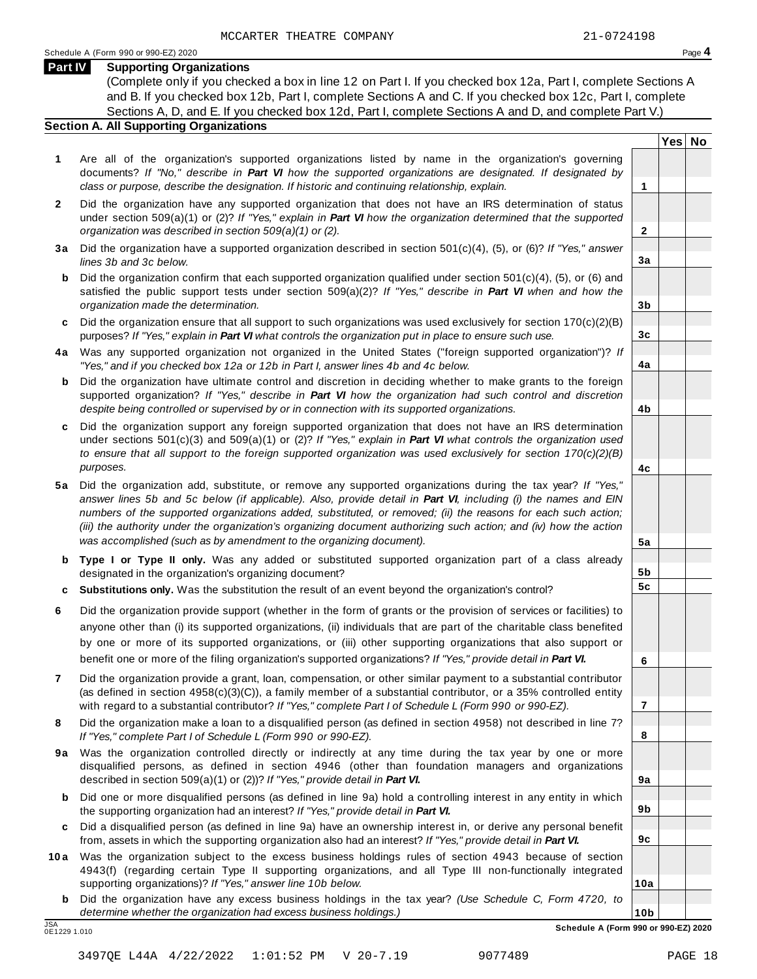**Yes No**

**2**

**3a**

**3b**

**3c**

**4a**

**4b**

**4c**

**5a**

**5b 5c**

**6**

**7**

**8**

**9a**

**9b**

**9c**

**10a**

#### **Part IV Supporting Organizations**

(Complete only if you checked a box in line 12 on Part I. If you checked box 12a, Part I, complete Sections A and B. If you checked box 12b, Part I, complete Sections A and C. If you checked box 12c, Part I, complete Sections A, D, and E. If you checked box 12d, Part I, complete Sections A and D, and complete Part V.)

#### **Section A. All Supporting Organizations**

- **1** Are all of the organization's supported organizations listed by name in the organization's governing documents? *If "No," describe in Part VI how the supported organizations are designated. If designated by class or purpose, describe the designation. If historic and continuing relationship, explain.* **1**
- **2** Did the organization have any supported organization that does not have an IRS determination of status under section 509(a)(1) or (2)? *If"Yes," explain in Part VI how the organization determined that the supported organization was described in section 509(a)(1) or (2).*
- **3 a** Did the organization have a supported organization described in section 501(c)(4), (5), or (6)? *If "Yes," answer lines 3b and 3c below.*
- **b** Did the organization confirm that each supported organization qualified under section 501(c)(4), (5), or (6) and | satisfied the public support tests under section 509(a)(2)? *If "Yes," describe in Part VI when and how the organization made the determination.*
- **c** Did the organization ensure that all support to such organizations was used exclusively for section 170(c)(2)(B) purposes? *If"Yes," explain in Part VI what controls the organization put in place to ensure such use.*
- **4 a** Was any supported organization not organized in the United States ("foreign supported organization")? *If "Yes," and if you checked box 12a or 12b in Part I, answer lines 4b and 4c below.*
- **b** Did the organization have ultimate control and discretion in deciding whether to make grants to the foreign | supported organization? *If "Yes," describe in Part VI how the organization had such control and discretion despite being controlled or supervised by or in connection with its supported organizations.*
- **c** Did the organization support any foreign supported organization that does not have an IRS determination under sections 501(c)(3) and 509(a)(1) or (2)? *If "Yes," explain in Part VI what controls the organization used to ensure that all support to the foreign supported organization was used exclusively for section 170(c)(2)(B) purposes.*
- **5 a** Did the organization add, substitute, or remove any supported organizations during the tax year? *If "Yes,"* answer lines 5b and 5c below (if applicable). Also, provide detail in Part VI, including (i) the names and EIN *numbers of the supported organizations added, substituted, or removed; (ii) the reasons for each such action;* (iii) the authority under the organization's organizing document authorizing such action; and (iv) how the action *was accomplished (such as by amendment to the organizing document).*
- **b Type I or Type II only.** Was any added or substituted supported organization part of a class already designated in the organization's organizing document?
- **c Substitutions only.** Was the substitution the result of an event beyond the organization's control?
- **6** Did the organization provide support (whether in the form of grants or the provision of services or facilities) to anyone other than (i) its supported organizations, (ii) individuals that are part of the charitable class benefited by one or more of its supported organizations, or (iii) other supporting organizations that also support or benefit one or more of the filing organization's supported organizations? *If"Yes," provide detail in Part VI.*
- **7** Did the organization provide a grant, loan, compensation, or other similar payment to a substantial contributor (as defined in section 4958(c)(3)(C)), a family member of a substantial contributor, or a 35% controlled entity with regard to a substantial contributor? *If"Yes," complete Part I of Schedule L (Form 990 or 990-EZ).*
- **8** Did the organization make a loan to a disqualified person (as defined in section 4958) not described in line 7? *If "Yes," complete Part I of Schedule L (Form 990 or 990-EZ).*
- **9a** Was the organization controlled directly or indirectly at any time during the tax year by one or more | disqualified persons, as defined in section 4946 (other than foundation managers and organizations described in section 509(a)(1) or (2))? *If"Yes," provide detail in Part VI.*
- **b** Did one or more disqualified persons (as defined in line 9a) hold a controlling interest in any entity in which | the supporting organization had an interest? *If"Yes," provide detail in Part VI.*
- **c** Did a disqualified person (as defined in line 9a) have an ownership interest in, or derive any personal benefit from, assets in which the supporting organization also had an interest? *If"Yes," provide detail in Part VI.*
- **10a** Was the organization subject to the excess business holdings rules of section 4943 because of section | 4943(f) (regarding certain Type II supporting organizations, and all Type III non-functionally integrated supporting organizations)? *If"Yes," answer line 10b below.*
	- **b** Did the organization have any excess business holdings in the tax year? *(Use Schedule C, Form 4720, to determine whether the organization had excess business holdings.)*

0E1229 1.010

**10b** JSA **Schedule A (Form 990 or 990-EZ) 2020**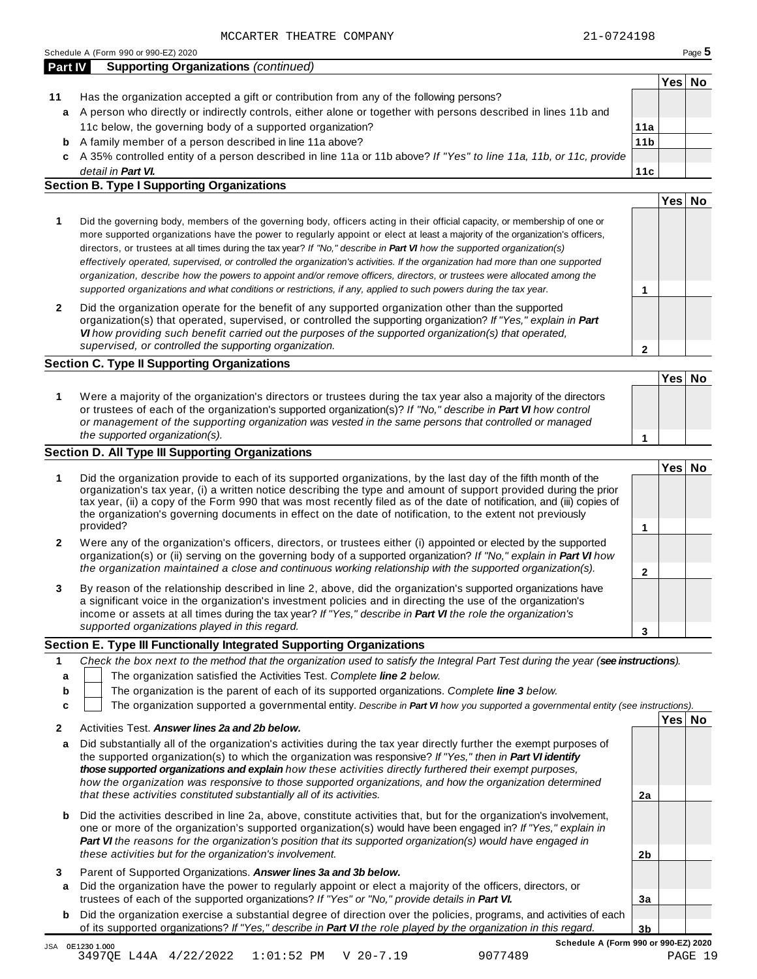**Part IV** 

| <b>Part IV</b> | <b>Supporting Organizations (continued)</b>                                             |          |  |
|----------------|-----------------------------------------------------------------------------------------|----------|--|
|                |                                                                                         | 'Yes∣ No |  |
| 11             | Has the organization accepted a gift or contribution from any of the following persons? |          |  |

- A person who directly or indirectly controls, either alone or together with persons described in lines 11b and **a** 11c below, the governing body of a supported organization?
- A family member of a person described in line 11a above? **b**
- A 35% controlled entity of a person described in line 11a or 11b above? *If"Yes" to line 11a, 11b, or 11c, provide* **c** *detail in Part VI.*

#### **Section B. Type I Supporting Organizations**

|                                                                                                                                                                                                                                                                                                                                                                                                                                                                                                                                                                                                                                                                                                                                                                                 | Yes |  |
|---------------------------------------------------------------------------------------------------------------------------------------------------------------------------------------------------------------------------------------------------------------------------------------------------------------------------------------------------------------------------------------------------------------------------------------------------------------------------------------------------------------------------------------------------------------------------------------------------------------------------------------------------------------------------------------------------------------------------------------------------------------------------------|-----|--|
| Did the governing body, members of the governing body, officers acting in their official capacity, or membership of one or<br>more supported organizations have the power to regularly appoint or elect at least a majority of the organization's officers,<br>directors, or trustees at all times during the tax year? If "No," describe in <b>Part VI</b> how the supported organization(s)<br>effectively operated, supervised, or controlled the organization's activities. If the organization had more than one supported<br>organization, describe how the powers to appoint and/or remove officers, directors, or trustees were allocated among the<br>supported organizations and what conditions or restrictions, if any, applied to such powers during the tax year. |     |  |
| Did the organization operate for the benefit of any supported organization other than the supported<br>organization(s) that operated, supervised, or controlled the supporting organization? If "Yes," explain in Part<br>VI how providing such benefit carried out the purposes of the supported organization(s) that operated,<br>supervised, or controlled the supporting organization.                                                                                                                                                                                                                                                                                                                                                                                      |     |  |

#### **Section C. Type II Supporting Organizations**

**1 Yes No 1** Were a majority of the organization's directors or trustees during the tax year also a majority of the directors or trustees of each of the organization's supported organization(s)? *If"No," describe in Part VI how control or management of the supporting organization was vested in the same persons that controlled or managed the supported organization(s).*

#### **Section D. All Type III Supporting Organizations**

|              |                                                                                                                                                                                                                                                                                                                                                                                                                                                                                          |  | Yes⊺ |  |
|--------------|------------------------------------------------------------------------------------------------------------------------------------------------------------------------------------------------------------------------------------------------------------------------------------------------------------------------------------------------------------------------------------------------------------------------------------------------------------------------------------------|--|------|--|
|              | Did the organization provide to each of its supported organizations, by the last day of the fifth month of the<br>organization's tax year, (i) a written notice describing the type and amount of support provided during the prior<br>tax year, (ii) a copy of the Form 990 that was most recently filed as of the date of notification, and (iii) copies of<br>the organization's governing documents in effect on the date of notification, to the extent not previously<br>provided? |  |      |  |
| $\mathbf{2}$ | Were any of the organization's officers, directors, or trustees either (i) appointed or elected by the supported<br>organization(s) or (ii) serving on the governing body of a supported organization? If "No," explain in Part VI how                                                                                                                                                                                                                                                   |  |      |  |
|              | the organization maintained a close and continuous working relationship with the supported organization(s).                                                                                                                                                                                                                                                                                                                                                                              |  |      |  |
| 3            | By reason of the relationship described in line 2, above, did the organization's supported organizations have<br>a significant voice in the organization's investment policies and in directing the use of the organization's<br>income or assets at all times during the tax year? If "Yes," describe in Part VI the role the organization's                                                                                                                                            |  |      |  |
|              | supported organizations played in this regard.                                                                                                                                                                                                                                                                                                                                                                                                                                           |  |      |  |

#### **Section E. Type III Functionally Integrated Supporting Organizations**

|   | Check the box next to the method that the organization used to satisfy the Integral Part Test during the year (see instructions). |  |          |  |  |  |
|---|-----------------------------------------------------------------------------------------------------------------------------------|--|----------|--|--|--|
|   | The organization satisfied the Activities Test. Complete line 2 below.                                                            |  |          |  |  |  |
| b | The organization is the parent of each of its supported organizations. Complete line 3 below.                                     |  |          |  |  |  |
|   | The organization supported a governmental entity. Describe in Part VI how you supported a governmental entity (see instructions). |  |          |  |  |  |
|   |                                                                                                                                   |  | `Yes∣ No |  |  |  |
|   | Activities Test. Answer lines 2a and 2b below.                                                                                    |  |          |  |  |  |

|   | , why wo red. And the model one and the boot                                                                                                                                                                                                                                                                                                                                                                                                                     |    |  |
|---|------------------------------------------------------------------------------------------------------------------------------------------------------------------------------------------------------------------------------------------------------------------------------------------------------------------------------------------------------------------------------------------------------------------------------------------------------------------|----|--|
| a | Did substantially all of the organization's activities during the tax year directly further the exempt purposes of<br>the supported organization(s) to which the organization was responsive? If "Yes," then in <b>Part VI identify</b><br>those supported organizations and explain how these activities directly furthered their exempt purposes.<br>how the organization was responsive to those supported organizations, and how the organization determined |    |  |
|   | that these activities constituted substantially all of its activities.                                                                                                                                                                                                                                                                                                                                                                                           | 2a |  |
| b | Did the activities described in line 2a, above, constitute activities that, but for the organization's involvement,<br>one or more of the organization's supported organization(s) would have been engaged in? If "Yes," explain in<br>Part VI the reasons for the organization's position that its supported organization(s) would have engaged in<br>these activities but for the organization's involvement.                                                  | 2b |  |
|   |                                                                                                                                                                                                                                                                                                                                                                                                                                                                  |    |  |
| 3 | Parent of Supported Organizations. Answer lines 3a and 3b below.                                                                                                                                                                                                                                                                                                                                                                                                 |    |  |
| a | Did the organization have the power to regularly appoint or elect a majority of the officers, directors, or                                                                                                                                                                                                                                                                                                                                                      |    |  |
|   | trustees of each of the supported organizations? If "Yes" or "No," provide details in Part VI.                                                                                                                                                                                                                                                                                                                                                                   | 3a |  |
| b | Did the organization exercise a substantial degree of direction over the policies, programs, and activities of each                                                                                                                                                                                                                                                                                                                                              |    |  |
|   | of its supported organizations? If "Yes," describe in <b>Part VI</b> the role played by the organization in this regard.                                                                                                                                                                                                                                                                                                                                         | 3b |  |

**11a 11b**

**11c**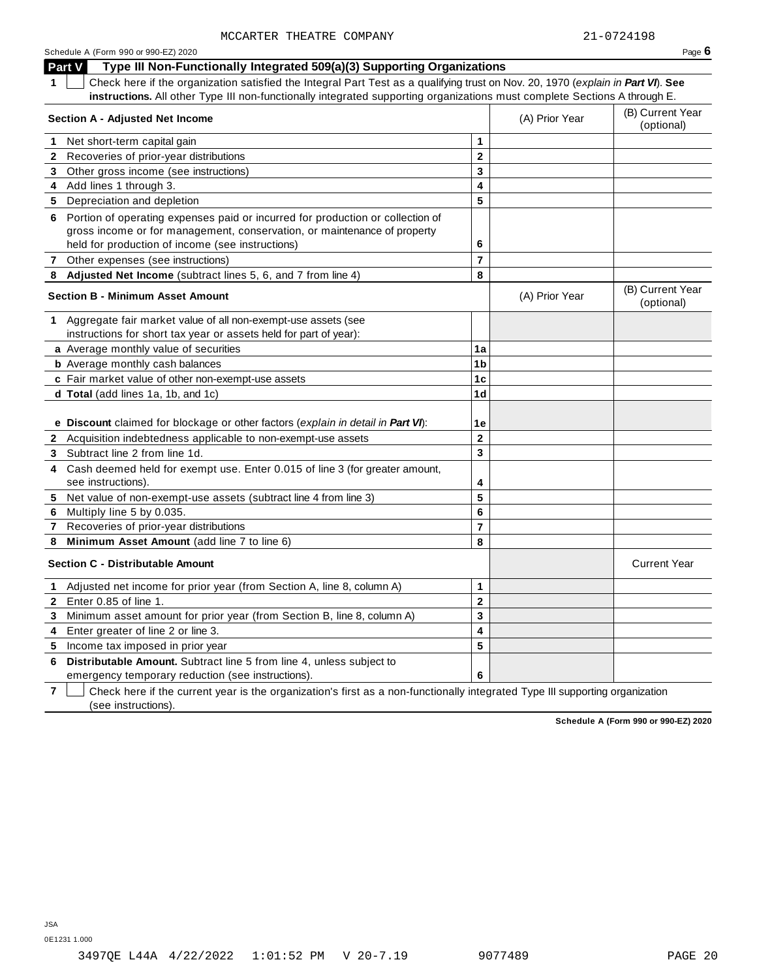| Schedule A (Form 990 or 990-EZ) 2020                                                                                                            |                |                | Page $6$                       |
|-------------------------------------------------------------------------------------------------------------------------------------------------|----------------|----------------|--------------------------------|
| Type III Non-Functionally Integrated 509(a)(3) Supporting Organizations<br>Part V                                                               |                |                |                                |
| Check here if the organization satisfied the Integral Part Test as a qualifying trust on Nov. 20, 1970 (explain in Part VI). See<br>$\mathbf 1$ |                |                |                                |
| instructions. All other Type III non-functionally integrated supporting organizations must complete Sections A through E.                       |                |                |                                |
| <b>Section A - Adjusted Net Income</b>                                                                                                          |                | (A) Prior Year | (B) Current Year<br>(optional) |
| Net short-term capital gain<br>$\mathbf 1$                                                                                                      | 1              |                |                                |
| 2 Recoveries of prior-year distributions                                                                                                        | $\mathbf 2$    |                |                                |
| 3 Other gross income (see instructions)                                                                                                         | 3              |                |                                |
| 4 Add lines 1 through 3.                                                                                                                        | 4              |                |                                |
| 5 Depreciation and depletion                                                                                                                    | 5              |                |                                |
| 6 Portion of operating expenses paid or incurred for production or collection of                                                                |                |                |                                |
| gross income or for management, conservation, or maintenance of property                                                                        |                |                |                                |
| held for production of income (see instructions)                                                                                                | 6              |                |                                |
| 7 Other expenses (see instructions)                                                                                                             | $\overline{7}$ |                |                                |
| Adjusted Net Income (subtract lines 5, 6, and 7 from line 4)<br>8                                                                               | 8              |                |                                |
| <b>Section B - Minimum Asset Amount</b>                                                                                                         |                | (A) Prior Year | (B) Current Year<br>(optional) |
| 1 Aggregate fair market value of all non-exempt-use assets (see                                                                                 |                |                |                                |
| instructions for short tax year or assets held for part of year):                                                                               |                |                |                                |
| a Average monthly value of securities                                                                                                           | 1a             |                |                                |
| <b>b</b> Average monthly cash balances                                                                                                          | 1 <sub>b</sub> |                |                                |
| c Fair market value of other non-exempt-use assets                                                                                              | 1 <sub>c</sub> |                |                                |
| d Total (add lines 1a, 1b, and 1c)                                                                                                              | 1 <sub>d</sub> |                |                                |
|                                                                                                                                                 |                |                |                                |
| e Discount claimed for blockage or other factors (explain in detail in Part VI):                                                                | 1e             |                |                                |
| 2 Acquisition indebtedness applicable to non-exempt-use assets                                                                                  | $\mathbf 2$    |                |                                |
| Subtract line 2 from line 1d.<br>3                                                                                                              | 3              |                |                                |
| Cash deemed held for exempt use. Enter 0.015 of line 3 (for greater amount,<br>4<br>see instructions).                                          | 4              |                |                                |
| 5 Net value of non-exempt-use assets (subtract line 4 from line 3)                                                                              | 5              |                |                                |
| Multiply line 5 by 0.035.<br>6                                                                                                                  | 6              |                |                                |
| Recoveries of prior-year distributions<br>$\overline{7}$                                                                                        | 7              |                |                                |
| Minimum Asset Amount (add line 7 to line 6)<br>8                                                                                                | 8              |                |                                |
| <b>Section C - Distributable Amount</b>                                                                                                         |                |                | <b>Current Year</b>            |
| 1 Adjusted net income for prior year (from Section A, line 8, column A)                                                                         | $\mathbf{1}$   |                |                                |
| 2 Enter 0.85 of line 1.                                                                                                                         | $\mathbf{2}$   |                |                                |
| Minimum asset amount for prior year (from Section B, line 8, column A)<br>3                                                                     | 3              |                |                                |
| Enter greater of line 2 or line 3.<br>4                                                                                                         | 4              |                |                                |
| Income tax imposed in prior year<br>5                                                                                                           | 5              |                |                                |
| 6<br>Distributable Amount. Subtract line 5 from line 4, unless subject to                                                                       |                |                |                                |
| emergency temporary reduction (see instructions).                                                                                               | 6              |                |                                |

**7** Check here if the current year is the organization's first as a non-functionally integrated Type III supporting organization (see instructions).

**Schedule A (Form 990 or 990-EZ) 2020**

0E1231 1.000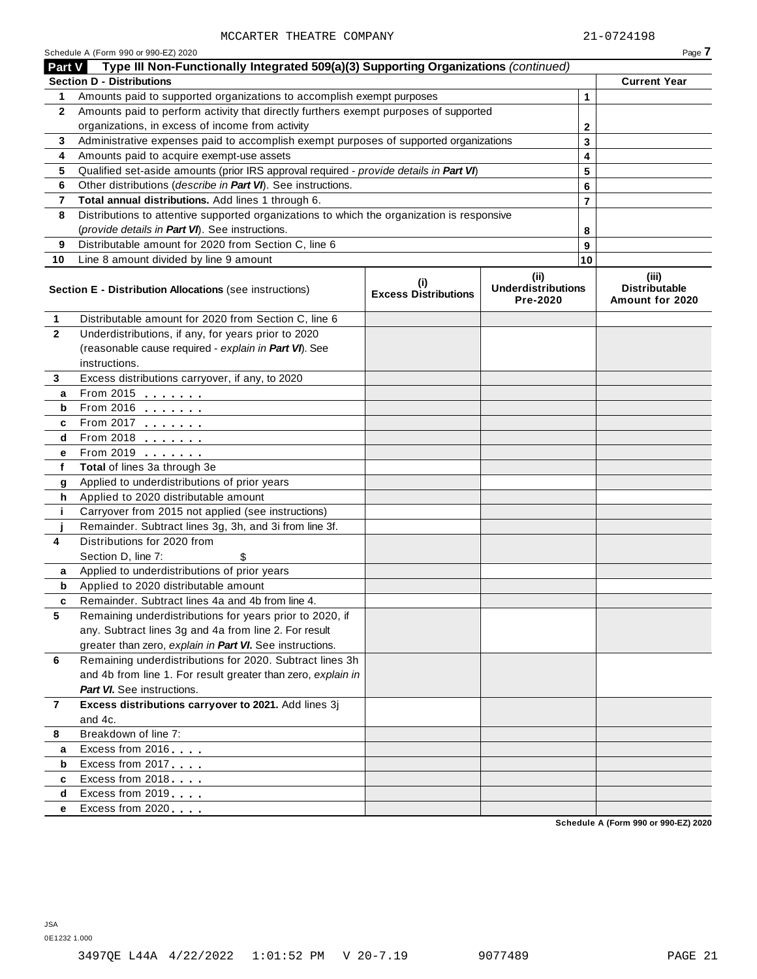Schedule A (Form 990 or 990-EZ) 2020 Page **7** 

|              | Part V Type III Non-Functionally Integrated 509(a)(3) Supporting Organizations (continued) |                                    |                                                      |                |                                                  |
|--------------|--------------------------------------------------------------------------------------------|------------------------------------|------------------------------------------------------|----------------|--------------------------------------------------|
|              | <b>Section D - Distributions</b>                                                           |                                    |                                                      |                | <b>Current Year</b>                              |
| 1            | Amounts paid to supported organizations to accomplish exempt purposes                      |                                    |                                                      | 1              |                                                  |
| $\mathbf{2}$ | Amounts paid to perform activity that directly furthers exempt purposes of supported       |                                    |                                                      |                |                                                  |
|              | organizations, in excess of income from activity                                           |                                    |                                                      | 2              |                                                  |
| 3            | Administrative expenses paid to accomplish exempt purposes of supported organizations      |                                    |                                                      | 3              |                                                  |
| 4            | Amounts paid to acquire exempt-use assets                                                  |                                    |                                                      | 4              |                                                  |
| 5            | Qualified set-aside amounts (prior IRS approval required - provide details in Part VI)     |                                    |                                                      | 5              |                                                  |
| 6            | Other distributions (describe in Part VI). See instructions.                               |                                    |                                                      | 6              |                                                  |
| 7            | Total annual distributions. Add lines 1 through 6.                                         |                                    |                                                      | $\overline{7}$ |                                                  |
| 8            | Distributions to attentive supported organizations to which the organization is responsive |                                    |                                                      |                |                                                  |
|              | (provide details in Part VI). See instructions.                                            |                                    |                                                      | 8              |                                                  |
| 9            | Distributable amount for 2020 from Section C, line 6                                       |                                    |                                                      | 9              |                                                  |
| 10           | Line 8 amount divided by line 9 amount                                                     |                                    |                                                      | 10             |                                                  |
|              | Section E - Distribution Allocations (see instructions)                                    | (i)<br><b>Excess Distributions</b> | (ii)<br><b>Underdistributions</b><br><b>Pre-2020</b> |                | (iii)<br><b>Distributable</b><br>Amount for 2020 |
| 1            | Distributable amount for 2020 from Section C, line 6                                       |                                    |                                                      |                |                                                  |
| $\mathbf{2}$ | Underdistributions, if any, for years prior to 2020                                        |                                    |                                                      |                |                                                  |
|              | (reasonable cause required - explain in Part VI). See                                      |                                    |                                                      |                |                                                  |
|              | instructions.                                                                              |                                    |                                                      |                |                                                  |
| 3            | Excess distributions carryover, if any, to 2020                                            |                                    |                                                      |                |                                                  |
| a            | From 2015 $\frac{1}{2}$                                                                    |                                    |                                                      |                |                                                  |
| b            | From 2016 $\frac{1}{\sqrt{2}}$                                                             |                                    |                                                      |                |                                                  |
| c            | From 2017 $\frac{1}{2}$                                                                    |                                    |                                                      |                |                                                  |
| d            | From 2018                                                                                  |                                    |                                                      |                |                                                  |
| е            | From 2019 <b>Figure 1.1 (1994)</b>                                                         |                                    |                                                      |                |                                                  |
| $\mathbf f$  | Total of lines 3a through 3e                                                               |                                    |                                                      |                |                                                  |
| g            | Applied to underdistributions of prior years                                               |                                    |                                                      |                |                                                  |
| h            | Applied to 2020 distributable amount                                                       |                                    |                                                      |                |                                                  |
| j.           | Carryover from 2015 not applied (see instructions)                                         |                                    |                                                      |                |                                                  |
| j            | Remainder. Subtract lines 3g, 3h, and 3i from line 3f.                                     |                                    |                                                      |                |                                                  |
| 4            | Distributions for 2020 from                                                                |                                    |                                                      |                |                                                  |
|              | Section D, line 7:<br>\$                                                                   |                                    |                                                      |                |                                                  |
| a            | Applied to underdistributions of prior years                                               |                                    |                                                      |                |                                                  |
| b            | Applied to 2020 distributable amount<br>Remainder. Subtract lines 4a and 4b from line 4.   |                                    |                                                      |                |                                                  |
| c            | Remaining underdistributions for years prior to 2020, if                                   |                                    |                                                      |                |                                                  |
| 5            | any. Subtract lines 3g and 4a from line 2. For result                                      |                                    |                                                      |                |                                                  |
|              | greater than zero, explain in Part VI. See instructions.                                   |                                    |                                                      |                |                                                  |
| 6            | Remaining underdistributions for 2020. Subtract lines 3h                                   |                                    |                                                      |                |                                                  |
|              | and 4b from line 1. For result greater than zero, explain in                               |                                    |                                                      |                |                                                  |
|              | <b>Part VI.</b> See instructions.                                                          |                                    |                                                      |                |                                                  |
| 7            | Excess distributions carryover to 2021. Add lines 3j                                       |                                    |                                                      |                |                                                  |
|              | and 4c.                                                                                    |                                    |                                                      |                |                                                  |
| 8            | Breakdown of line 7:                                                                       |                                    |                                                      |                |                                                  |
| а            | Excess from 2016                                                                           |                                    |                                                      |                |                                                  |
| b            | Excess from 2017                                                                           |                                    |                                                      |                |                                                  |
| c            | Excess from 2018                                                                           |                                    |                                                      |                |                                                  |
| d            | Excess from 2019                                                                           |                                    |                                                      |                |                                                  |
| е            | Excess from 2020                                                                           |                                    |                                                      |                |                                                  |
|              |                                                                                            |                                    |                                                      |                |                                                  |

**Schedule A (Form 990 or 990-EZ) 2020**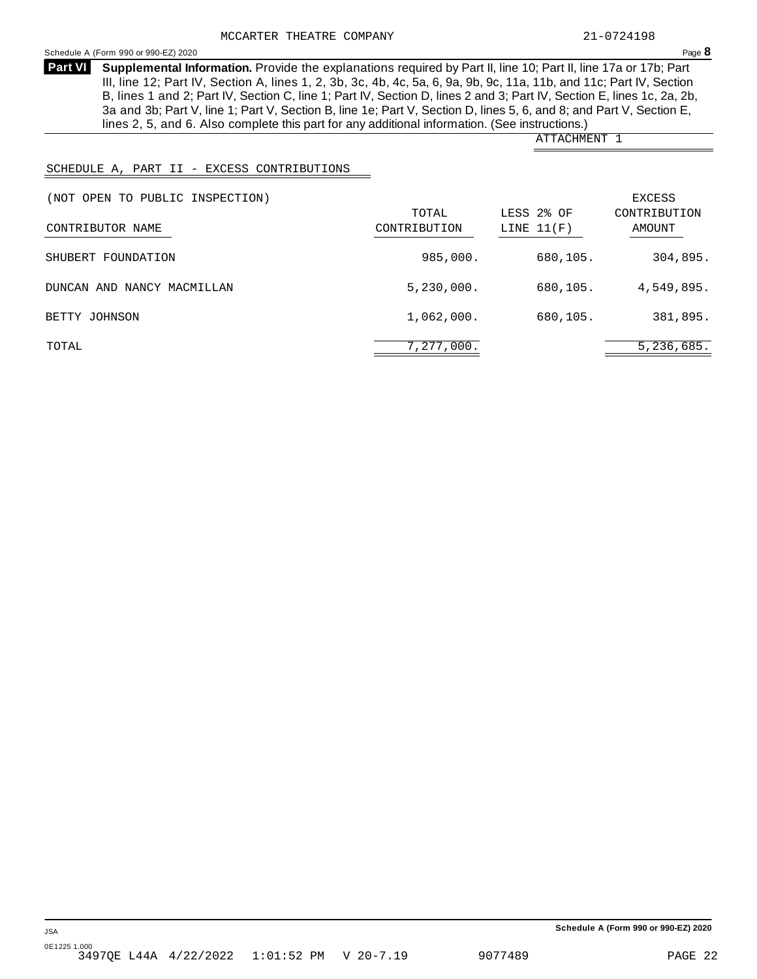<span id="page-21-0"></span>Schedule <sup>A</sup> (Form <sup>990</sup> or 990-EZ) <sup>2020</sup> Page **8**

**Supplemental Information.** Provide the explanations required by Part II, line 10; Part II, line 17a or 17b; Part **Part VI** III, line 12; Part IV, Section A, lines 1, 2, 3b, 3c, 4b, 4c, 5a, 6, 9a, 9b, 9c, 11a, 11b, and 11c; Part IV, Section B, lines 1 and 2; Part IV, Section C, line 1; Part IV, Section D, lines 2 and 3; Part IV, Section E, lines 1c, 2a, 2b, 3a and 3b; Part V, line 1; Part V, Section B, line 1e; Part V, Section D, lines 5, 6, and 8; and Part V, Section E, lines 2, 5, and 6. Also complete this part for any additional information. (See instructions.)

|                                            |              | ATTACHMENT 1 |              |
|--------------------------------------------|--------------|--------------|--------------|
| SCHEDULE A, PART II - EXCESS CONTRIBUTIONS |              |              |              |
| (NOT OPEN TO PUBLIC INSPECTION)            |              |              | EXCESS       |
|                                            | TOTAL        | LESS 2% OF   | CONTRIBUTION |
| CONTRIBUTOR NAME                           | CONTRIBUTION | LINE $11(F)$ | AMOUNT       |
| SHUBERT FOUNDATION                         | 985,000.     | 680,105.     | 304,895.     |
| DUNCAN AND NANCY MACMILLAN                 | 5,230,000.   | 680,105.     | 4,549,895.   |
| BETTY JOHNSON                              | 1,062,000.   | 680,105.     | 381,895.     |
| TOTAL                                      | 7,277,000.   |              | 5,236,685.   |

**Schedule A (Form 990 or 990-EZ) 2020**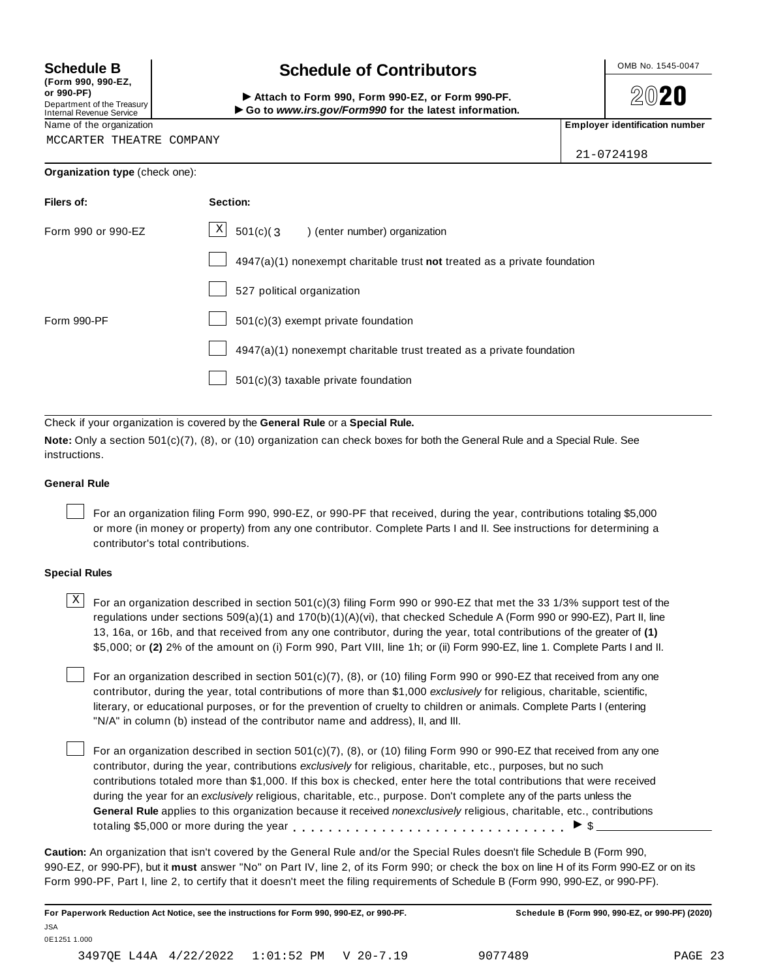**(Form 990, 990-EZ, or 990-PF)** Department of the Treasury<br>Internal Revenue Service

### **Schedule B chedule of Contributors**

(Form 990, 990-EZ,<br>
or 990-PF,<br>
Department of the Treasury **COLOCY**<br>
Internal Revenue Service **COLOCY**<br>
Name of the organization<br>
Name of the organization

**2020** 

21-0724198

MCCARTER THEATRE COMPANY

| Organization type (check one): |  |
|--------------------------------|--|
|--------------------------------|--|

| Filers of:         | Section:                                                                    |
|--------------------|-----------------------------------------------------------------------------|
| Form 990 or 990-EZ | $\mathbf{X}$<br>$501(c)$ (3<br>) (enter number) organization                |
|                    | $4947(a)(1)$ nonexempt charitable trust not treated as a private foundation |
|                    | 527 political organization                                                  |
| Form 990-PF        | $501(c)(3)$ exempt private foundation                                       |
|                    | 4947(a)(1) nonexempt charitable trust treated as a private foundation       |
|                    | $501(c)(3)$ taxable private foundation                                      |

Check if your organization is covered by the **General Rule** or a **Special Rule.**

**Note:** Only a section 501(c)(7), (8), or (10) organization can check boxes for both the General Rule and a Special Rule. See instructions.

#### **General Rule**

For an organization filing Form 990, 990-EZ, or 990-PF that received, during the year, contributions totaling \$5,000 or more (in money or property) from any one contributor. Complete Parts I and II. See instructions for determining a contributor's total contributions.

#### **Special Rules**

 $\text{X}$  For an organization described in section 501(c)(3) filing Form 990 or 990-EZ that met the 33 1/3% support test of the regulations under sections 509(a)(1) and 170(b)(1)(A)(vi), that checked Schedule A (Form 990 or 990-EZ), Part II, line 13, 16a, or 16b, and that received from any one contributor, during the year, total contributions of the greater of **(1)** \$5,000; or **(2)** 2% of the amount on (i) Form 990, Part VIII, line 1h; or (ii) Form 990-EZ, line 1. Complete Parts I and II.

For an organization described in section 501(c)(7), (8), or (10) filing Form 990 or 990-EZ that received from any one contributor, during the year, total contributions of more than \$1,000 *exclusively* for religious, charitable, scientific, literary, or educational purposes, or for the prevention of cruelty to children or animals. Complete Parts I (entering "N/A" in column (b) instead of the contributor name and address), II, and III.

For an organization described in section 501(c)(7), (8), or (10) filing Form 990 or 990-EZ that received from any one contributor, during the year, contributions *exclusively* for religious, charitable, etc., purposes, but no such contributions totaled more than \$1,000. If this box is checked, enter here the total contributions that were received during the year for an *exclusively* religious, charitable, etc., purpose. Don't complete any of the parts unless the **General Rule** applies to this organization because it received *nonexclusively* religious, charitable, etc., contributions totaling \$5,000 or more during the year  $\ldots \ldots \ldots \ldots \ldots \ldots \ldots \ldots \ldots \vdots$ 

**Caution:** An organization that isn't covered by the General Rule and/or the Special Rules doesn't file Schedule B (Form 990, 990-EZ, or 990-PF), but it **must** answer "No" on Part IV, line 2, of its Form 990; or check the box on line H of its Form 990-EZ or on its Form 990-PF, Part I, line 2, to certify that it doesn't meet the filing requirements of Schedule B (Form 990, 990-EZ, or 990-PF).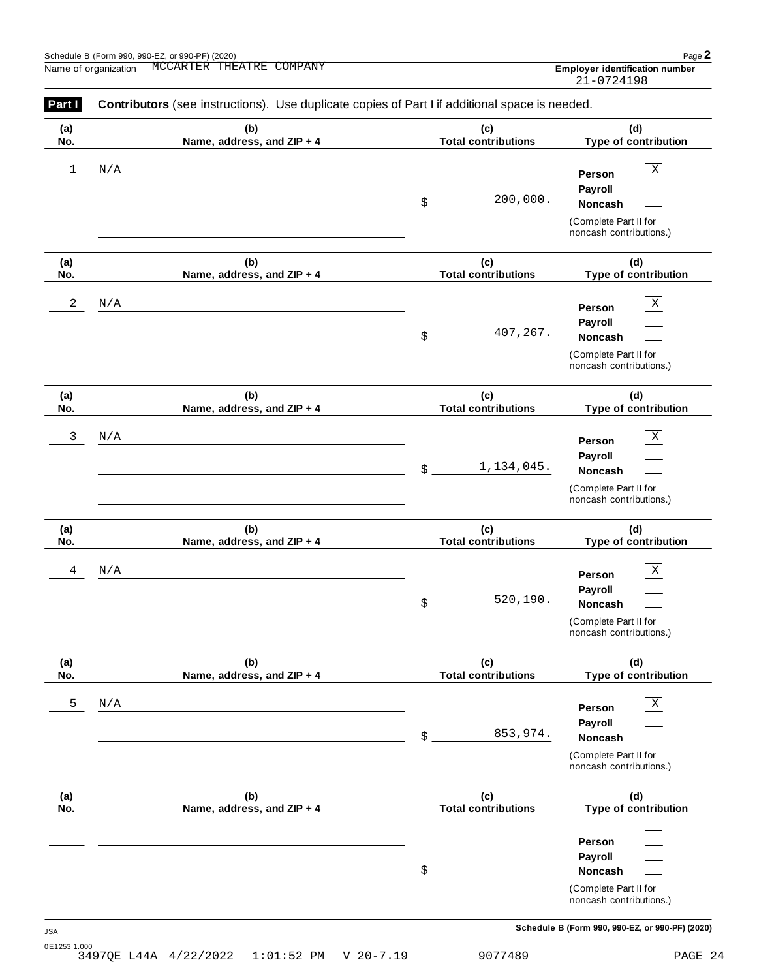| 3 (Form 990. 990-EZ.<br>Schedule    | (2020)<br>r 990-PF)                                             | Page.                               |
|-------------------------------------|-----------------------------------------------------------------|-------------------------------------|
| Name o <sub>u</sub><br>organization | OMPANY<br>THEA.<br><br>.<br>'R F.<br>IVIC<br>$A \ltimes$<br>n F | Emplover<br>' identification number |

| Part I     | Contributors (see instructions). Use duplicate copies of Part I if additional space is needed. |                                   |                                                                                       |  |  |  |
|------------|------------------------------------------------------------------------------------------------|-----------------------------------|---------------------------------------------------------------------------------------|--|--|--|
| (a)<br>No. | (b)<br>Name, address, and ZIP + 4                                                              | (c)<br><b>Total contributions</b> | (d)<br>Type of contribution                                                           |  |  |  |
| 1          | N/A                                                                                            | 200,000.<br>\$                    | Χ<br>Person<br>Payroll<br>Noncash<br>(Complete Part II for<br>noncash contributions.) |  |  |  |
| (a)<br>No. | (b)<br>Name, address, and ZIP + 4                                                              | (c)<br><b>Total contributions</b> | (d)<br>Type of contribution                                                           |  |  |  |
| 2          | N/A                                                                                            | 407, 267.<br>\$                   | Χ<br>Person<br>Payroll<br>Noncash<br>(Complete Part II for<br>noncash contributions.) |  |  |  |
| (a)<br>No. | (b)<br>Name, address, and ZIP + 4                                                              | (c)<br><b>Total contributions</b> | (d)<br>Type of contribution                                                           |  |  |  |
| 3          | N/A                                                                                            | 1,134,045.<br>\$                  | Χ<br>Person<br>Payroll<br>Noncash<br>(Complete Part II for<br>noncash contributions.) |  |  |  |
| (a)<br>No. | (b)<br>Name, address, and ZIP + 4                                                              | (c)<br><b>Total contributions</b> | (d)<br>Type of contribution                                                           |  |  |  |
| 4          | N/A                                                                                            | 520,190.<br>\$                    | Χ<br>Person<br>Payroll<br>Noncash<br>(Complete Part II for<br>noncash contributions.) |  |  |  |
| (a)<br>No. | (b)<br>Name, address, and ZIP + 4                                                              | (c)<br><b>Total contributions</b> | (d)<br>Type of contribution                                                           |  |  |  |
| 5          | N/A                                                                                            | 853,974.<br>\$                    | Χ<br>Person<br>Payroll<br>Noncash<br>(Complete Part II for<br>noncash contributions.) |  |  |  |
| (a)<br>No. | (b)<br>Name, address, and ZIP + 4                                                              | (c)<br><b>Total contributions</b> | (d)<br>Type of contribution                                                           |  |  |  |
|            |                                                                                                | \$                                | Person<br>Payroll<br>Noncash<br>(Complete Part II for<br>noncash contributions.)      |  |  |  |

**Schedule B (Form 990, 990-EZ, or 990-PF) (2020)** JSA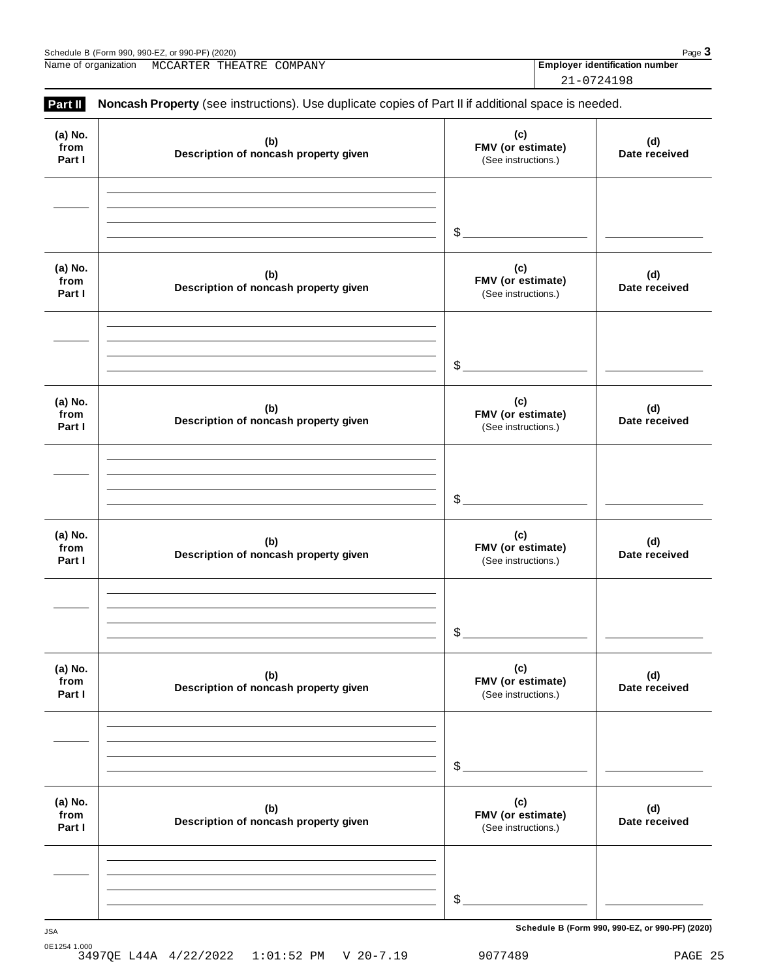| Schedul<br>DE).<br>(2020)<br>าr 990-เ<br>990-EZ<br>990.<br>Horm.<br>. | Pac |
|-----------------------------------------------------------------------|-----|
|                                                                       |     |

| Name of organization | MCCARTER THEATRE COMPANY |  |  |  |
|----------------------|--------------------------|--|--|--|
|----------------------|--------------------------|--|--|--|

Name of organization **Employer identification number** 21-0724198

| Part II                   | Noncash Property (see instructions). Use duplicate copies of Part II if additional space is needed. |                                                 |                      |
|---------------------------|-----------------------------------------------------------------------------------------------------|-------------------------------------------------|----------------------|
| (a) No.<br>from<br>Part I | (b)<br>Description of noncash property given                                                        | (c)<br>FMV (or estimate)<br>(See instructions.) | (d)<br>Date received |
|                           |                                                                                                     | $\delta$                                        |                      |
| (a) No.<br>from<br>Part I | (b)<br>Description of noncash property given                                                        | (c)<br>FMV (or estimate)<br>(See instructions.) | (d)<br>Date received |
|                           |                                                                                                     | $\frac{1}{2}$                                   |                      |
| (a) No.<br>from<br>Part I | (b)<br>Description of noncash property given                                                        | (c)<br>FMV (or estimate)<br>(See instructions.) | (d)<br>Date received |
|                           |                                                                                                     | $\delta$                                        |                      |
| (a) No.<br>from<br>Part I | (b)<br>Description of noncash property given                                                        | (c)<br>FMV (or estimate)<br>(See instructions.) | (d)<br>Date received |
|                           |                                                                                                     | $\$\$                                           |                      |
| (a) No.<br>from<br>Part I | (b)<br>Description of noncash property given                                                        | (c)<br>FMV (or estimate)<br>(See instructions.) | (d)<br>Date received |
|                           |                                                                                                     | \$                                              |                      |
| (a) No.<br>from<br>Part I | (b)<br>Description of noncash property given                                                        | (c)<br>FMV (or estimate)<br>(See instructions.) | (d)<br>Date received |
|                           |                                                                                                     | \$                                              |                      |

**Schedule B (Form 990, 990-EZ, or 990-PF) (2020)** JSA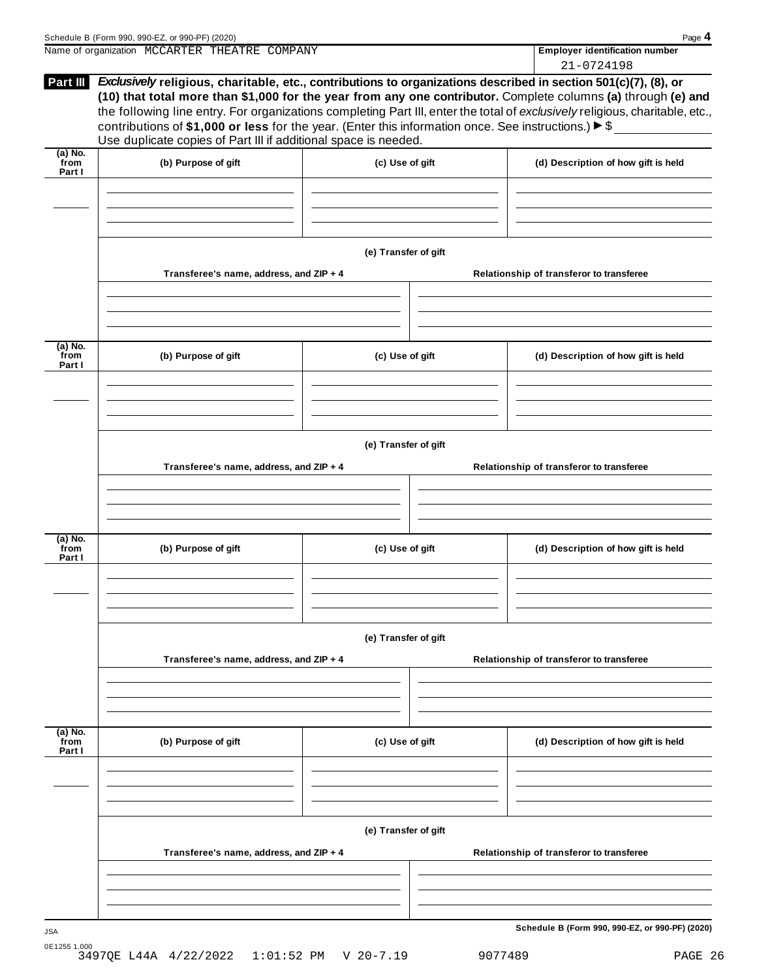|                           | Name of organization MCCARTER THEATRE COMPANY                                                                                                                                                                                                                                                                  |                      | <b>Employer identification number</b>                                                                                                                                                                                                         |
|---------------------------|----------------------------------------------------------------------------------------------------------------------------------------------------------------------------------------------------------------------------------------------------------------------------------------------------------------|----------------------|-----------------------------------------------------------------------------------------------------------------------------------------------------------------------------------------------------------------------------------------------|
|                           |                                                                                                                                                                                                                                                                                                                |                      | 21-0724198                                                                                                                                                                                                                                    |
| Part III                  | Exclusively religious, charitable, etc., contributions to organizations described in section 501(c)(7), (8), or<br>contributions of \$1,000 or less for the year. (Enter this information once. See instructions.) $\blacktriangleright$ \$<br>Use duplicate copies of Part III if additional space is needed. |                      | (10) that total more than \$1,000 for the year from any one contributor. Complete columns (a) through (e) and<br>the following line entry. For organizations completing Part III, enter the total of exclusively religious, charitable, etc., |
| $(a)$ No.                 |                                                                                                                                                                                                                                                                                                                |                      |                                                                                                                                                                                                                                               |
| from<br>Part I            | (b) Purpose of gift                                                                                                                                                                                                                                                                                            | (c) Use of gift      | (d) Description of how gift is held                                                                                                                                                                                                           |
|                           |                                                                                                                                                                                                                                                                                                                | (e) Transfer of gift |                                                                                                                                                                                                                                               |
|                           | Transferee's name, address, and ZIP + 4                                                                                                                                                                                                                                                                        |                      | Relationship of transferor to transferee                                                                                                                                                                                                      |
|                           |                                                                                                                                                                                                                                                                                                                |                      |                                                                                                                                                                                                                                               |
| (a) No.<br>from<br>Part I | (b) Purpose of gift                                                                                                                                                                                                                                                                                            | (c) Use of gift      | (d) Description of how gift is held                                                                                                                                                                                                           |
|                           | Transferee's name, address, and ZIP + 4                                                                                                                                                                                                                                                                        | (e) Transfer of gift | Relationship of transferor to transferee                                                                                                                                                                                                      |
| (a) No.                   |                                                                                                                                                                                                                                                                                                                |                      |                                                                                                                                                                                                                                               |
| from<br>Part I            | (b) Purpose of gift                                                                                                                                                                                                                                                                                            | (c) Use of gift      | (d) Description of how gift is held                                                                                                                                                                                                           |
|                           |                                                                                                                                                                                                                                                                                                                | (e) Transfer of gift |                                                                                                                                                                                                                                               |
|                           | Transferee's name, address, and ZIP + 4                                                                                                                                                                                                                                                                        |                      | Relationship of transferor to transferee                                                                                                                                                                                                      |
|                           |                                                                                                                                                                                                                                                                                                                |                      |                                                                                                                                                                                                                                               |
| $(a)$ No.<br>from         | (b) Purpose of gift                                                                                                                                                                                                                                                                                            | (c) Use of gift      | (d) Description of how gift is held                                                                                                                                                                                                           |

**(e) Transfer of gift**

**Transferee's name, address, and ZIP + 4 Relationship of transferor to transferee Schedule B (Form 990, 990-EZ, or 990-PF) (2020)** JSA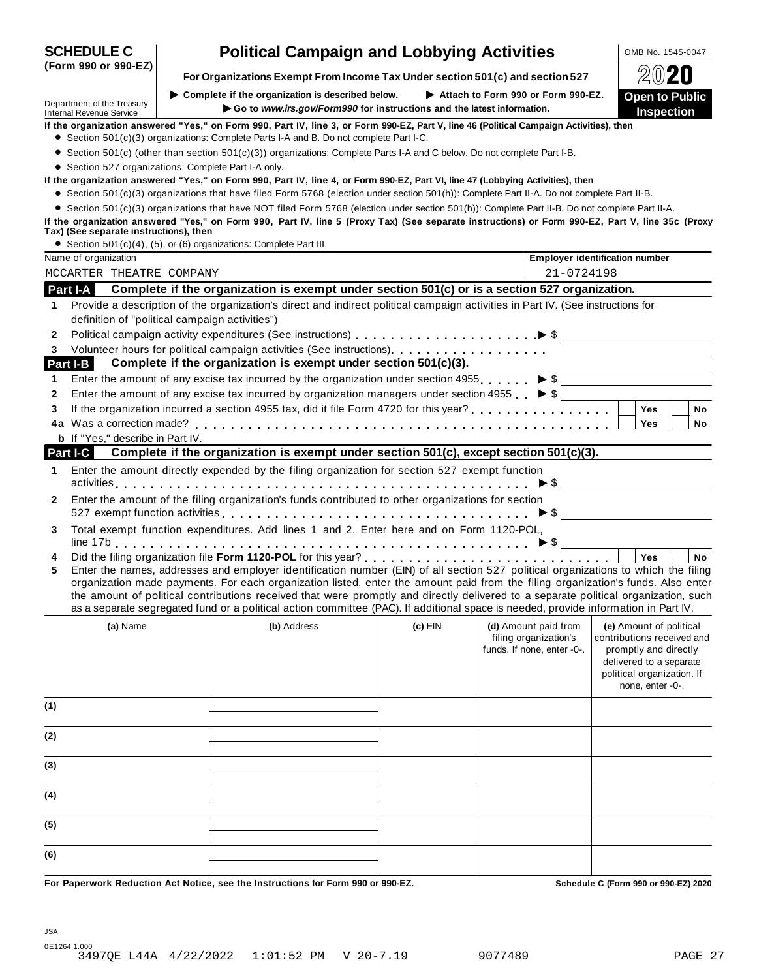|                 | Department of the Treasury                           | $\blacktriangleright$ Complete if the organization is described below. $\blacktriangleright$ Attach to Form 990 or Form 990-EZ.<br>Go to www.irs.gov/Form990 for instructions and the latest information.                                                                  |           |                                                     | <b>Open to Public</b>                                 |
|-----------------|------------------------------------------------------|----------------------------------------------------------------------------------------------------------------------------------------------------------------------------------------------------------------------------------------------------------------------------|-----------|-----------------------------------------------------|-------------------------------------------------------|
|                 | <b>Internal Revenue Service</b>                      |                                                                                                                                                                                                                                                                            |           |                                                     | <b>Inspection</b>                                     |
|                 |                                                      | If the organization answered "Yes," on Form 990, Part IV, line 3, or Form 990-EZ, Part V, line 46 (Political Campaign Activities), then<br>• Section 501(c)(3) organizations: Complete Parts I-A and B. Do not complete Part I-C.                                          |           |                                                     |                                                       |
|                 |                                                      | • Section 501(c) (other than section 501(c)(3)) organizations: Complete Parts I-A and C below. Do not complete Part I-B.                                                                                                                                                   |           |                                                     |                                                       |
|                 | • Section 527 organizations: Complete Part I-A only. |                                                                                                                                                                                                                                                                            |           |                                                     |                                                       |
|                 |                                                      | If the organization answered "Yes," on Form 990, Part IV, line 4, or Form 990-EZ, Part VI, line 47 (Lobbying Activities), then                                                                                                                                             |           |                                                     |                                                       |
|                 |                                                      | • Section 501(c)(3) organizations that have filed Form 5768 (election under section 501(h)): Complete Part II-A. Do not complete Part II-B.                                                                                                                                |           |                                                     |                                                       |
|                 |                                                      | • Section 501(c)(3) organizations that have NOT filed Form 5768 (election under section 501(h)): Complete Part II-B. Do not complete Part II-A.                                                                                                                            |           |                                                     |                                                       |
|                 |                                                      | If the organization answered "Yes," on Form 990, Part IV, line 5 (Proxy Tax) (See separate instructions) or Form 990-EZ, Part V, line 35c (Proxy                                                                                                                           |           |                                                     |                                                       |
|                 | Tax) (See separate instructions), then               |                                                                                                                                                                                                                                                                            |           |                                                     |                                                       |
|                 |                                                      | • Section 501(c)(4), (5), or (6) organizations: Complete Part III.                                                                                                                                                                                                         |           |                                                     |                                                       |
|                 | Name of organization                                 |                                                                                                                                                                                                                                                                            |           |                                                     | <b>Employer identification number</b>                 |
|                 | MCCARTER THEATRE COMPANY                             |                                                                                                                                                                                                                                                                            |           | 21-0724198                                          |                                                       |
| Part I-A        |                                                      | Complete if the organization is exempt under section 501(c) or is a section 527 organization.                                                                                                                                                                              |           |                                                     |                                                       |
| 1               |                                                      | Provide a description of the organization's direct and indirect political campaign activities in Part IV. (See instructions for                                                                                                                                            |           |                                                     |                                                       |
|                 | definition of "political campaign activities")       |                                                                                                                                                                                                                                                                            |           |                                                     |                                                       |
| 2               |                                                      |                                                                                                                                                                                                                                                                            |           |                                                     |                                                       |
| 3               |                                                      |                                                                                                                                                                                                                                                                            |           |                                                     |                                                       |
| <b>Part I-B</b> |                                                      | Complete if the organization is exempt under section 501(c)(3).                                                                                                                                                                                                            |           |                                                     |                                                       |
| 1               |                                                      | Enter the amount of any excise tax incurred by the organization under section 4955. $\triangleright$ \$                                                                                                                                                                    |           |                                                     |                                                       |
| 2               |                                                      | Enter the amount of any excise tax incurred by organization managers under section 4955 $\triangleright$ \$                                                                                                                                                                |           |                                                     |                                                       |
| 3               |                                                      |                                                                                                                                                                                                                                                                            |           |                                                     | <b>Yes</b><br>No                                      |
|                 |                                                      |                                                                                                                                                                                                                                                                            |           |                                                     | Yes<br>No                                             |
|                 | <b>b</b> If "Yes," describe in Part IV.              |                                                                                                                                                                                                                                                                            |           |                                                     |                                                       |
| Part I-C I      |                                                      | Complete if the organization is exempt under section 501(c), except section 501(c)(3).                                                                                                                                                                                     |           |                                                     |                                                       |
| 1               |                                                      | Enter the amount directly expended by the filing organization for section 527 exempt function                                                                                                                                                                              |           |                                                     |                                                       |
|                 |                                                      |                                                                                                                                                                                                                                                                            |           |                                                     |                                                       |
| 2               |                                                      | Enter the amount of the filing organization's funds contributed to other organizations for section                                                                                                                                                                         |           |                                                     |                                                       |
|                 |                                                      |                                                                                                                                                                                                                                                                            |           |                                                     |                                                       |
| 3               |                                                      | Total exempt function expenditures. Add lines 1 and 2. Enter here and on Form 1120-POL,                                                                                                                                                                                    |           |                                                     |                                                       |
|                 |                                                      |                                                                                                                                                                                                                                                                            |           |                                                     |                                                       |
| 4               |                                                      |                                                                                                                                                                                                                                                                            |           |                                                     | <b>No</b><br><b>Yes</b>                               |
| 5               |                                                      | Enter the names, addresses and employer identification number (EIN) of all section 527 political organizations to which the filing                                                                                                                                         |           |                                                     |                                                       |
|                 |                                                      | organization made payments. For each organization listed, enter the amount paid from the filing organization's funds. Also enter                                                                                                                                           |           |                                                     |                                                       |
|                 |                                                      | the amount of political contributions received that were promptly and directly delivered to a separate political organization, such<br>as a separate segregated fund or a political action committee (PAC). If additional space is needed, provide information in Part IV. |           |                                                     |                                                       |
|                 |                                                      |                                                                                                                                                                                                                                                                            |           |                                                     |                                                       |
|                 | (a) Name                                             | (b) Address                                                                                                                                                                                                                                                                | $(c)$ EIN | (d) Amount paid from                                | (e) Amount of political<br>contributions received and |
|                 |                                                      |                                                                                                                                                                                                                                                                            |           | filing organization's<br>funds. If none, enter -0-. | promptly and directly                                 |
|                 |                                                      |                                                                                                                                                                                                                                                                            |           |                                                     | delivered to a separate                               |
|                 |                                                      |                                                                                                                                                                                                                                                                            |           |                                                     | political organization. If                            |
|                 |                                                      |                                                                                                                                                                                                                                                                            |           |                                                     | none, enter -0-.                                      |
| (1)             |                                                      |                                                                                                                                                                                                                                                                            |           |                                                     |                                                       |
|                 |                                                      |                                                                                                                                                                                                                                                                            |           |                                                     |                                                       |
| (2)             |                                                      |                                                                                                                                                                                                                                                                            |           |                                                     |                                                       |
|                 |                                                      |                                                                                                                                                                                                                                                                            |           |                                                     |                                                       |
| (3)             |                                                      |                                                                                                                                                                                                                                                                            |           |                                                     |                                                       |
|                 |                                                      |                                                                                                                                                                                                                                                                            |           |                                                     |                                                       |
| (4)             |                                                      |                                                                                                                                                                                                                                                                            |           |                                                     |                                                       |
|                 |                                                      |                                                                                                                                                                                                                                                                            |           |                                                     |                                                       |
| (5)             |                                                      |                                                                                                                                                                                                                                                                            |           |                                                     |                                                       |
|                 |                                                      |                                                                                                                                                                                                                                                                            |           |                                                     |                                                       |
|                 |                                                      |                                                                                                                                                                                                                                                                            |           |                                                     |                                                       |
| (6)             |                                                      |                                                                                                                                                                                                                                                                            |           |                                                     |                                                       |

**For Organizations Exempt From Income Tax Under section 501(c) and section 527**  $\bigotimes_{\mathbb{R}} \mathbb{Q} \otimes \mathbb{Z}$ 

I **Complete if the organization is described below.** I **Attach to Form <sup>990</sup> or Form 990-EZ. Open to Public**

**EXECULE 20 INCREDULE 20 ACTIVITIES LOBB No. 1545-0047 litical Campaign and Lobbying Activities** 

|  | <b>SCHEDULE C</b> |                      |  |
|--|-------------------|----------------------|--|
|  |                   | (Form 990 or 990-EZ) |  |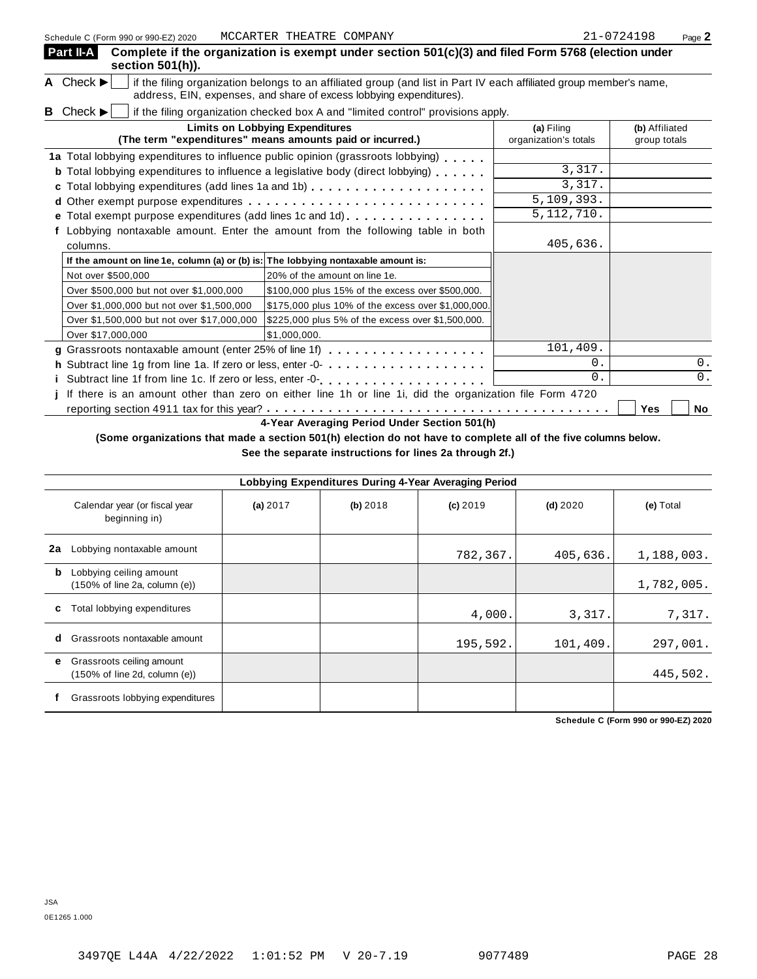| Part II-A<br>section 501(h)).                                                      | Complete if the organization is exempt under section 501(c)(3) and filed Form 5768 (election under                                                                                         |                                     | i uyu ⊷                        |  |
|------------------------------------------------------------------------------------|--------------------------------------------------------------------------------------------------------------------------------------------------------------------------------------------|-------------------------------------|--------------------------------|--|
| A Check $\blacktriangleright$                                                      | if the filing organization belongs to an affiliated group (and list in Part IV each affiliated group member's name,<br>address, EIN, expenses, and share of excess lobbying expenditures). |                                     |                                |  |
| <b>B</b> Check $\blacktriangleright$                                               | if the filing organization checked box A and "limited control" provisions apply.                                                                                                           |                                     |                                |  |
|                                                                                    | <b>Limits on Lobbying Expenditures</b><br>(The term "expenditures" means amounts paid or incurred.)                                                                                        | (a) Filing<br>organization's totals | (b) Affiliated<br>group totals |  |
|                                                                                    | 1a Total lobbying expenditures to influence public opinion (grassroots lobbying)                                                                                                           |                                     |                                |  |
|                                                                                    | <b>b</b> Total lobbying expenditures to influence a legislative body (direct lobbying)                                                                                                     | 3,317.                              |                                |  |
|                                                                                    |                                                                                                                                                                                            |                                     |                                |  |
|                                                                                    | 5, 109, 393.                                                                                                                                                                               |                                     |                                |  |
|                                                                                    | e Total exempt purpose expenditures (add lines 1c and 1d)                                                                                                                                  |                                     |                                |  |
| Lobbying nontaxable amount. Enter the amount from the following table in both      |                                                                                                                                                                                            |                                     |                                |  |
| columns.                                                                           |                                                                                                                                                                                            | 405,636.                            |                                |  |
| If the amount on line 1e, column (a) or (b) is: The lobbying nontaxable amount is: |                                                                                                                                                                                            |                                     |                                |  |
| Not over \$500,000                                                                 | 20% of the amount on line 1e.                                                                                                                                                              |                                     |                                |  |
| Over \$500,000 but not over \$1,000,000                                            | \$100,000 plus 15% of the excess over \$500,000.                                                                                                                                           |                                     |                                |  |
| Over \$1,000,000 but not over \$1,500,000                                          | \$175,000 plus 10% of the excess over \$1,000,000.                                                                                                                                         |                                     |                                |  |
| Over \$1,500,000 but not over \$17,000,000                                         | \$225,000 plus 5% of the excess over \$1,500,000.                                                                                                                                          |                                     |                                |  |
| Over \$17,000,000                                                                  | \$1.000.000.                                                                                                                                                                               |                                     |                                |  |
|                                                                                    | g Grassroots nontaxable amount (enter 25% of line 1f)                                                                                                                                      | 101,409.                            |                                |  |
|                                                                                    | h Subtract line 1g from line 1a. If zero or less, enter -0-                                                                                                                                | $0$ .                               | $0$ .                          |  |
|                                                                                    |                                                                                                                                                                                            | $\overline{0}$ .                    | 0.                             |  |
|                                                                                    | If there is an amount other than zero on either line 1h or line 1i, did the organization file Form 4720                                                                                    |                                     |                                |  |
|                                                                                    |                                                                                                                                                                                            |                                     | Yes<br>No                      |  |

**4-Year Averaging Period Under Section 501(h)**

(Some organizations that made a section 501(h) election do not have to complete all of the five columns below.

**See the separate instructions for lines 2a through 2f.)**

|    | Lobbying Expenditures During 4-Year Averaging Period                            |          |          |            |            |            |  |
|----|---------------------------------------------------------------------------------|----------|----------|------------|------------|------------|--|
|    | Calendar year (or fiscal year<br>beginning in)                                  | (a) 2017 | (b) 2018 | $(c)$ 2019 | $(d)$ 2020 | (e) Total  |  |
| 2a | Lobbying nontaxable amount                                                      |          |          | 782,367.   | 405,636.   | 1,188,003. |  |
| b  | Lobbying ceiling amount<br>$(150\% \text{ of line } 2a, \text{ column } (e))$   |          |          |            |            | 1,782,005. |  |
| c  | Total lobbying expenditures                                                     |          |          | 4,000.     | 3,317.     | 7,317.     |  |
| d  | Grassroots nontaxable amount                                                    |          |          | 195,592.   | 101,409.   | 297,001.   |  |
| е  | Grassroots ceiling amount<br>$(150\% \text{ of line } 2d, \text{ column } (e))$ |          |          |            |            | 445,502.   |  |
|    | Grassroots lobbying expenditures                                                |          |          |            |            |            |  |

**Schedule C (Form 990 or 990-EZ) 2020**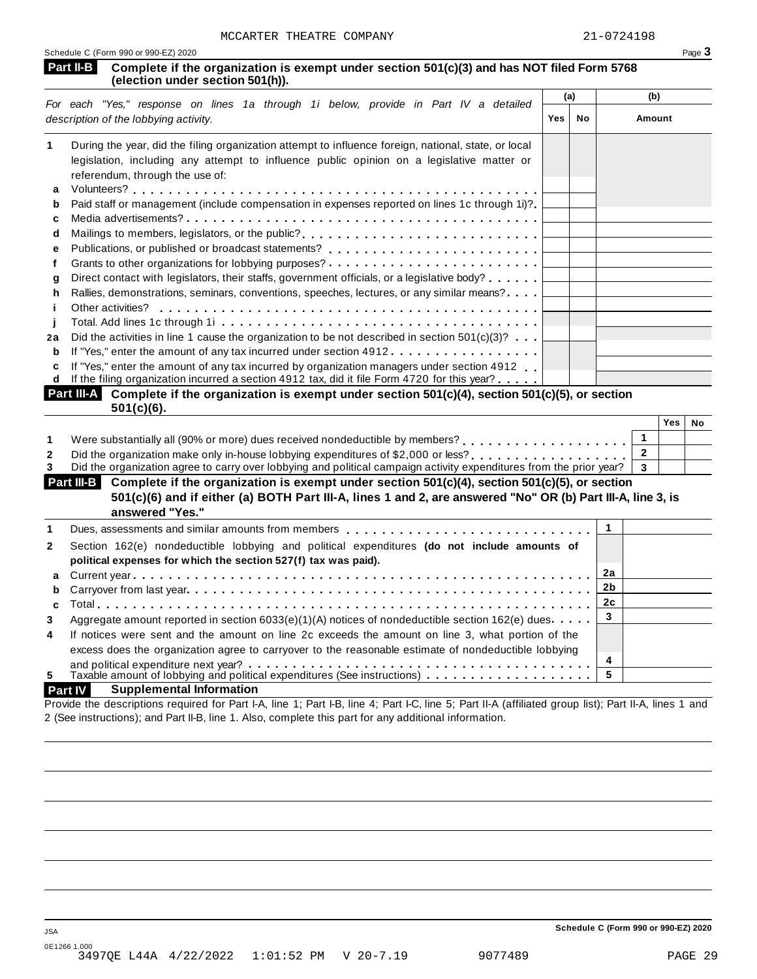|                                                                                                                                                                                                                                           | (a) |    | (b)            |     |           |
|-------------------------------------------------------------------------------------------------------------------------------------------------------------------------------------------------------------------------------------------|-----|----|----------------|-----|-----------|
| For each "Yes," response on lines 1a through 1i below, provide in Part IV a detailed<br>description of the lobbying activity.                                                                                                             | Yes | No | Amount         |     |           |
| During the year, did the filing organization attempt to influence foreign, national, state, or local<br>1<br>legislation, including any attempt to influence public opinion on a legislative matter or<br>referendum, through the use of: |     |    |                |     |           |
| a                                                                                                                                                                                                                                         |     |    |                |     |           |
| Paid staff or management (include compensation in expenses reported on lines 1c through 1i)?<br>b                                                                                                                                         |     |    |                |     |           |
| c                                                                                                                                                                                                                                         |     |    |                |     |           |
| d                                                                                                                                                                                                                                         |     |    |                |     |           |
| е                                                                                                                                                                                                                                         |     |    |                |     |           |
| f                                                                                                                                                                                                                                         |     |    |                |     |           |
| Direct contact with legislators, their staffs, government officials, or a legislative body?<br>g                                                                                                                                          |     |    |                |     |           |
| Rallies, demonstrations, seminars, conventions, speeches, lectures, or any similar means?<br>h                                                                                                                                            |     |    |                |     |           |
|                                                                                                                                                                                                                                           |     |    |                |     |           |
|                                                                                                                                                                                                                                           |     |    |                |     |           |
| Did the activities in line 1 cause the organization to be not described in section $501(c)(3)$ ?<br>2a                                                                                                                                    |     |    |                |     |           |
| If "Yes," enter the amount of any tax incurred under section 4912<br>b                                                                                                                                                                    |     |    |                |     |           |
| If "Yes," enter the amount of any tax incurred by organization managers under section 4912                                                                                                                                                |     |    |                |     |           |
| If the filing organization incurred a section 4912 tax, did it file Form 4720 for this year?<br>d                                                                                                                                         |     |    |                |     |           |
| Part III-A Complete if the organization is exempt under section 501(c)(4), section 501(c)(5), or section<br>$501(c)(6)$ .                                                                                                                 |     |    |                |     |           |
|                                                                                                                                                                                                                                           |     |    |                | Yes | <b>No</b> |
| Were substantially all (90% or more) dues received nondeductible by members?<br><br>1                                                                                                                                                     |     |    | $\mathbf{1}$   |     |           |
| Did the organization make only in-house lobbying expenditures of \$2,000 or less?<br>2                                                                                                                                                    |     |    | $\overline{2}$ |     |           |
| Did the organization agree to carry over lobbying and political campaign activity expenditures from the prior year?<br>3                                                                                                                  |     |    | 3              |     |           |

|              | answered "Yes."                                                                                                                                                                                          |           |  |
|--------------|----------------------------------------------------------------------------------------------------------------------------------------------------------------------------------------------------------|-----------|--|
|              | Dues, assessments and similar amounts from members $\ldots \ldots \ldots \ldots \ldots \ldots \ldots \ldots \ldots \perp 1$                                                                              |           |  |
| $\mathbf{2}$ | Section 162(e) nondeductible lobbying and political expenditures (do not include amounts of<br>political expenses for which the section 527(f) tax was paid).                                            |           |  |
|              |                                                                                                                                                                                                          | 2a        |  |
| b            |                                                                                                                                                                                                          | <u>2b</u> |  |
| C.           |                                                                                                                                                                                                          | 2c        |  |
| 3            | Aggregate amount reported in section 6033(e)(1)(A) notices of nondeductible section 162(e) dues                                                                                                          | - 3       |  |
| 4            | If notices were sent and the amount on line 2c exceeds the amount on line 3, what portion of the<br>excess does the organization agree to carryover to the reasonable estimate of nondeductible lobbying |           |  |
|              |                                                                                                                                                                                                          |           |  |
| 5.           | Taxable amount of lobbying and political expenditures (See instructions) $\ldots \ldots \ldots \ldots \ldots \mid 5$                                                                                     |           |  |
|              | Sunnlomontal Information<br>Dout IV                                                                                                                                                                      |           |  |

### **Part IV Supplemental Information**

JSA

Provide the descriptions required for Part I-A, line 1; Part I-B, line 4; Part I-C, line 5; Part II-A (affiliated group list); Part II-A, lines 1 and 2 (See instructions); and Part II-B, line 1. Also, complete this part for any additional information.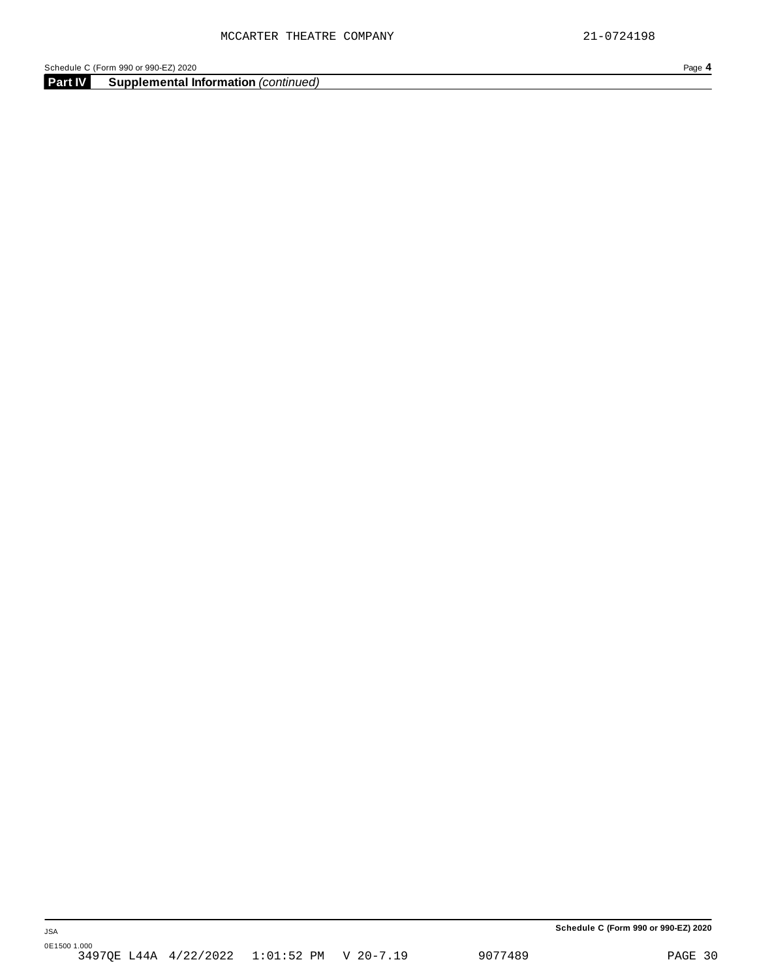**Part IV Supplemental Information** *(continued)*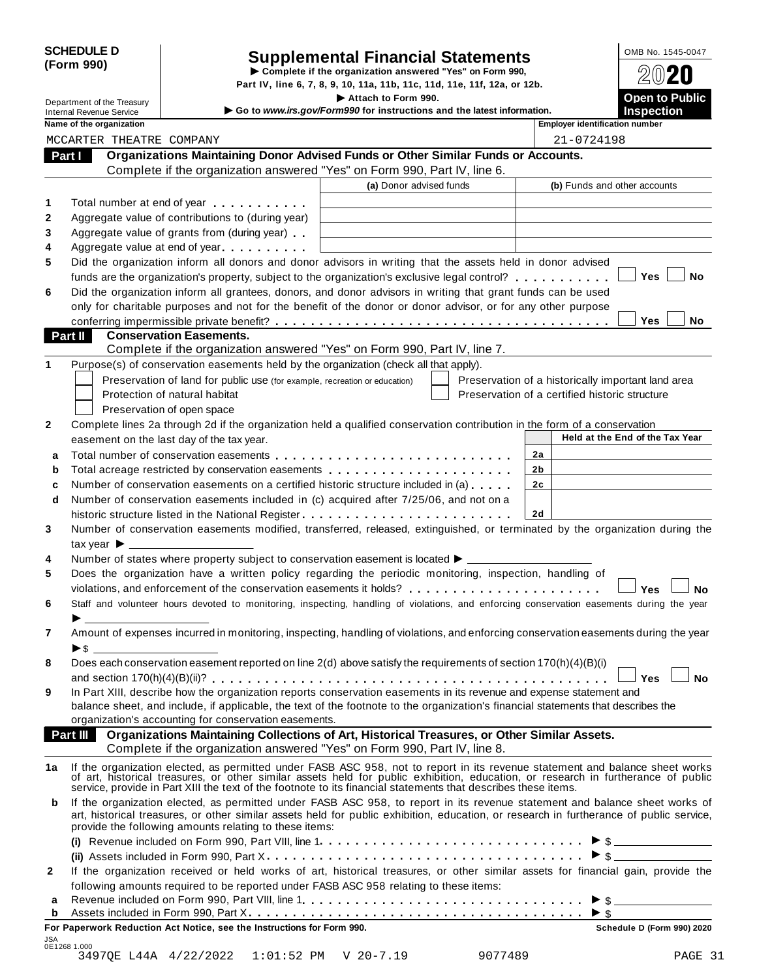|            | <b>SCHEDULE D</b> |
|------------|-------------------|
| (Form 990) |                   |

# CHEDULE D<br>
Supplemental Financial Statements<br>
Supplemental Financial Statements<br>
Supplemental Financial Statements<br>
Part IV, line 6, 7, 8, 9, 10, 11a, 11b, 11c, 11d, 11e, 11f, 12a, or 12b.

Department of the Treasury<br>Department of the Treasury<br>Control **Public Inches Example 2014 Control in the Intervet intervention** and the latest information

Internal Revenue Service I **Go to** *www.irs.gov/Form990* **for instructions and the latest information. Inspection**

**Name of the organization intervalse the control of the control of the control of the organization number intervalse the control of the control of the control of the control of the control of the control of the control Organizations Maintaining Donor Advised Funds or Other Similar Funds or Accounts. Part I Complete if the organization answered "Yes" on Form 990, Part IV, line 6. Complete if the organization answered "Yes" on Form 990, Part IV, line 6.** MCCARTER THEATRE COMPANY 21-0724198

|                                                                                                                                                                                                                                                                   | (a) Donor advised funds                                                                                                      | (b) Funds and other accounts                       |
|-------------------------------------------------------------------------------------------------------------------------------------------------------------------------------------------------------------------------------------------------------------------|------------------------------------------------------------------------------------------------------------------------------|----------------------------------------------------|
| 1<br>Total number at end of year example.                                                                                                                                                                                                                         |                                                                                                                              |                                                    |
| Aggregate value of contributions to (during year)<br>2                                                                                                                                                                                                            |                                                                                                                              |                                                    |
| 3<br>Aggregate value of grants from (during year)                                                                                                                                                                                                                 |                                                                                                                              |                                                    |
| Aggregate value at end of year expression and Aggregate value<br>4                                                                                                                                                                                                |                                                                                                                              |                                                    |
| Did the organization inform all donors and donor advisors in writing that the assets held in donor advised<br>5                                                                                                                                                   |                                                                                                                              |                                                    |
| funds are the organization's property, subject to the organization's exclusive legal control?                                                                                                                                                                     |                                                                                                                              | Yes<br><b>No</b>                                   |
| 6<br>Did the organization inform all grantees, donors, and donor advisors in writing that grant funds can be used                                                                                                                                                 |                                                                                                                              |                                                    |
| only for charitable purposes and not for the benefit of the donor or donor advisor, or for any other purpose                                                                                                                                                      |                                                                                                                              |                                                    |
|                                                                                                                                                                                                                                                                   |                                                                                                                              | <b>Yes</b><br>No.                                  |
| <b>Conservation Easements.</b><br><b>Part II</b>                                                                                                                                                                                                                  |                                                                                                                              |                                                    |
| Complete if the organization answered "Yes" on Form 990, Part IV, line 7.                                                                                                                                                                                         |                                                                                                                              |                                                    |
| 1<br>Purpose(s) of conservation easements held by the organization (check all that apply).                                                                                                                                                                        |                                                                                                                              |                                                    |
| Preservation of land for public use (for example, recreation or education)                                                                                                                                                                                        |                                                                                                                              | Preservation of a historically important land area |
| Protection of natural habitat                                                                                                                                                                                                                                     |                                                                                                                              | Preservation of a certified historic structure     |
| Preservation of open space                                                                                                                                                                                                                                        |                                                                                                                              |                                                    |
| 2<br>Complete lines 2a through 2d if the organization held a qualified conservation contribution in the form of a conservation                                                                                                                                    |                                                                                                                              |                                                    |
| easement on the last day of the tax year.                                                                                                                                                                                                                         |                                                                                                                              | Held at the End of the Tax Year                    |
| a                                                                                                                                                                                                                                                                 |                                                                                                                              | 2a                                                 |
| Total acreage restricted by conservation easements<br>b                                                                                                                                                                                                           |                                                                                                                              | 2b                                                 |
| Number of conservation easements on a certified historic structure included in (a)<br>c                                                                                                                                                                           |                                                                                                                              | 2c                                                 |
| Number of conservation easements included in (c) acquired after 7/25/06, and not on a<br>d                                                                                                                                                                        |                                                                                                                              |                                                    |
| historic structure listed in the National Register                                                                                                                                                                                                                |                                                                                                                              | 2d                                                 |
|                                                                                                                                                                                                                                                                   | Number of conservation easements modified, transferred, released, extinguished, or terminated by the organization during the |                                                    |
|                                                                                                                                                                                                                                                                   |                                                                                                                              |                                                    |
|                                                                                                                                                                                                                                                                   |                                                                                                                              |                                                    |
|                                                                                                                                                                                                                                                                   |                                                                                                                              |                                                    |
| Number of states where property subject to conservation easement is located >                                                                                                                                                                                     |                                                                                                                              |                                                    |
| Does the organization have a written policy regarding the periodic monitoring, inspection, handling of                                                                                                                                                            |                                                                                                                              | No                                                 |
| violations, and enforcement of the conservation easements it holds?                                                                                                                                                                                               |                                                                                                                              | Yes                                                |
| 3<br>4<br>5<br>Staff and volunteer hours devoted to monitoring, inspecting, handling of violations, and enforcing conservation easements during the year<br>6                                                                                                     |                                                                                                                              |                                                    |
|                                                                                                                                                                                                                                                                   |                                                                                                                              |                                                    |
| Amount of expenses incurred in monitoring, inspecting, handling of violations, and enforcing conservation easements during the year<br>$\triangleright$ \$                                                                                                        |                                                                                                                              |                                                    |
|                                                                                                                                                                                                                                                                   |                                                                                                                              |                                                    |
| Does each conservation easement reported on line 2(d) above satisfy the requirements of section 170(h)(4)(B)(i)                                                                                                                                                   |                                                                                                                              | No                                                 |
| In Part XIII, describe how the organization reports conservation easements in its revenue and expense statement and                                                                                                                                               |                                                                                                                              | Yes                                                |
| balance sheet, and include, if applicable, the text of the footnote to the organization's financial statements that describes the                                                                                                                                 |                                                                                                                              |                                                    |
| organization's accounting for conservation easements.                                                                                                                                                                                                             |                                                                                                                              |                                                    |
| Organizations Maintaining Collections of Art, Historical Treasures, or Other Similar Assets.                                                                                                                                                                      |                                                                                                                              |                                                    |
| Complete if the organization answered "Yes" on Form 990, Part IV, line 8.                                                                                                                                                                                         |                                                                                                                              |                                                    |
|                                                                                                                                                                                                                                                                   |                                                                                                                              |                                                    |
| If the organization elected, as permitted under FASB ASC 958, not to report in its revenue statement and balance sheet works<br>of art, historical treasures, or other similar assets held for public exhibition, education, or research in furtherance of public |                                                                                                                              |                                                    |
| service, provide in Part XIII the text of the footnote to its financial statements that describes these items.                                                                                                                                                    |                                                                                                                              |                                                    |
| If the organization elected, as permitted under FASB ASC 958, to report in its revenue statement and balance sheet works of                                                                                                                                       |                                                                                                                              |                                                    |
| art, historical treasures, or other similar assets held for public exhibition, education, or research in furtherance of public service,                                                                                                                           |                                                                                                                              |                                                    |
| provide the following amounts relating to these items:                                                                                                                                                                                                            |                                                                                                                              |                                                    |
|                                                                                                                                                                                                                                                                   |                                                                                                                              |                                                    |
|                                                                                                                                                                                                                                                                   |                                                                                                                              | $\triangleright$ \$                                |
| 7<br>8<br>9<br><b>Part III</b><br>1a<br>b<br>If the organization received or held works of art, historical treasures, or other similar assets for financial gain, provide the<br>$\mathbf{2}$                                                                     |                                                                                                                              |                                                    |
| following amounts required to be reported under FASB ASC 958 relating to these items:                                                                                                                                                                             |                                                                                                                              |                                                    |
| a<br>b                                                                                                                                                                                                                                                            |                                                                                                                              | $\triangleright$ \$<br>$\triangleright$ \$         |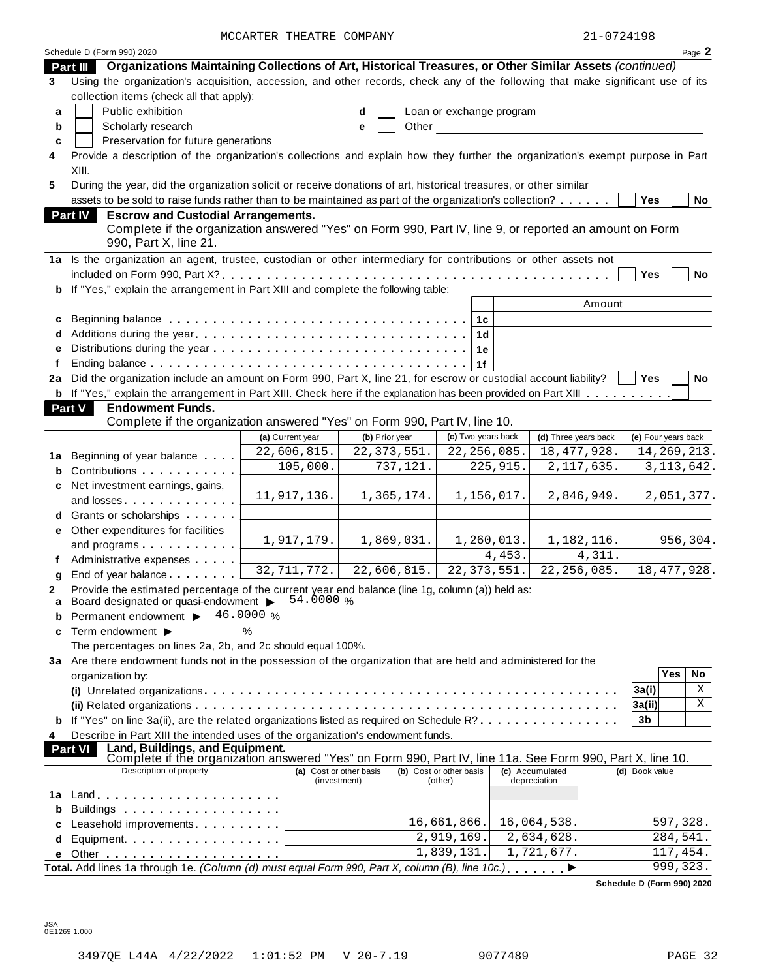|    |                                                                                                                                     | MCCARTER THEATRE COMPANY |                |                          |                          | 21-0724198     |                     |          |
|----|-------------------------------------------------------------------------------------------------------------------------------------|--------------------------|----------------|--------------------------|--------------------------|----------------|---------------------|----------|
|    | Schedule D (Form 990) 2020                                                                                                          |                          |                |                          |                          |                |                     | Page 2   |
|    | Organizations Maintaining Collections of Art, Historical Treasures, or Other Similar Assets (continued)<br>Part III                 |                          |                |                          |                          |                |                     |          |
| 3  | Using the organization's acquisition, accession, and other records, check any of the following that make significant use of its     |                          |                |                          |                          |                |                     |          |
|    | collection items (check all that apply):                                                                                            |                          |                |                          |                          |                |                     |          |
| a  | Public exhibition                                                                                                                   |                          | d              | Loan or exchange program |                          |                |                     |          |
| b  | Scholarly research                                                                                                                  |                          | Other<br>e     |                          |                          |                |                     |          |
| c  | Preservation for future generations                                                                                                 |                          |                |                          |                          |                |                     |          |
| 4  | Provide a description of the organization's collections and explain how they further the organization's exempt purpose in Part      |                          |                |                          |                          |                |                     |          |
|    | XIII.                                                                                                                               |                          |                |                          |                          |                |                     |          |
| 5  | During the year, did the organization solicit or receive donations of art, historical treasures, or other similar                   |                          |                |                          |                          |                |                     |          |
|    | assets to be sold to raise funds rather than to be maintained as part of the organization's collection?                             |                          |                |                          |                          |                | Yes                 | No       |
|    | <b>Escrow and Custodial Arrangements.</b><br><b>Part IV</b>                                                                         |                          |                |                          |                          |                |                     |          |
|    | Complete if the organization answered "Yes" on Form 990, Part IV, line 9, or reported an amount on Form                             |                          |                |                          |                          |                |                     |          |
|    | 990, Part X, line 21.                                                                                                               |                          |                |                          |                          |                |                     |          |
|    | 1a Is the organization an agent, trustee, custodian or other intermediary for contributions or other assets not                     |                          |                |                          |                          |                |                     |          |
|    |                                                                                                                                     |                          |                |                          |                          |                | Yes                 | No       |
|    | b If "Yes," explain the arrangement in Part XIII and complete the following table:                                                  |                          |                |                          |                          |                |                     |          |
|    |                                                                                                                                     |                          |                |                          |                          | Amount         |                     |          |
| c  |                                                                                                                                     |                          |                | 1c                       |                          |                |                     |          |
| d  |                                                                                                                                     |                          |                | 1 <sub>d</sub>           |                          |                |                     |          |
| e  |                                                                                                                                     |                          |                | 1е                       |                          |                |                     |          |
| f  |                                                                                                                                     |                          |                | 1f                       |                          |                |                     |          |
|    | 2a Did the organization include an amount on Form 990, Part X, line 21, for escrow or custodial account liability?                  |                          |                |                          |                          |                | <b>Yes</b>          | No       |
|    | b If "Yes," explain the arrangement in Part XIII. Check here if the explanation has been provided on Part XIII                      |                          |                |                          |                          |                |                     |          |
|    | <b>Endowment Funds.</b><br><b>Part V</b>                                                                                            |                          |                |                          |                          |                |                     |          |
|    | Complete if the organization answered "Yes" on Form 990, Part IV, line 10.                                                          |                          |                |                          |                          |                |                     |          |
|    |                                                                                                                                     | (a) Current year         | (b) Prior year | (c) Two years back       | (d) Three years back     |                | (e) Four years back |          |
|    |                                                                                                                                     | 22,606,815.              | 22, 373, 551.  | 22, 256, 085.            | 18,477,928.              |                | 14, 269, 213.       |          |
| 1a | Beginning of year balance                                                                                                           | 105,000.                 | 737,121.       |                          | 225,915.<br>2, 117, 635. |                | 3, 113, 642.        |          |
| b  | Contributions                                                                                                                       |                          |                |                          |                          |                |                     |          |
| c  | Net investment earnings, gains,                                                                                                     | 11,917,136.              | 1,365,174.     | 1,156,017.               | 2,846,949.               |                | 2,051,377.          |          |
|    | and losses                                                                                                                          |                          |                |                          |                          |                |                     |          |
| d  | Grants or scholarships                                                                                                              |                          |                |                          |                          |                |                     |          |
|    | e Other expenditures for facilities                                                                                                 | 1,917,179.               | 1,869,031.     | 1,260,013.               | 1,182,116.               |                |                     | 956,304. |
|    | and programs                                                                                                                        |                          |                |                          | 4,453.                   | 4,311.         |                     |          |
|    | Administrative expenses                                                                                                             | 32, 711, 772.            | 22,606,815.    | 22, 373, 551.            | 22, 256, 085.            |                | 18, 477, 928.       |          |
| g  | End of year balance expansion of year balance                                                                                       |                          |                |                          |                          |                |                     |          |
| 2  | Provide the estimated percentage of the current year end balance (line 1g, column (a)) held as:                                     |                          |                |                          |                          |                |                     |          |
| a  | Board designated or quasi-endowment > 54.0000 %                                                                                     |                          |                |                          |                          |                |                     |          |
| b  | Permanent endowment ▶ 46.0000 %                                                                                                     |                          |                |                          |                          |                |                     |          |
| c  | Term endowment ▶                                                                                                                    | $\%$                     |                |                          |                          |                |                     |          |
|    | The percentages on lines 2a, 2b, and 2c should equal 100%.                                                                          |                          |                |                          |                          |                |                     |          |
|    | 3a Are there endowment funds not in the possession of the organization that are held and administered for the                       |                          |                |                          |                          |                | Yes                 | No       |
|    | organization by:                                                                                                                    |                          |                |                          |                          | 3a(i)          |                     | Χ        |
|    |                                                                                                                                     |                          |                |                          |                          | 3a(ii)         |                     | X        |
|    | If "Yes" on line 3a(ii), are the related organizations listed as required on Schedule R?                                            |                          |                |                          |                          | 3b             |                     |          |
| b  |                                                                                                                                     |                          |                |                          |                          |                |                     |          |
| 4  | Describe in Part XIII the intended uses of the organization's endowment funds.<br>Land, Buildings, and Equipment.<br><b>Part VI</b> |                          |                |                          |                          |                |                     |          |
|    | Complete if the organization answered "Yes" on Form 990, Part IV, line 11a. See Form 990, Part X, line 10.                          |                          |                |                          |                          |                |                     |          |
|    | Description of property                                                                                                             | (a) Cost or other basis  |                | (b) Cost or other basis  | (c) Accumulated          | (d) Book value |                     |          |
|    |                                                                                                                                     | (investment)             |                | (other)                  | depreciation             |                |                     |          |
| 1а | $Land.$                                                                                                                             |                          |                |                          |                          |                |                     |          |
| b  |                                                                                                                                     |                          |                | 16,661,866.              | 16,064,538.              |                | 597,328.            |          |
| c  | Leasehold improvements <b>Leasehold</b> improvements                                                                                |                          |                |                          |                          |                |                     |          |
| d  | Equipment                                                                                                                           |                          |                | 2,919,169.               | 2,634,628.               |                | 284,541.            |          |
| е  |                                                                                                                                     |                          |                | 1,839,131.               | 1,721,677.               |                | 117,454.            |          |
|    | Total. Add lines 1a through 1e. (Column (d) must equal Form 990, Part X, column (B), line 10c.)                                     |                          |                |                          |                          |                | 999, 323.           |          |

**Schedule D (Form 990) 2020**

JSA 0E1269 1.000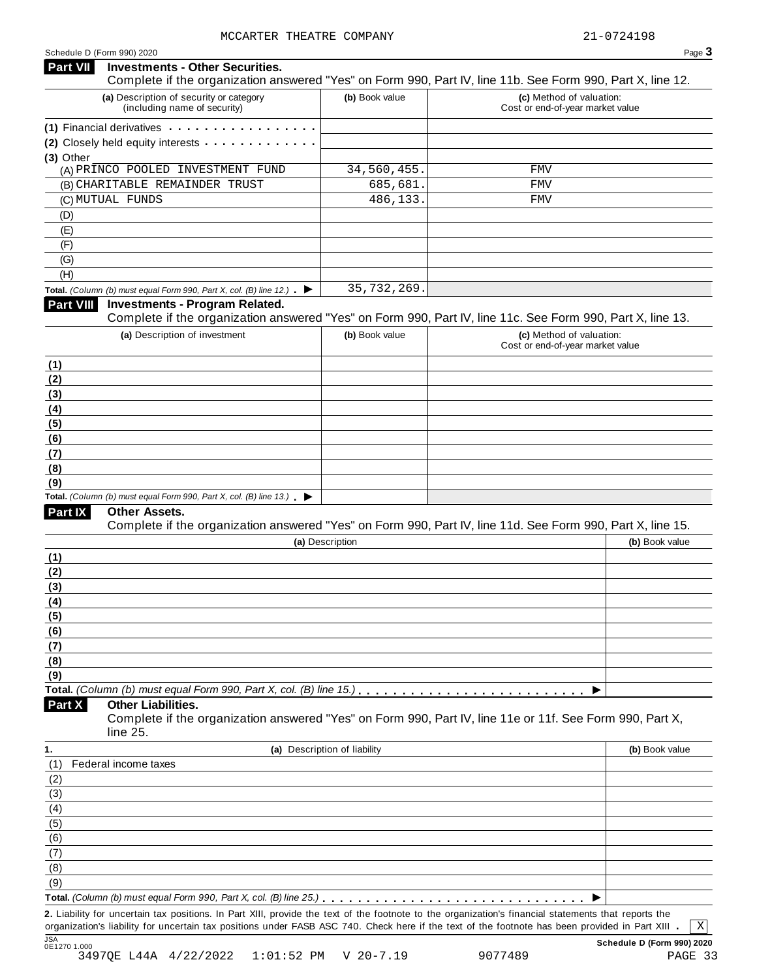#### Schedule <sup>D</sup> (Form 990) <sup>2020</sup> Page **3 Investments - Other Securities. Part VII** Investments - Other Securities.<br>Complete if the organization answered "Yes" on Form 990, Part IV, line 11b. See Form 990, Part X, line 12. **(a)** Description of security or category (including name of security) **(b)** Book value **(c)** Method of valuation: Cost or end-of-year market value (including name of security)<br> **(1)** Financial derivatives **and must be more interesting (1)** Financial derivatives **manual manual metallicity** Closely held equity interests **manual metallicity** Closely **(3)** Other (A) PRINCO POOLED INVESTMENT FUND 34,560,455. FMV (B) CHARITABLE REMAINDER TRUST 685,681. FMV (C) MUTUAL FUNDS 486,133. FMV (D) (E) (F) (G) (H) **Fotal.** *(Column (b) must equal Form 990, Part X, col. (B) line 12.)* **h Part VIII Investments - Program Related. Investments - Program Related.** Complete if the organization answered "Yes" on Form 990, Part IV, line 11c. See Form 990, Part X, line 13. **(a)** Description of investment **(b)** Book value **(c)** Method of valuation: Cost or end-of-year market value **(1) (2) (3) (4) (5) (6) (7) (8) (9) Total.** *(Column (b) must equal Form 990, Part X, col. (B) line 13.)* m I **Other Assets.** Complete if the organization answered "Yes" on Form 990, Part IV, line 11d. See Form 990, Part X, line 15. **Part IX (a)** Description **(b)** Book value **(1) (2) (3) (4) (5) (6) (7) (8) (9) Total.** *(Column (b) must equal Form 990, Part X, col. (B) line 15.)* m m m m m m m m m m m m m m m m m m m m m m m m m m I **Other Liabilities.** Complete if the organization answered "Yes" on Form 990, Part IV, line 11e or 11f. See Form 990, Part X, line 25. **Part X 1. (a)** Description of liability **(b)** Book value (1) (2) (3) (4) (5) (6) (7) (8) (9) Federal income taxes  $\blacksquare$  **Total.** *(Column (b)* must equal Form 990, Part X, col. (B) line 25.)  $\ldots \ldots \ldots \ldots \ldots \ldots \ldots \ldots \ldots \ldots \ldots$ **2.** Liability for uncertain tax positions. In Part XIII, provide the text of the footnote to the organization's financial statements that reports the organization's liability for uncertain tax positions under FASB ASC 740. Check here if the text of the footnote has been provided in Part XIII. 35,732,269. X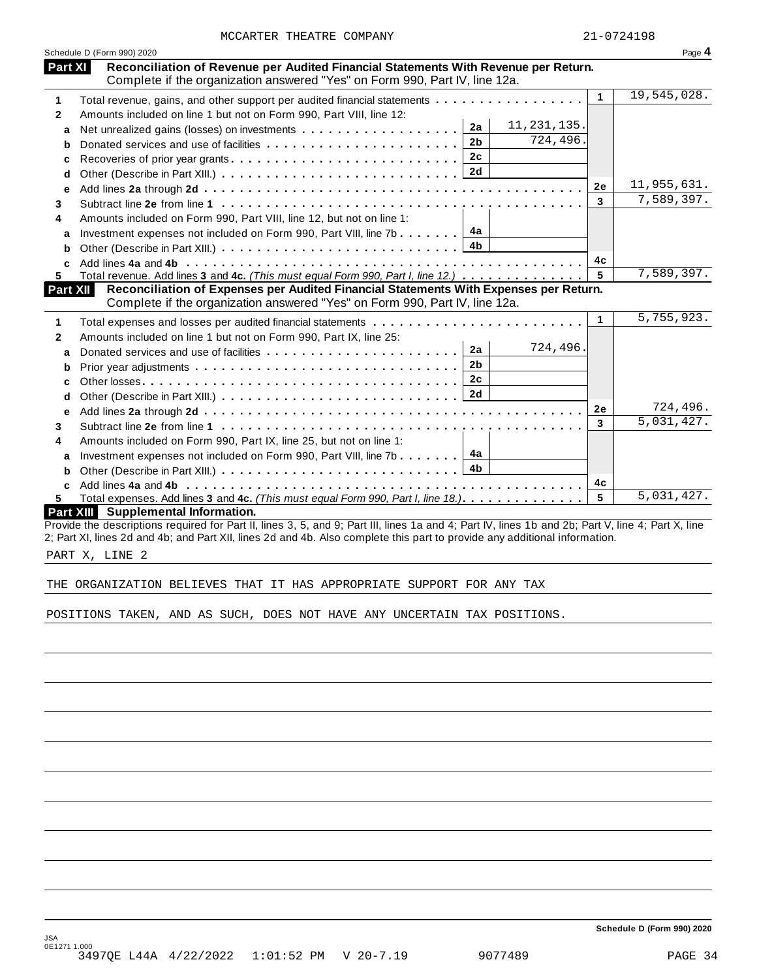| MCCARTER THEATRE COMPANY |  |  |
|--------------------------|--|--|
|--------------------------|--|--|

| Schedule D (Form 990) 2020                                                                                                                                                    |              | Page 4      |
|-------------------------------------------------------------------------------------------------------------------------------------------------------------------------------|--------------|-------------|
| Part XI<br>Reconciliation of Revenue per Audited Financial Statements With Revenue per Return.<br>Complete if the organization answered "Yes" on Form 990, Part IV, line 12a. |              |             |
| Total revenue, gains, and other support per audited financial statements                                                                                                      | $\mathbf{1}$ | 19,545,028. |
| Amounts included on line 1 but not on Form 990, Part VIII, line 12:                                                                                                           |              |             |
| 11, 231, 135.<br>2a<br>a                                                                                                                                                      |              |             |
| 724,496.<br>2 <sub>b</sub><br>b                                                                                                                                               |              |             |
| 2c<br>c                                                                                                                                                                       |              |             |
| d                                                                                                                                                                             |              |             |
| e                                                                                                                                                                             | 2e           | 11,955,631. |
|                                                                                                                                                                               | 3            | 7,589,397.  |
| Amounts included on Form 990, Part VIII, line 12, but not on line 1:                                                                                                          |              |             |
| 4а<br>Investment expenses not included on Form 990, Part VIII, line 7b $\ldots \ldots$<br>a                                                                                   |              |             |
| 4 <sub>b</sub><br>b                                                                                                                                                           |              |             |
| C                                                                                                                                                                             | 4с           |             |
| Total revenue. Add lines 3 and 4c. (This must equal Form 990, Part I, line 12.)                                                                                               | 5            | 7,589,397.  |
| Reconciliation of Expenses per Audited Financial Statements With Expenses per Return.<br>Part XII                                                                             |              |             |
| Complete if the organization answered "Yes" on Form 990, Part IV, line 12a.                                                                                                   |              |             |
|                                                                                                                                                                               | 1            | 5,755,923.  |
| Amounts included on line 1 but not on Form 990, Part IX, line 25:                                                                                                             |              |             |
| 724,496.<br>2a<br>Donated services and use of facilities<br>a                                                                                                                 |              |             |
| 2 <sub>b</sub><br>b                                                                                                                                                           |              |             |
| 2c<br>C                                                                                                                                                                       |              |             |
| 2d<br>d                                                                                                                                                                       |              |             |
| е                                                                                                                                                                             | <b>2e</b>    | 724,496.    |
|                                                                                                                                                                               | 3            | 5,031,427.  |
| Amounts included on Form 990, Part IX, line 25, but not on line 1:                                                                                                            |              |             |
|                                                                                                                                                                               |              |             |
| 4a<br>Investment expenses not included on Form 990, Part VIII, line 7b                                                                                                        |              |             |
|                                                                                                                                                                               |              |             |
|                                                                                                                                                                               | 4c           |             |
| a<br>b<br>C.<br>Total expenses. Add lines 3 and 4c. (This must equal Form 990, Part I, line 18.).                                                                             | 5            | 5,031,427.  |

PART X, LINE 2

THE ORGANIZATION BELIEVES THAT IT HAS APPROPRIATE SUPPORT FOR ANY TAX

POSITIONS TAKEN, AND AS SUCH, DOES NOT HAVE ANY UNCERTAIN TAX POSITIONS.

**Schedule D (Form 990) 2020**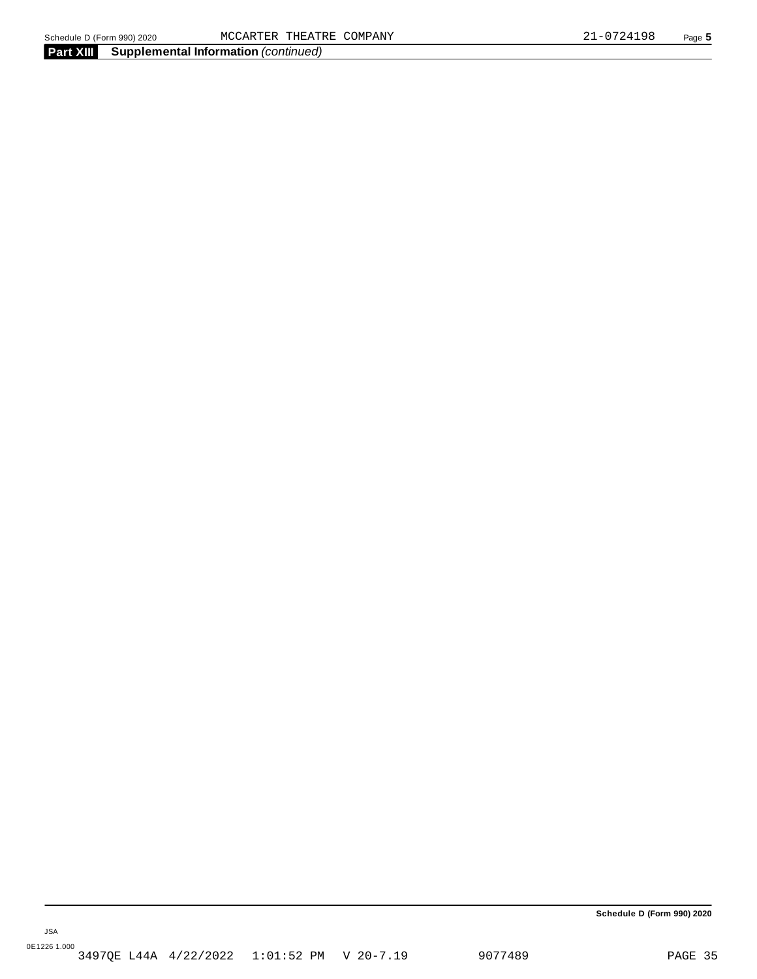**Part XIII Supplemental Information** *(continued)*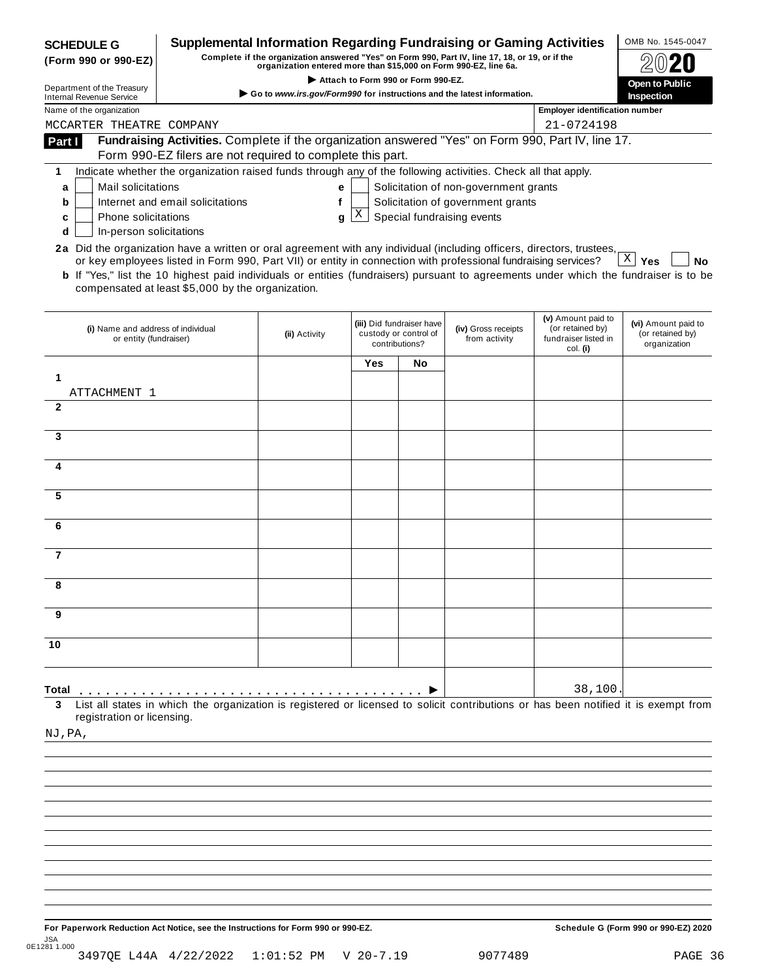| <b>SCHEDULE G</b>                                                                                                                                                                           |                            |                                                                                                                                                                                                                                                                                                                     | <b>Supplemental Information Regarding Fundraising or Gaming Activities</b> |                                    |                                                                      |                                                                 |                                                                            | OMB No. 1545-0047                                       |
|---------------------------------------------------------------------------------------------------------------------------------------------------------------------------------------------|----------------------------|---------------------------------------------------------------------------------------------------------------------------------------------------------------------------------------------------------------------------------------------------------------------------------------------------------------------|----------------------------------------------------------------------------|------------------------------------|----------------------------------------------------------------------|-----------------------------------------------------------------|----------------------------------------------------------------------------|---------------------------------------------------------|
| Complete if the organization answered "Yes" on Form 990, Part IV, line 17, 18, or 19, or if the<br>(Form 990 or 990-EZ)<br>organization entered more than \$15,000 on Form 990-EZ, line 6a. |                            |                                                                                                                                                                                                                                                                                                                     |                                                                            |                                    |                                                                      |                                                                 |                                                                            |                                                         |
| Department of the Treasury                                                                                                                                                                  |                            |                                                                                                                                                                                                                                                                                                                     | Go to www.irs.gov/Form990 for instructions and the latest information.     | Attach to Form 990 or Form 990-EZ. |                                                                      |                                                                 |                                                                            | Open to Public<br>Inspection                            |
| <b>Internal Revenue Service</b><br>Name of the organization                                                                                                                                 |                            |                                                                                                                                                                                                                                                                                                                     |                                                                            |                                    |                                                                      |                                                                 | <b>Employer identification number</b>                                      |                                                         |
|                                                                                                                                                                                             |                            | MCCARTER THEATRE COMPANY                                                                                                                                                                                                                                                                                            |                                                                            |                                    |                                                                      |                                                                 | 21-0724198                                                                 |                                                         |
| Part I                                                                                                                                                                                      |                            | Fundraising Activities. Complete if the organization answered "Yes" on Form 990, Part IV, line 17.<br>Form 990-EZ filers are not required to complete this part.                                                                                                                                                    |                                                                            |                                    |                                                                      |                                                                 |                                                                            |                                                         |
| 1                                                                                                                                                                                           |                            | Indicate whether the organization raised funds through any of the following activities. Check all that apply.                                                                                                                                                                                                       |                                                                            |                                    |                                                                      |                                                                 |                                                                            |                                                         |
| a                                                                                                                                                                                           | Mail solicitations         |                                                                                                                                                                                                                                                                                                                     | е                                                                          |                                    |                                                                      | Solicitation of non-government grants                           |                                                                            |                                                         |
| b<br>c                                                                                                                                                                                      | Phone solicitations        | Internet and email solicitations                                                                                                                                                                                                                                                                                    | f<br>g                                                                     | Χ                                  |                                                                      | Solicitation of government grants<br>Special fundraising events |                                                                            |                                                         |
| d                                                                                                                                                                                           | In-person solicitations    |                                                                                                                                                                                                                                                                                                                     |                                                                            |                                    |                                                                      |                                                                 |                                                                            |                                                         |
|                                                                                                                                                                                             |                            | 2a Did the organization have a written or oral agreement with any individual (including officers, directors, trustees,                                                                                                                                                                                              |                                                                            |                                    |                                                                      |                                                                 |                                                                            |                                                         |
|                                                                                                                                                                                             |                            | or key employees listed in Form 990, Part VII) or entity in connection with professional fundraising services?<br><b>b</b> If "Yes," list the 10 highest paid individuals or entities (fundraisers) pursuant to agreements under which the fundraiser is to be<br>compensated at least \$5,000 by the organization. |                                                                            |                                    |                                                                      |                                                                 |                                                                            | $\mathbf{X}$<br>Yes<br><b>No</b>                        |
|                                                                                                                                                                                             | or entity (fundraiser)     | (i) Name and address of individual                                                                                                                                                                                                                                                                                  | (ii) Activity                                                              |                                    | (iii) Did fundraiser have<br>custody or control of<br>contributions? | (iv) Gross receipts<br>from activity                            | (v) Amount paid to<br>(or retained by)<br>fundraiser listed in<br>col. (i) | (vi) Amount paid to<br>(or retained by)<br>organization |
|                                                                                                                                                                                             |                            |                                                                                                                                                                                                                                                                                                                     |                                                                            | Yes                                | No                                                                   |                                                                 |                                                                            |                                                         |
| 1                                                                                                                                                                                           |                            |                                                                                                                                                                                                                                                                                                                     |                                                                            |                                    |                                                                      |                                                                 |                                                                            |                                                         |
| $\mathbf{2}$                                                                                                                                                                                | ATTACHMENT 1               |                                                                                                                                                                                                                                                                                                                     |                                                                            |                                    |                                                                      |                                                                 |                                                                            |                                                         |
|                                                                                                                                                                                             |                            |                                                                                                                                                                                                                                                                                                                     |                                                                            |                                    |                                                                      |                                                                 |                                                                            |                                                         |
| 3                                                                                                                                                                                           |                            |                                                                                                                                                                                                                                                                                                                     |                                                                            |                                    |                                                                      |                                                                 |                                                                            |                                                         |
| 4                                                                                                                                                                                           |                            |                                                                                                                                                                                                                                                                                                                     |                                                                            |                                    |                                                                      |                                                                 |                                                                            |                                                         |
|                                                                                                                                                                                             |                            |                                                                                                                                                                                                                                                                                                                     |                                                                            |                                    |                                                                      |                                                                 |                                                                            |                                                         |
| 5                                                                                                                                                                                           |                            |                                                                                                                                                                                                                                                                                                                     |                                                                            |                                    |                                                                      |                                                                 |                                                                            |                                                         |
| 6                                                                                                                                                                                           |                            |                                                                                                                                                                                                                                                                                                                     |                                                                            |                                    |                                                                      |                                                                 |                                                                            |                                                         |
| $\overline{7}$                                                                                                                                                                              |                            |                                                                                                                                                                                                                                                                                                                     |                                                                            |                                    |                                                                      |                                                                 |                                                                            |                                                         |
| 8                                                                                                                                                                                           |                            |                                                                                                                                                                                                                                                                                                                     |                                                                            |                                    |                                                                      |                                                                 |                                                                            |                                                         |
| 9                                                                                                                                                                                           |                            |                                                                                                                                                                                                                                                                                                                     |                                                                            |                                    |                                                                      |                                                                 |                                                                            |                                                         |
| 10                                                                                                                                                                                          |                            |                                                                                                                                                                                                                                                                                                                     |                                                                            |                                    |                                                                      |                                                                 |                                                                            |                                                         |
| Total<br>3                                                                                                                                                                                  |                            | List all states in which the organization is registered or licensed to solicit contributions or has been notified it is exempt from                                                                                                                                                                                 |                                                                            |                                    |                                                                      |                                                                 | 38,100                                                                     |                                                         |
| NJ, PA,                                                                                                                                                                                     | registration or licensing. |                                                                                                                                                                                                                                                                                                                     |                                                                            |                                    |                                                                      |                                                                 |                                                                            |                                                         |
|                                                                                                                                                                                             |                            |                                                                                                                                                                                                                                                                                                                     |                                                                            |                                    |                                                                      |                                                                 |                                                                            |                                                         |
|                                                                                                                                                                                             |                            |                                                                                                                                                                                                                                                                                                                     |                                                                            |                                    |                                                                      |                                                                 |                                                                            |                                                         |
|                                                                                                                                                                                             |                            |                                                                                                                                                                                                                                                                                                                     |                                                                            |                                    |                                                                      |                                                                 |                                                                            |                                                         |
|                                                                                                                                                                                             |                            |                                                                                                                                                                                                                                                                                                                     |                                                                            |                                    |                                                                      |                                                                 |                                                                            |                                                         |
|                                                                                                                                                                                             |                            |                                                                                                                                                                                                                                                                                                                     |                                                                            |                                    |                                                                      |                                                                 |                                                                            |                                                         |
|                                                                                                                                                                                             |                            |                                                                                                                                                                                                                                                                                                                     |                                                                            |                                    |                                                                      |                                                                 |                                                                            |                                                         |
|                                                                                                                                                                                             |                            |                                                                                                                                                                                                                                                                                                                     |                                                                            |                                    |                                                                      |                                                                 |                                                                            |                                                         |
|                                                                                                                                                                                             |                            |                                                                                                                                                                                                                                                                                                                     |                                                                            |                                    |                                                                      |                                                                 |                                                                            |                                                         |

For Paperwork Reduction Act Notice, see the Instructions for Form 990 or 990-EZ. Schedule G (Form 990 or 990-EZ) 2020 JSA 0E1281 1.000 3497QE L44A 4/22/2022 1:01:52 PM V 20-7.19 9077489 PAGE 36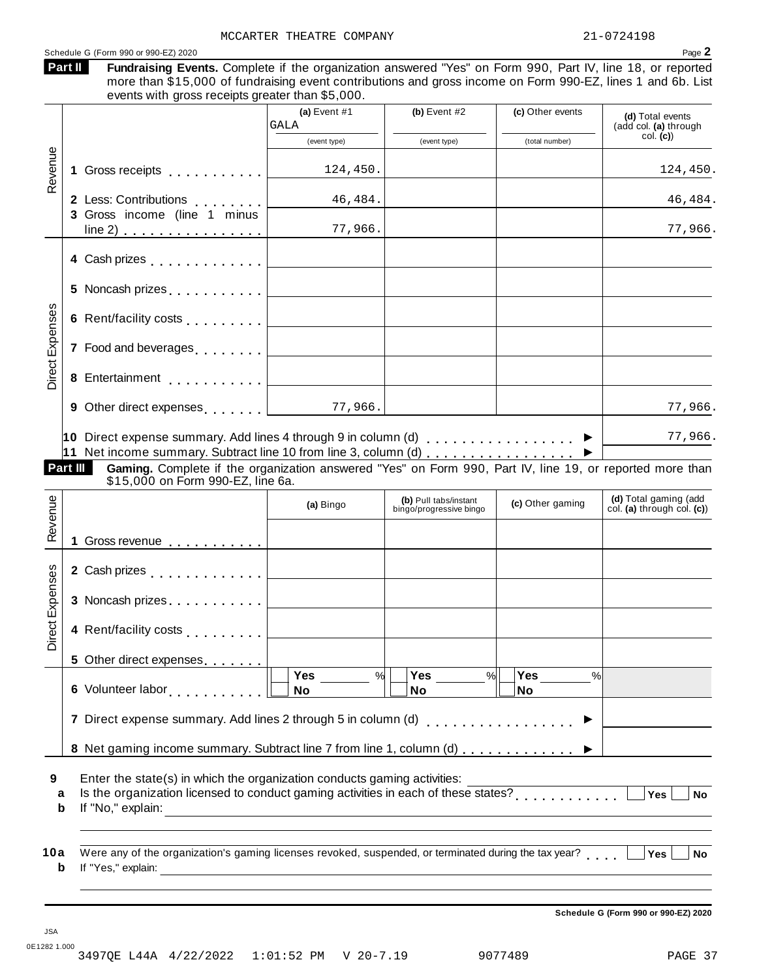| Part II         | Schedule G (Form 990 or 990-EZ) 2020<br>Fundraising Events. Complete if the organization answered "Yes" on Form 990, Part IV, line 18, or reported<br>more than \$15,000 of fundraising event contributions and gross income on Form 990-EZ, lines 1 and 6b. List<br>events with gross receipts greater than \$5,000. |                                                                                                                       |                                                  |                  | Page 2                                               |
|-----------------|-----------------------------------------------------------------------------------------------------------------------------------------------------------------------------------------------------------------------------------------------------------------------------------------------------------------------|-----------------------------------------------------------------------------------------------------------------------|--------------------------------------------------|------------------|------------------------------------------------------|
|                 |                                                                                                                                                                                                                                                                                                                       | (a) Event $#1$<br>GALA                                                                                                | (b) Event $#2$                                   | (c) Other events | (d) Total events<br>(add col. (a) through            |
|                 |                                                                                                                                                                                                                                                                                                                       | (event type)                                                                                                          | (event type)                                     | (total number)   | col. (c)                                             |
| Revenue         | 1 Gross receipts [1] Gross receipts                                                                                                                                                                                                                                                                                   | 124,450.                                                                                                              |                                                  |                  | 124,450.                                             |
|                 | 2 Less: Contributions<br>3 Gross income (line 1 minus                                                                                                                                                                                                                                                                 | 46,484.                                                                                                               |                                                  |                  | 46,484.                                              |
|                 |                                                                                                                                                                                                                                                                                                                       | 77,966.                                                                                                               |                                                  |                  | 77,966.                                              |
|                 |                                                                                                                                                                                                                                                                                                                       |                                                                                                                       |                                                  |                  |                                                      |
|                 | 5 Noncash prizes <u>  _ _ _ _ _ _ _ _ _</u> _ _ _ _                                                                                                                                                                                                                                                                   |                                                                                                                       |                                                  |                  |                                                      |
|                 |                                                                                                                                                                                                                                                                                                                       |                                                                                                                       |                                                  |                  |                                                      |
| Direct Expenses | 7 Food and beverages equal to the set of the set of the set of the set of the set of the set of the set of the set of the set of the set of the set of the set of the set of the set of the set of the set of the set of the s                                                                                        |                                                                                                                       |                                                  |                  |                                                      |
|                 |                                                                                                                                                                                                                                                                                                                       |                                                                                                                       |                                                  |                  |                                                      |
|                 |                                                                                                                                                                                                                                                                                                                       |                                                                                                                       |                                                  |                  | 77,966.                                              |
|                 | 11 Net income summary. Subtract line 10 from line 3, column (d)<br>Part III<br>Gaming. Complete if the organization answered "Yes" on Form 990, Part IV, line 19, or reported more than                                                                                                                               |                                                                                                                       |                                                  |                  | 77,966.                                              |
|                 | \$15,000 on Form 990-EZ, line 6a.                                                                                                                                                                                                                                                                                     | (a) Bingo                                                                                                             | (b) Pull tabs/instant<br>bingo/progressive bingo | (c) Other gaming | (d) Total gaming (add<br>col. (a) through col. $(c)$ |
| Revenue         | 1 Gross revenue                                                                                                                                                                                                                                                                                                       |                                                                                                                       |                                                  |                  |                                                      |
|                 |                                                                                                                                                                                                                                                                                                                       |                                                                                                                       |                                                  |                  |                                                      |
| enses           | 3 Noncash prizes                                                                                                                                                                                                                                                                                                      |                                                                                                                       |                                                  |                  |                                                      |
| Direct Exp      | 4 Rent/facility costs                                                                                                                                                                                                                                                                                                 |                                                                                                                       |                                                  |                  |                                                      |
|                 | 5 Other direct expenses                                                                                                                                                                                                                                                                                               |                                                                                                                       |                                                  |                  |                                                      |
|                 |                                                                                                                                                                                                                                                                                                                       | $Yes$ $\qquad$<br>%<br><b>No</b>                                                                                      | Yes<br>%<br>No                                   | Yes<br>%<br>No   |                                                      |
|                 | 7 Direct expense summary. Add lines 2 through 5 in column (d)                                                                                                                                                                                                                                                         |                                                                                                                       |                                                  | . <b>.</b> .     |                                                      |
|                 | 8 Net gaming income summary. Subtract line 7 from line 1, column (d)  ▶                                                                                                                                                                                                                                               |                                                                                                                       |                                                  |                  |                                                      |
| 9<br>а<br>b     | Enter the state(s) in which the organization conducts gaming activities:<br>If "No," explain:                                                                                                                                                                                                                         | <u> 1989 - Johann Stoff, deutscher Stoff, der Stoff, der Stoff, der Stoff, der Stoff, der Stoff, der Stoff, der S</u> |                                                  |                  | $\overline{Yes}$<br><b>No</b>                        |
| 10a<br>b        | Were any of the organization's gaming licenses revoked, suspended, or terminated during the tax year? [14]<br>If "Yes," explain:                                                                                                                                                                                      |                                                                                                                       |                                                  |                  | Yes<br><b>No</b>                                     |

**Schedule G (Form 990 or 990-EZ) 2020**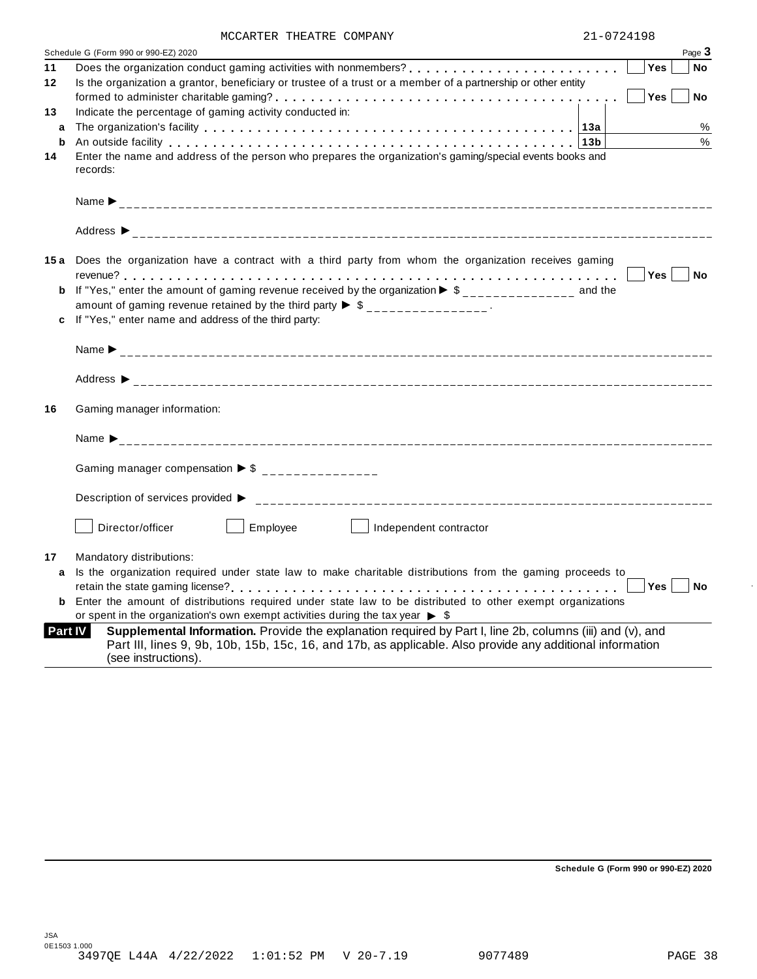| MCCARTER THEATRE COMPANY |  |  |
|--------------------------|--|--|
|--------------------------|--|--|

|    | Schedule G (Form 990 or 990-EZ) 2020                                                                                                                                                                                                                     | Page 3                        |
|----|----------------------------------------------------------------------------------------------------------------------------------------------------------------------------------------------------------------------------------------------------------|-------------------------------|
| 11 |                                                                                                                                                                                                                                                          | Yes<br><b>No</b>              |
| 12 | Is the organization a grantor, beneficiary or trustee of a trust or a member of a partnership or other entity                                                                                                                                            |                               |
|    |                                                                                                                                                                                                                                                          | Yes<br>No                     |
| 13 | Indicate the percentage of gaming activity conducted in:                                                                                                                                                                                                 |                               |
| a  |                                                                                                                                                                                                                                                          | %                             |
| b  | An outside facility enterpreteration of the control of the control of the control of the control of the control of the control of the control of the control of the control of the control of the control of the control of th                           | $\%$                          |
| 14 | Enter the name and address of the person who prepares the organization's gaming/special events books and                                                                                                                                                 |                               |
|    | records:                                                                                                                                                                                                                                                 |                               |
|    |                                                                                                                                                                                                                                                          |                               |
|    |                                                                                                                                                                                                                                                          |                               |
|    | 15a Does the organization have a contract with a third party from whom the organization receives gaming                                                                                                                                                  |                               |
|    |                                                                                                                                                                                                                                                          | Yes <sub>1</sub><br><b>No</b> |
|    | <b>b</b> If "Yes," enter the amount of gaming revenue received by the organization $\triangleright$ \$_______________ and the                                                                                                                            |                               |
|    | amount of gaming revenue retained by the third party $\triangleright$ \$ _______________.                                                                                                                                                                |                               |
|    | c If "Yes," enter name and address of the third party:                                                                                                                                                                                                   |                               |
|    |                                                                                                                                                                                                                                                          |                               |
|    |                                                                                                                                                                                                                                                          |                               |
| 16 | Gaming manager information:                                                                                                                                                                                                                              |                               |
|    |                                                                                                                                                                                                                                                          |                               |
|    | Gaming manager compensation $\triangleright$ \$ ________________                                                                                                                                                                                         |                               |
|    |                                                                                                                                                                                                                                                          |                               |
|    | Director/officer<br>Employee<br>Independent contractor                                                                                                                                                                                                   |                               |
| 17 | Mandatory distributions:                                                                                                                                                                                                                                 |                               |
| a  | Is the organization required under state law to make charitable distributions from the gaming proceeds to                                                                                                                                                |                               |
|    |                                                                                                                                                                                                                                                          | Yes<br><b>No</b>              |
| b  | Enter the amount of distributions required under state law to be distributed to other exempt organizations                                                                                                                                               |                               |
|    | or spent in the organization's own exempt activities during the tax year $\triangleright$ \$                                                                                                                                                             |                               |
|    | Supplemental Information. Provide the explanation required by Part I, line 2b, columns (iii) and (v), and<br>Part IV<br>Part III, lines 9, 9b, 10b, 15b, 15c, 16, and 17b, as applicable. Also provide any additional information<br>(see instructions). |                               |

**Schedule G (Form 990 or 990-EZ) 2020**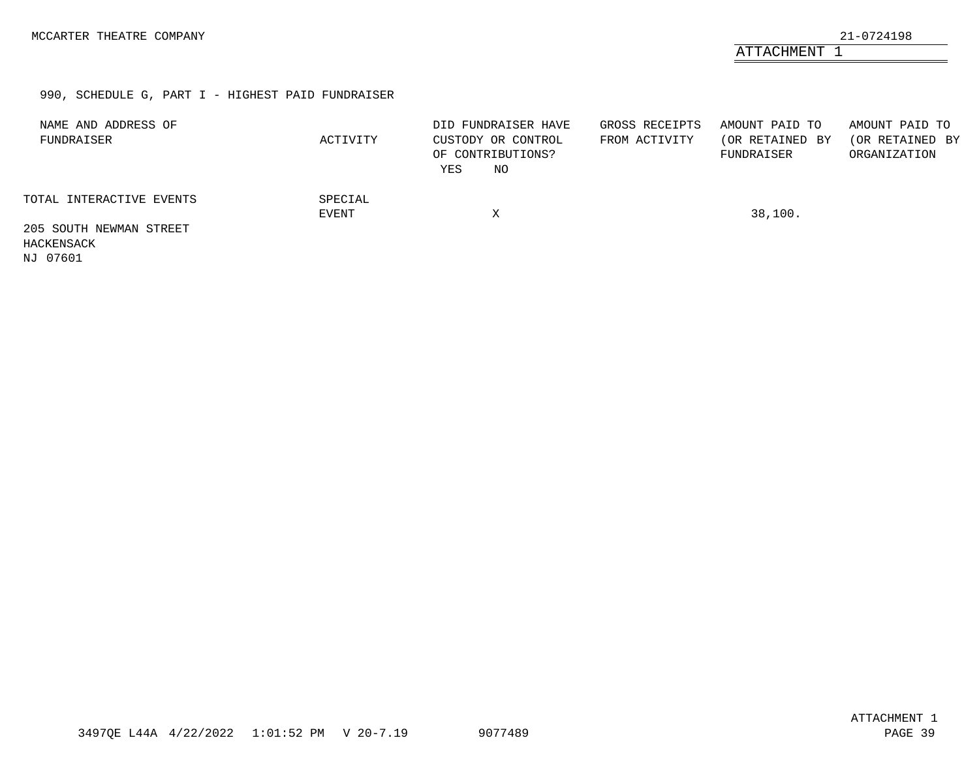ATTACHMENT 1

990, SCHEDULE G, PART I - HIGHEST PAID FUNDRAISER

| NAME AND ADDRESS OF<br>FUNDRAISER                            | ACTIVITY         | DID FUNDRAISER HAVE<br>CUSTODY OR CONTROL<br>OF CONTRIBUTIONS?<br>YES<br>NO | GROSS RECEIPTS<br>FROM ACTIVITY | AMOUNT PAID TO<br>(OR RETAINED BY<br>FUNDRAISER | AMOUNT PAID TO<br>(OR RETAINED BY<br>ORGANIZATION |
|--------------------------------------------------------------|------------------|-----------------------------------------------------------------------------|---------------------------------|-------------------------------------------------|---------------------------------------------------|
| TOTAL INTERACTIVE EVENTS                                     | SPECIAL<br>EVENT | Χ                                                                           |                                 | 38,100.                                         |                                                   |
| 205 SOUTH NEWMAN STREET<br>HACKENSACK<br>$--- - - - - - - -$ |                  |                                                                             |                                 |                                                 |                                                   |

<span id="page-38-0"></span>NJ 07601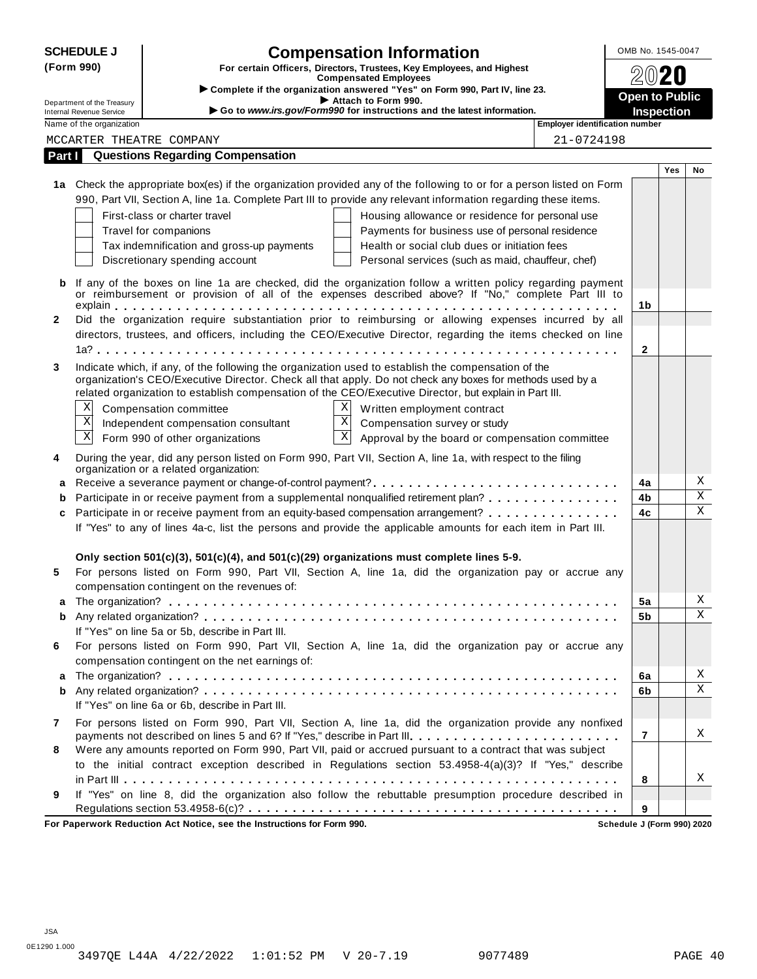|              | <b>SCHEDULE J</b><br><b>Compensation Information</b>                                |                                                                                                                                                                                                                     |                                            |     | OMB No. 1545-0047 |  |
|--------------|-------------------------------------------------------------------------------------|---------------------------------------------------------------------------------------------------------------------------------------------------------------------------------------------------------------------|--------------------------------------------|-----|-------------------|--|
|              | (Form 990)<br>For certain Officers, Directors, Trustees, Key Employees, and Highest |                                                                                                                                                                                                                     |                                            |     |                   |  |
|              |                                                                                     | <b>Compensated Employees</b><br>Complete if the organization answered "Yes" on Form 990, Part IV, line 23.                                                                                                          |                                            |     |                   |  |
|              | Department of the Treasury<br>Internal Revenue Service                              | Attach to Form 990.<br>Go to www.irs.gov/Form990 for instructions and the latest information.                                                                                                                       | <b>Open to Public</b><br><b>Inspection</b> |     |                   |  |
|              | Name of the organization                                                            | Employer identification number                                                                                                                                                                                      |                                            |     |                   |  |
|              |                                                                                     | 21-0724198<br>MCCARTER THEATRE COMPANY                                                                                                                                                                              |                                            |     |                   |  |
| Part I       |                                                                                     | <b>Questions Regarding Compensation</b>                                                                                                                                                                             |                                            |     |                   |  |
|              |                                                                                     |                                                                                                                                                                                                                     |                                            | Yes | No                |  |
|              |                                                                                     | 1a Check the appropriate box(es) if the organization provided any of the following to or for a person listed on Form                                                                                                |                                            |     |                   |  |
|              |                                                                                     | 990, Part VII, Section A, line 1a. Complete Part III to provide any relevant information regarding these items.                                                                                                     |                                            |     |                   |  |
|              |                                                                                     | First-class or charter travel<br>Housing allowance or residence for personal use                                                                                                                                    |                                            |     |                   |  |
|              |                                                                                     | Travel for companions<br>Payments for business use of personal residence                                                                                                                                            |                                            |     |                   |  |
|              |                                                                                     | Tax indemnification and gross-up payments<br>Health or social club dues or initiation fees                                                                                                                          |                                            |     |                   |  |
|              |                                                                                     | Discretionary spending account<br>Personal services (such as maid, chauffeur, chef)                                                                                                                                 |                                            |     |                   |  |
| b            |                                                                                     | If any of the boxes on line 1a are checked, did the organization follow a written policy regarding payment<br>or reimbursement or provision of all of the expenses described above? If "No," complete Part III to   |                                            |     |                   |  |
|              |                                                                                     |                                                                                                                                                                                                                     | 1b                                         |     |                   |  |
| $\mathbf{2}$ |                                                                                     | Did the organization require substantiation prior to reimbursing or allowing expenses incurred by all                                                                                                               |                                            |     |                   |  |
|              |                                                                                     | directors, trustees, and officers, including the CEO/Executive Director, regarding the items checked on line                                                                                                        |                                            |     |                   |  |
|              |                                                                                     |                                                                                                                                                                                                                     | 2                                          |     |                   |  |
| 3            |                                                                                     | Indicate which, if any, of the following the organization used to establish the compensation of the                                                                                                                 |                                            |     |                   |  |
|              |                                                                                     | organization's CEO/Executive Director. Check all that apply. Do not check any boxes for methods used by a<br>related organization to establish compensation of the CEO/Executive Director, but explain in Part III. |                                            |     |                   |  |
|              | X                                                                                   | Χ<br>Compensation committee<br>Written employment contract                                                                                                                                                          |                                            |     |                   |  |
|              | Χ                                                                                   | $\mathbf X$<br>Independent compensation consultant<br>Compensation survey or study                                                                                                                                  |                                            |     |                   |  |
|              | $\overline{\textbf{X}}$                                                             | $\mathbf X$<br>Form 990 of other organizations<br>Approval by the board or compensation committee                                                                                                                   |                                            |     |                   |  |
|              |                                                                                     |                                                                                                                                                                                                                     |                                            |     |                   |  |
| 4            |                                                                                     | During the year, did any person listed on Form 990, Part VII, Section A, line 1a, with respect to the filing<br>organization or a related organization:                                                             |                                            |     |                   |  |
| a            |                                                                                     |                                                                                                                                                                                                                     | 4a                                         |     | Χ                 |  |
| b            |                                                                                     | Participate in or receive payment from a supplemental nonqualified retirement plan?                                                                                                                                 | 4b                                         |     | $\mathbf X$       |  |
| c            |                                                                                     | Participate in or receive payment from an equity-based compensation arrangement?                                                                                                                                    | 4c                                         |     | $\mathbf X$       |  |
|              |                                                                                     | If "Yes" to any of lines 4a-c, list the persons and provide the applicable amounts for each item in Part III.                                                                                                       |                                            |     |                   |  |
|              |                                                                                     |                                                                                                                                                                                                                     |                                            |     |                   |  |
| 5            |                                                                                     | Only section $501(c)(3)$ , $501(c)(4)$ , and $501(c)(29)$ organizations must complete lines 5-9.<br>For persons listed on Form 990, Part VII, Section A, line 1a, did the organization pay or accrue any            |                                            |     |                   |  |
|              |                                                                                     | compensation contingent on the revenues of:                                                                                                                                                                         |                                            |     |                   |  |
|              |                                                                                     |                                                                                                                                                                                                                     | 5a                                         |     | Χ                 |  |
| b            |                                                                                     |                                                                                                                                                                                                                     | 5b                                         |     | X                 |  |
|              |                                                                                     | If "Yes" on line 5a or 5b, describe in Part III.                                                                                                                                                                    |                                            |     |                   |  |
| 6            |                                                                                     | For persons listed on Form 990, Part VII, Section A, line 1a, did the organization pay or accrue any                                                                                                                |                                            |     |                   |  |
|              |                                                                                     | compensation contingent on the net earnings of:                                                                                                                                                                     |                                            |     |                   |  |
| a            |                                                                                     |                                                                                                                                                                                                                     | 6a                                         |     | Χ                 |  |
| b            |                                                                                     |                                                                                                                                                                                                                     | 6b                                         |     | Χ                 |  |
|              |                                                                                     | If "Yes" on line 6a or 6b, describe in Part III.                                                                                                                                                                    |                                            |     |                   |  |
| 7            |                                                                                     | For persons listed on Form 990, Part VII, Section A, line 1a, did the organization provide any nonfixed                                                                                                             |                                            |     |                   |  |
|              |                                                                                     | payments not described on lines 5 and 6? If "Yes," describe in Part III.                                                                                                                                            | $\overline{7}$                             |     | Χ                 |  |
| 8            |                                                                                     | Were any amounts reported on Form 990, Part VII, paid or accrued pursuant to a contract that was subject                                                                                                            |                                            |     |                   |  |
|              |                                                                                     | to the initial contract exception described in Regulations section 53.4958-4(a)(3)? If "Yes," describe                                                                                                              |                                            |     |                   |  |
|              |                                                                                     | If "Yes" on line 8, did the organization also follow the rebuttable presumption procedure described in                                                                                                              | 8                                          |     | X                 |  |
| 9            |                                                                                     |                                                                                                                                                                                                                     | 9                                          |     |                   |  |
|              |                                                                                     | For Paperwork Reduction Act Notice, see the Instructions for Form 990.<br>Schedule J (Form 990) 2020                                                                                                                |                                            |     |                   |  |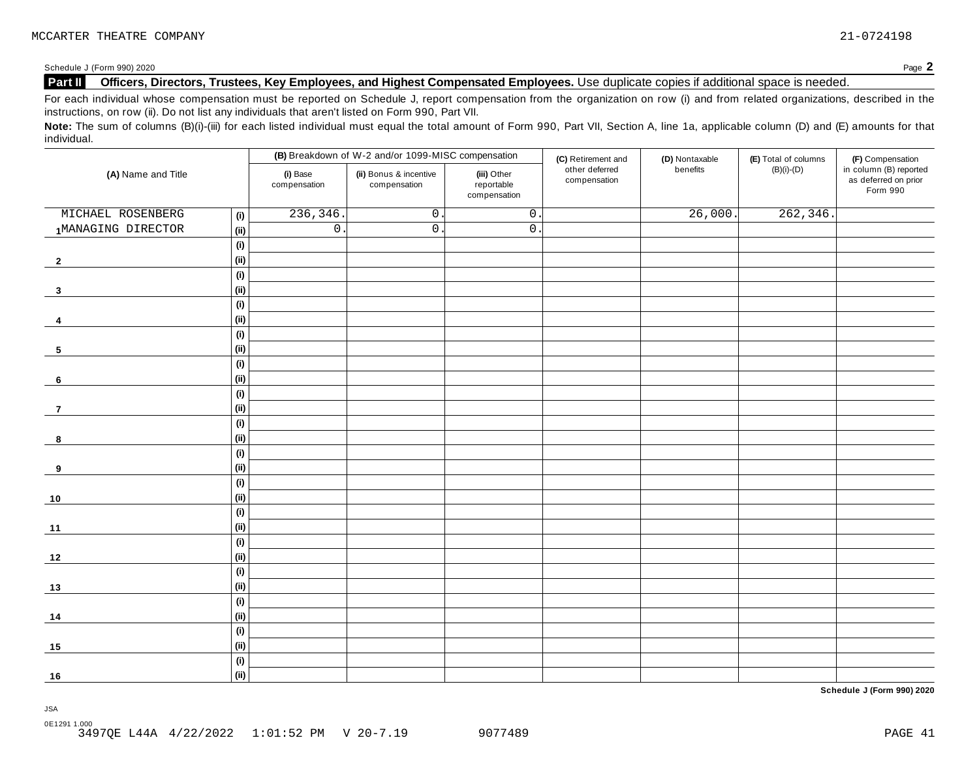Schedule <sup>J</sup> (Form 990) <sup>2020</sup> Page **2**

#### **Part II Officers, Directors, Trustees, Key Employees, and Highest Compensated Employees.** Use duplicate copies ifadditional space is needed.

For each individual whose compensation must be reported on Schedule J, report compensation from the organization on row (i) and from related organizations, described in the instructions, on row (ii). Do not list any individuals that aren't listed on Form 990, Part VII.

Note: The sum of columns (B)(i)-(iii) for each listed individual must equal the total amount of Form 990, Part VII, Section A, line 1a, applicable column (D) and (E) amounts for that individual.

| (A) Name and Title |      |                          | (B) Breakdown of W-2 and/or 1099-MISC compensation |                                           | (C) Retirement and             | (D) Nontaxable | (E) Total of columns | (F) Compensation                                           |
|--------------------|------|--------------------------|----------------------------------------------------|-------------------------------------------|--------------------------------|----------------|----------------------|------------------------------------------------------------|
|                    |      | (i) Base<br>compensation | (ii) Bonus & incentive<br>compensation             | (iii) Other<br>reportable<br>compensation | other deferred<br>compensation | benefits       | $(B)(i)-(D)$         | in column (B) reported<br>as deferred on prior<br>Form 990 |
| MICHAEL ROSENBERG  | (i)  | 236,346                  | $0\;.$                                             | $\overline{0}$ .                          |                                | 26,000.        | 262, 346.            |                                                            |
| 1MANAGING DIRECTOR | (i)  | $\mathsf{O}\xspace$      | $\overline{0}$ .                                   | $\overline{0}$ .                          |                                |                |                      |                                                            |
|                    | (i)  |                          |                                                    |                                           |                                |                |                      |                                                            |
| $\overline{2}$     | (i)  |                          |                                                    |                                           |                                |                |                      |                                                            |
|                    | (i)  |                          |                                                    |                                           |                                |                |                      |                                                            |
| $\mathbf{3}$       | (i)  |                          |                                                    |                                           |                                |                |                      |                                                            |
|                    | (i)  |                          |                                                    |                                           |                                |                |                      |                                                            |
| 4                  | (i)  |                          |                                                    |                                           |                                |                |                      |                                                            |
|                    | (i)  |                          |                                                    |                                           |                                |                |                      |                                                            |
| 5                  | (ii) |                          |                                                    |                                           |                                |                |                      |                                                            |
|                    | (i)  |                          |                                                    |                                           |                                |                |                      |                                                            |
| $6\phantom{.}6$    | (ii) |                          |                                                    |                                           |                                |                |                      |                                                            |
|                    | (i)  |                          |                                                    |                                           |                                |                |                      |                                                            |
| $\overline{7}$     | (i)  |                          |                                                    |                                           |                                |                |                      |                                                            |
|                    | (i)  |                          |                                                    |                                           |                                |                |                      |                                                            |
| 8                  | (ii) |                          |                                                    |                                           |                                |                |                      |                                                            |
|                    | (i)  |                          |                                                    |                                           |                                |                |                      |                                                            |
| 9                  | (ii) |                          |                                                    |                                           |                                |                |                      |                                                            |
|                    | (i)  |                          |                                                    |                                           |                                |                |                      |                                                            |
| $10$               | (i)  |                          |                                                    |                                           |                                |                |                      |                                                            |
|                    | (i)  |                          |                                                    |                                           |                                |                |                      |                                                            |
| 11                 | (i)  |                          |                                                    |                                           |                                |                |                      |                                                            |
|                    | (i)  |                          |                                                    |                                           |                                |                |                      |                                                            |
| $12$               | (ii) |                          |                                                    |                                           |                                |                |                      |                                                            |
|                    | (i)  |                          |                                                    |                                           |                                |                |                      |                                                            |
| 13                 | (i)  |                          |                                                    |                                           |                                |                |                      |                                                            |
|                    | (i)  |                          |                                                    |                                           |                                |                |                      |                                                            |
| $14$               | (i)  |                          |                                                    |                                           |                                |                |                      |                                                            |
|                    | (i)  |                          |                                                    |                                           |                                |                |                      |                                                            |
| 15                 | (i)  |                          |                                                    |                                           |                                |                |                      |                                                            |
|                    | (i)  |                          |                                                    |                                           |                                |                |                      |                                                            |
| 16                 | (ii) |                          |                                                    |                                           |                                |                |                      |                                                            |

**Schedule J (Form 990) 2020**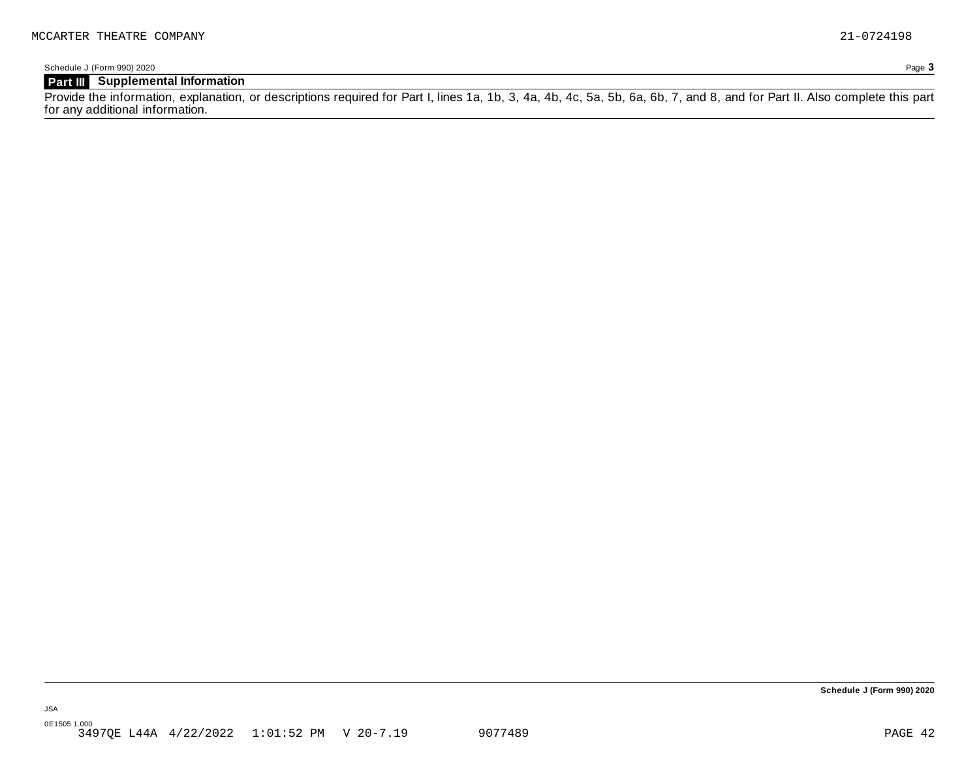#### **Part III Supplemental Information**

Provide the information, explanation, or descriptions required for Part I, lines 1a, 1b, 3, 4a, 4b, 4c, 5a, 5b, 6a, 6b, 7, and 8, and for Part II. Also complete this part for any additional information.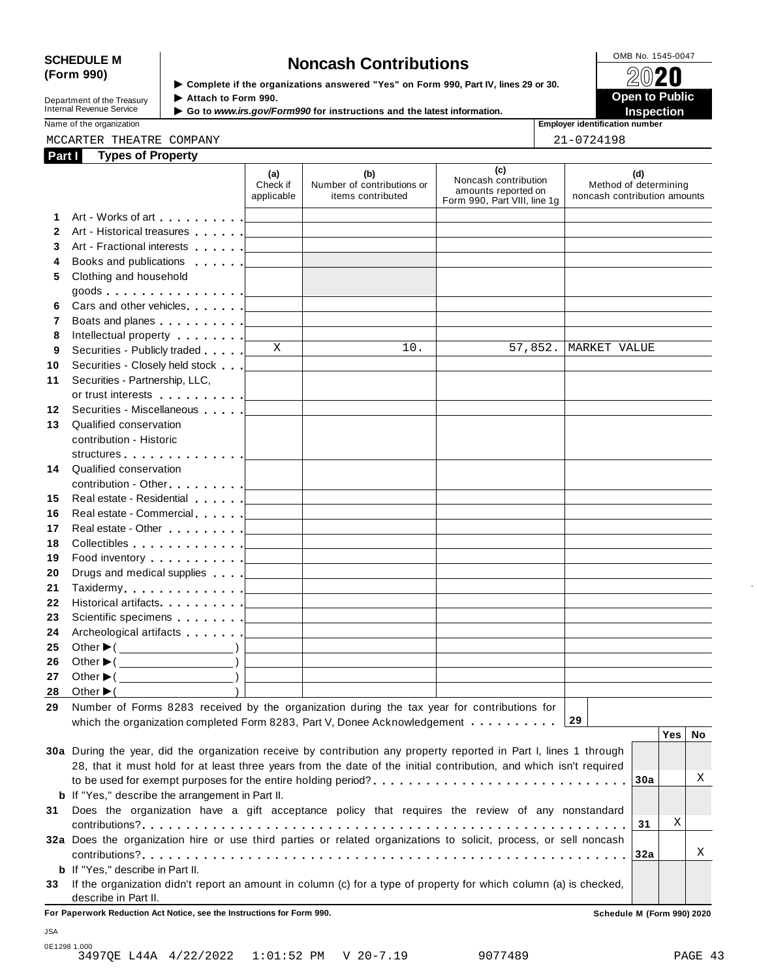# SCHEDULE M<br>
(Form 990) **Supplementary of the organizations answered** "Yes" on Form 990 Part IV lines 29 or 30

Department of the Treasury<br>Internal Revenue Service

**Examplete** if the organizations answered "Yes" on Form 990, Part Ⅳ, lines 29 or 30. 
<br>
■ **Open to Public Department of the Treasury ▶ Attach to Form 990.**<br>Internal Revenue Service ▶ Go to *www.irs.gov/Form990* for instructions and the latest information.<br>Nome of the organization aumhor

Name of the organization **intervalse of the organization intervalse of the organization intervalse of the organization intervalse of the organization intervalse of the organization intervalse of the organization** 

| MCCARTER THEATRE COMPANY | 21-0724198 |
|--------------------------|------------|

| Part I | <b>Types of Property</b>                                                                                           |                                   |                                                        |                                                                                    |                                                              |          |   |
|--------|--------------------------------------------------------------------------------------------------------------------|-----------------------------------|--------------------------------------------------------|------------------------------------------------------------------------------------|--------------------------------------------------------------|----------|---|
|        |                                                                                                                    | (a)<br>Check if<br>applicable     | (b)<br>Number of contributions or<br>items contributed | (c)<br>Noncash contribution<br>amounts reported on<br>Form 990, Part VIII, line 1g | (d)<br>Method of determining<br>noncash contribution amounts |          |   |
| 1.     | Art - Works of art [1]                                                                                             |                                   |                                                        |                                                                                    |                                                              |          |   |
| 2      | Art - Historical treasures                                                                                         |                                   |                                                        |                                                                                    |                                                              |          |   |
| 3      |                                                                                                                    |                                   |                                                        |                                                                                    |                                                              |          |   |
| 4      | Books and publications [1995]                                                                                      |                                   |                                                        |                                                                                    |                                                              |          |   |
| 5      | Clothing and household                                                                                             |                                   |                                                        |                                                                                    |                                                              |          |   |
|        | goods <u>  _ _ _ _ _</u>                                                                                           |                                   |                                                        |                                                                                    |                                                              |          |   |
| 6      |                                                                                                                    |                                   |                                                        |                                                                                    |                                                              |          |   |
| 7      | Boats and planes <b>Exercise 2</b> and planes                                                                      |                                   |                                                        |                                                                                    |                                                              |          |   |
| 8      | Intellectual property <u>  _ _ _ _ _</u>                                                                           |                                   |                                                        |                                                                                    |                                                              |          |   |
| 9      | Securities - Publicly traded [                                                                                     | $\mathbf{X}$                      | 10.                                                    | 57,852.                                                                            | MARKET VALUE                                                 |          |   |
| 10     | Securities - Closely held stock [16]                                                                               |                                   |                                                        |                                                                                    |                                                              |          |   |
| 11     | Securities - Partnership, LLC,                                                                                     |                                   |                                                        |                                                                                    |                                                              |          |   |
|        |                                                                                                                    |                                   |                                                        |                                                                                    |                                                              |          |   |
| 12.    | Securities - Miscellaneous                                                                                         |                                   |                                                        |                                                                                    |                                                              |          |   |
| 13     | Qualified conservation                                                                                             |                                   |                                                        |                                                                                    |                                                              |          |   |
|        | contribution - Historic                                                                                            |                                   |                                                        |                                                                                    |                                                              |          |   |
|        |                                                                                                                    |                                   |                                                        |                                                                                    |                                                              |          |   |
| 14     | Qualified conservation                                                                                             |                                   |                                                        |                                                                                    |                                                              |          |   |
|        | contribution - Other [19] December 1999                                                                            |                                   |                                                        |                                                                                    |                                                              |          |   |
| 15     | Real estate - Residential New York 1                                                                               |                                   |                                                        |                                                                                    |                                                              |          |   |
| 16     |                                                                                                                    |                                   |                                                        |                                                                                    |                                                              |          |   |
| 17     | Real estate - Other [19]                                                                                           |                                   |                                                        |                                                                                    |                                                              |          |   |
| 18     | Collectibles experience and the collectibles                                                                       |                                   |                                                        |                                                                                    |                                                              |          |   |
| 19     | Food inventory <u>  _ _ _ _ _</u>                                                                                  |                                   |                                                        |                                                                                    |                                                              |          |   |
| 20     | Drugs and medical supplies <b>Fig. 1.1 Contains and School</b>                                                     |                                   |                                                        |                                                                                    |                                                              |          |   |
| 21     | Taxidermy Reserves and Taxidermy Reserves and Parameters                                                           |                                   |                                                        |                                                                                    |                                                              |          |   |
| 22     | Historical artifacts.                                                                                              | $\sim 10^{11}$ and $\sim 10^{11}$ |                                                        |                                                                                    |                                                              |          |   |
| 23     | Scientific specimens   _ _ _ _ _ _                                                                                 |                                   |                                                        |                                                                                    |                                                              |          |   |
| 24     | Archeological artifacts [1996]                                                                                     | <b>Contract Contract</b>          |                                                        |                                                                                    |                                                              |          |   |
| 25     | Other $\blacktriangleright$ ( $\_\_\_\_\_\_\_\_$ )                                                                 |                                   |                                                        |                                                                                    |                                                              |          |   |
| 26     | Other $\blacktriangleright$ ( $\qquad \qquad$                                                                      |                                   |                                                        |                                                                                    |                                                              |          |   |
| 27     | Other $\blacktriangleright$ ( $\qquad \qquad$                                                                      |                                   |                                                        |                                                                                    |                                                              |          |   |
| 28     | Other $\blacktriangleright$ (                                                                                      |                                   |                                                        |                                                                                    |                                                              |          |   |
| 29     | Number of Forms 8283 received by the organization during the tax year for contributions for                        |                                   |                                                        |                                                                                    |                                                              |          |   |
|        | which the organization completed Form 8283, Part V, Donee Acknowledgement                                          |                                   |                                                        |                                                                                    | 29                                                           |          |   |
|        |                                                                                                                    |                                   |                                                        |                                                                                    |                                                              | Yes   No |   |
|        | 30a During the year, did the organization receive by contribution any property reported in Part I, lines 1 through |                                   |                                                        |                                                                                    |                                                              |          |   |
|        | 28, that it must hold for at least three years from the date of the initial contribution, and which isn't required |                                   |                                                        |                                                                                    |                                                              |          |   |
|        |                                                                                                                    |                                   |                                                        |                                                                                    | 30a                                                          |          | Χ |
|        | <b>b</b> If "Yes," describe the arrangement in Part II.                                                            |                                   |                                                        |                                                                                    |                                                              |          |   |
| 31     | Does the organization have a gift acceptance policy that requires the review of any nonstandard                    |                                   |                                                        |                                                                                    |                                                              |          |   |
|        |                                                                                                                    |                                   |                                                        |                                                                                    | 31                                                           | Χ        |   |
|        | 32a Does the organization hire or use third parties or related organizations to solicit, process, or sell noncash  |                                   |                                                        |                                                                                    |                                                              |          |   |
|        |                                                                                                                    |                                   |                                                        |                                                                                    | 32a                                                          |          | Χ |
|        | <b>b</b> If "Yes," describe in Part II.                                                                            |                                   |                                                        |                                                                                    |                                                              |          |   |
| 33     | If the organization didn't report an amount in column (c) for a type of property for which column (a) is checked,  |                                   |                                                        |                                                                                    |                                                              |          |   |
|        | describe in Part II.                                                                                               |                                   |                                                        |                                                                                    |                                                              |          |   |

**For Paperwork Reduction Act Notice, see the Instructions for Form 990. Schedule M (Form 990) 2020**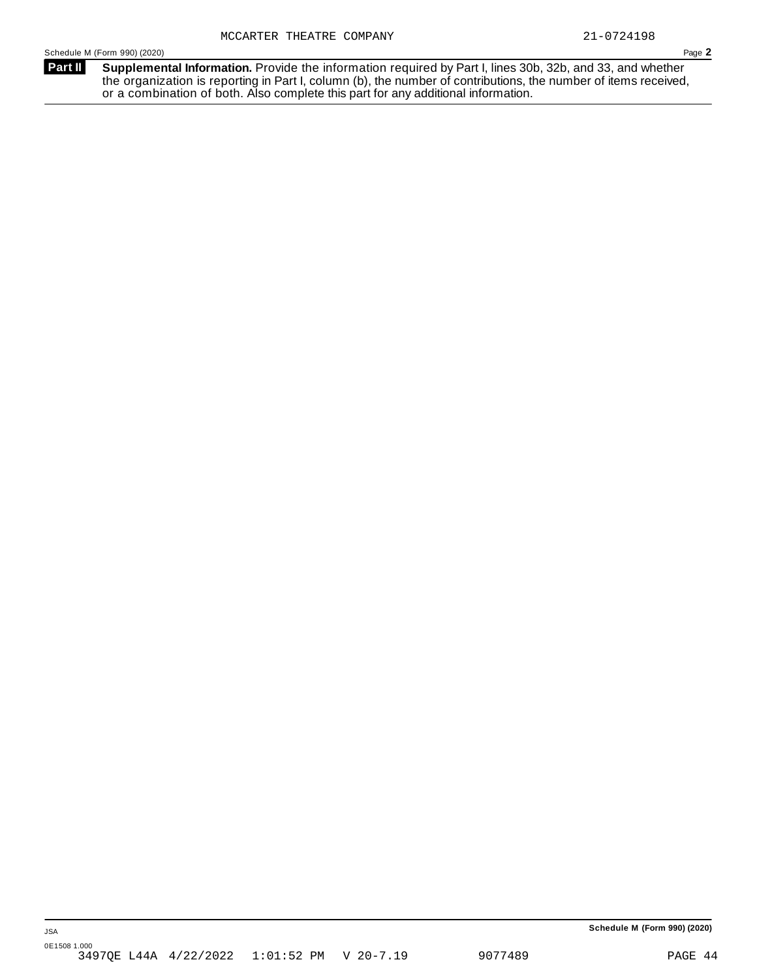**Supplemental Information.** Provide the information required by Part I, lines 30b, 32b, and 33, and whether the organization is reporting in Part I, column (b), the number of contributions, the number of items received, or a combination of both. Also complete this part for any additional information. **Part II**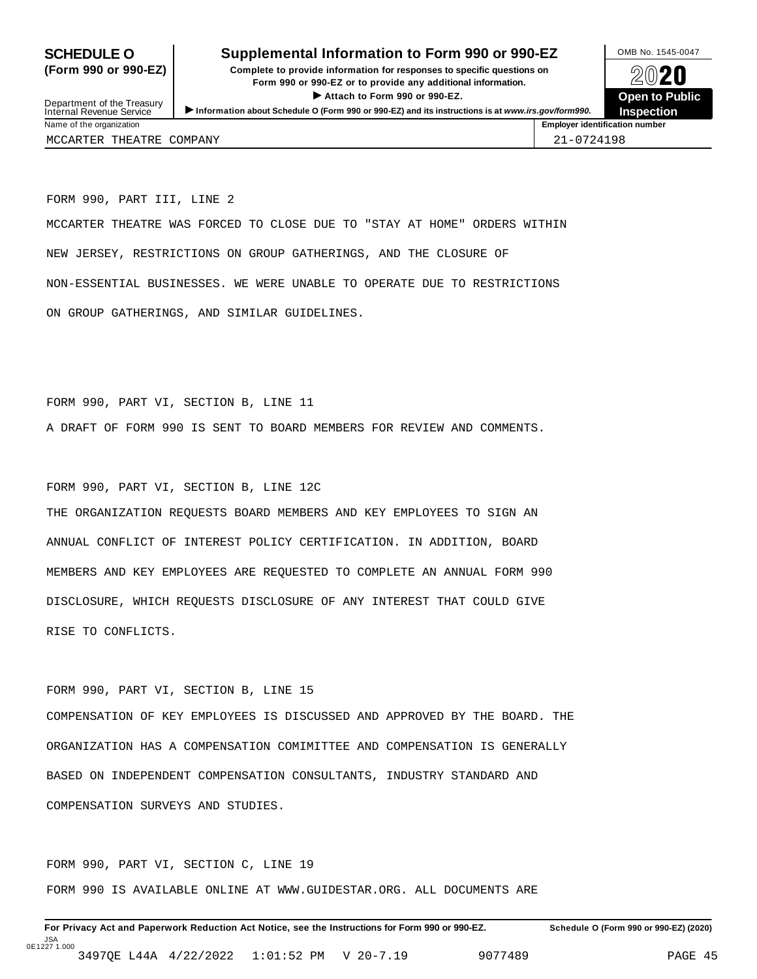#### **SCHEDULE O** Supplemental Information to Form 990 or 990-EZ DMB No. 1545-0047

**(Form 990 or 990-EZ) Complete to provide information for responses to specific questions on** plete to provide information for responses to specific questions on  $\bigotimes_{\mathbb{Z}}\mathbb{Q}$  20 **EVEC**<br>
■ Attach to Form 990 or 990-EZ.<br>
■ Attach to Form 990 or 990-EZ. Department of the Treasury <br>Depen to Public<br>Name of the organization<br>Name of the organization<br>Name of the organization<br>Name of the organization<br>Inspection



Department of the Treasury<br>Internal Revenue Service

FORM 990, PART III, LINE 2

MCCARTER THEATRE WAS FORCED TO CLOSE DUE TO "STAY AT HOME" ORDERS WITHIN NEW JERSEY, RESTRICTIONS ON GROUP GATHERINGS, AND THE CLOSURE OF NON-ESSENTIAL BUSINESSES. WE WERE UNABLE TO OPERATE DUE TO RESTRICTIONS ON GROUP GATHERINGS, AND SIMILAR GUIDELINES.

#### FORM 990, PART VI, SECTION B, LINE 11

A DRAFT OF FORM 990 IS SENT TO BOARD MEMBERS FOR REVIEW AND COMMENTS.

FORM 990, PART VI, SECTION B, LINE 12C

THE ORGANIZATION REQUESTS BOARD MEMBERS AND KEY EMPLOYEES TO SIGN AN ANNUAL CONFLICT OF INTEREST POLICY CERTIFICATION. IN ADDITION, BOARD MEMBERS AND KEY EMPLOYEES ARE REQUESTED TO COMPLETE AN ANNUAL FORM 990 DISCLOSURE, WHICH REQUESTS DISCLOSURE OF ANY INTEREST THAT COULD GIVE RISE TO CONFLICTS.

#### FORM 990, PART VI, SECTION B, LINE 15

COMPENSATION OF KEY EMPLOYEES IS DISCUSSED AND APPROVED BY THE BOARD. THE ORGANIZATION HAS A COMPENSATION COMIMITTEE AND COMPENSATION IS GENERALLY BASED ON INDEPENDENT COMPENSATION CONSULTANTS, INDUSTRY STANDARD AND COMPENSATION SURVEYS AND STUDIES.

### FORM 990, PART VI, SECTION C, LINE 19 FORM 990 IS AVAILABLE ONLINE AT WWW.GUIDESTAR.ORG. ALL DOCUMENTS ARE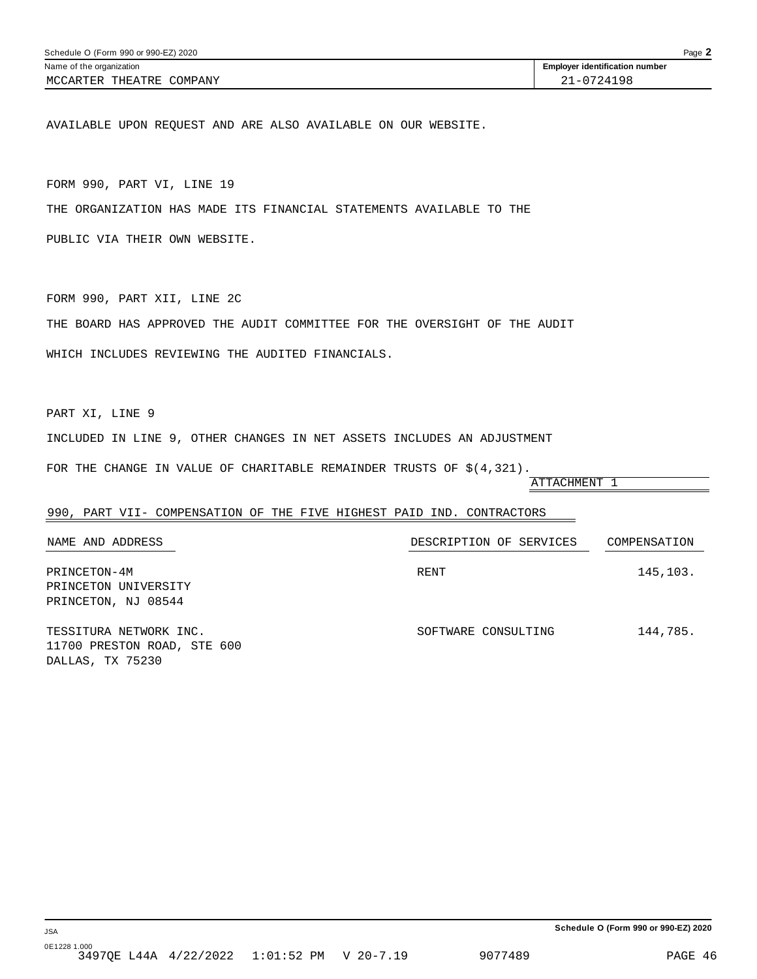<span id="page-45-0"></span>AVAILABLE UPON REQUEST AND ARE ALSO AVAILABLE ON OUR WEBSITE.

FORM 990, PART VI, LINE 19 THE ORGANIZATION HAS MADE ITS FINANCIAL STATEMENTS AVAILABLE TO THE PUBLIC VIA THEIR OWN WEBSITE.

FORM 990, PART XII, LINE 2C THE BOARD HAS APPROVED THE AUDIT COMMITTEE FOR THE OVERSIGHT OF THE AUDIT WHICH INCLUDES REVIEWING THE AUDITED FINANCIALS.

PART XI, LINE 9

INCLUDED IN LINE 9, OTHER CHANGES IN NET ASSETS INCLUDES AN ADJUSTMENT

FOR THE CHANGE IN VALUE OF CHARITABLE REMAINDER TRUSTS OF \$(4,321).

ATTACHMENT 1

| 990, PART VII- COMPENSATION OF THE FIVE HIGHEST PAID IND. CONTRACTORS |                         |              |
|-----------------------------------------------------------------------|-------------------------|--------------|
| NAME AND ADDRESS                                                      | DESCRIPTION OF SERVICES | COMPENSATION |
| PRINCETON-4M<br>PRINCETON UNIVERSITY<br>PRINCETON, NJ 08544           | RENT                    | 145,103.     |
| TESSITURA NETWORK INC.<br>$11700$ DRECTON ROAD STE 600                | SOFTWARE CONSULTING     | 144,785.     |

11700 PRESTON ROAD, STE 600 DALLAS, TX 75230

JSA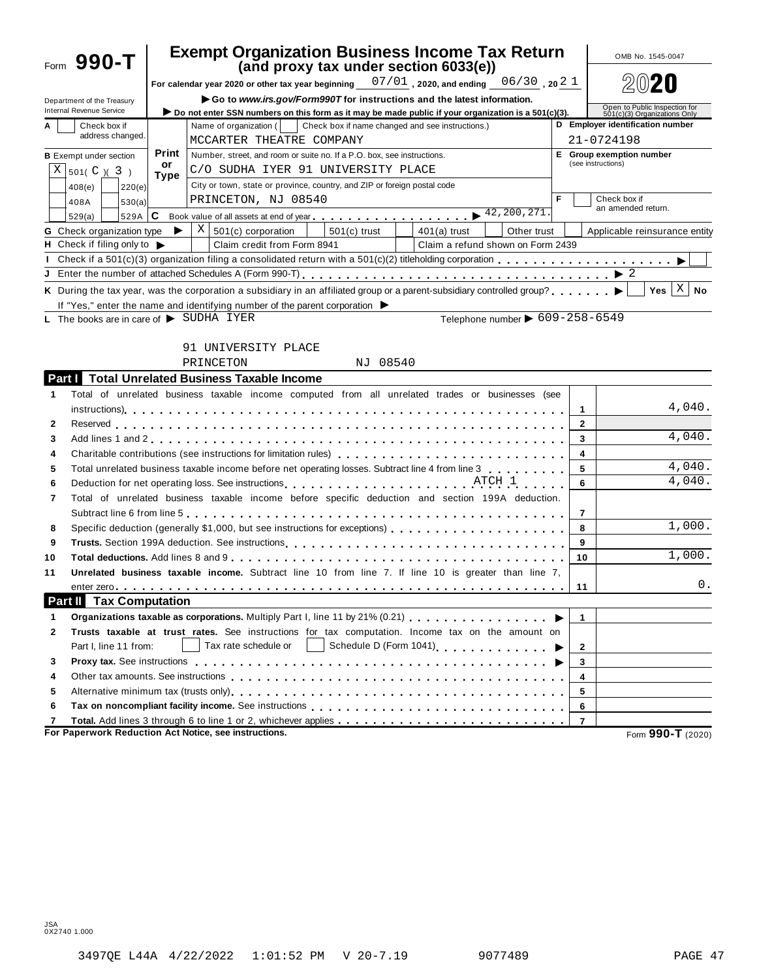| $20$ 20<br>For calendar year 2020 or other tax year beginning $-07/01$ , 2020, and ending $-06/30$ , 20 $21$<br>Go to www.irs.gov/Form990T for instructions and the latest information.<br>Department of the Treasury<br>Open to Public Inspection for<br>501(c)(3) Organizations Only<br>Internal Revenue Service<br>Do not enter SSN numbers on this form as it may be made public if your organization is a 501(c)(3).<br>D Employer identification number<br>Check box if<br>Name of organization (<br>Check box if name changed and see instructions.)<br>address changed.<br>21-0724198<br>MCCARTER THEATRE COMPANY<br>Print<br>E Group exemption number<br><b>B</b> Exempt under section<br>Number, street, and room or suite no. If a P.O. box, see instructions.<br>(see instructions)<br>or<br>$X \mid 501(C) (3)$<br>C/O SUDHA IYER 91 UNIVERSITY PLACE<br><b>Type</b><br>City or town, state or province, country, and ZIP or foreign postal code<br>408(e)<br>220(e)<br>F.<br>Check box if<br>PRINCETON, NJ 08540<br>408A<br>530(a)<br>an amended return.<br>Book value of all assets at end of year<br>$\cdots$ , $\overbrace{ }$ $42,200,271.$<br>529(a)<br>529A $ C$<br>$X \mid 501(c)$ corporation<br><b>G</b> Check organization type $\blacktriangleright$<br>$501(c)$ trust<br>$401(a)$ trust<br>Other trust<br>Applicable reinsurance entity<br><b>H</b> Check if filing only to $\blacktriangleright$<br>Claim credit from Form 8941<br>Claim a refund shown on Form 2439<br>the contract of the contract of<br>J<br>Yes $X \mid X$ No<br>K During the tax year, was the corporation a subsidiary in an affiliated group or a parent-subsidiary controlled group?<br>If "Yes," enter the name and identifying number of the parent corporation ▶<br>Telephone number $\triangleright$ 609-258-6549<br><b>L</b> The books are in care of $\triangleright$ SUDHA IYER<br>91 UNIVERSITY PLACE<br>NJ 08540<br>PRINCETON<br>Part Total Unrelated Business Taxable Income<br>Total of unrelated business taxable income computed from all unrelated trades or businesses (see<br>1<br>4,040.<br>$\mathbf{1}$<br>2<br>$\mathbf{2}$<br>4,040.<br>3<br>3<br>4<br>4<br>4,040.<br>5<br>Total unrelated business taxable income before net operating losses. Subtract line 4 from line 3<br>5<br>4,040.<br>6<br>6<br>Total of unrelated business taxable income before specific deduction and section 199A deduction.<br>7<br>7<br>1,000.<br>Specific deduction (generally \$1,000, but see instructions for exceptions)<br>8<br>8<br>9<br>9<br>1,000.<br>10<br>10<br>Unrelated business taxable income. Subtract line 10 from line 7. If line 10 is greater than line 7,<br>11<br>0.<br>11<br><b>Tax Computation</b><br>Part III<br>Organizations taxable as corporations. Multiply Part I, line 11 by 21% (0.21)<br>1<br>$\mathbf{1}$<br>Trusts taxable at trust rates. See instructions for tax computation. Income tax on the amount on<br>$\mathbf{2}$<br>Tax rate schedule or<br>Part I, line 11 from:<br>$\mathbf{2}$<br>3<br>3<br>4<br>4<br>5<br>5<br>6<br>6<br>Total. Add lines 3 through 6 to line 1 or 2, whichever applies<br>7<br>$\overline{7}$<br>For Paperwork Reduction Act Notice, see instructions. | Form 990-T |  | <b>Exempt Organization Business Income Tax Return</b><br>(and proxy tax under section 6033(e)) |  |  | OMB No. 1545-0047 |  |
|----------------------------------------------------------------------------------------------------------------------------------------------------------------------------------------------------------------------------------------------------------------------------------------------------------------------------------------------------------------------------------------------------------------------------------------------------------------------------------------------------------------------------------------------------------------------------------------------------------------------------------------------------------------------------------------------------------------------------------------------------------------------------------------------------------------------------------------------------------------------------------------------------------------------------------------------------------------------------------------------------------------------------------------------------------------------------------------------------------------------------------------------------------------------------------------------------------------------------------------------------------------------------------------------------------------------------------------------------------------------------------------------------------------------------------------------------------------------------------------------------------------------------------------------------------------------------------------------------------------------------------------------------------------------------------------------------------------------------------------------------------------------------------------------------------------------------------------------------------------------------------------------------------------------------------------------------------------------------------------------------------------------------------------------------------------------------------------------------------------------------------------------------------------------------------------------------------------------------------------------------------------------------------------------------------------------------------------------------------------------------------------------------------------------------------------------------------------------------------------------------------------------------------------------------------------------------------------------------------------------------------------------------------------------------------------------------------------------------------------------------------------------------------------------------------------------------------------------------------------------------------------------------------------------------------------------------------------------------------------------------------------------------------------------------------------------------------------------------------------------------------------------------------------------------------------------------------------------------------|------------|--|------------------------------------------------------------------------------------------------|--|--|-------------------|--|
|                                                                                                                                                                                                                                                                                                                                                                                                                                                                                                                                                                                                                                                                                                                                                                                                                                                                                                                                                                                                                                                                                                                                                                                                                                                                                                                                                                                                                                                                                                                                                                                                                                                                                                                                                                                                                                                                                                                                                                                                                                                                                                                                                                                                                                                                                                                                                                                                                                                                                                                                                                                                                                                                                                                                                                                                                                                                                                                                                                                                                                                                                                                                                                                                                                  |            |  |                                                                                                |  |  |                   |  |
|                                                                                                                                                                                                                                                                                                                                                                                                                                                                                                                                                                                                                                                                                                                                                                                                                                                                                                                                                                                                                                                                                                                                                                                                                                                                                                                                                                                                                                                                                                                                                                                                                                                                                                                                                                                                                                                                                                                                                                                                                                                                                                                                                                                                                                                                                                                                                                                                                                                                                                                                                                                                                                                                                                                                                                                                                                                                                                                                                                                                                                                                                                                                                                                                                                  |            |  |                                                                                                |  |  |                   |  |
|                                                                                                                                                                                                                                                                                                                                                                                                                                                                                                                                                                                                                                                                                                                                                                                                                                                                                                                                                                                                                                                                                                                                                                                                                                                                                                                                                                                                                                                                                                                                                                                                                                                                                                                                                                                                                                                                                                                                                                                                                                                                                                                                                                                                                                                                                                                                                                                                                                                                                                                                                                                                                                                                                                                                                                                                                                                                                                                                                                                                                                                                                                                                                                                                                                  |            |  |                                                                                                |  |  |                   |  |
|                                                                                                                                                                                                                                                                                                                                                                                                                                                                                                                                                                                                                                                                                                                                                                                                                                                                                                                                                                                                                                                                                                                                                                                                                                                                                                                                                                                                                                                                                                                                                                                                                                                                                                                                                                                                                                                                                                                                                                                                                                                                                                                                                                                                                                                                                                                                                                                                                                                                                                                                                                                                                                                                                                                                                                                                                                                                                                                                                                                                                                                                                                                                                                                                                                  |            |  |                                                                                                |  |  |                   |  |
|                                                                                                                                                                                                                                                                                                                                                                                                                                                                                                                                                                                                                                                                                                                                                                                                                                                                                                                                                                                                                                                                                                                                                                                                                                                                                                                                                                                                                                                                                                                                                                                                                                                                                                                                                                                                                                                                                                                                                                                                                                                                                                                                                                                                                                                                                                                                                                                                                                                                                                                                                                                                                                                                                                                                                                                                                                                                                                                                                                                                                                                                                                                                                                                                                                  |            |  |                                                                                                |  |  |                   |  |
|                                                                                                                                                                                                                                                                                                                                                                                                                                                                                                                                                                                                                                                                                                                                                                                                                                                                                                                                                                                                                                                                                                                                                                                                                                                                                                                                                                                                                                                                                                                                                                                                                                                                                                                                                                                                                                                                                                                                                                                                                                                                                                                                                                                                                                                                                                                                                                                                                                                                                                                                                                                                                                                                                                                                                                                                                                                                                                                                                                                                                                                                                                                                                                                                                                  |            |  |                                                                                                |  |  |                   |  |
|                                                                                                                                                                                                                                                                                                                                                                                                                                                                                                                                                                                                                                                                                                                                                                                                                                                                                                                                                                                                                                                                                                                                                                                                                                                                                                                                                                                                                                                                                                                                                                                                                                                                                                                                                                                                                                                                                                                                                                                                                                                                                                                                                                                                                                                                                                                                                                                                                                                                                                                                                                                                                                                                                                                                                                                                                                                                                                                                                                                                                                                                                                                                                                                                                                  |            |  |                                                                                                |  |  |                   |  |
|                                                                                                                                                                                                                                                                                                                                                                                                                                                                                                                                                                                                                                                                                                                                                                                                                                                                                                                                                                                                                                                                                                                                                                                                                                                                                                                                                                                                                                                                                                                                                                                                                                                                                                                                                                                                                                                                                                                                                                                                                                                                                                                                                                                                                                                                                                                                                                                                                                                                                                                                                                                                                                                                                                                                                                                                                                                                                                                                                                                                                                                                                                                                                                                                                                  |            |  |                                                                                                |  |  |                   |  |
|                                                                                                                                                                                                                                                                                                                                                                                                                                                                                                                                                                                                                                                                                                                                                                                                                                                                                                                                                                                                                                                                                                                                                                                                                                                                                                                                                                                                                                                                                                                                                                                                                                                                                                                                                                                                                                                                                                                                                                                                                                                                                                                                                                                                                                                                                                                                                                                                                                                                                                                                                                                                                                                                                                                                                                                                                                                                                                                                                                                                                                                                                                                                                                                                                                  |            |  |                                                                                                |  |  |                   |  |
|                                                                                                                                                                                                                                                                                                                                                                                                                                                                                                                                                                                                                                                                                                                                                                                                                                                                                                                                                                                                                                                                                                                                                                                                                                                                                                                                                                                                                                                                                                                                                                                                                                                                                                                                                                                                                                                                                                                                                                                                                                                                                                                                                                                                                                                                                                                                                                                                                                                                                                                                                                                                                                                                                                                                                                                                                                                                                                                                                                                                                                                                                                                                                                                                                                  |            |  |                                                                                                |  |  |                   |  |
|                                                                                                                                                                                                                                                                                                                                                                                                                                                                                                                                                                                                                                                                                                                                                                                                                                                                                                                                                                                                                                                                                                                                                                                                                                                                                                                                                                                                                                                                                                                                                                                                                                                                                                                                                                                                                                                                                                                                                                                                                                                                                                                                                                                                                                                                                                                                                                                                                                                                                                                                                                                                                                                                                                                                                                                                                                                                                                                                                                                                                                                                                                                                                                                                                                  |            |  |                                                                                                |  |  |                   |  |
|                                                                                                                                                                                                                                                                                                                                                                                                                                                                                                                                                                                                                                                                                                                                                                                                                                                                                                                                                                                                                                                                                                                                                                                                                                                                                                                                                                                                                                                                                                                                                                                                                                                                                                                                                                                                                                                                                                                                                                                                                                                                                                                                                                                                                                                                                                                                                                                                                                                                                                                                                                                                                                                                                                                                                                                                                                                                                                                                                                                                                                                                                                                                                                                                                                  |            |  |                                                                                                |  |  |                   |  |
|                                                                                                                                                                                                                                                                                                                                                                                                                                                                                                                                                                                                                                                                                                                                                                                                                                                                                                                                                                                                                                                                                                                                                                                                                                                                                                                                                                                                                                                                                                                                                                                                                                                                                                                                                                                                                                                                                                                                                                                                                                                                                                                                                                                                                                                                                                                                                                                                                                                                                                                                                                                                                                                                                                                                                                                                                                                                                                                                                                                                                                                                                                                                                                                                                                  |            |  |                                                                                                |  |  |                   |  |
|                                                                                                                                                                                                                                                                                                                                                                                                                                                                                                                                                                                                                                                                                                                                                                                                                                                                                                                                                                                                                                                                                                                                                                                                                                                                                                                                                                                                                                                                                                                                                                                                                                                                                                                                                                                                                                                                                                                                                                                                                                                                                                                                                                                                                                                                                                                                                                                                                                                                                                                                                                                                                                                                                                                                                                                                                                                                                                                                                                                                                                                                                                                                                                                                                                  |            |  |                                                                                                |  |  |                   |  |
|                                                                                                                                                                                                                                                                                                                                                                                                                                                                                                                                                                                                                                                                                                                                                                                                                                                                                                                                                                                                                                                                                                                                                                                                                                                                                                                                                                                                                                                                                                                                                                                                                                                                                                                                                                                                                                                                                                                                                                                                                                                                                                                                                                                                                                                                                                                                                                                                                                                                                                                                                                                                                                                                                                                                                                                                                                                                                                                                                                                                                                                                                                                                                                                                                                  |            |  |                                                                                                |  |  |                   |  |
|                                                                                                                                                                                                                                                                                                                                                                                                                                                                                                                                                                                                                                                                                                                                                                                                                                                                                                                                                                                                                                                                                                                                                                                                                                                                                                                                                                                                                                                                                                                                                                                                                                                                                                                                                                                                                                                                                                                                                                                                                                                                                                                                                                                                                                                                                                                                                                                                                                                                                                                                                                                                                                                                                                                                                                                                                                                                                                                                                                                                                                                                                                                                                                                                                                  |            |  |                                                                                                |  |  |                   |  |
|                                                                                                                                                                                                                                                                                                                                                                                                                                                                                                                                                                                                                                                                                                                                                                                                                                                                                                                                                                                                                                                                                                                                                                                                                                                                                                                                                                                                                                                                                                                                                                                                                                                                                                                                                                                                                                                                                                                                                                                                                                                                                                                                                                                                                                                                                                                                                                                                                                                                                                                                                                                                                                                                                                                                                                                                                                                                                                                                                                                                                                                                                                                                                                                                                                  |            |  |                                                                                                |  |  |                   |  |
|                                                                                                                                                                                                                                                                                                                                                                                                                                                                                                                                                                                                                                                                                                                                                                                                                                                                                                                                                                                                                                                                                                                                                                                                                                                                                                                                                                                                                                                                                                                                                                                                                                                                                                                                                                                                                                                                                                                                                                                                                                                                                                                                                                                                                                                                                                                                                                                                                                                                                                                                                                                                                                                                                                                                                                                                                                                                                                                                                                                                                                                                                                                                                                                                                                  |            |  |                                                                                                |  |  |                   |  |
|                                                                                                                                                                                                                                                                                                                                                                                                                                                                                                                                                                                                                                                                                                                                                                                                                                                                                                                                                                                                                                                                                                                                                                                                                                                                                                                                                                                                                                                                                                                                                                                                                                                                                                                                                                                                                                                                                                                                                                                                                                                                                                                                                                                                                                                                                                                                                                                                                                                                                                                                                                                                                                                                                                                                                                                                                                                                                                                                                                                                                                                                                                                                                                                                                                  |            |  |                                                                                                |  |  |                   |  |
|                                                                                                                                                                                                                                                                                                                                                                                                                                                                                                                                                                                                                                                                                                                                                                                                                                                                                                                                                                                                                                                                                                                                                                                                                                                                                                                                                                                                                                                                                                                                                                                                                                                                                                                                                                                                                                                                                                                                                                                                                                                                                                                                                                                                                                                                                                                                                                                                                                                                                                                                                                                                                                                                                                                                                                                                                                                                                                                                                                                                                                                                                                                                                                                                                                  |            |  |                                                                                                |  |  |                   |  |
|                                                                                                                                                                                                                                                                                                                                                                                                                                                                                                                                                                                                                                                                                                                                                                                                                                                                                                                                                                                                                                                                                                                                                                                                                                                                                                                                                                                                                                                                                                                                                                                                                                                                                                                                                                                                                                                                                                                                                                                                                                                                                                                                                                                                                                                                                                                                                                                                                                                                                                                                                                                                                                                                                                                                                                                                                                                                                                                                                                                                                                                                                                                                                                                                                                  |            |  |                                                                                                |  |  |                   |  |
|                                                                                                                                                                                                                                                                                                                                                                                                                                                                                                                                                                                                                                                                                                                                                                                                                                                                                                                                                                                                                                                                                                                                                                                                                                                                                                                                                                                                                                                                                                                                                                                                                                                                                                                                                                                                                                                                                                                                                                                                                                                                                                                                                                                                                                                                                                                                                                                                                                                                                                                                                                                                                                                                                                                                                                                                                                                                                                                                                                                                                                                                                                                                                                                                                                  |            |  |                                                                                                |  |  |                   |  |
|                                                                                                                                                                                                                                                                                                                                                                                                                                                                                                                                                                                                                                                                                                                                                                                                                                                                                                                                                                                                                                                                                                                                                                                                                                                                                                                                                                                                                                                                                                                                                                                                                                                                                                                                                                                                                                                                                                                                                                                                                                                                                                                                                                                                                                                                                                                                                                                                                                                                                                                                                                                                                                                                                                                                                                                                                                                                                                                                                                                                                                                                                                                                                                                                                                  |            |  |                                                                                                |  |  |                   |  |
|                                                                                                                                                                                                                                                                                                                                                                                                                                                                                                                                                                                                                                                                                                                                                                                                                                                                                                                                                                                                                                                                                                                                                                                                                                                                                                                                                                                                                                                                                                                                                                                                                                                                                                                                                                                                                                                                                                                                                                                                                                                                                                                                                                                                                                                                                                                                                                                                                                                                                                                                                                                                                                                                                                                                                                                                                                                                                                                                                                                                                                                                                                                                                                                                                                  |            |  |                                                                                                |  |  |                   |  |
|                                                                                                                                                                                                                                                                                                                                                                                                                                                                                                                                                                                                                                                                                                                                                                                                                                                                                                                                                                                                                                                                                                                                                                                                                                                                                                                                                                                                                                                                                                                                                                                                                                                                                                                                                                                                                                                                                                                                                                                                                                                                                                                                                                                                                                                                                                                                                                                                                                                                                                                                                                                                                                                                                                                                                                                                                                                                                                                                                                                                                                                                                                                                                                                                                                  |            |  |                                                                                                |  |  |                   |  |
|                                                                                                                                                                                                                                                                                                                                                                                                                                                                                                                                                                                                                                                                                                                                                                                                                                                                                                                                                                                                                                                                                                                                                                                                                                                                                                                                                                                                                                                                                                                                                                                                                                                                                                                                                                                                                                                                                                                                                                                                                                                                                                                                                                                                                                                                                                                                                                                                                                                                                                                                                                                                                                                                                                                                                                                                                                                                                                                                                                                                                                                                                                                                                                                                                                  |            |  |                                                                                                |  |  |                   |  |
|                                                                                                                                                                                                                                                                                                                                                                                                                                                                                                                                                                                                                                                                                                                                                                                                                                                                                                                                                                                                                                                                                                                                                                                                                                                                                                                                                                                                                                                                                                                                                                                                                                                                                                                                                                                                                                                                                                                                                                                                                                                                                                                                                                                                                                                                                                                                                                                                                                                                                                                                                                                                                                                                                                                                                                                                                                                                                                                                                                                                                                                                                                                                                                                                                                  |            |  |                                                                                                |  |  |                   |  |
|                                                                                                                                                                                                                                                                                                                                                                                                                                                                                                                                                                                                                                                                                                                                                                                                                                                                                                                                                                                                                                                                                                                                                                                                                                                                                                                                                                                                                                                                                                                                                                                                                                                                                                                                                                                                                                                                                                                                                                                                                                                                                                                                                                                                                                                                                                                                                                                                                                                                                                                                                                                                                                                                                                                                                                                                                                                                                                                                                                                                                                                                                                                                                                                                                                  |            |  |                                                                                                |  |  |                   |  |
|                                                                                                                                                                                                                                                                                                                                                                                                                                                                                                                                                                                                                                                                                                                                                                                                                                                                                                                                                                                                                                                                                                                                                                                                                                                                                                                                                                                                                                                                                                                                                                                                                                                                                                                                                                                                                                                                                                                                                                                                                                                                                                                                                                                                                                                                                                                                                                                                                                                                                                                                                                                                                                                                                                                                                                                                                                                                                                                                                                                                                                                                                                                                                                                                                                  |            |  |                                                                                                |  |  |                   |  |
|                                                                                                                                                                                                                                                                                                                                                                                                                                                                                                                                                                                                                                                                                                                                                                                                                                                                                                                                                                                                                                                                                                                                                                                                                                                                                                                                                                                                                                                                                                                                                                                                                                                                                                                                                                                                                                                                                                                                                                                                                                                                                                                                                                                                                                                                                                                                                                                                                                                                                                                                                                                                                                                                                                                                                                                                                                                                                                                                                                                                                                                                                                                                                                                                                                  |            |  |                                                                                                |  |  |                   |  |
|                                                                                                                                                                                                                                                                                                                                                                                                                                                                                                                                                                                                                                                                                                                                                                                                                                                                                                                                                                                                                                                                                                                                                                                                                                                                                                                                                                                                                                                                                                                                                                                                                                                                                                                                                                                                                                                                                                                                                                                                                                                                                                                                                                                                                                                                                                                                                                                                                                                                                                                                                                                                                                                                                                                                                                                                                                                                                                                                                                                                                                                                                                                                                                                                                                  |            |  |                                                                                                |  |  |                   |  |
|                                                                                                                                                                                                                                                                                                                                                                                                                                                                                                                                                                                                                                                                                                                                                                                                                                                                                                                                                                                                                                                                                                                                                                                                                                                                                                                                                                                                                                                                                                                                                                                                                                                                                                                                                                                                                                                                                                                                                                                                                                                                                                                                                                                                                                                                                                                                                                                                                                                                                                                                                                                                                                                                                                                                                                                                                                                                                                                                                                                                                                                                                                                                                                                                                                  |            |  |                                                                                                |  |  |                   |  |
|                                                                                                                                                                                                                                                                                                                                                                                                                                                                                                                                                                                                                                                                                                                                                                                                                                                                                                                                                                                                                                                                                                                                                                                                                                                                                                                                                                                                                                                                                                                                                                                                                                                                                                                                                                                                                                                                                                                                                                                                                                                                                                                                                                                                                                                                                                                                                                                                                                                                                                                                                                                                                                                                                                                                                                                                                                                                                                                                                                                                                                                                                                                                                                                                                                  |            |  |                                                                                                |  |  |                   |  |
|                                                                                                                                                                                                                                                                                                                                                                                                                                                                                                                                                                                                                                                                                                                                                                                                                                                                                                                                                                                                                                                                                                                                                                                                                                                                                                                                                                                                                                                                                                                                                                                                                                                                                                                                                                                                                                                                                                                                                                                                                                                                                                                                                                                                                                                                                                                                                                                                                                                                                                                                                                                                                                                                                                                                                                                                                                                                                                                                                                                                                                                                                                                                                                                                                                  |            |  |                                                                                                |  |  |                   |  |
|                                                                                                                                                                                                                                                                                                                                                                                                                                                                                                                                                                                                                                                                                                                                                                                                                                                                                                                                                                                                                                                                                                                                                                                                                                                                                                                                                                                                                                                                                                                                                                                                                                                                                                                                                                                                                                                                                                                                                                                                                                                                                                                                                                                                                                                                                                                                                                                                                                                                                                                                                                                                                                                                                                                                                                                                                                                                                                                                                                                                                                                                                                                                                                                                                                  |            |  |                                                                                                |  |  |                   |  |
|                                                                                                                                                                                                                                                                                                                                                                                                                                                                                                                                                                                                                                                                                                                                                                                                                                                                                                                                                                                                                                                                                                                                                                                                                                                                                                                                                                                                                                                                                                                                                                                                                                                                                                                                                                                                                                                                                                                                                                                                                                                                                                                                                                                                                                                                                                                                                                                                                                                                                                                                                                                                                                                                                                                                                                                                                                                                                                                                                                                                                                                                                                                                                                                                                                  |            |  |                                                                                                |  |  |                   |  |
|                                                                                                                                                                                                                                                                                                                                                                                                                                                                                                                                                                                                                                                                                                                                                                                                                                                                                                                                                                                                                                                                                                                                                                                                                                                                                                                                                                                                                                                                                                                                                                                                                                                                                                                                                                                                                                                                                                                                                                                                                                                                                                                                                                                                                                                                                                                                                                                                                                                                                                                                                                                                                                                                                                                                                                                                                                                                                                                                                                                                                                                                                                                                                                                                                                  |            |  |                                                                                                |  |  |                   |  |
|                                                                                                                                                                                                                                                                                                                                                                                                                                                                                                                                                                                                                                                                                                                                                                                                                                                                                                                                                                                                                                                                                                                                                                                                                                                                                                                                                                                                                                                                                                                                                                                                                                                                                                                                                                                                                                                                                                                                                                                                                                                                                                                                                                                                                                                                                                                                                                                                                                                                                                                                                                                                                                                                                                                                                                                                                                                                                                                                                                                                                                                                                                                                                                                                                                  |            |  |                                                                                                |  |  |                   |  |
|                                                                                                                                                                                                                                                                                                                                                                                                                                                                                                                                                                                                                                                                                                                                                                                                                                                                                                                                                                                                                                                                                                                                                                                                                                                                                                                                                                                                                                                                                                                                                                                                                                                                                                                                                                                                                                                                                                                                                                                                                                                                                                                                                                                                                                                                                                                                                                                                                                                                                                                                                                                                                                                                                                                                                                                                                                                                                                                                                                                                                                                                                                                                                                                                                                  |            |  |                                                                                                |  |  |                   |  |
|                                                                                                                                                                                                                                                                                                                                                                                                                                                                                                                                                                                                                                                                                                                                                                                                                                                                                                                                                                                                                                                                                                                                                                                                                                                                                                                                                                                                                                                                                                                                                                                                                                                                                                                                                                                                                                                                                                                                                                                                                                                                                                                                                                                                                                                                                                                                                                                                                                                                                                                                                                                                                                                                                                                                                                                                                                                                                                                                                                                                                                                                                                                                                                                                                                  |            |  |                                                                                                |  |  |                   |  |
|                                                                                                                                                                                                                                                                                                                                                                                                                                                                                                                                                                                                                                                                                                                                                                                                                                                                                                                                                                                                                                                                                                                                                                                                                                                                                                                                                                                                                                                                                                                                                                                                                                                                                                                                                                                                                                                                                                                                                                                                                                                                                                                                                                                                                                                                                                                                                                                                                                                                                                                                                                                                                                                                                                                                                                                                                                                                                                                                                                                                                                                                                                                                                                                                                                  |            |  |                                                                                                |  |  |                   |  |
|                                                                                                                                                                                                                                                                                                                                                                                                                                                                                                                                                                                                                                                                                                                                                                                                                                                                                                                                                                                                                                                                                                                                                                                                                                                                                                                                                                                                                                                                                                                                                                                                                                                                                                                                                                                                                                                                                                                                                                                                                                                                                                                                                                                                                                                                                                                                                                                                                                                                                                                                                                                                                                                                                                                                                                                                                                                                                                                                                                                                                                                                                                                                                                                                                                  |            |  |                                                                                                |  |  | Form 990-T (2020) |  |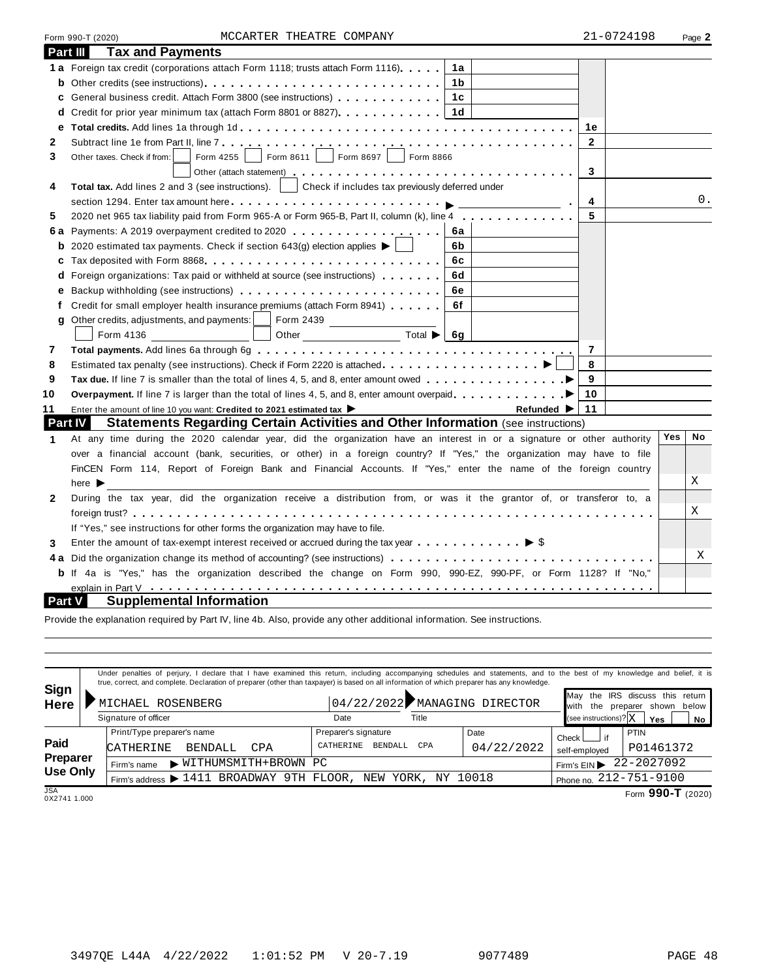|               | MCCARTER THEATRE COMPANY<br>Form 990-T (2020)                                                                                 | 21-0724198   |     | Page 2 |
|---------------|-------------------------------------------------------------------------------------------------------------------------------|--------------|-----|--------|
|               | <b>Tax and Payments</b><br>Part III                                                                                           |              |     |        |
|               | 1 a Foreign tax credit (corporations attach Form 1118; trusts attach Form 1116).<br>1a                                        |              |     |        |
|               | 1b                                                                                                                            |              |     |        |
|               | <b>c</b> General business credit. Attach Form 3800 (see instructions)<br>1с                                                   |              |     |        |
|               | 1 <sub>d</sub><br><b>d</b> Credit for prior year minimum tax (attach Form 8801 or 8827) $\ldots$                              |              |     |        |
| е             |                                                                                                                               | 1е           |     |        |
| 2             |                                                                                                                               | $\mathbf{2}$ |     |        |
| 3             | Form 4255     Form 8611     Form 8697     Form 8866<br>Other taxes. Check if from:                                            |              |     |        |
|               |                                                                                                                               | 3            |     |        |
| 4             | Total tax. Add lines 2 and 3 (see instructions).   Check if includes tax previously deferred under                            |              |     |        |
|               |                                                                                                                               | 4            |     | 0.     |
| 5             | 2020 net 965 tax liability paid from Form 965-A or Form 965-B, Part II, column (k), line 4                                    | 5            |     |        |
|               | 6 a Payments: A 2019 overpayment credited to 2020<br>6a                                                                       |              |     |        |
|               | <b>b</b> 2020 estimated tax payments. Check if section 643(g) election applies $\blacktriangleright$<br>6b                    |              |     |        |
|               | 6с                                                                                                                            |              |     |        |
|               | d Foreign organizations: Tax paid or withheld at source (see instructions)<br>6d                                              |              |     |        |
|               | 6е                                                                                                                            |              |     |        |
|               | Credit for small employer health insurance premiums (attach Form 8941)<br>6f                                                  |              |     |        |
| a             | Other credits, adjustments, and payments:                                                                                     |              |     |        |
|               | Form 4136                                                                                                                     |              |     |        |
| 7             |                                                                                                                               | 7            |     |        |
| 8             |                                                                                                                               | 8            |     |        |
| 9             | Tax due. If line 7 is smaller than the total of lines 4, 5, and 8, enter amount owed $\ldots \ldots \ldots \ldots$            | 9            |     |        |
| 10            | Overpayment. If line 7 is larger than the total of lines 4, 5, and 8, enter amount overpaid                                   | 10           |     |        |
| 11            | Enter the amount of line 10 you want: Credited to 2021 estimated tax<br>Refunded $\blacktriangleright$                        | 11           |     |        |
|               | <b>Part IV</b><br><b>Statements Regarding Certain Activities and Other Information (see instructions)</b>                     |              |     |        |
| 1             | At any time during the 2020 calendar year, did the organization have an interest in or a signature or other authority         |              | Yes | No     |
|               | over a financial account (bank, securities, or other) in a foreign country? If "Yes," the organization may have to file       |              |     |        |
|               | FinCEN Form 114, Report of Foreign Bank and Financial Accounts. If "Yes," enter the name of the foreign country               |              |     |        |
|               | here $\blacktriangleright$                                                                                                    |              |     | Χ      |
| $\mathbf{2}$  | During the tax year, did the organization receive a distribution from, or was it the grantor of, or transferor to, a          |              |     |        |
|               |                                                                                                                               |              |     | Χ      |
|               | If "Yes," see instructions for other forms the organization may have to file.                                                 |              |     |        |
| 3             | Enter the amount of tax-exempt interest received or accrued during the tax year $\dots \dots \dots \dots \dots \rightarrow \$ |              |     |        |
|               | 4a Did the organization change its method of accounting? (see instructions)                                                   |              |     | X      |
|               | b If 4a is "Yes," has the organization described the change on Form 990, 990-EZ, 990-PF, or Form 1128? If "No,"               |              |     |        |
|               |                                                                                                                               |              |     |        |
| <b>Part V</b> | <b>Supplemental Information</b>                                                                                               |              |     |        |

Provide the explanation required by Part IV, line 4b. Also, provide any other additional information. See instructions.

|                            | Under penalties of perjury, I declare that I have examined this return, including accompanying schedules and statements, and to the best of my knowledge and belief, it is<br>true, correct, and complete. Declaration of preparer (other than taxpayer) is based on all information of which preparer has any knowledge. |                                |       |            |                                                             |                   |  |
|----------------------------|---------------------------------------------------------------------------------------------------------------------------------------------------------------------------------------------------------------------------------------------------------------------------------------------------------------------------|--------------------------------|-------|------------|-------------------------------------------------------------|-------------------|--|
| <b>Sign</b><br><b>Here</b> | MICHAEL ROSENBERG                                                                                                                                                                                                                                                                                                         | $04/22/2022$ MANAGING DIRECTOR |       | with       | May the IRS discuss this return<br>the preparer shown below |                   |  |
|                            | Signature of officer                                                                                                                                                                                                                                                                                                      | Date                           | Title |            | (see instructions)? $ X $                                   | Yes<br>No         |  |
|                            | Print/Type preparer's name                                                                                                                                                                                                                                                                                                | Preparer's signature           |       | Date       | if<br>Check L                                               | <b>PTIN</b>       |  |
| Paid                       | CATHERINE<br>BENDALL<br>CPA                                                                                                                                                                                                                                                                                               | CATHERINE<br>BENDALL           | CPA   | 04/22/2022 | self-employed                                               | P01461372         |  |
| Preparer                   | WITHUMSMITH+BROWN PC<br>Firm's name                                                                                                                                                                                                                                                                                       |                                |       |            | 22-2027092<br>Firm's $EIN$                                  |                   |  |
| Use Only                   | Firm's address > 1411 BROADWAY 9TH FLOOR, NEW YORK, NY 10018                                                                                                                                                                                                                                                              |                                |       |            | Phone no. $212 - 751 - 9100$                                |                   |  |
| <b>JSA</b><br>0X2741 1.000 |                                                                                                                                                                                                                                                                                                                           |                                |       |            |                                                             | Form 990-T (2020) |  |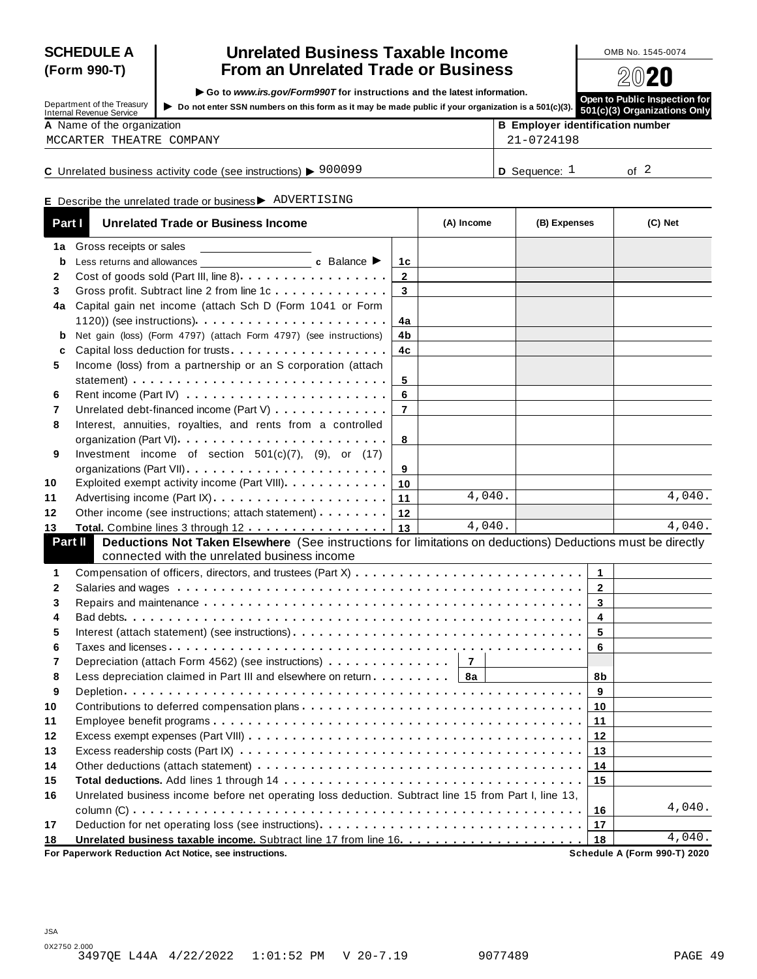# **(Form 990-T)**

## **SCHEDULE A**  $\begin{bmatrix} \end{bmatrix}$  **Unrelated Business Taxable Income**  $\begin{bmatrix} \end{bmatrix}$  OMB No. 1545-0074 **From an Unrelated Trade or Business**<br>► Go to www.irs.gov/Form990T for instructions and the latest information.

|  | A Name of the organization |
|--|----------------------------|
|  |                            |

|                                                        | $\blacktriangleright$ Go to www.irs.gov/Form990T for instructions and the latest information.                                                                                       |  | Open to Public Inspection for            |
|--------------------------------------------------------|-------------------------------------------------------------------------------------------------------------------------------------------------------------------------------------|--|------------------------------------------|
| Department of the Treasury<br>Internal Revenue Service | $\sim$   $\blacktriangleright$ Do not enter SSN numbers on this form as it may be made public if your organization is a 501(c)(3). $\frac{501(c)(3)}{501(c)(3)}$ Organizations Only |  |                                          |
| A Name of the organization                             |                                                                                                                                                                                     |  | <b>D. Employer identification number</b> |

| A Name of the organization                                                           | <b>B</b> Employer identification number           |
|--------------------------------------------------------------------------------------|---------------------------------------------------|
| MCCARTER THEATRE COMPANY                                                             | 21-0724198                                        |
|                                                                                      |                                                   |
| <b>C</b> Unrelated business activity code (see instructions) $\triangleright$ 900099 | $\mathsf{of} \ \ 2$<br><b>D</b> Sequence: $\perp$ |

## **E** Describe the unrelated trade or business **>** ADVERTISING

| Gross receipts or sales<br>1a<br>b<br>1c<br>Cost of goods sold (Part III, line 8).<br>$\mathbf{2}$<br>2<br>Gross profit. Subtract line 2 from line 1c<br>3<br>3<br>Capital gain net income (attach Sch D (Form 1041 or Form<br>4a<br>4a<br>Net gain (loss) (Form 4797) (attach Form 4797) (see instructions)<br>4b<br>b<br>4c<br>C<br>Income (loss) from a partnership or an S corporation (attach<br>5<br>5<br>6<br>6<br>Unrelated debt-financed income (Part V)<br>$\overline{7}$<br>7<br>Interest, annuities, royalties, and rents from a controlled<br>8<br>8<br>Investment income of section $501(c)(7)$ , (9), or (17)<br>9<br>organizations (Part VII)<br>9<br>Exploited exempt activity income (Part VIII).<br>10<br>4,040.<br>4,040.<br>Advertising income (Part IX)<br>11<br>Other income (see instructions; attach statement)<br>12<br>4,040.<br>4,040.<br>Total. Combine lines 3 through 12<br>13<br>Deductions Not Taken Elsewhere (See instructions for limitations on deductions) Deductions must be directly<br>Part II<br>connected with the unrelated business income<br>$\mathbf{1}$<br>1<br>$\mathbf{2}$<br>$\mathbf{2}$<br>3<br>3<br>$\overline{\mathbf{4}}$<br>4<br>5<br>5<br>6<br>6<br>Depreciation (attach Form 4562) (see instructions) $\ldots \ldots \ldots \ldots$<br>$\overline{7}$<br>Less depreciation claimed in Part III and elsewhere on return. $\boxed{8a}$<br>8<br>8b<br>9<br>9<br>10<br>10<br>11<br>11<br>12<br>12<br>13<br>13<br>14<br>14<br>15<br>15<br>Unrelated business income before net operating loss deduction. Subtract line 15 from Part I, line 13,<br>16<br>4,040.<br>16<br>Deduction for net operating loss (see instructions)<br>17<br>17<br>4,040.<br>18<br>18<br>For Paperwork Reduction Act Notice, see instructions.<br>Schedule A (Form 990-T) 2020 | Part I | <b>Unrelated Trade or Business Income</b> | (A) Income | (B) Expenses | (C) Net |
|---------------------------------------------------------------------------------------------------------------------------------------------------------------------------------------------------------------------------------------------------------------------------------------------------------------------------------------------------------------------------------------------------------------------------------------------------------------------------------------------------------------------------------------------------------------------------------------------------------------------------------------------------------------------------------------------------------------------------------------------------------------------------------------------------------------------------------------------------------------------------------------------------------------------------------------------------------------------------------------------------------------------------------------------------------------------------------------------------------------------------------------------------------------------------------------------------------------------------------------------------------------------------------------------------------------------------------------------------------------------------------------------------------------------------------------------------------------------------------------------------------------------------------------------------------------------------------------------------------------------------------------------------------------------------------------------------------------------------------------------------------------------------------------------------------------|--------|-------------------------------------------|------------|--------------|---------|
|                                                                                                                                                                                                                                                                                                                                                                                                                                                                                                                                                                                                                                                                                                                                                                                                                                                                                                                                                                                                                                                                                                                                                                                                                                                                                                                                                                                                                                                                                                                                                                                                                                                                                                                                                                                                               |        |                                           |            |              |         |
|                                                                                                                                                                                                                                                                                                                                                                                                                                                                                                                                                                                                                                                                                                                                                                                                                                                                                                                                                                                                                                                                                                                                                                                                                                                                                                                                                                                                                                                                                                                                                                                                                                                                                                                                                                                                               |        |                                           |            |              |         |
|                                                                                                                                                                                                                                                                                                                                                                                                                                                                                                                                                                                                                                                                                                                                                                                                                                                                                                                                                                                                                                                                                                                                                                                                                                                                                                                                                                                                                                                                                                                                                                                                                                                                                                                                                                                                               |        |                                           |            |              |         |
|                                                                                                                                                                                                                                                                                                                                                                                                                                                                                                                                                                                                                                                                                                                                                                                                                                                                                                                                                                                                                                                                                                                                                                                                                                                                                                                                                                                                                                                                                                                                                                                                                                                                                                                                                                                                               |        |                                           |            |              |         |
|                                                                                                                                                                                                                                                                                                                                                                                                                                                                                                                                                                                                                                                                                                                                                                                                                                                                                                                                                                                                                                                                                                                                                                                                                                                                                                                                                                                                                                                                                                                                                                                                                                                                                                                                                                                                               |        |                                           |            |              |         |
|                                                                                                                                                                                                                                                                                                                                                                                                                                                                                                                                                                                                                                                                                                                                                                                                                                                                                                                                                                                                                                                                                                                                                                                                                                                                                                                                                                                                                                                                                                                                                                                                                                                                                                                                                                                                               |        |                                           |            |              |         |
|                                                                                                                                                                                                                                                                                                                                                                                                                                                                                                                                                                                                                                                                                                                                                                                                                                                                                                                                                                                                                                                                                                                                                                                                                                                                                                                                                                                                                                                                                                                                                                                                                                                                                                                                                                                                               |        |                                           |            |              |         |
|                                                                                                                                                                                                                                                                                                                                                                                                                                                                                                                                                                                                                                                                                                                                                                                                                                                                                                                                                                                                                                                                                                                                                                                                                                                                                                                                                                                                                                                                                                                                                                                                                                                                                                                                                                                                               |        |                                           |            |              |         |
|                                                                                                                                                                                                                                                                                                                                                                                                                                                                                                                                                                                                                                                                                                                                                                                                                                                                                                                                                                                                                                                                                                                                                                                                                                                                                                                                                                                                                                                                                                                                                                                                                                                                                                                                                                                                               |        |                                           |            |              |         |
|                                                                                                                                                                                                                                                                                                                                                                                                                                                                                                                                                                                                                                                                                                                                                                                                                                                                                                                                                                                                                                                                                                                                                                                                                                                                                                                                                                                                                                                                                                                                                                                                                                                                                                                                                                                                               |        |                                           |            |              |         |
|                                                                                                                                                                                                                                                                                                                                                                                                                                                                                                                                                                                                                                                                                                                                                                                                                                                                                                                                                                                                                                                                                                                                                                                                                                                                                                                                                                                                                                                                                                                                                                                                                                                                                                                                                                                                               |        |                                           |            |              |         |
|                                                                                                                                                                                                                                                                                                                                                                                                                                                                                                                                                                                                                                                                                                                                                                                                                                                                                                                                                                                                                                                                                                                                                                                                                                                                                                                                                                                                                                                                                                                                                                                                                                                                                                                                                                                                               |        |                                           |            |              |         |
|                                                                                                                                                                                                                                                                                                                                                                                                                                                                                                                                                                                                                                                                                                                                                                                                                                                                                                                                                                                                                                                                                                                                                                                                                                                                                                                                                                                                                                                                                                                                                                                                                                                                                                                                                                                                               |        |                                           |            |              |         |
|                                                                                                                                                                                                                                                                                                                                                                                                                                                                                                                                                                                                                                                                                                                                                                                                                                                                                                                                                                                                                                                                                                                                                                                                                                                                                                                                                                                                                                                                                                                                                                                                                                                                                                                                                                                                               |        |                                           |            |              |         |
|                                                                                                                                                                                                                                                                                                                                                                                                                                                                                                                                                                                                                                                                                                                                                                                                                                                                                                                                                                                                                                                                                                                                                                                                                                                                                                                                                                                                                                                                                                                                                                                                                                                                                                                                                                                                               |        |                                           |            |              |         |
|                                                                                                                                                                                                                                                                                                                                                                                                                                                                                                                                                                                                                                                                                                                                                                                                                                                                                                                                                                                                                                                                                                                                                                                                                                                                                                                                                                                                                                                                                                                                                                                                                                                                                                                                                                                                               |        |                                           |            |              |         |
|                                                                                                                                                                                                                                                                                                                                                                                                                                                                                                                                                                                                                                                                                                                                                                                                                                                                                                                                                                                                                                                                                                                                                                                                                                                                                                                                                                                                                                                                                                                                                                                                                                                                                                                                                                                                               | 10     |                                           |            |              |         |
|                                                                                                                                                                                                                                                                                                                                                                                                                                                                                                                                                                                                                                                                                                                                                                                                                                                                                                                                                                                                                                                                                                                                                                                                                                                                                                                                                                                                                                                                                                                                                                                                                                                                                                                                                                                                               | 11     |                                           |            |              |         |
|                                                                                                                                                                                                                                                                                                                                                                                                                                                                                                                                                                                                                                                                                                                                                                                                                                                                                                                                                                                                                                                                                                                                                                                                                                                                                                                                                                                                                                                                                                                                                                                                                                                                                                                                                                                                               | 12     |                                           |            |              |         |
|                                                                                                                                                                                                                                                                                                                                                                                                                                                                                                                                                                                                                                                                                                                                                                                                                                                                                                                                                                                                                                                                                                                                                                                                                                                                                                                                                                                                                                                                                                                                                                                                                                                                                                                                                                                                               | 13     |                                           |            |              |         |
|                                                                                                                                                                                                                                                                                                                                                                                                                                                                                                                                                                                                                                                                                                                                                                                                                                                                                                                                                                                                                                                                                                                                                                                                                                                                                                                                                                                                                                                                                                                                                                                                                                                                                                                                                                                                               |        |                                           |            |              |         |
|                                                                                                                                                                                                                                                                                                                                                                                                                                                                                                                                                                                                                                                                                                                                                                                                                                                                                                                                                                                                                                                                                                                                                                                                                                                                                                                                                                                                                                                                                                                                                                                                                                                                                                                                                                                                               |        |                                           |            |              |         |
|                                                                                                                                                                                                                                                                                                                                                                                                                                                                                                                                                                                                                                                                                                                                                                                                                                                                                                                                                                                                                                                                                                                                                                                                                                                                                                                                                                                                                                                                                                                                                                                                                                                                                                                                                                                                               |        |                                           |            |              |         |
|                                                                                                                                                                                                                                                                                                                                                                                                                                                                                                                                                                                                                                                                                                                                                                                                                                                                                                                                                                                                                                                                                                                                                                                                                                                                                                                                                                                                                                                                                                                                                                                                                                                                                                                                                                                                               |        |                                           |            |              |         |
|                                                                                                                                                                                                                                                                                                                                                                                                                                                                                                                                                                                                                                                                                                                                                                                                                                                                                                                                                                                                                                                                                                                                                                                                                                                                                                                                                                                                                                                                                                                                                                                                                                                                                                                                                                                                               |        |                                           |            |              |         |
|                                                                                                                                                                                                                                                                                                                                                                                                                                                                                                                                                                                                                                                                                                                                                                                                                                                                                                                                                                                                                                                                                                                                                                                                                                                                                                                                                                                                                                                                                                                                                                                                                                                                                                                                                                                                               |        |                                           |            |              |         |
|                                                                                                                                                                                                                                                                                                                                                                                                                                                                                                                                                                                                                                                                                                                                                                                                                                                                                                                                                                                                                                                                                                                                                                                                                                                                                                                                                                                                                                                                                                                                                                                                                                                                                                                                                                                                               |        |                                           |            |              |         |
|                                                                                                                                                                                                                                                                                                                                                                                                                                                                                                                                                                                                                                                                                                                                                                                                                                                                                                                                                                                                                                                                                                                                                                                                                                                                                                                                                                                                                                                                                                                                                                                                                                                                                                                                                                                                               |        |                                           |            |              |         |
|                                                                                                                                                                                                                                                                                                                                                                                                                                                                                                                                                                                                                                                                                                                                                                                                                                                                                                                                                                                                                                                                                                                                                                                                                                                                                                                                                                                                                                                                                                                                                                                                                                                                                                                                                                                                               |        |                                           |            |              |         |
|                                                                                                                                                                                                                                                                                                                                                                                                                                                                                                                                                                                                                                                                                                                                                                                                                                                                                                                                                                                                                                                                                                                                                                                                                                                                                                                                                                                                                                                                                                                                                                                                                                                                                                                                                                                                               |        |                                           |            |              |         |
|                                                                                                                                                                                                                                                                                                                                                                                                                                                                                                                                                                                                                                                                                                                                                                                                                                                                                                                                                                                                                                                                                                                                                                                                                                                                                                                                                                                                                                                                                                                                                                                                                                                                                                                                                                                                               |        |                                           |            |              |         |
|                                                                                                                                                                                                                                                                                                                                                                                                                                                                                                                                                                                                                                                                                                                                                                                                                                                                                                                                                                                                                                                                                                                                                                                                                                                                                                                                                                                                                                                                                                                                                                                                                                                                                                                                                                                                               |        |                                           |            |              |         |
|                                                                                                                                                                                                                                                                                                                                                                                                                                                                                                                                                                                                                                                                                                                                                                                                                                                                                                                                                                                                                                                                                                                                                                                                                                                                                                                                                                                                                                                                                                                                                                                                                                                                                                                                                                                                               |        |                                           |            |              |         |
|                                                                                                                                                                                                                                                                                                                                                                                                                                                                                                                                                                                                                                                                                                                                                                                                                                                                                                                                                                                                                                                                                                                                                                                                                                                                                                                                                                                                                                                                                                                                                                                                                                                                                                                                                                                                               |        |                                           |            |              |         |
|                                                                                                                                                                                                                                                                                                                                                                                                                                                                                                                                                                                                                                                                                                                                                                                                                                                                                                                                                                                                                                                                                                                                                                                                                                                                                                                                                                                                                                                                                                                                                                                                                                                                                                                                                                                                               |        |                                           |            |              |         |
|                                                                                                                                                                                                                                                                                                                                                                                                                                                                                                                                                                                                                                                                                                                                                                                                                                                                                                                                                                                                                                                                                                                                                                                                                                                                                                                                                                                                                                                                                                                                                                                                                                                                                                                                                                                                               |        |                                           |            |              |         |
|                                                                                                                                                                                                                                                                                                                                                                                                                                                                                                                                                                                                                                                                                                                                                                                                                                                                                                                                                                                                                                                                                                                                                                                                                                                                                                                                                                                                                                                                                                                                                                                                                                                                                                                                                                                                               |        |                                           |            |              |         |
|                                                                                                                                                                                                                                                                                                                                                                                                                                                                                                                                                                                                                                                                                                                                                                                                                                                                                                                                                                                                                                                                                                                                                                                                                                                                                                                                                                                                                                                                                                                                                                                                                                                                                                                                                                                                               |        |                                           |            |              |         |
|                                                                                                                                                                                                                                                                                                                                                                                                                                                                                                                                                                                                                                                                                                                                                                                                                                                                                                                                                                                                                                                                                                                                                                                                                                                                                                                                                                                                                                                                                                                                                                                                                                                                                                                                                                                                               |        |                                           |            |              |         |
|                                                                                                                                                                                                                                                                                                                                                                                                                                                                                                                                                                                                                                                                                                                                                                                                                                                                                                                                                                                                                                                                                                                                                                                                                                                                                                                                                                                                                                                                                                                                                                                                                                                                                                                                                                                                               |        |                                           |            |              |         |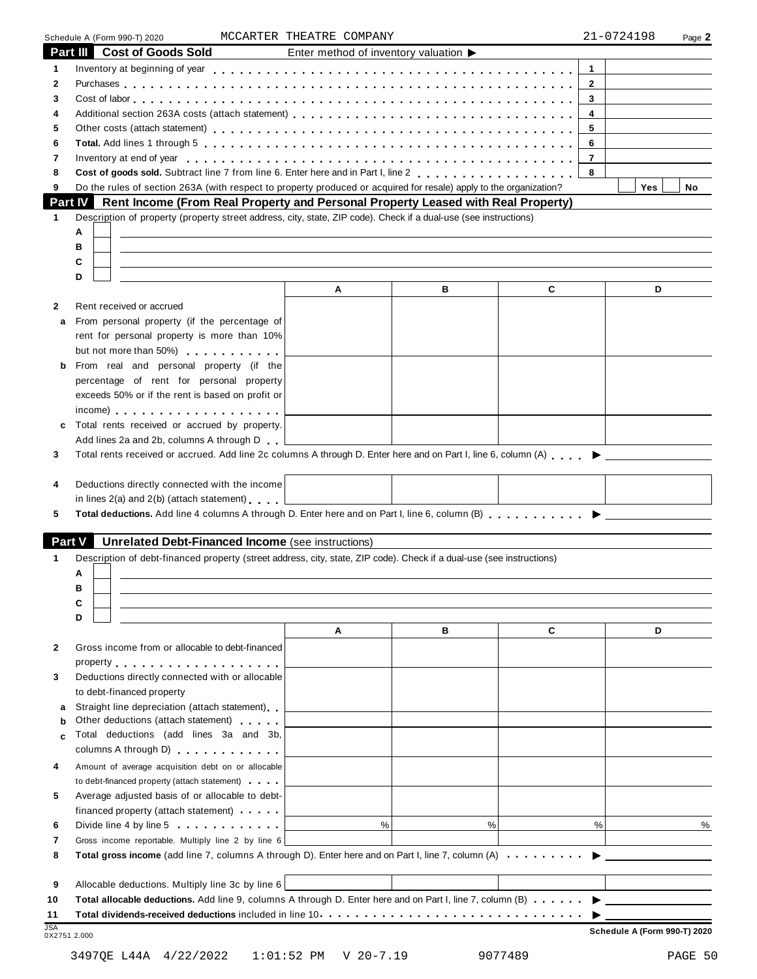|        | Schedule A (Form 990-T) 2020                                                                                                                                                                                                  | MCCARTER THEATRE COMPANY                                  |      | 21-0724198                                                                | Page 2    |
|--------|-------------------------------------------------------------------------------------------------------------------------------------------------------------------------------------------------------------------------------|-----------------------------------------------------------|------|---------------------------------------------------------------------------|-----------|
|        | <b>Part III</b> Cost of Goods Sold                                                                                                                                                                                            | Enter method of inventory valuation $\blacktriangleright$ |      |                                                                           |           |
|        |                                                                                                                                                                                                                               |                                                           |      | 1.                                                                        |           |
|        |                                                                                                                                                                                                                               |                                                           |      | $\mathbf{2}$                                                              |           |
|        |                                                                                                                                                                                                                               |                                                           |      | 3                                                                         |           |
|        |                                                                                                                                                                                                                               |                                                           |      | 4                                                                         |           |
|        |                                                                                                                                                                                                                               |                                                           |      | 5                                                                         |           |
|        |                                                                                                                                                                                                                               |                                                           |      | 6                                                                         |           |
|        |                                                                                                                                                                                                                               |                                                           |      | $\overline{7}$                                                            |           |
|        | Cost of goods sold. Subtract line 7 from line 6. Enter here and in Part I, line 2                                                                                                                                             |                                                           |      | 8                                                                         |           |
|        | Do the rules of section 263A (with respect to property produced or acquired for resale) apply to the organization?                                                                                                            |                                                           |      | Yes                                                                       | <b>No</b> |
|        | Rent Income (From Real Property and Personal Property Leased with Real Property)<br>Part IV                                                                                                                                   |                                                           |      |                                                                           |           |
|        | Description of property (property street address, city, state, ZIP code). Check if a dual-use (see instructions)                                                                                                              |                                                           |      |                                                                           |           |
|        | Α<br>в                                                                                                                                                                                                                        |                                                           |      |                                                                           |           |
|        | С                                                                                                                                                                                                                             |                                                           |      |                                                                           |           |
|        | D                                                                                                                                                                                                                             |                                                           |      |                                                                           |           |
|        |                                                                                                                                                                                                                               | $\mathsf{A}$<br>в                                         | C    | D                                                                         |           |
|        | Rent received or accrued                                                                                                                                                                                                      |                                                           |      |                                                                           |           |
|        | From personal property (if the percentage of                                                                                                                                                                                  |                                                           |      |                                                                           |           |
|        | rent for personal property is more than 10%                                                                                                                                                                                   |                                                           |      |                                                                           |           |
|        | but not more than 50%) example that the state of the state of the state of the state of the state of the state of the state of the state of the state of the state of the state of the state of the state of the state of the |                                                           |      |                                                                           |           |
|        | From real and personal property (if the                                                                                                                                                                                       |                                                           |      |                                                                           |           |
|        | percentage of rent for personal property                                                                                                                                                                                      |                                                           |      |                                                                           |           |
|        | exceeds 50% or if the rent is based on profit or                                                                                                                                                                              |                                                           |      |                                                                           |           |
|        | $income$ ) $\qquad \qquad \ldots$ $\qquad \qquad \ldots$ $\qquad \qquad \ldots$                                                                                                                                               |                                                           |      |                                                                           |           |
|        | Total rents received or accrued by property.                                                                                                                                                                                  |                                                           |      |                                                                           |           |
|        | Add lines 2a and 2b, columns A through D                                                                                                                                                                                      |                                                           |      |                                                                           |           |
|        | Total rents received or accrued. Add line 2c columns A through D. Enter here and on Part I, line 6, column (A)                                                                                                                |                                                           |      |                                                                           |           |
|        |                                                                                                                                                                                                                               |                                                           |      |                                                                           |           |
|        |                                                                                                                                                                                                                               |                                                           |      |                                                                           |           |
|        | Deductions directly connected with the income                                                                                                                                                                                 |                                                           |      |                                                                           |           |
|        | in lines $2(a)$ and $2(b)$ (attach statement)                                                                                                                                                                                 |                                                           |      |                                                                           |           |
|        | Total deductions. Add line 4 columns A through D. Enter here and on Part I, line 6, column (B)                                                                                                                                |                                                           |      | $\blacktriangleright$ and $\blacktriangleright$ and $\blacktriangleright$ |           |
|        |                                                                                                                                                                                                                               |                                                           |      |                                                                           |           |
| Part V | <b>Unrelated Debt-Financed Income (see instructions)</b>                                                                                                                                                                      |                                                           |      |                                                                           |           |
|        | Description of debt-financed property (street address, city, state, ZIP code). Check if a dual-use (see instructions)                                                                                                         |                                                           |      |                                                                           |           |
|        | Α                                                                                                                                                                                                                             |                                                           |      |                                                                           |           |
|        | в                                                                                                                                                                                                                             |                                                           |      |                                                                           |           |
|        | C                                                                                                                                                                                                                             |                                                           |      |                                                                           |           |
|        | D                                                                                                                                                                                                                             |                                                           |      |                                                                           |           |
|        |                                                                                                                                                                                                                               | A<br>в                                                    | C    | D                                                                         |           |
|        | Gross income from or allocable to debt-financed                                                                                                                                                                               |                                                           |      |                                                                           |           |
|        | property property                                                                                                                                                                                                             |                                                           |      |                                                                           |           |
|        | Deductions directly connected with or allocable                                                                                                                                                                               |                                                           |      |                                                                           |           |
|        | to debt-financed property                                                                                                                                                                                                     |                                                           |      |                                                                           |           |
|        | Straight line depreciation (attach statement)                                                                                                                                                                                 |                                                           |      |                                                                           |           |
|        | Other deductions (attach statement)                                                                                                                                                                                           |                                                           |      |                                                                           |           |
|        | Total deductions (add lines 3a and 3b,                                                                                                                                                                                        |                                                           |      |                                                                           |           |
|        | columns A through D)                                                                                                                                                                                                          |                                                           |      |                                                                           |           |
|        | Amount of average acquisition debt on or allocable                                                                                                                                                                            |                                                           |      |                                                                           |           |
|        | to debt-financed property (attach statement)                                                                                                                                                                                  |                                                           |      |                                                                           |           |
|        | Average adjusted basis of or allocable to debt-                                                                                                                                                                               |                                                           |      |                                                                           |           |
|        | financed property (attach statement)                                                                                                                                                                                          |                                                           |      |                                                                           |           |
|        | Divide line 4 by line 5                                                                                                                                                                                                       | %                                                         | $\%$ | $\%$                                                                      |           |
|        | Gross income reportable. Multiply line 2 by line 6                                                                                                                                                                            |                                                           |      |                                                                           |           |
|        | <b>Total gross income</b> (add line 7, columns A through D). Enter here and on Part I, line 7, column $(A) \cdot \cdot \cdot \cdot \cdot \cdot \cdot$                                                                         |                                                           |      | $\blacktriangleright$                                                     |           |
|        |                                                                                                                                                                                                                               |                                                           |      |                                                                           |           |
|        | Allocable deductions. Multiply line 3c by line 6                                                                                                                                                                              |                                                           |      |                                                                           |           |
|        | Total allocable deductions. Add line 9, columns A through D. Enter here and on Part I, line 7, column (B)                                                                                                                     |                                                           |      | $\blacktriangleright$                                                     | %         |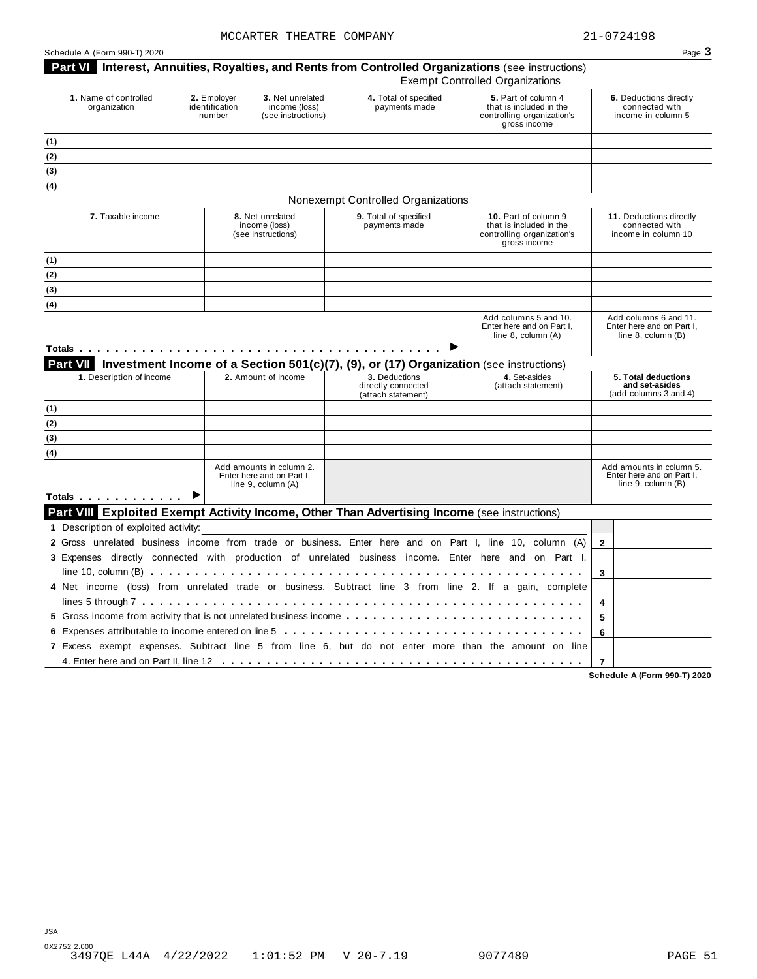| Schedule A (Form 990-T) 2020                                                                                                                                                                                                   |                                                                          |                                                                             |  |                                                                                                         |                                                                                                         | Page 3                                                                           |
|--------------------------------------------------------------------------------------------------------------------------------------------------------------------------------------------------------------------------------|--------------------------------------------------------------------------|-----------------------------------------------------------------------------|--|---------------------------------------------------------------------------------------------------------|---------------------------------------------------------------------------------------------------------|----------------------------------------------------------------------------------|
|                                                                                                                                                                                                                                |                                                                          |                                                                             |  |                                                                                                         | Part VI Interest, Annuities, Royalties, and Rents from Controlled Organizations (see instructions)      |                                                                                  |
|                                                                                                                                                                                                                                |                                                                          |                                                                             |  |                                                                                                         | <b>Exempt Controlled Organizations</b>                                                                  |                                                                                  |
| 1. Name of controlled<br>organization                                                                                                                                                                                          | 2. Employer<br>identification<br>number                                  | 3. Net unrelated<br>income (loss)<br>(see instructions)                     |  | 4. Total of specified<br>payments made                                                                  | 5. Part of column 4<br>that is included in the<br>controlling organization's<br>gross income            | 6. Deductions directly<br>connected with<br>income in column 5                   |
| (1)                                                                                                                                                                                                                            |                                                                          |                                                                             |  |                                                                                                         |                                                                                                         |                                                                                  |
| (2)                                                                                                                                                                                                                            |                                                                          |                                                                             |  |                                                                                                         |                                                                                                         |                                                                                  |
| (3)                                                                                                                                                                                                                            |                                                                          |                                                                             |  |                                                                                                         |                                                                                                         |                                                                                  |
| (4)                                                                                                                                                                                                                            |                                                                          |                                                                             |  |                                                                                                         |                                                                                                         |                                                                                  |
|                                                                                                                                                                                                                                |                                                                          |                                                                             |  | Nonexempt Controlled Organizations                                                                      |                                                                                                         |                                                                                  |
| 7. Taxable income                                                                                                                                                                                                              |                                                                          | 8. Net unrelated<br>income (loss)<br>(see instructions)                     |  | 9. Total of specified<br>payments made                                                                  | 10. Part of column 9<br>that is included in the<br>controlling organization's<br>gross income           | 11. Deductions directly<br>connected with<br>income in column 10                 |
| (1)                                                                                                                                                                                                                            |                                                                          |                                                                             |  |                                                                                                         |                                                                                                         |                                                                                  |
| (2)                                                                                                                                                                                                                            |                                                                          |                                                                             |  |                                                                                                         |                                                                                                         |                                                                                  |
| (3)                                                                                                                                                                                                                            |                                                                          |                                                                             |  |                                                                                                         |                                                                                                         |                                                                                  |
| (4)                                                                                                                                                                                                                            |                                                                          |                                                                             |  |                                                                                                         |                                                                                                         |                                                                                  |
|                                                                                                                                                                                                                                | Add columns 5 and 10.<br>Enter here and on Part I,<br>line 8, column (A) |                                                                             |  |                                                                                                         |                                                                                                         | Add columns 6 and 11.<br>Enter here and on Part I,<br>line 8, column (B)         |
|                                                                                                                                                                                                                                |                                                                          |                                                                             |  |                                                                                                         |                                                                                                         |                                                                                  |
| Part VII<br>1. Description of income                                                                                                                                                                                           |                                                                          | 2. Amount of income                                                         |  | Investment Income of a Section 501(c)(7), (9), or (17) Organization (see instructions)<br>3. Deductions | 4. Set-asides                                                                                           | 5. Total deductions                                                              |
|                                                                                                                                                                                                                                |                                                                          |                                                                             |  | directly connected<br>(attach statement)                                                                | (attach statement)                                                                                      | and set-asides<br>(add columns 3 and 4)                                          |
| (1)                                                                                                                                                                                                                            |                                                                          |                                                                             |  |                                                                                                         |                                                                                                         |                                                                                  |
| (2)                                                                                                                                                                                                                            |                                                                          |                                                                             |  |                                                                                                         |                                                                                                         |                                                                                  |
| (3)                                                                                                                                                                                                                            |                                                                          |                                                                             |  |                                                                                                         |                                                                                                         |                                                                                  |
| (4)                                                                                                                                                                                                                            |                                                                          |                                                                             |  |                                                                                                         |                                                                                                         |                                                                                  |
| Totals and the set of the set of the set of the set of the set of the set of the set of the set of the set of the set of the set of the set of the set of the set of the set of the set of the set of the set of the set of th |                                                                          | Add amounts in column 2.<br>Enter here and on Part I,<br>line 9, column (A) |  |                                                                                                         |                                                                                                         | Add amounts in column 5.<br>Enter here and on Part I,<br>line $9$ , column $(B)$ |
| Part VIII Exploited Exempt Activity Income, Other Than Advertising Income (see instructions)                                                                                                                                   |                                                                          |                                                                             |  |                                                                                                         |                                                                                                         |                                                                                  |
| 1 Description of exploited activity:                                                                                                                                                                                           |                                                                          |                                                                             |  |                                                                                                         |                                                                                                         |                                                                                  |
|                                                                                                                                                                                                                                |                                                                          |                                                                             |  |                                                                                                         | 2 Gross unrelated business income from trade or business. Enter here and on Part I, line 10, column (A) | $\mathbf{2}$                                                                     |
|                                                                                                                                                                                                                                |                                                                          |                                                                             |  |                                                                                                         | 3 Expenses directly connected with production of unrelated business income. Enter here and on Part I,   |                                                                                  |
|                                                                                                                                                                                                                                |                                                                          |                                                                             |  |                                                                                                         |                                                                                                         | 3                                                                                |
|                                                                                                                                                                                                                                |                                                                          |                                                                             |  |                                                                                                         | 4 Net income (loss) from unrelated trade or business. Subtract line 3 from line 2. If a gain, complete  |                                                                                  |
|                                                                                                                                                                                                                                |                                                                          |                                                                             |  |                                                                                                         |                                                                                                         | 4                                                                                |
| 5 Gross income from activity that is not unrelated business income                                                                                                                                                             |                                                                          |                                                                             |  |                                                                                                         |                                                                                                         | 5                                                                                |
| 6 Expenses attributable to income entered on line 5 <b>Constanting to Expenses</b> attributable to income entered on line 5                                                                                                    |                                                                          |                                                                             |  |                                                                                                         |                                                                                                         | 6                                                                                |
|                                                                                                                                                                                                                                |                                                                          |                                                                             |  |                                                                                                         | 7 Excess exempt expenses. Subtract line 5 from line 6, but do not enter more than the amount on line    |                                                                                  |
|                                                                                                                                                                                                                                |                                                                          |                                                                             |  |                                                                                                         |                                                                                                         | $\overline{7}$                                                                   |
|                                                                                                                                                                                                                                |                                                                          |                                                                             |  |                                                                                                         |                                                                                                         |                                                                                  |

**Schedule A (Form 990-T) 2020**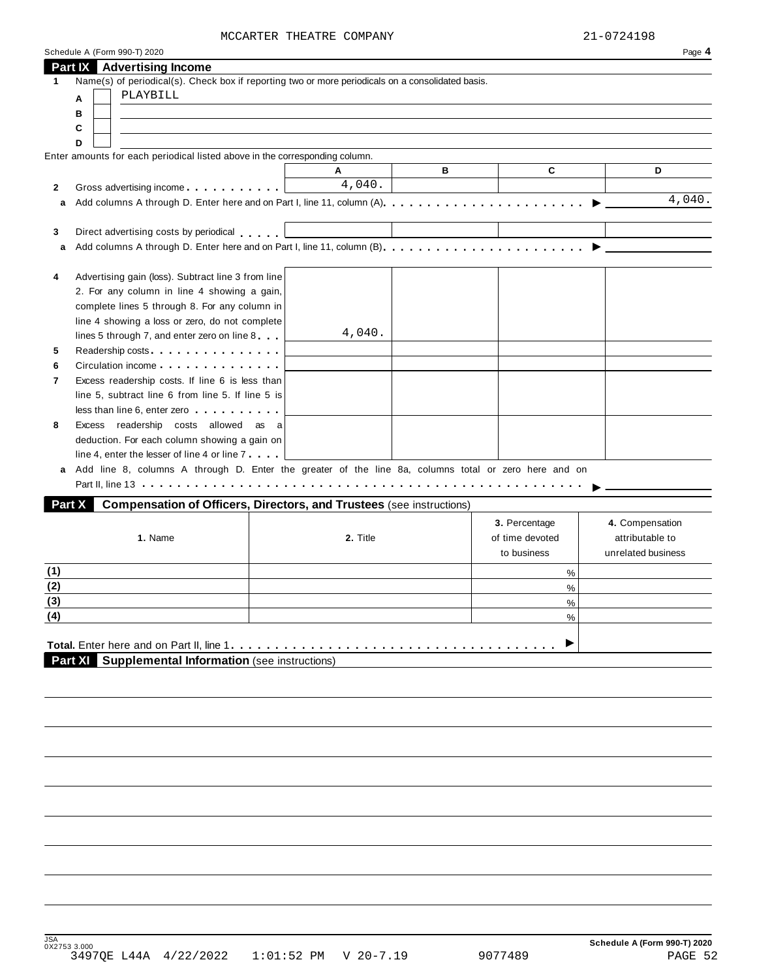|              | в                                                                                                                                                                                                                              |          |   |                 |                    |
|--------------|--------------------------------------------------------------------------------------------------------------------------------------------------------------------------------------------------------------------------------|----------|---|-----------------|--------------------|
|              | C<br>D                                                                                                                                                                                                                         |          |   |                 |                    |
|              | Enter amounts for each periodical listed above in the corresponding column.                                                                                                                                                    |          |   |                 |                    |
|              |                                                                                                                                                                                                                                |          | в | C               | D                  |
| $\mathbf{2}$ | Gross advertising income.                                                                                                                                                                                                      | 4,040.   |   |                 |                    |
| a            | Add columns A through D. Enter here and on Part I, line 11, column (A),                                                                                                                                                        |          |   |                 | 4,040.             |
| 3            | Direct advertising costs by periodical                                                                                                                                                                                         |          |   |                 |                    |
| a            | Add columns A through D. Enter here and on Part I, line 11, column (B).                                                                                                                                                        |          |   |                 |                    |
| 4            | Advertising gain (loss). Subtract line 3 from line                                                                                                                                                                             |          |   |                 |                    |
|              | 2. For any column in line 4 showing a gain,                                                                                                                                                                                    |          |   |                 |                    |
|              | complete lines 5 through 8. For any column in                                                                                                                                                                                  |          |   |                 |                    |
|              | line 4 showing a loss or zero, do not complete                                                                                                                                                                                 |          |   |                 |                    |
|              | lines 5 through 7, and enter zero on line 8                                                                                                                                                                                    | 4,040.   |   |                 |                    |
| 5            | Readership costs experience and the set of the set of the set of the set of the set of the set of the set of the set of the set of the set of the set of the set of the set of the set of the set of the set of the set of the |          |   |                 |                    |
| 6            | Circulation income experience and the contract of the contract of the contract of the contract of the contract of the contract of the contract of the contract of the contract of the contract of the contract of the contract |          |   |                 |                    |
| 7            | Excess readership costs. If line 6 is less than                                                                                                                                                                                |          |   |                 |                    |
|              | line 5, subtract line 6 from line 5. If line 5 is                                                                                                                                                                              |          |   |                 |                    |
|              | less than line 6, enter zero                                                                                                                                                                                                   |          |   |                 |                    |
| 8            | Excess readership costs allowed as a                                                                                                                                                                                           |          |   |                 |                    |
|              | deduction. For each column showing a gain on                                                                                                                                                                                   |          |   |                 |                    |
|              | line 4, enter the lesser of line 4 or line 7                                                                                                                                                                                   |          |   |                 |                    |
|              | a Add line 8, columns A through D. Enter the greater of the line 8a, columns total or zero here and on                                                                                                                         |          |   |                 |                    |
| Part X       | <b>Compensation of Officers, Directors, and Trustees (see instructions)</b>                                                                                                                                                    |          |   |                 |                    |
|              |                                                                                                                                                                                                                                |          |   | 3. Percentage   | 4. Compensation    |
|              | 1. Name                                                                                                                                                                                                                        | 2. Title |   | of time devoted | attributable to    |
|              |                                                                                                                                                                                                                                |          |   | to business     | unrelated business |
| (1)          |                                                                                                                                                                                                                                |          |   | %               |                    |
| (2)          |                                                                                                                                                                                                                                |          |   | %               |                    |
| (3)          |                                                                                                                                                                                                                                |          |   | $\%$            |                    |
| (4)          |                                                                                                                                                                                                                                |          |   | $\%$            |                    |
|              |                                                                                                                                                                                                                                |          |   |                 |                    |
|              |                                                                                                                                                                                                                                |          |   |                 |                    |
|              | <b>Part XI</b> Supplemental Information (see instructions)                                                                                                                                                                     |          |   |                 |                    |
|              |                                                                                                                                                                                                                                |          |   |                 |                    |
|              |                                                                                                                                                                                                                                |          |   |                 |                    |

**1** Name(s) of periodical(s). Check box if reporting two or more periodicals on a consolidated basis.

Schedule A (Form 990-T) 2020

**A**

**Part IX Advertising Income**

PLAYBILL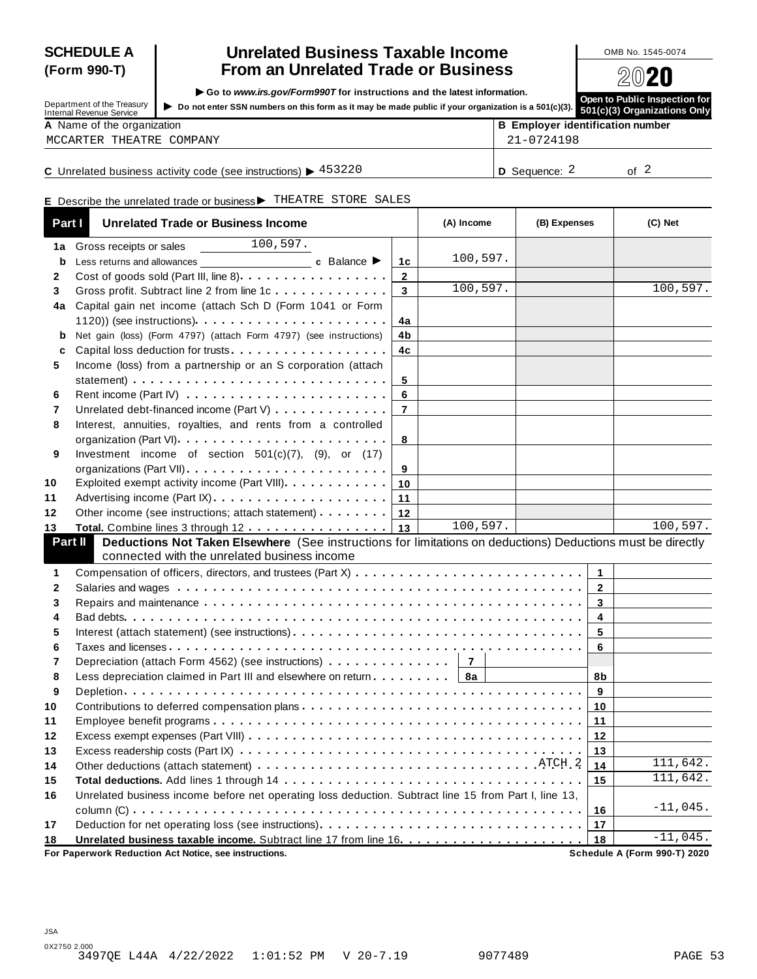# **(Form 990-T)**

## **SCHEDULE A**  $\begin{bmatrix} \end{bmatrix}$  **Unrelated Business Taxable Income**  $\begin{bmatrix} \end{bmatrix}$  OMB No. 1545-0074 **From an Unrelated Trade or Business**<br> **Exacto www.irs.gov/Form990T for instructions and the latest information.**

Internal Revenue Service

Department of the Treasury **Department of the Treasury Department of the Treasury Department of the Treasury Department of the Treasury Department of the Treasury Department of the Treasury Department of the Christian Con** 

| <b>A</b> Name of the organization                                                    | <b>B</b> Employer identification number |
|--------------------------------------------------------------------------------------|-----------------------------------------|
| MCCARTER THEATRE COMPANY                                                             | 21-0724198                              |
|                                                                                      |                                         |
| <b>C</b> Unrelated business activity code (see instructions) $\triangleright$ 453220 | $\mathsf{nf}$ 2<br><b>D</b> Sequence: 2 |

**E** Describe the unrelated trade or business **FILEATRE STORE SALES** 

| Part I                                | <b>Unrelated Trade or Business Income</b>                                                                                                                   |                | (A) Income | (B) Expenses |                         | (C) Net    |
|---------------------------------------|-------------------------------------------------------------------------------------------------------------------------------------------------------------|----------------|------------|--------------|-------------------------|------------|
| 1a                                    | 100,597.<br>Gross receipts or sales                                                                                                                         |                |            |              |                         |            |
| b                                     |                                                                                                                                                             | 1 <sub>c</sub> | 100,597.   |              |                         |            |
| 2                                     | Cost of goods sold (Part III, line 8).                                                                                                                      | $\mathbf{2}$   |            |              |                         |            |
| 3                                     | Gross profit. Subtract line 2 from line 1c                                                                                                                  | $\mathbf{3}$   | 100,597.   |              |                         | 100, 597.  |
| 4a                                    | Capital gain net income (attach Sch D (Form 1041 or Form                                                                                                    |                |            |              |                         |            |
|                                       |                                                                                                                                                             | 4a             |            |              |                         |            |
| b                                     | Net gain (loss) (Form 4797) (attach Form 4797) (see instructions)                                                                                           | 4 <sub>b</sub> |            |              |                         |            |
| c                                     |                                                                                                                                                             | 4 <sub>c</sub> |            |              |                         |            |
| 5                                     | Income (loss) from a partnership or an S corporation (attach                                                                                                |                |            |              |                         |            |
|                                       |                                                                                                                                                             | 5              |            |              |                         |            |
| 6                                     |                                                                                                                                                             | 6              |            |              |                         |            |
| 7                                     | Unrelated debt-financed income (Part V)                                                                                                                     | $\overline{7}$ |            |              |                         |            |
| 8                                     | Interest, annuities, royalties, and rents from a controlled                                                                                                 |                |            |              |                         |            |
|                                       |                                                                                                                                                             | 8              |            |              |                         |            |
| 9                                     | Investment income of section $501(c)(7)$ , (9), or (17)                                                                                                     |                |            |              |                         |            |
|                                       |                                                                                                                                                             | 9              |            |              |                         |            |
| 10                                    | Exploited exempt activity income (Part VIII).                                                                                                               | 10             |            |              |                         |            |
| 11                                    | Advertising income (Part IX)                                                                                                                                | 11             |            |              |                         |            |
| $12 \,$                               | Other income (see instructions; attach statement)                                                                                                           | 12             |            |              |                         |            |
| 13                                    | Total. Combine lines 3 through 12                                                                                                                           | 13             | 100, 597.  |              |                         | 100, 597.  |
| Part II                               | Deductions Not Taken Elsewhere (See instructions for limitations on deductions) Deductions must be directly<br>connected with the unrelated business income |                |            |              | $\mathbf{1}$            |            |
| 1                                     |                                                                                                                                                             |                |            |              |                         |            |
| $\mathbf{2}$                          |                                                                                                                                                             |                |            |              |                         |            |
| 3                                     |                                                                                                                                                             |                |            |              | $\mathbf{2}$            |            |
| 4                                     |                                                                                                                                                             |                |            |              | $\mathbf{3}$            |            |
|                                       |                                                                                                                                                             |                |            |              | $\overline{\mathbf{4}}$ |            |
| 5                                     |                                                                                                                                                             |                |            |              | 5                       |            |
| 6                                     |                                                                                                                                                             |                |            |              | 6                       |            |
| 7                                     | Depreciation (attach Form 4562) (see instructions) 7                                                                                                        |                |            |              |                         |            |
| 8                                     | Less depreciation claimed in Part III and elsewhere on return   8a                                                                                          |                |            |              | 8b                      |            |
| 9                                     |                                                                                                                                                             |                |            |              | 9                       |            |
|                                       |                                                                                                                                                             |                |            |              | 10                      |            |
|                                       |                                                                                                                                                             |                |            |              | 11                      |            |
|                                       |                                                                                                                                                             |                |            |              | 12                      |            |
|                                       |                                                                                                                                                             |                |            |              | 13                      |            |
|                                       |                                                                                                                                                             |                |            |              | 14                      | 111,642.   |
| 10<br>11<br>$12 \,$<br>13<br>14<br>15 |                                                                                                                                                             |                |            |              | 15                      | 111,642.   |
| 16                                    | Unrelated business income before net operating loss deduction. Subtract line 15 from Part I, line 13,                                                       |                |            |              |                         |            |
|                                       |                                                                                                                                                             |                |            |              | 16                      | $-11,045.$ |
| 17<br>18                              |                                                                                                                                                             |                |            |              | 17<br>18                | $-11,045.$ |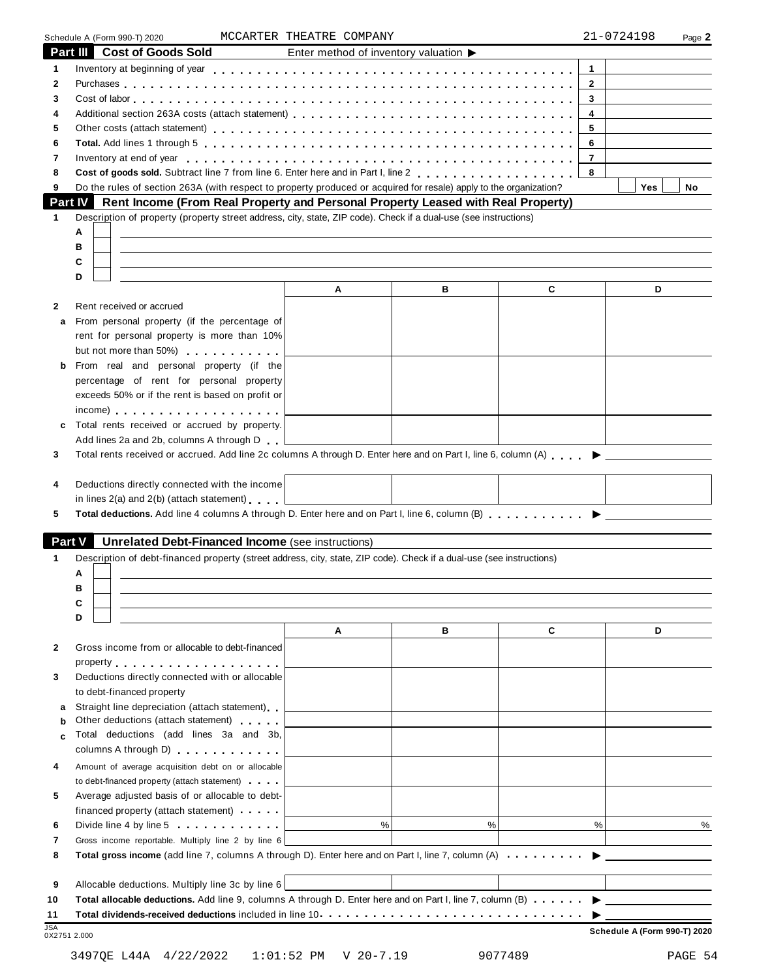|                | Schedule A (Form 990-T) 2020                                                                                                                                                                                                   | MCCARTER THEATRE COMPANY                     |   |                | 21-0724198                                                                | Page 2 |
|----------------|--------------------------------------------------------------------------------------------------------------------------------------------------------------------------------------------------------------------------------|----------------------------------------------|---|----------------|---------------------------------------------------------------------------|--------|
|                | <b>Part III</b> Cost of Goods Sold                                                                                                                                                                                             | Enter method of inventory valuation >        |   |                |                                                                           |        |
|                | Inventory at beginning of year enterpretation of the state of the state of the state of the state of the state of the state of the state of the state of the state of the state of the state of the state of the state of the  |                                              |   | $\mathbf{1}$   |                                                                           |        |
|                |                                                                                                                                                                                                                                |                                              |   | $\mathbf{2}$   |                                                                           |        |
|                |                                                                                                                                                                                                                                |                                              |   | 3              |                                                                           |        |
|                |                                                                                                                                                                                                                                |                                              |   | 4              |                                                                           |        |
|                |                                                                                                                                                                                                                                |                                              |   | 5              |                                                                           |        |
|                |                                                                                                                                                                                                                                |                                              |   | 6              |                                                                           |        |
|                |                                                                                                                                                                                                                                |                                              |   | $\overline{7}$ |                                                                           |        |
|                | Cost of goods sold. Subtract line 7 from line 6. Enter here and in Part I, line 2                                                                                                                                              |                                              |   | 8              |                                                                           |        |
|                | Do the rules of section 263A (with respect to property produced or acquired for resale) apply to the organization?                                                                                                             |                                              |   |                | Yes                                                                       | No     |
| <b>Part IV</b> | Rent Income (From Real Property and Personal Property Leased with Real Property)                                                                                                                                               |                                              |   |                |                                                                           |        |
|                | Description of property (property street address, city, state, ZIP code). Check if a dual-use (see instructions)                                                                                                               |                                              |   |                |                                                                           |        |
| A              |                                                                                                                                                                                                                                |                                              |   |                |                                                                           |        |
| в              |                                                                                                                                                                                                                                |                                              |   |                |                                                                           |        |
| C              |                                                                                                                                                                                                                                |                                              |   |                |                                                                           |        |
| D              |                                                                                                                                                                                                                                |                                              | в |                | D                                                                         |        |
|                |                                                                                                                                                                                                                                | A                                            |   | C              |                                                                           |        |
|                | Rent received or accrued                                                                                                                                                                                                       |                                              |   |                |                                                                           |        |
| а              | From personal property (if the percentage of                                                                                                                                                                                   |                                              |   |                |                                                                           |        |
|                | rent for personal property is more than 10%                                                                                                                                                                                    |                                              |   |                |                                                                           |        |
|                | but not more than 50%) and the more than 10% of the more than 10% of the more than 10% of the more than 10% of the more than 10% of the more than 10% of the more than 10% of the more than 10% of the more than 10% of the mo |                                              |   |                |                                                                           |        |
| b              | From real and personal property (if the                                                                                                                                                                                        |                                              |   |                |                                                                           |        |
|                | percentage of rent for personal property                                                                                                                                                                                       |                                              |   |                |                                                                           |        |
|                | exceeds 50% or if the rent is based on profit or                                                                                                                                                                               |                                              |   |                |                                                                           |        |
|                | income)                                                                                                                                                                                                                        |                                              |   |                |                                                                           |        |
| c              | Total rents received or accrued by property.                                                                                                                                                                                   |                                              |   |                |                                                                           |        |
|                | Add lines 2a and 2b, columns A through D<br>Total rents received or accrued. Add line 2c columns A through D. Enter here and on Part I, line 6, column (A)                                                                     |                                              |   |                |                                                                           |        |
|                |                                                                                                                                                                                                                                |                                              |   |                | $\blacktriangleright$ and $\blacktriangleright$                           |        |
|                | Deductions directly connected with the income                                                                                                                                                                                  |                                              |   |                |                                                                           |        |
|                | in lines $2(a)$ and $2(b)$ (attach statement)                                                                                                                                                                                  | the control of the control of the control of |   |                |                                                                           |        |
|                | Total deductions. Add line 4 columns A through D. Enter here and on Part I, line 6, column (B)                                                                                                                                 |                                              |   |                |                                                                           |        |
|                |                                                                                                                                                                                                                                |                                              |   |                |                                                                           |        |
| <b>Part V</b>  | <b>Unrelated Debt-Financed Income (see instructions)</b>                                                                                                                                                                       |                                              |   |                |                                                                           |        |
|                | Description of debt-financed property (street address, city, state, ZIP code). Check if a dual-use (see instructions)                                                                                                          |                                              |   |                |                                                                           |        |
| А              |                                                                                                                                                                                                                                |                                              |   |                |                                                                           |        |
| в              |                                                                                                                                                                                                                                |                                              |   |                |                                                                           |        |
| C              |                                                                                                                                                                                                                                |                                              |   |                |                                                                           |        |
| D              |                                                                                                                                                                                                                                |                                              |   |                |                                                                           |        |
|                |                                                                                                                                                                                                                                | A                                            | в | C              | D                                                                         |        |
|                | Gross income from or allocable to debt-financed                                                                                                                                                                                |                                              |   |                |                                                                           |        |
|                | property property                                                                                                                                                                                                              |                                              |   |                |                                                                           |        |
|                | Deductions directly connected with or allocable                                                                                                                                                                                |                                              |   |                |                                                                           |        |
|                | to debt-financed property                                                                                                                                                                                                      |                                              |   |                |                                                                           |        |
| a              | Straight line depreciation (attach statement)                                                                                                                                                                                  |                                              |   |                |                                                                           |        |
|                | Other deductions (attach statement)                                                                                                                                                                                            |                                              |   |                |                                                                           |        |
| c              | Total deductions (add lines 3a and 3b,                                                                                                                                                                                         |                                              |   |                |                                                                           |        |
|                | columns A through D)                                                                                                                                                                                                           |                                              |   |                |                                                                           |        |
|                | Amount of average acquisition debt on or allocable                                                                                                                                                                             |                                              |   |                |                                                                           |        |
|                | to debt-financed property (attach statement)                                                                                                                                                                                   |                                              |   |                |                                                                           |        |
|                | Average adjusted basis of or allocable to debt-                                                                                                                                                                                |                                              |   |                |                                                                           |        |
|                | financed property (attach statement)                                                                                                                                                                                           |                                              |   |                |                                                                           |        |
|                | Divide line 4 by line 5                                                                                                                                                                                                        | $\frac{0}{6}$                                | % |                | $\%$                                                                      | %      |
|                | Gross income reportable. Multiply line 2 by line 6                                                                                                                                                                             |                                              |   |                |                                                                           |        |
|                | Total gross income (add line 7, columns A through D). Enter here and on Part I, line 7, column (A)                                                                                                                             |                                              |   |                | $\blacktriangleright$                                                     |        |
|                |                                                                                                                                                                                                                                |                                              |   |                |                                                                           |        |
|                | Allocable deductions. Multiply line 3c by line 6                                                                                                                                                                               |                                              |   |                |                                                                           |        |
|                | Total allocable deductions. Add line 9, columns A through D. Enter here and on Part I, line 7, column (B)                                                                                                                      |                                              |   |                | $\blacktriangleright$ and $\blacktriangleright$ and $\blacktriangleright$ |        |
|                |                                                                                                                                                                                                                                |                                              |   |                |                                                                           |        |
|                | 0X2751 2.000                                                                                                                                                                                                                   |                                              |   |                | <b>Schedule A (Form 990-T) 2020</b>                                       |        |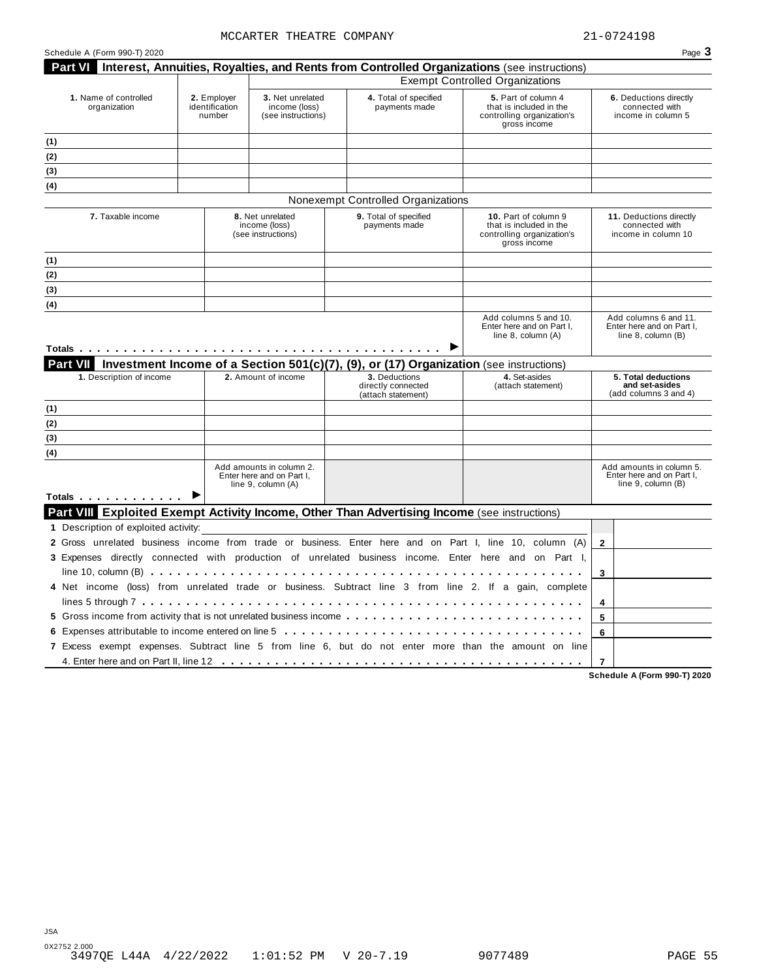| Schedule A (Form 990-T) 2020                                                                                                                                                                                                   |                                                                                                       |                                                                             |  |                                                                                                         |                                                                                                         | Page 3                                                                           |
|--------------------------------------------------------------------------------------------------------------------------------------------------------------------------------------------------------------------------------|-------------------------------------------------------------------------------------------------------|-----------------------------------------------------------------------------|--|---------------------------------------------------------------------------------------------------------|---------------------------------------------------------------------------------------------------------|----------------------------------------------------------------------------------|
|                                                                                                                                                                                                                                |                                                                                                       |                                                                             |  |                                                                                                         | Part VI Interest, Annuities, Royalties, and Rents from Controlled Organizations (see instructions)      |                                                                                  |
|                                                                                                                                                                                                                                |                                                                                                       | <b>Exempt Controlled Organizations</b>                                      |  |                                                                                                         |                                                                                                         |                                                                                  |
| 1. Name of controlled<br>organization                                                                                                                                                                                          | 2. Employer<br>identification<br>number                                                               | 3. Net unrelated<br>income (loss)<br>(see instructions)                     |  | 4. Total of specified<br>payments made                                                                  | 5. Part of column 4<br>that is included in the<br>controlling organization's<br>gross income            | 6. Deductions directly<br>connected with<br>income in column 5                   |
| (1)                                                                                                                                                                                                                            |                                                                                                       |                                                                             |  |                                                                                                         |                                                                                                         |                                                                                  |
| (2)                                                                                                                                                                                                                            |                                                                                                       |                                                                             |  |                                                                                                         |                                                                                                         |                                                                                  |
| (3)                                                                                                                                                                                                                            |                                                                                                       |                                                                             |  |                                                                                                         |                                                                                                         |                                                                                  |
| (4)                                                                                                                                                                                                                            |                                                                                                       |                                                                             |  |                                                                                                         |                                                                                                         |                                                                                  |
|                                                                                                                                                                                                                                |                                                                                                       |                                                                             |  | Nonexempt Controlled Organizations                                                                      |                                                                                                         |                                                                                  |
| 7. Taxable income                                                                                                                                                                                                              |                                                                                                       | 8. Net unrelated<br>income (loss)<br>(see instructions)                     |  | 9. Total of specified<br>payments made                                                                  | 10. Part of column 9<br>that is included in the<br>controlling organization's<br>gross income           | 11. Deductions directly<br>connected with<br>income in column 10                 |
| (1)                                                                                                                                                                                                                            |                                                                                                       |                                                                             |  |                                                                                                         |                                                                                                         |                                                                                  |
| (2)                                                                                                                                                                                                                            |                                                                                                       |                                                                             |  |                                                                                                         |                                                                                                         |                                                                                  |
| (3)                                                                                                                                                                                                                            |                                                                                                       |                                                                             |  |                                                                                                         |                                                                                                         |                                                                                  |
| (4)                                                                                                                                                                                                                            |                                                                                                       |                                                                             |  |                                                                                                         |                                                                                                         |                                                                                  |
|                                                                                                                                                                                                                                |                                                                                                       |                                                                             |  |                                                                                                         | Add columns 5 and 10.<br>Enter here and on Part I,<br>line 8, column (A)                                | Add columns 6 and 11.<br>Enter here and on Part I,<br>line 8, column (B)         |
|                                                                                                                                                                                                                                |                                                                                                       |                                                                             |  |                                                                                                         |                                                                                                         |                                                                                  |
| Part VII<br>1. Description of income                                                                                                                                                                                           |                                                                                                       | 2. Amount of income                                                         |  | Investment Income of a Section 501(c)(7), (9), or (17) Organization (see instructions)<br>3. Deductions | 4. Set-asides                                                                                           | 5. Total deductions                                                              |
|                                                                                                                                                                                                                                |                                                                                                       |                                                                             |  | directly connected<br>(attach statement)                                                                | (attach statement)                                                                                      | and set-asides<br>(add columns 3 and 4)                                          |
| (1)                                                                                                                                                                                                                            |                                                                                                       |                                                                             |  |                                                                                                         |                                                                                                         |                                                                                  |
| (2)                                                                                                                                                                                                                            |                                                                                                       |                                                                             |  |                                                                                                         |                                                                                                         |                                                                                  |
| (3)                                                                                                                                                                                                                            |                                                                                                       |                                                                             |  |                                                                                                         |                                                                                                         |                                                                                  |
| (4)                                                                                                                                                                                                                            |                                                                                                       |                                                                             |  |                                                                                                         |                                                                                                         |                                                                                  |
| Totals and the set of the set of the set of the set of the set of the set of the set of the set of the set of the set of the set of the set of the set of the set of the set of the set of the set of the set of the set of th |                                                                                                       | Add amounts in column 2.<br>Enter here and on Part I,<br>line 9, column (A) |  |                                                                                                         |                                                                                                         | Add amounts in column 5.<br>Enter here and on Part I,<br>line $9$ , column $(B)$ |
| Part VIII Exploited Exempt Activity Income, Other Than Advertising Income (see instructions)                                                                                                                                   |                                                                                                       |                                                                             |  |                                                                                                         |                                                                                                         |                                                                                  |
| 1 Description of exploited activity:                                                                                                                                                                                           |                                                                                                       |                                                                             |  |                                                                                                         |                                                                                                         |                                                                                  |
|                                                                                                                                                                                                                                |                                                                                                       |                                                                             |  |                                                                                                         | 2 Gross unrelated business income from trade or business. Enter here and on Part I, line 10, column (A) | $\mathbf{2}$                                                                     |
|                                                                                                                                                                                                                                |                                                                                                       |                                                                             |  |                                                                                                         |                                                                                                         |                                                                                  |
|                                                                                                                                                                                                                                | 3 Expenses directly connected with production of unrelated business income. Enter here and on Part I, |                                                                             |  |                                                                                                         |                                                                                                         | 3                                                                                |
|                                                                                                                                                                                                                                |                                                                                                       |                                                                             |  |                                                                                                         | 4 Net income (loss) from unrelated trade or business. Subtract line 3 from line 2. If a gain, complete  |                                                                                  |
|                                                                                                                                                                                                                                |                                                                                                       |                                                                             |  |                                                                                                         |                                                                                                         | 4                                                                                |
| 5 Gross income from activity that is not unrelated business income                                                                                                                                                             |                                                                                                       |                                                                             |  |                                                                                                         |                                                                                                         | 5                                                                                |
| 6 Expenses attributable to income entered on line 5 <b>Constanting to Expenses</b> attributable to income entered on line 5                                                                                                    |                                                                                                       |                                                                             |  |                                                                                                         |                                                                                                         | 6                                                                                |
|                                                                                                                                                                                                                                |                                                                                                       |                                                                             |  |                                                                                                         | 7 Excess exempt expenses. Subtract line 5 from line 6, but do not enter more than the amount on line    |                                                                                  |
|                                                                                                                                                                                                                                |                                                                                                       |                                                                             |  |                                                                                                         |                                                                                                         | $\overline{7}$                                                                   |
|                                                                                                                                                                                                                                |                                                                                                       |                                                                             |  |                                                                                                         |                                                                                                         |                                                                                  |

**Schedule A (Form 990-T) 2020**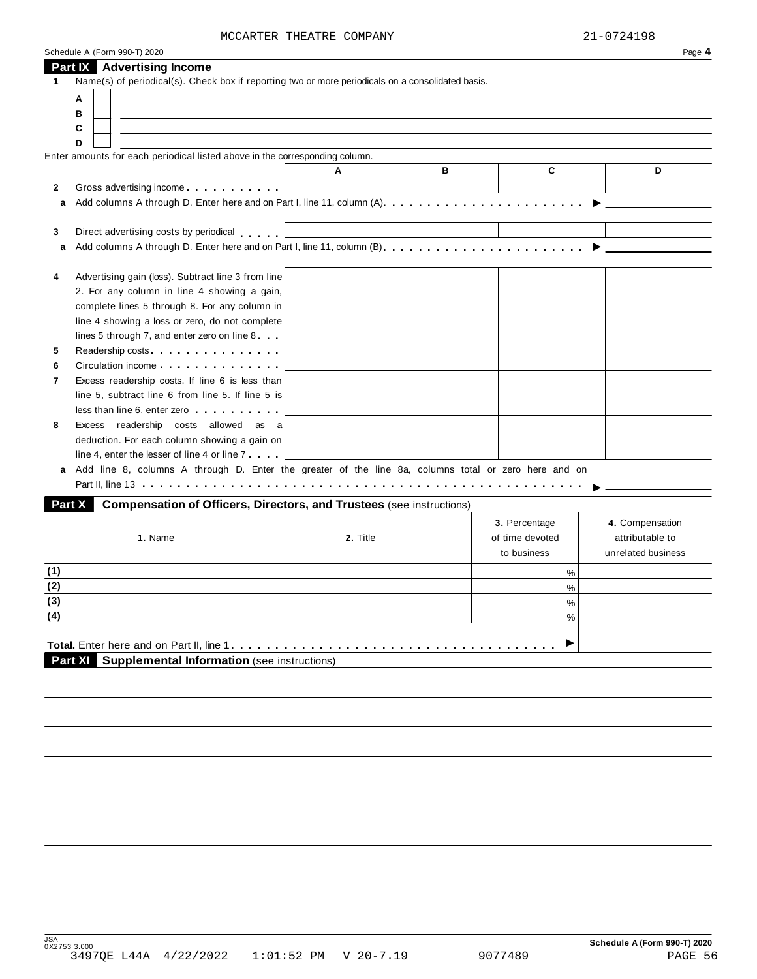| ٦T | $20 -$<br>71 | с<br>ั |
|----|--------------|--------|
|    |              |        |

|               | Schedule A (Form 990-T) 2020                                                                                   |          |   |                 | Page 4             |
|---------------|----------------------------------------------------------------------------------------------------------------|----------|---|-----------------|--------------------|
|               | <b>Part IX</b> Advertising Income                                                                              |          |   |                 |                    |
| 1             | Name(s) of periodical(s). Check box if reporting two or more periodicals on a consolidated basis.              |          |   |                 |                    |
|               | A                                                                                                              |          |   |                 |                    |
|               | в                                                                                                              |          |   |                 |                    |
|               | C                                                                                                              |          |   |                 |                    |
|               | D                                                                                                              |          |   |                 |                    |
|               | Enter amounts for each periodical listed above in the corresponding column.                                    |          |   |                 |                    |
|               |                                                                                                                | A        | в | C               | D                  |
| 2             |                                                                                                                |          |   |                 |                    |
| a             |                                                                                                                |          |   |                 |                    |
|               |                                                                                                                |          |   |                 |                    |
| 3             | Direct advertising costs by periodical                                                                         |          |   |                 |                    |
| a             |                                                                                                                |          |   |                 |                    |
| 4             | Advertising gain (loss). Subtract line 3 from line                                                             |          |   |                 |                    |
|               | 2. For any column in line 4 showing a gain,                                                                    |          |   |                 |                    |
|               | complete lines 5 through 8. For any column in                                                                  |          |   |                 |                    |
|               | line 4 showing a loss or zero, do not complete                                                                 |          |   |                 |                    |
|               | lines 5 through 7, and enter zero on line 8                                                                    |          |   |                 |                    |
|               | Readership costs experience and a series of the series of the series of the series of the series of the series |          |   |                 |                    |
|               | Circulation income                                                                                             |          |   |                 |                    |
| 7             | Excess readership costs. If line 6 is less than                                                                |          |   |                 |                    |
|               | line 5, subtract line 6 from line 5. If line 5 is                                                              |          |   |                 |                    |
|               | less than line 6, enter zero                                                                                   |          |   |                 |                    |
| 8             | Excess readership costs allowed as a                                                                           |          |   |                 |                    |
|               | deduction. For each column showing a gain on                                                                   |          |   |                 |                    |
|               | line 4, enter the lesser of line 4 or line 7                                                                   |          |   |                 |                    |
| a             | Add line 8, columns A through D. Enter the greater of the line 8a, columns total or zero here and on           |          |   |                 |                    |
|               |                                                                                                                |          |   |                 |                    |
| <b>Part X</b> | <b>Compensation of Officers, Directors, and Trustees (see instructions)</b>                                    |          |   |                 |                    |
|               |                                                                                                                |          |   | 3. Percentage   | 4. Compensation    |
|               | 1. Name                                                                                                        | 2. Title |   | of time devoted | attributable to    |
|               |                                                                                                                |          |   | to business     | unrelated business |
| (1)           |                                                                                                                |          |   | %               |                    |
| (2)           |                                                                                                                |          |   | %               |                    |
| (3)           |                                                                                                                |          |   | $\%$            |                    |
|               |                                                                                                                |          |   | $\%$            |                    |
| (4)           |                                                                                                                |          |   |                 |                    |
|               | Total. Enter here and on Part II, line 1.                                                                      |          |   |                 |                    |
|               | <b>Part XI</b> Supplemental Information (see instructions)                                                     |          |   |                 |                    |
|               |                                                                                                                |          |   |                 |                    |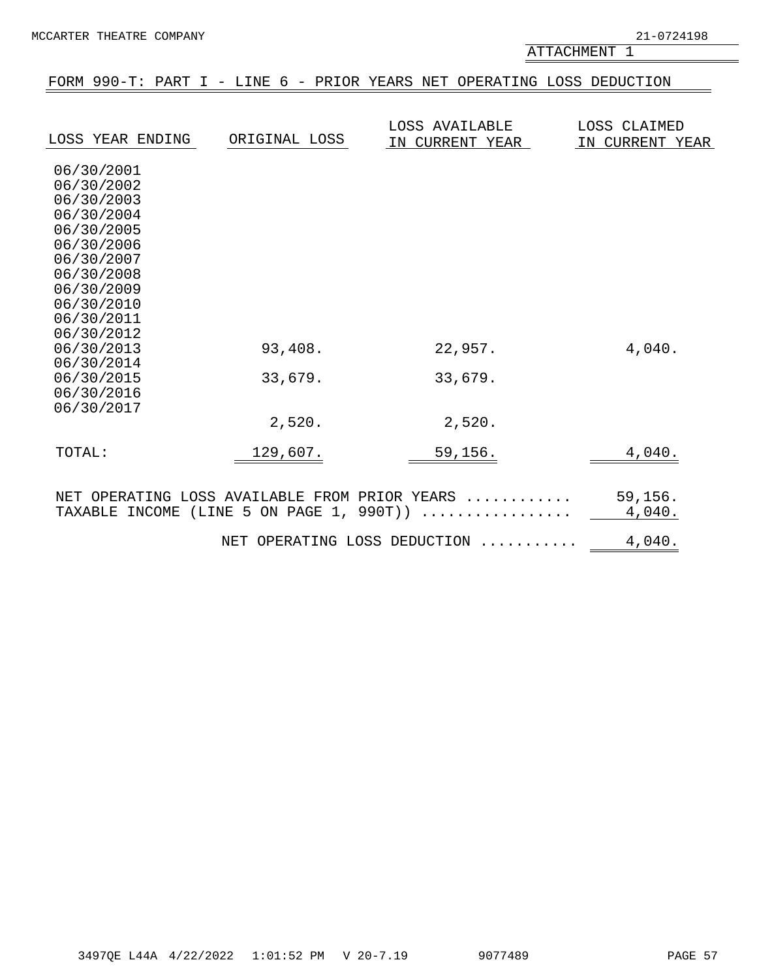ATTACHMENT 1

#### <span id="page-56-0"></span>FORM 990-T: PART I - LINE 6 - PRIOR YEARS NET OPERATING LOSS DEDUCTION

|                                               |                              | LOSS AVAILABLE  | LOSS CLAIMED    |
|-----------------------------------------------|------------------------------|-----------------|-----------------|
| LOSS YEAR ENDING                              | ORIGINAL LOSS                | IN CURRENT YEAR | IN CURRENT YEAR |
| 06/30/2001                                    |                              |                 |                 |
| 06/30/2002                                    |                              |                 |                 |
| 06/30/2003                                    |                              |                 |                 |
| 06/30/2004                                    |                              |                 |                 |
| 06/30/2005                                    |                              |                 |                 |
| 06/30/2006                                    |                              |                 |                 |
| 06/30/2007                                    |                              |                 |                 |
| 06/30/2008                                    |                              |                 |                 |
| 06/30/2009                                    |                              |                 |                 |
| 06/30/2010                                    |                              |                 |                 |
| 06/30/2011                                    |                              |                 |                 |
| 06/30/2012                                    |                              |                 |                 |
| 06/30/2013                                    | 93,408.                      | 22,957.         | 4,040.          |
| 06/30/2014                                    |                              |                 |                 |
| 06/30/2015                                    | 33,679.                      | 33,679.         |                 |
| 06/30/2016                                    |                              |                 |                 |
| 06/30/2017                                    |                              |                 |                 |
|                                               | 2,520.                       | 2,520.          |                 |
| TOTAL:                                        | 129,607.                     | 59,156.         | 4,040.          |
|                                               |                              |                 |                 |
| NET OPERATING LOSS AVAILABLE FROM PRIOR YEARS | 59,156.<br>.                 |                 |                 |
| TAXABLE INCOME                                | (LINE 5 ON PAGE 1, 990T))    | .               | 4,040.          |
|                                               |                              |                 |                 |
|                                               | NET OPERATING LOSS DEDUCTION |                 | 4,040.          |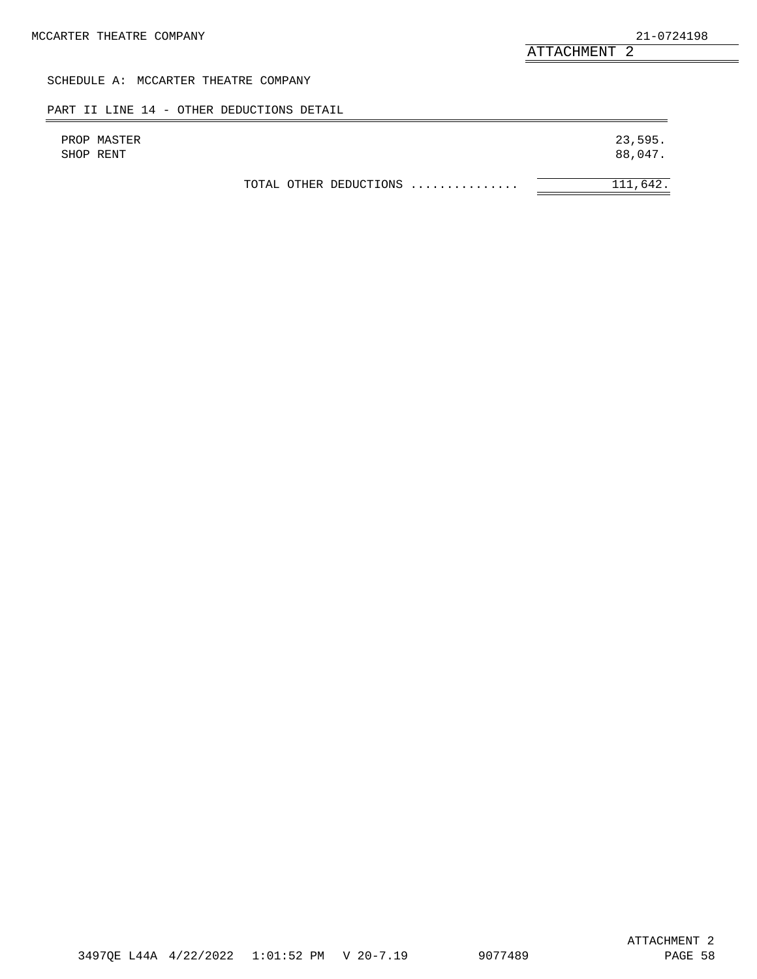e.

ATTACHMENT 2

#### <span id="page-57-0"></span>SCHEDULE A: MCCARTER THEATRE COMPANY

#### PART II LINE 14 - OTHER DEDUCTIONS DETAIL

| PROP MASTER<br>SHOP RENT |                        | 23,595.<br>88,047. |
|--------------------------|------------------------|--------------------|
|                          | TOTAL OTHER DEDUCTIONS | 111,642.           |